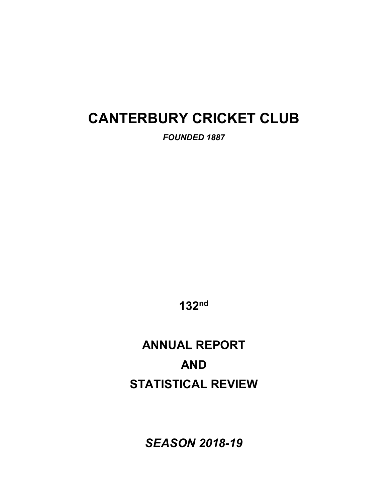# **CANTERBURY CRICKET CLUB**

*FOUNDED 1887* 

**132nd**

# **ANNUAL REPORT AND STATISTICAL REVIEW**

*SEASON 2018-19*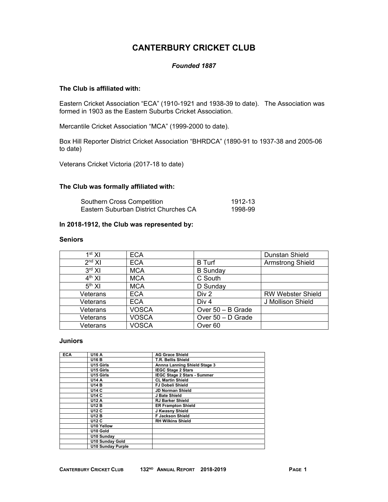# **CANTERBURY CRICKET CLUB**

### *Founded 1887*

### **The Club is affiliated with:**

Eastern Cricket Association "ECA" (1910-1921 and 1938-39 to date). The Association was formed in 1903 as the Eastern Suburbs Cricket Association.

Mercantile Cricket Association "MCA" (1999-2000 to date).

Box Hill Reporter District Cricket Association "BHRDCA" (1890-91 to 1937-38 and 2005-06 to date)

Veterans Cricket Victoria (2017-18 to date)

### **The Club was formally affiliated with:**

| Southern Cross Competition            | 1912-13 |
|---------------------------------------|---------|
| Eastern Suburban District Churches CA | 1998-99 |

### **In 2018-1912, the Club was represented by:**

#### **Seniors**

| 1 <sup>st</sup> XI | <b>ECA</b>   |                     | Dunstan Shield           |
|--------------------|--------------|---------------------|--------------------------|
| 2 <sup>nd</sup> XI | <b>ECA</b>   | <b>B</b> Turf       | <b>Armstrong Shield</b>  |
| $3rd$ XI           | <b>MCA</b>   | <b>B</b> Sunday     |                          |
| $4th$ XI           | <b>MCA</b>   | C South             |                          |
| 5 <sup>th</sup> XI | <b>MCA</b>   | D Sunday            |                          |
| Veterans           | <b>ECA</b>   | Div 2               | <b>RW Webster Shield</b> |
| Veterans           | <b>ECA</b>   | Div <sub>4</sub>    | J Mollison Shield        |
| Veterans           | <b>VOSCA</b> | Over 50 - B Grade   |                          |
| Veterans           | <b>VOSCA</b> | Over $50 - D$ Grade |                          |
| Veterans           | <b>VOSCA</b> | Over <sub>60</sub>  |                          |

### **Juniors**

| <b>ECA</b> | <b>U16 A</b>             | <b>AG Grace Shield</b>             |
|------------|--------------------------|------------------------------------|
|            | <b>U16 B</b>             | T.R. Bellis Shield                 |
|            | U15 Girls                | Annna Lanning Shield Stage 3       |
|            | U15 Girls                | <b>IEGC Stage 2 Stars</b>          |
|            | U15 Girls                | <b>IEGC Stage 2 Stars - Summer</b> |
|            | U14 A                    | <b>CL Martin Shield</b>            |
|            | <b>U14 B</b>             | <b>FJ Dobeli Shield</b>            |
|            | <b>U14 C</b>             | <b>JD Norman Shield</b>            |
|            | <b>U14 C</b>             | J Bate Shield                      |
|            | <b>U12 A</b>             | <b>RJ Barker Shield</b>            |
|            | <b>U12 B</b>             | <b>ER Frampton Shield</b>          |
|            | <b>U12 C</b>             | J Kwasny Shield                    |
|            | <b>U12 B</b>             | <b>F Jackson Shield</b>            |
|            | <b>U12 C</b>             | <b>RH Wilkins Shield</b>           |
|            | U10 Yellow               |                                    |
|            | U10 Gold                 |                                    |
|            | U10 Sunday               |                                    |
|            | <b>U10 Sunday Gold</b>   |                                    |
|            | <b>U10 Sunday Purple</b> |                                    |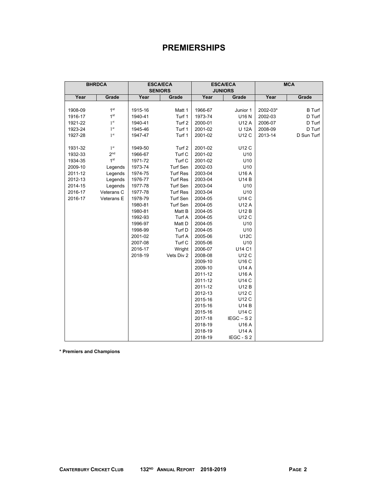# **PREMIERSHIPS**

|         | <b>BHRDCA</b>   |         | <b>ESCA/ECA</b> |                | <b>ESCA/ECA</b> |          | <b>MCA</b>    |
|---------|-----------------|---------|-----------------|----------------|-----------------|----------|---------------|
|         |                 |         | <b>SENIORS</b>  | <b>JUNIORS</b> |                 |          |               |
| Year    | Grade           | Year    | Grade           | Year           | Grade           | Year     | Grade         |
|         |                 |         |                 |                |                 |          |               |
| 1908-09 | 1 <sup>st</sup> | 1915-16 | Matt 1          | 1966-67        | Junior 1        | 2002-03* | <b>B</b> Turf |
| 1916-17 | 1 <sup>st</sup> | 1940-41 | Turf 1          | 1973-74        | U16 N           | 2002-03  | D Turf        |
| 1921-22 | 1 <sup>st</sup> | 1940-41 | Turf 2          | 2000-01        | U12 A           | 2006-07  | D Turf        |
| 1923-24 | 1 <sup>st</sup> | 1945-46 | Turf 1          | 2001-02        | <b>U 12A</b>    | 2008-09  | D Turf        |
| 1927-28 | 1 <sup>st</sup> | 1947-47 | Turf 1          | 2001-02        | U12 C           | 2013-14  | D Sun Turf    |
|         |                 |         |                 |                |                 |          |               |
| 1931-32 | 1 <sup>st</sup> | 1949-50 | Turf 2          | 2001-02        | U12 C           |          |               |
| 1932-33 | 2 <sub>nd</sub> | 1966-67 | Turf C          | 2001-02        | U10             |          |               |
| 1934-35 | 1 <sup>st</sup> | 1971-72 | Turf C          | 2001-02        | U10             |          |               |
| 2009-10 | Legends         | 1973-74 | Turf Sen        | 2002-03        | U10             |          |               |
| 2011-12 | Legends         | 1974-75 | <b>Turf Res</b> | 2003-04        | U16 A           |          |               |
| 2012-13 | Legends         | 1976-77 | <b>Turf Res</b> | 2003-04        | U14 B           |          |               |
| 2014-15 | Legends         | 1977-78 | Turf Sen        | 2003-04        | U10             |          |               |
| 2016-17 | Veterans C      | 1977-78 | <b>Turf Res</b> | 2003-04        | U10             |          |               |
| 2016-17 | Veterans E      | 1978-79 | Turf Sen        | 2004-05        | U14 C           |          |               |
|         |                 | 1980-81 | Turf Sen        | 2004-05        | U12 A           |          |               |
|         |                 | 1980-81 | Matt B          | 2004-05        | U12 B           |          |               |
|         |                 | 1992-93 | Turf A          | 2004-05        | U12 C           |          |               |
|         |                 | 1996-97 | Matt D          | 2004-05        | U10             |          |               |
|         |                 | 1998-99 | Turf D          | 2004-05        | U10             |          |               |
|         |                 | 2001-02 | Turf A          | 2005-06        | <b>U12C</b>     |          |               |
|         |                 | 2007-08 | Turf C          | 2005-06        | U10             |          |               |
|         |                 | 2016-17 | Wright          | 2006-07        | U14 C1          |          |               |
|         |                 | 2018-19 | Vets Div 2      | 2008-08        | U12 C           |          |               |
|         |                 |         |                 | 2009-10        | U16 C           |          |               |
|         |                 |         |                 | 2009-10        | U14 A           |          |               |
|         |                 |         |                 | 2011-12        | U16 A           |          |               |
|         |                 |         |                 | 2011-12        | U14 C           |          |               |
|         |                 |         |                 | 2011-12        | U12 B           |          |               |
|         |                 |         |                 | 2012-13        | U12 C           |          |               |
|         |                 |         |                 | 2015-16        | U12 C           |          |               |
|         |                 |         |                 | 2015-16        | <b>U14B</b>     |          |               |
|         |                 |         |                 | 2015-16        | U14 C           |          |               |
|         |                 |         |                 | 2017-18        | $IEGC - S2$     |          |               |
|         |                 |         |                 | 2018-19        | U16 A           |          |               |
|         |                 |         |                 | 2018-19        | U14 A           |          |               |
|         |                 |         |                 | 2018-19        | IEGC - S 2      |          |               |

**\* Premiers and Champions**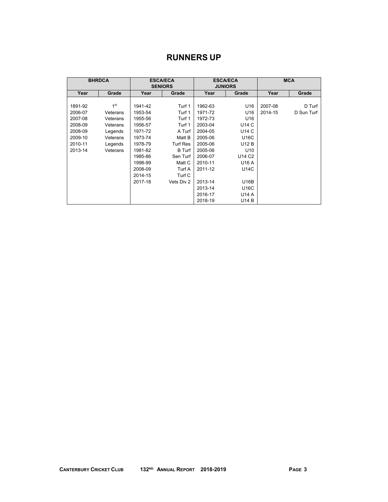# **RUNNERS UP**

|         | <b>BHRDCA</b>   |         | <b>ESCA/ECA</b><br><b>SENIORS</b> |         | <b>ESCA/ECA</b><br><b>JUNIORS</b> |         | <b>MCA</b> |
|---------|-----------------|---------|-----------------------------------|---------|-----------------------------------|---------|------------|
| Year    | Grade           | Year    | Grade                             | Year    | Grade                             | Year    | Grade      |
|         |                 |         |                                   |         |                                   |         |            |
| 1891-92 | 1 <sup>st</sup> | 1941-42 | Turf 1                            | 1962-63 | U <sub>16</sub>                   | 2007-08 | D Turf     |
| 2006-07 | Veterans        | 1953-54 | Turf 1                            | 1971-72 | U16                               | 2014-15 | D Sun Turf |
| 2007-08 | Veterans        | 1955-56 | Turf 1                            | 1972-73 | U <sub>16</sub>                   |         |            |
| 2008-09 | Veterans        | 1956-57 | Turf 1                            | 2003-04 | U14 C                             |         |            |
| 2008-09 | Legends         | 1971-72 | A Turf                            | 2004-05 | U14 C                             |         |            |
| 2009-10 | Veterans        | 1973-74 | Matt B                            | 2005-06 | U16C                              |         |            |
| 2010-11 | Legends         | 1978-79 | <b>Turf Res</b>                   | 2005-06 | U12 B                             |         |            |
| 2013-14 | Veterans        | 1981-82 | <b>B</b> Turf                     | 2005-06 | U <sub>10</sub>                   |         |            |
|         |                 | 1985-86 | Sen Turf                          | 2006-07 | U14 C2                            |         |            |
|         |                 | 1998-99 | Matt C                            | 2010-11 | U16 A                             |         |            |
|         |                 | 2008-09 | Turf A                            | 2011-12 | U14C                              |         |            |
|         |                 | 2014-15 | Turf C                            |         |                                   |         |            |
|         |                 | 2017-18 | Vets Div 2                        | 2013-14 | <b>U16B</b>                       |         |            |
|         |                 |         |                                   | 2013-14 | U16C                              |         |            |
|         |                 |         |                                   | 2016-17 | U14 A                             |         |            |
|         |                 |         |                                   | 2018-19 | U14 B                             |         |            |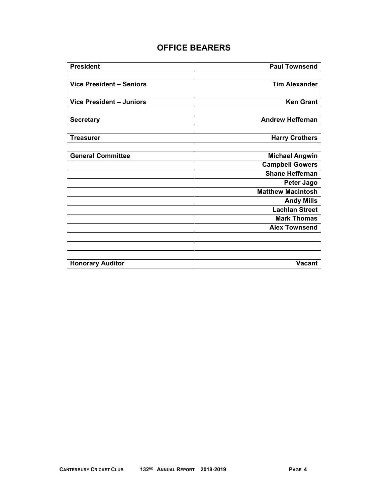# **OFFICE BEARERS**

| <b>President</b>         | <b>Paul Townsend</b>     |
|--------------------------|--------------------------|
|                          |                          |
| Vice President - Seniors | <b>Tim Alexander</b>     |
|                          |                          |
| Vice President - Juniors | <b>Ken Grant</b>         |
|                          |                          |
| <b>Secretary</b>         | <b>Andrew Heffernan</b>  |
|                          |                          |
| <b>Treasurer</b>         | <b>Harry Crothers</b>    |
|                          |                          |
| <b>General Committee</b> | <b>Michael Angwin</b>    |
|                          | <b>Campbell Gowers</b>   |
|                          | <b>Shane Heffernan</b>   |
|                          | <b>Peter Jago</b>        |
|                          | <b>Matthew Macintosh</b> |
|                          | <b>Andy Mills</b>        |
|                          | <b>Lachlan Street</b>    |
|                          | <b>Mark Thomas</b>       |
|                          | <b>Alex Townsend</b>     |
|                          |                          |
|                          |                          |
|                          |                          |
| <b>Honorary Auditor</b>  | <b>Vacant</b>            |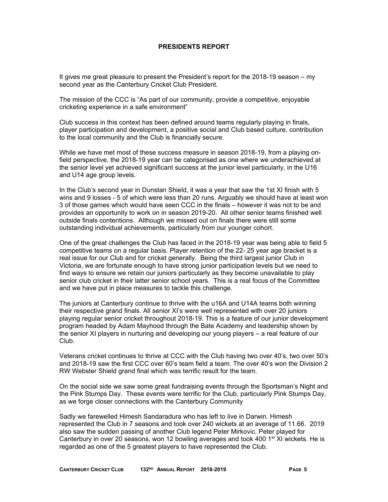### **PRESIDENTS REPORT**

It gives me great pleasure to present the President's report for the 2018-19 season – my second year as the Canterbury Cricket Club President.

The mission of the CCC is "As part of our community, provide a competitive, enjoyable cricketing experience in a safe environment"

Club success in this context has been defined around teams regularly playing in finals, player participation and development, a positive social and Club based culture, contribution to the local community and the Club is financially secure.

While we have met most of these success measure in season 2018-19, from a playing onfield perspective, the 2018-19 year can be categorised as one where we underachieved at the senior level yet achieved significant success at the junior level particularly, in the U16 and U14 age group levels.

In the Club's second year in Dunstan Shield, it was a year that saw the 1st XI finish with 5 wins and 9 losses - 5 of which were less than 20 runs. Arguably we should have at least won 3 of those games which would have seen CCC in the finals – however it was not to be and provides an opportunity to work on in season 2019-20. All other senior teams finished well outside finals contentions. Although we missed out on finals there were still some outstanding individual achievements, particularly from our younger cohort.

One of the great challenges the Club has faced in the 2018-19 year was being able to field 5 competitive teams on a regular basis. Player retention of the 22- 25 year age bracket is a real issue for our Club and for cricket generally. Being the third largest junior Club in Victoria, we are fortunate enough to have strong junior participation levels but we need to find ways to ensure we retain our juniors particularly as they become unavailable to play senior club cricket in their latter senior school years. This is a real focus of the Committee and we have put in place measures to tackle this challenge.

The juniors at Canterbury continue to thrive with the u16A and U14A teams both winning their respective grand finals. All senior XI's were well represented with over 20 juniors playing regular senior cricket throughout 2018-19. This is a feature of our junior development program headed by Adam Mayhood through the Bate Academy and leadership shown by the senior XI players in nurturing and developing our young players – a real feature of our Club.

Veterans cricket continues to thrive at CCC with the Club having two over 40's, two over 50's and 2018-19 saw the first CCC over 60's team field a team. The over 40's won the Division 2 RW Webster Shield grand final which was terrific result for the team.

On the social side we saw some great fundraising events through the Sportsman's Night and the Pink Stumps Day. These events were terrific for the Club, particularly Pink Stumps Day, as we forge closer connections with the Canterbury Community

Sadly we farewelled Himesh Sandaradura who has left to live in Darwin. Himesh represented the Club in 7 seasons and took over 240 wickets at an average of 11.66. 2019 also saw the sudden passing of another Club legend Peter Mirkovic. Peter played for Canterbury in over 20 seasons, won 12 bowling averages and took 400 1<sup>st</sup> XI wickets. He is regarded as one of the 5 greatest players to have represented the Club.

.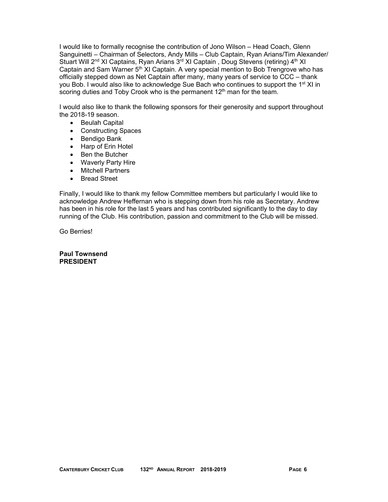I would like to formally recognise the contribution of Jono Wilson – Head Coach, Glenn Sanguinetti – Chairman of Selectors, Andy Mills – Club Captain, Ryan Arians/Tim Alexander/ Stuart Will 2<sup>nd</sup> XI Captains, Ryan Arians 3<sup>rd</sup> XI Captain, Doug Stevens (retiring) 4<sup>th</sup> XI Captain and Sam Warner  $5<sup>th</sup>$  XI Captain. A very special mention to Bob Trengrove who has officially stepped down as Net Captain after many, many years of service to CCC – thank you Bob. I would also like to acknowledge Sue Bach who continues to support the 1<sup>st</sup> XI in scoring duties and Toby Crook who is the permanent 12<sup>th</sup> man for the team.

I would also like to thank the following sponsors for their generosity and support throughout the 2018-19 season.

- Beulah Capital
- Constructing Spaces
- Bendigo Bank
- Harp of Erin Hotel
- Ben the Butcher
- Waverly Party Hire
- Mitchell Partners
- Bread Street

Finally, I would like to thank my fellow Committee members but particularly I would like to acknowledge Andrew Heffernan who is stepping down from his role as Secretary. Andrew has been in his role for the last 5 years and has contributed significantly to the day to day running of the Club. His contribution, passion and commitment to the Club will be missed.

Go Berries!

**Paul Townsend PRESIDENT**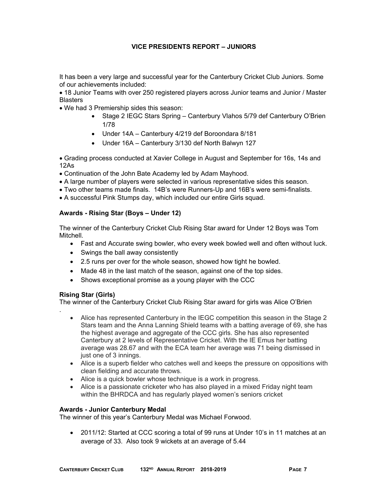### **VICE PRESIDENTS REPORT – JUNIORS**

It has been a very large and successful year for the Canterbury Cricket Club Juniors. Some of our achievements included:

 18 Junior Teams with over 250 registered players across Junior teams and Junior / Master **Blasters** 

- We had 3 Premiership sides this season:
	- Stage 2 IEGC Stars Spring Canterbury Vlahos 5/79 def Canterbury O'Brien 1/78
	- Under 14A Canterbury 4/219 def Boroondara 8/181
	- Under 16A Canterbury 3/130 def North Balwyn 127

 Grading process conducted at Xavier College in August and September for 16s, 14s and 12As

- Continuation of the John Bate Academy led by Adam Mayhood.
- A large number of players were selected in various representative sides this season.
- Two other teams made finals. 14B's were Runners-Up and 16B's were semi-finalists.
- A successful Pink Stumps day, which included our entire Girls squad.

### **Awards - Rising Star (Boys – Under 12)**

The winner of the Canterbury Cricket Club Rising Star award for Under 12 Boys was Tom Mitchell.

- Fast and Accurate swing bowler, who every week bowled well and often without luck.
- Swings the ball away consistently
- 2.5 runs per over for the whole season, showed how tight he bowled.
- Made 48 in the last match of the season, against one of the top sides.
- Shows exceptional promise as a young player with the CCC

### **Rising Star (Girls)**

.

The winner of the Canterbury Cricket Club Rising Star award for girls was Alice O'Brien

- Alice has represented Canterbury in the IEGC competition this season in the Stage 2 Stars team and the Anna Lanning Shield teams with a batting average of 69, she has the highest average and aggregate of the CCC girls. She has also represented Canterbury at 2 levels of Representative Cricket. With the IE Emus her batting average was 28.67 and with the ECA team her average was 71 being dismissed in just one of 3 innings.
- Alice is a superb fielder who catches well and keeps the pressure on oppositions with clean fielding and accurate throws.
- Alice is a quick bowler whose technique is a work in progress.
- Alice is a passionate cricketer who has also played in a mixed Friday night team within the BHRDCA and has regularly played women's seniors cricket

### **Awards - Junior Canterbury Medal**

The winner of this year's Canterbury Medal was Michael Forwood.

 2011/12: Started at CCC scoring a total of 99 runs at Under 10's in 11 matches at an average of 33. Also took 9 wickets at an average of 5.44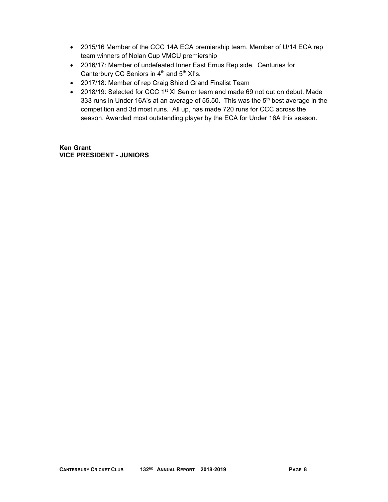- 2015/16 Member of the CCC 14A ECA premiership team. Member of U/14 ECA rep team winners of Nolan Cup VMCU premiership
- 2016/17: Member of undefeated Inner East Emus Rep side. Centuries for Canterbury CC Seniors in  $4<sup>th</sup>$  and  $5<sup>th</sup>$  XI's.
- 2017/18: Member of rep Craig Shield Grand Finalist Team
- 2018/19: Selected for CCC 1<sup>st</sup> XI Senior team and made 69 not out on debut. Made 333 runs in Under 16A's at an average of 55.50. This was the  $5<sup>th</sup>$  best average in the competition and 3d most runs. All up, has made 720 runs for CCC across the season. Awarded most outstanding player by the ECA for Under 16A this season.

**Ken Grant VICE PRESIDENT - JUNIORS**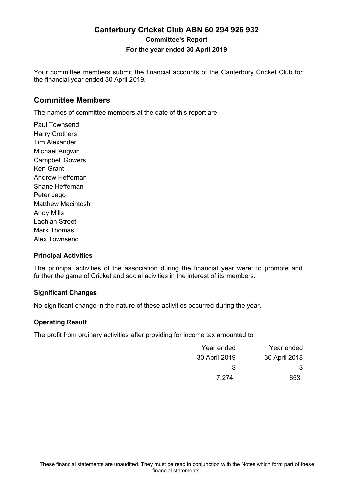Your committee members submit the financial accounts of the Canterbury Cricket Club for the financial year ended 30 April 2019.

### **Committee Members**

The names of committee members at the date of this report are:

Paul Townsend Harry Crothers Tim Alexander Michael Angwin Campbell Gowers Ken Grant Andrew Heffernan Shane Heffernan Peter Jago Matthew Macintosh Andy Mills Lachlan Street Mark Thomas Alex Townsend

### **Principal Activities**

The principal activities of the association during the financial year were: to promote and further the game of Cricket and social acivities in the interest of its members.

### **Significant Changes**

No significant change in the nature of these activities occurred during the year.

### **Operating Result**

The profit from ordinary activities after providing for income tax amounted to

| Year ended    | Year ended    |
|---------------|---------------|
| 30 April 2018 | 30 April 2019 |
| \$.           | \$            |
| 653           | 7.274         |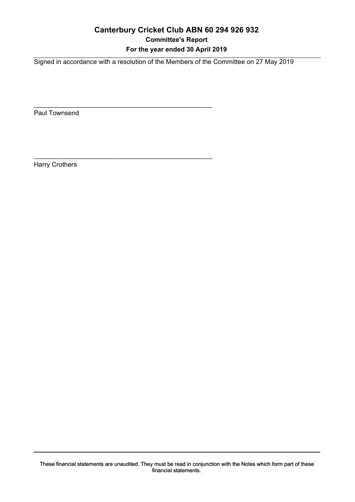# **Canterbury Cricket Club ABN 60 294 926 932 Committee's Report For the year ended 30 April 2019**

Signed in accordance with a resolution of the Members of the Committee on 27 May 2019

\_\_\_\_\_\_\_\_\_\_\_\_\_\_\_\_\_\_\_\_\_\_\_\_\_\_\_\_\_\_\_\_\_\_\_\_\_\_\_\_\_\_\_\_\_\_\_\_\_

\_\_\_\_\_\_\_\_\_\_\_\_\_\_\_\_\_\_\_\_\_\_\_\_\_\_\_\_\_\_\_\_\_\_\_\_\_\_\_\_\_\_\_\_\_\_\_\_\_

Paul Townsend

Harry Crothers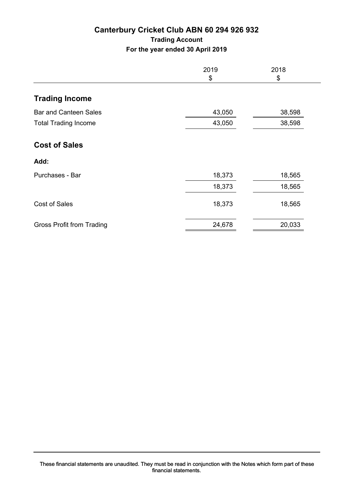# **Canterbury Cricket Club ABN 60 294 926 932 Trading Account For the year ended 30 April 2019**

|                                  | 2019<br>\$ | 2018<br>\$ |
|----------------------------------|------------|------------|
| <b>Trading Income</b>            |            |            |
| <b>Bar and Canteen Sales</b>     | 43,050     | 38,598     |
| <b>Total Trading Income</b>      | 43,050     | 38,598     |
| <b>Cost of Sales</b>             |            |            |
| Add:                             |            |            |
| Purchases - Bar                  | 18,373     | 18,565     |
|                                  | 18,373     | 18,565     |
| <b>Cost of Sales</b>             | 18,373     | 18,565     |
| <b>Gross Profit from Trading</b> | 24,678     | 20,033     |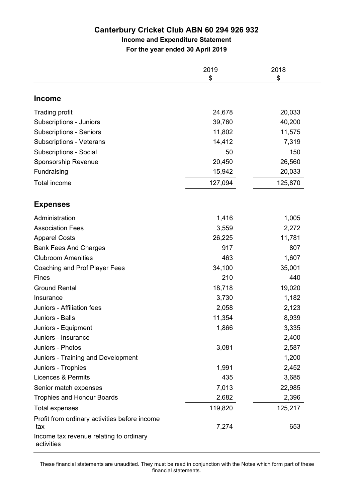# **Canterbury Cricket Club ABN 60 294 926 932**

# **Income and Expenditure Statement**

**For the year ended 30 April 2019**

|                                                                                                 | 2019<br>\$ | 2018<br>\$ |
|-------------------------------------------------------------------------------------------------|------------|------------|
| <b>Income</b>                                                                                   |            |            |
| <b>Trading profit</b>                                                                           | 24,678     | 20,033     |
| Subscriptions - Juniors                                                                         | 39,760     | 40,200     |
| <b>Subscriptions - Seniors</b>                                                                  | 11,802     | 11,575     |
| <b>Subscriptions - Veterans</b>                                                                 | 14,412     | 7,319      |
| <b>Subscriptions - Social</b>                                                                   | 50         | 150        |
| Sponsorship Revenue                                                                             | 20,450     | 26,560     |
| Fundraising                                                                                     | 15,942     | 20,033     |
| Total income                                                                                    | 127,094    | 125,870    |
| <b>Expenses</b>                                                                                 |            |            |
| Administration                                                                                  | 1,416      | 1,005      |
| <b>Association Fees</b>                                                                         | 3,559      | 2,272      |
| <b>Apparel Costs</b>                                                                            | 26,225     | 11,781     |
| <b>Bank Fees And Charges</b>                                                                    | 917        | 807        |
| <b>Clubroom Amenities</b>                                                                       | 463        | 1,607      |
| Coaching and Prof Player Fees                                                                   | 34,100     | 35,001     |
| Fines                                                                                           | 210        | 440        |
| <b>Ground Rental</b>                                                                            | 18,718     | 19,020     |
| Insurance                                                                                       | 3,730      | 1,182      |
| Juniors - Affiliation fees                                                                      | 2,058      | 2,123      |
| Juniors - Balls                                                                                 | 11,354     | 8,939      |
| Juniors - Equipment                                                                             | 1,866      | 3,335      |
| Juniors - Insurance                                                                             |            | 2,400      |
| Juniors - Photos                                                                                | 3,081      | 2,587      |
| Juniors - Training and Development                                                              |            | 1,200      |
| Juniors - Trophies                                                                              | 1,991      | 2,452      |
| <b>Licences &amp; Permits</b>                                                                   | 435        | 3,685      |
| Senior match expenses                                                                           | 7,013      | 22,985     |
| <b>Trophies and Honour Boards</b>                                                               | 2,682      | 2,396      |
| <b>Total expenses</b>                                                                           | 119,820    | 125,217    |
| Profit from ordinary activities before income<br>tax<br>Income tax revenue relating to ordinary | 7,274      | 653        |
| activities                                                                                      |            |            |

These financial statements are unaudited. They must be read in conjunction with the Notes which form part of these financial statements.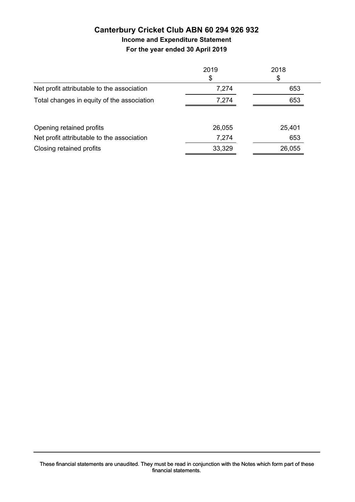# **Canterbury Cricket Club ABN 60 294 926 932 Income and Expenditure Statement**

**For the year ended 30 April 2019**

|                                            | 2019   | 2018   |
|--------------------------------------------|--------|--------|
|                                            | \$     | \$     |
| Net profit attributable to the association | 7,274  | 653    |
| Total changes in equity of the association | 7,274  | 653    |
| Opening retained profits                   | 26,055 | 25,401 |
| Net profit attributable to the association | 7,274  | 653    |
| Closing retained profits                   | 33,329 | 26,055 |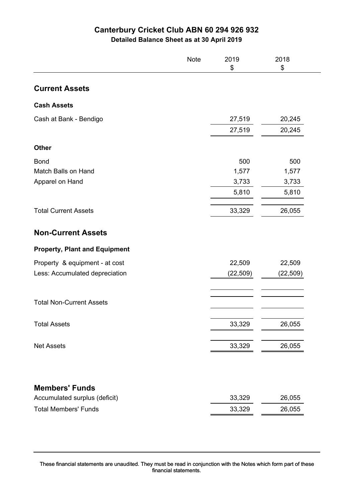# **Canterbury Cricket Club ABN 60 294 926 932**

**Detailed Balance Sheet as at 30 April 2019**

|                                      | <b>Note</b> | 2019<br>\$ | 2018<br>\$ |
|--------------------------------------|-------------|------------|------------|
| <b>Current Assets</b>                |             |            |            |
| <b>Cash Assets</b>                   |             |            |            |
| Cash at Bank - Bendigo               |             | 27,519     | 20,245     |
|                                      |             | 27,519     | 20,245     |
| <b>Other</b>                         |             |            |            |
| <b>Bond</b>                          |             | 500        | 500        |
| Match Balls on Hand                  |             | 1,577      | 1,577      |
| Apparel on Hand                      |             | 3,733      | 3,733      |
|                                      |             | 5,810      | 5,810      |
| <b>Total Current Assets</b>          |             | 33,329     | 26,055     |
| <b>Non-Current Assets</b>            |             |            |            |
| <b>Property, Plant and Equipment</b> |             |            |            |
| Property & equipment - at cost       |             | 22,509     | 22,509     |
| Less: Accumulated depreciation       |             | (22, 509)  | (22,509)   |
| <b>Total Non-Current Assets</b>      |             |            |            |
| <b>Total Assets</b>                  |             | 33,329     | 26,055     |
| <b>Net Assets</b>                    |             | 33,329     | 26,055     |
|                                      |             |            |            |
| <b>Members' Funds</b>                |             |            |            |
| Accumulated surplus (deficit)        |             | 33,329     | 26,055     |
| <b>Total Members' Funds</b>          |             | 33,329     | 26,055     |

These financial statements are unaudited. They must be read in conjunction with the Notes which form part of these financial statements.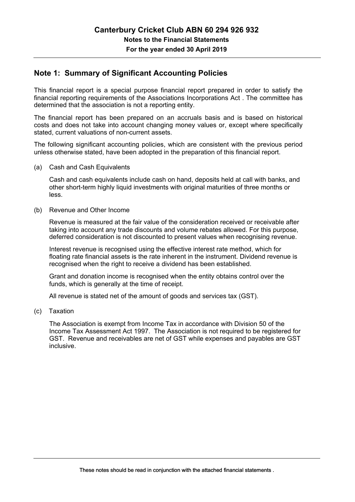# **Note 1: Summary of Significant Accounting Policies**

This financial report is a special purpose financial report prepared in order to satisfy the financial reporting requirements of the Associations Incorporations Act . The committee has determined that the association is not a reporting entity.

The financial report has been prepared on an accruals basis and is based on historical costs and does not take into account changing money values or, except where specifically stated, current valuations of non-current assets.

The following significant accounting policies, which are consistent with the previous period unless otherwise stated, have been adopted in the preparation of this financial report.

(a) Cash and Cash Equivalents

 Cash and cash equivalents include cash on hand, deposits held at call with banks, and other short-term highly liquid investments with original maturities of three months or less.

(b) Revenue and Other Income

 Revenue is measured at the fair value of the consideration received or receivable after taking into account any trade discounts and volume rebates allowed. For this purpose, deferred consideration is not discounted to present values when recognising revenue.

 Interest revenue is recognised using the effective interest rate method, which for floating rate financial assets is the rate inherent in the instrument. Dividend revenue is recognised when the right to receive a dividend has been established.

 Grant and donation income is recognised when the entity obtains control over the funds, which is generally at the time of receipt.

All revenue is stated net of the amount of goods and services tax (GST).

(c) Taxation

 The Association is exempt from Income Tax in accordance with Division 50 of the Income Tax Assessment Act 1997. The Association is not required to be registered for GST. Revenue and receivables are net of GST while expenses and payables are GST inclusive.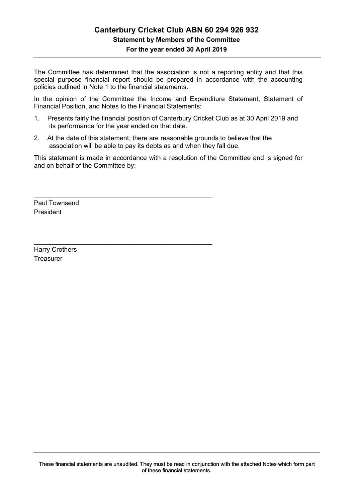# **Canterbury Cricket Club ABN 60 294 926 932 Statement by Members of the Committee**

**For the year ended 30 April 2019**

The Committee has determined that the association is not a reporting entity and that this special purpose financial report should be prepared in accordance with the accounting policies outlined in Note 1 to the financial statements.

In the opinion of the Committee the Income and Expenditure Statement, Statement of Financial Position, and Notes to the Financial Statements:

- 1. Presents fairly the financial position of Canterbury Cricket Club as at 30 April 2019 and its performance for the year ended on that date.
- 2. At the date of this statement, there are reasonable grounds to believe that the association will be able to pay its debts as and when they fall due.

\_\_\_\_\_\_\_\_\_\_\_\_\_\_\_\_\_\_\_\_\_\_\_\_\_\_\_\_\_\_\_\_\_\_\_\_\_\_\_\_\_\_\_\_\_\_\_\_\_

\_\_\_\_\_\_\_\_\_\_\_\_\_\_\_\_\_\_\_\_\_\_\_\_\_\_\_\_\_\_\_\_\_\_\_\_\_\_\_\_\_\_\_\_\_\_\_\_\_

This statement is made in accordance with a resolution of the Committee and is signed for and on behalf of the Committee by:

Paul Townsend President

Harry Crothers **Treasurer**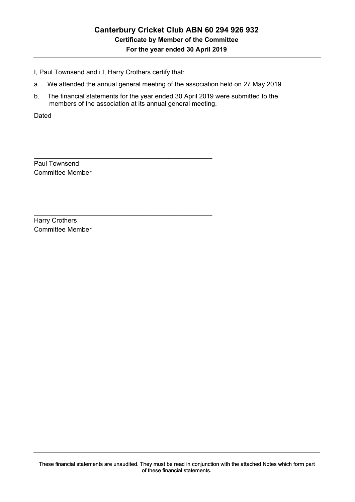I, Paul Townsend and i I, Harry Crothers certify that:

\_\_\_\_\_\_\_\_\_\_\_\_\_\_\_\_\_\_\_\_\_\_\_\_\_\_\_\_\_\_\_\_\_\_\_\_\_\_\_\_\_\_\_\_\_\_\_\_\_

\_\_\_\_\_\_\_\_\_\_\_\_\_\_\_\_\_\_\_\_\_\_\_\_\_\_\_\_\_\_\_\_\_\_\_\_\_\_\_\_\_\_\_\_\_\_\_\_\_

- a. We attended the annual general meeting of the association held on 27 May 2019
- b. The financial statements for the year ended 30 April 2019 were submitted to the members of the association at its annual general meeting.

Dated

Paul Townsend Committee Member

Harry Crothers Committee Member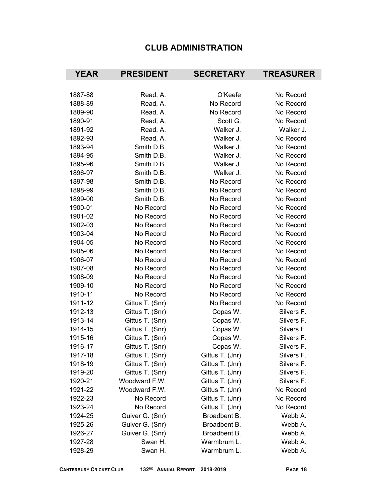# **CLUB ADMINISTRATION**

| <b>YEAR</b> | <b>PRESIDENT</b> | <b>SECRETARY</b> | <b>TREASURER</b> |
|-------------|------------------|------------------|------------------|
|             |                  |                  |                  |
| 1887-88     | Read, A.         | O'Keefe          | No Record        |
| 1888-89     | Read, A.         | No Record        | No Record        |
| 1889-90     | Read, A.         | No Record        | No Record        |
| 1890-91     | Read, A.         | Scott G.         | No Record        |
| 1891-92     | Read, A.         | Walker J.        | Walker J.        |
| 1892-93     | Read, A.         | Walker J.        | No Record        |
| 1893-94     | Smith D.B.       | Walker J.        | No Record        |
| 1894-95     | Smith D.B.       | Walker J.        | No Record        |
| 1895-96     | Smith D.B.       | Walker J.        | No Record        |
| 1896-97     | Smith D.B.       | Walker J.        | No Record        |
| 1897-98     | Smith D.B.       | No Record        | No Record        |
| 1898-99     | Smith D.B.       | No Record        | No Record        |
| 1899-00     | Smith D.B.       | No Record        | No Record        |
| 1900-01     | No Record        | No Record        | No Record        |
| 1901-02     | No Record        | No Record        | No Record        |
| 1902-03     | No Record        | No Record        | No Record        |
| 1903-04     | No Record        | No Record        | No Record        |
| 1904-05     | No Record        | No Record        | No Record        |
| 1905-06     | No Record        | No Record        | No Record        |
| 1906-07     | No Record        | No Record        | No Record        |
| 1907-08     | No Record        | No Record        | No Record        |
| 1908-09     | No Record        | No Record        | No Record        |
| 1909-10     | No Record        | No Record        | No Record        |
| 1910-11     | No Record        | No Record        | No Record        |
| 1911-12     | Gittus T. (Snr)  | No Record        | No Record        |
| 1912-13     | Gittus T. (Snr)  | Copas W.         | Silvers F.       |
| 1913-14     | Gittus T. (Snr)  | Copas W.         | Silvers F.       |
| 1914-15     | Gittus T. (Snr)  | Copas W.         | Silvers F.       |
| 1915-16     | Gittus T. (Snr)  | Copas W.         | Silvers F.       |
| 1916-17     | Gittus T. (Snr)  | Copas W.         | Silvers F.       |
| 1917-18     | Gittus T. (Snr)  | Gittus T. (Jnr)  | Silvers F.       |
| 1918-19     | Gittus T. (Snr)  | Gittus T. (Jnr)  | Silvers F.       |
| 1919-20     | Gittus T. (Snr)  | Gittus T. (Jnr)  | Silvers F.       |
| 1920-21     | Woodward F.W.    | Gittus T. (Jnr)  | Silvers F.       |
| 1921-22     | Woodward F.W.    | Gittus T. (Jnr)  | No Record        |
| 1922-23     | No Record        | Gittus T. (Jnr)  | No Record        |
| 1923-24     | No Record        | Gittus T. (Jnr)  | No Record        |
| 1924-25     | Guiver G. (Snr)  | Broadbent B.     | Webb A.          |
| 1925-26     | Guiver G. (Snr)  | Broadbent B.     | Webb A.          |
| 1926-27     | Guiver G. (Snr)  | Broadbent B.     | Webb A.          |
| 1927-28     | Swan H.          | Warmbrum L.      | Webb A.          |
| 1928-29     | Swan H.          | Warmbrum L.      | Webb A.          |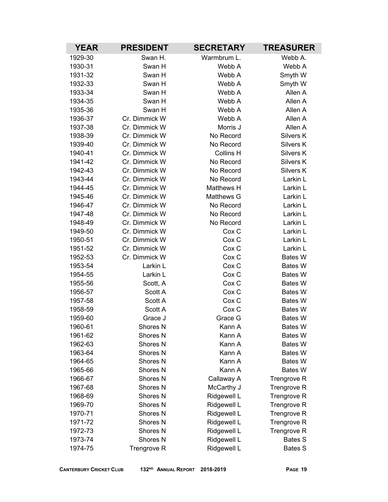| <b>YEAR</b>        | <b>PRESIDENT</b><br><b>SECRETARY</b> |                  | <b>TREASURER</b>                 |
|--------------------|--------------------------------------|------------------|----------------------------------|
| 1929-30            | Swan H.                              | Warmbrum L.      | Webb A.                          |
| 1930-31            | Swan H                               | Webb A           | Webb A                           |
| 1931-32            | Swan H                               | Webb A           | Smyth W                          |
| 1932-33            | Swan H                               | Webb A           | Smyth W                          |
| 1933-34            | Swan H                               | Webb A           | Allen A                          |
| 1934-35            | Swan H                               | Webb A           | Allen A                          |
| 1935-36            | Swan H                               | Webb A           | Allen A                          |
| 1936-37            | Cr. Dimmick W                        | Webb A           | Allen A                          |
| 1937-38            | Cr. Dimmick W                        | Morris J         | Allen A                          |
| 1938-39            | Cr. Dimmick W                        | No Record        | Silvers K                        |
| 1939-40            | Cr. Dimmick W                        | No Record        | Silvers K                        |
| 1940-41            | Cr. Dimmick W                        | Collins H        | Silvers K                        |
| 1941-42            | Cr. Dimmick W                        | No Record        | Silvers K                        |
| 1942-43            | Cr. Dimmick W                        | No Record        | Silvers K                        |
| 1943-44            | Cr. Dimmick W                        | No Record        | Larkin L                         |
| 1944-45            | Cr. Dimmick W                        | Matthews H       | Larkin L                         |
| 1945-46            | Cr. Dimmick W                        | Matthews G       | Larkin L                         |
| 1946-47            | Cr. Dimmick W                        | No Record        | Larkin L                         |
| 1947-48            | Cr. Dimmick W                        | No Record        | Larkin L                         |
| 1948-49            | Cr. Dimmick W                        | No Record        | Larkin L                         |
| 1949-50            | Cr. Dimmick W                        | Cox <sub>C</sub> | Larkin L                         |
| 1950-51            | Cr. Dimmick W                        | Cox <sub>C</sub> | Larkin L                         |
| 1951-52            | Cr. Dimmick W                        | Cox <sub>C</sub> | Larkin L                         |
| 1952-53            | Cr. Dimmick W                        | Cox C            | <b>Bates W</b>                   |
| 1953-54            | Larkin L                             | Cox <sub>C</sub> | Bates W                          |
| 1954-55            | Larkin L                             | Cox C            | Bates W                          |
| 1955-56            | Scott, A                             | Cox C            | <b>Bates W</b>                   |
| 1956-57            | Scott A                              | Cox C            | Bates W                          |
| 1957-58            | Scott A                              | Cox <sub>C</sub> | <b>Bates W</b>                   |
| 1958-59            | Scott A<br>Grace J                   | Cox C            | Bates W                          |
| 1959-60<br>1960-61 |                                      | Grace G          | <b>Bates W</b><br><b>Bates W</b> |
| 1961-62            | Shores N<br>Shores N                 | Kann A<br>Kann A | Bates W                          |
| 1962-63            | Shores <sub>N</sub>                  | Kann A           | <b>Bates W</b>                   |
| 1963-64            | Shores <sub>N</sub>                  | Kann A           | <b>Bates W</b>                   |
| 1964-65            | Shores <sub>N</sub>                  | Kann A           | <b>Bates W</b>                   |
| 1965-66            | Shores <sub>N</sub>                  | Kann A           | <b>Bates W</b>                   |
| 1966-67            | Shores <sub>N</sub>                  | Callaway A       | Trengrove R                      |
| 1967-68            | Shores N                             | McCarthy J       | Trengrove R                      |
| 1968-69            | Shores <sub>N</sub>                  | Ridgewell L      | Trengrove R                      |
| 1969-70            | Shores <sub>N</sub>                  | Ridgewell L      | Trengrove R                      |
| 1970-71            | Shores <sub>N</sub>                  | Ridgewell L      | Trengrove R                      |
| 1971-72            | Shores <sub>N</sub>                  | Ridgewell L      | Trengrove R                      |
| 1972-73            | Shores <sub>N</sub>                  | Ridgewell L      | Trengrove R                      |
| 1973-74            | Shores <sub>N</sub>                  | Ridgewell L      | <b>Bates S</b>                   |
| 1974-75            | Trengrove R                          | Ridgewell L      | <b>Bates S</b>                   |
|                    |                                      |                  |                                  |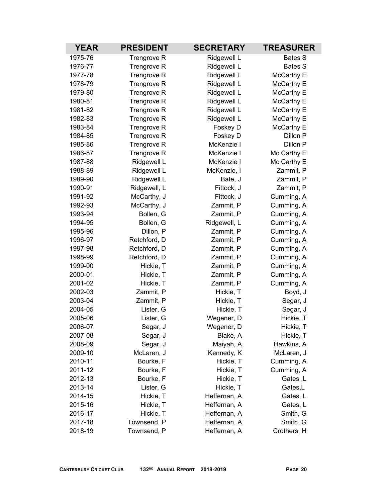| <b>YEAR</b><br><b>PRESIDENT</b><br><b>SECRETARY</b> |              | <b>TREASURER</b> |                |
|-----------------------------------------------------|--------------|------------------|----------------|
| 1975-76                                             | Trengrove R  | Ridgewell L      | <b>Bates S</b> |
| 1976-77                                             | Trengrove R  | Ridgewell L      | <b>Bates S</b> |
| 1977-78                                             | Trengrove R  | Ridgewell L      | McCarthy E     |
| 1978-79                                             | Trengrove R  | Ridgewell L      | McCarthy E     |
| 1979-80                                             | Trengrove R  | Ridgewell L      | McCarthy E     |
| 1980-81                                             | Trengrove R  | Ridgewell L      | McCarthy E     |
| 1981-82                                             | Trengrove R  | Ridgewell L      | McCarthy E     |
| 1982-83                                             | Trengrove R  | Ridgewell L      | McCarthy E     |
| 1983-84                                             | Trengrove R  | Foskey D         | McCarthy E     |
| 1984-85                                             | Trengrove R  | Foskey D         | Dillon P       |
| 1985-86                                             | Trengrove R  | McKenzie I       | Dillon P       |
| 1986-87                                             | Trengrove R  | McKenzie I       | Mc Carthy E    |
| 1987-88                                             | Ridgewell L  | McKenzie I       | Mc Carthy E    |
| 1988-89                                             | Ridgewell L  | McKenzie, I      | Zammit, P      |
| 1989-90                                             | Ridgewell L  | Bate, J          | Zammit, P      |
| 1990-91                                             | Ridgewell, L | Fittock, J       | Zammit, P      |
| 1991-92                                             | McCarthy, J  | Fittock, J       | Cumming, A     |
| 1992-93                                             | McCarthy, J  | Zammit, P        | Cumming, A     |
| 1993-94                                             | Bollen, G    | Zammit, P        | Cumming, A     |
| 1994-95                                             | Bollen, G    | Ridgewell, L     | Cumming, A     |
| 1995-96                                             | Dillon, P    | Zammit, P        | Cumming, A     |
| 1996-97                                             | Retchford, D | Zammit, P        | Cumming, A     |
| 1997-98                                             | Retchford, D | Zammit, P        | Cumming, A     |
| 1998-99                                             | Retchford, D | Zammit, P        | Cumming, A     |
| 1999-00                                             | Hickie, T    | Zammit, P        | Cumming, A     |
| 2000-01                                             | Hickie, T    | Zammit, P        | Cumming, A     |
| 2001-02                                             | Hickie, T    | Zammit, P        | Cumming, A     |
| 2002-03                                             | Zammit, P    | Hickie, T        | Boyd, J        |
| 2003-04                                             | Zammit, P    | Hickie, T        | Segar, J       |
| 2004-05                                             | Lister, G    | Hickie, T        | Segar, J       |
| 2005-06                                             | Lister, G    | Wegener, D       | Hickie, T      |
| 2006-07                                             | Segar, J     | Wegener, D       | Hickie, T      |
| 2007-08                                             | Segar, J     | Blake, A         | Hickie, T      |
| 2008-09                                             | Segar, J     | Maiyah, A        | Hawkins, A     |
| 2009-10                                             | McLaren, J   | Kennedy, K       | McLaren, J     |
| 2010-11                                             | Bourke, F    | Hickie, T        | Cumming, A     |
| 2011-12                                             | Bourke, F    | Hickie, T        | Cumming, A     |
| 2012-13                                             | Bourke, F    | Hickie, T        | Gates, L       |
| 2013-14                                             | Lister, G    | Hickie, T        | Gates,L        |
| 2014-15                                             | Hickie, T    | Heffernan, A     | Gates, L       |
| 2015-16                                             | Hickie, T    | Heffernan, A     | Gates, L       |
| 2016-17                                             | Hickie, T    | Heffernan, A     | Smith, G       |
| 2017-18                                             | Townsend, P  | Heffernan, A     | Smith, G       |
| 2018-19                                             | Townsend, P  | Heffernan, A     | Crothers, H    |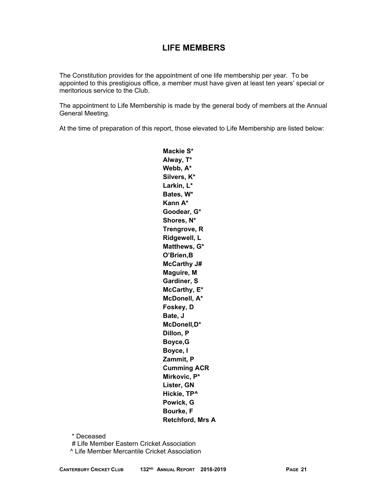# **LIFE MEMBERS**

The Constitution provides for the appointment of one life membership per year. To be appointed to this prestigious office, a member must have given at least ten years' special or meritorious service to the Club.

The appointment to Life Membership is made by the general body of members at the Annual General Meeting.

At the time of preparation of this report, those elevated to Life Membership are listed below:

**Mackie S\* Alway, T\* Webb, A\* Silvers, K\* Larkin, L\* Bates, W\* Kann A\* Goodear, G\* Shores, N\* Trengrove, R Ridgewell, L Matthews, G\* O'Brien,B McCarthy J# Maguire, M Gardiner, S McCarthy, E\* McDonell, A\* Foskey, D Bate, J McDonell,D\* Dillon, P Boyce,G Boyce, I Zammit, P Cumming ACR Mirkovic, P\* Lister, GN Hickie, TP^ Powick, G Bourke, F Retchford, Mrs A** 

\* Deceased

# Life Member Eastern Cricket Association

^ Life Member Mercantile Cricket Association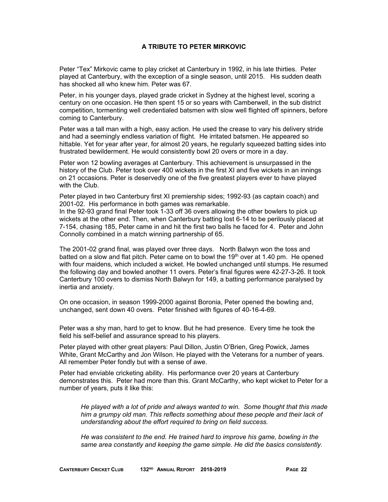### **A TRIBUTE TO PETER MIRKOVIC**

Peter "Tex" Mirkovic came to play cricket at Canterbury in 1992, in his late thirties. Peter played at Canterbury, with the exception of a single season, until 2015. His sudden death has shocked all who knew him. Peter was 67.

Peter, in his younger days, played grade cricket in Sydney at the highest level, scoring a century on one occasion. He then spent 15 or so years with Camberwell, in the sub district competition, tormenting well credentialed batsmen with slow well flighted off spinners, before coming to Canterbury.

Peter was a tall man with a high, easy action. He used the crease to vary his delivery stride and had a seemingly endless variation of flight. He irritated batsmen. He appeared so hittable. Yet for year after year, for almost 20 years, he regularly squeezed batting sides into frustrated bewilderment. He would consistently bowl 20 overs or more in a day.

Peter won 12 bowling averages at Canterbury. This achievement is unsurpassed in the history of the Club. Peter took over 400 wickets in the first XI and five wickets in an innings on 21 occasions. Peter is deservedly one of the five greatest players ever to have played with the Club.

Peter played in two Canterbury first XI premiership sides; 1992-93 (as captain coach) and 2001-02. His performance in both games was remarkable.

In the 92-93 grand final Peter took 1-33 off 36 overs allowing the other bowlers to pick up wickets at the other end. Then, when Canterbury batting lost 6-14 to be perilously placed at 7-154, chasing 185, Peter came in and hit the first two balls he faced for 4. Peter and John Connolly combined in a match winning partnership of 65.

The 2001-02 grand final, was played over three days. North Balwyn won the toss and batted on a slow and flat pitch. Peter came on to bowl the  $19<sup>th</sup>$  over at 1.40 pm. He opened with four maidens, which included a wicket. He bowled unchanged until stumps. He resumed the following day and bowled another 11 overs. Peter's final figures were 42-27-3-26. It took Canterbury 100 overs to dismiss North Balwyn for 149, a batting performance paralysed by inertia and anxiety.

On one occasion, in season 1999-2000 against Boronia, Peter opened the bowling and, unchanged, sent down 40 overs. Peter finished with figures of 40-16-4-69.

Peter was a shy man, hard to get to know. But he had presence. Every time he took the field his self-belief and assurance spread to his players.

Peter played with other great players: Paul Dillon, Justin O'Brien, Greg Powick, James White, Grant McCarthy and Jon Wilson. He played with the Veterans for a number of years. All remember Peter fondly but with a sense of awe.

Peter had enviable cricketing ability. His performance over 20 years at Canterbury demonstrates this. Peter had more than this. Grant McCarthy, who kept wicket to Peter for a number of years, puts it like this:

*He played with a lot of pride and always wanted to win. Some thought that this made him a grumpy old man. This reflects something about these people and their lack of understanding about the effort required to bring on field success.* 

*He was consistent to the end. He trained hard to improve his game, bowling in the same area constantly and keeping the game simple. He did the basics consistently.*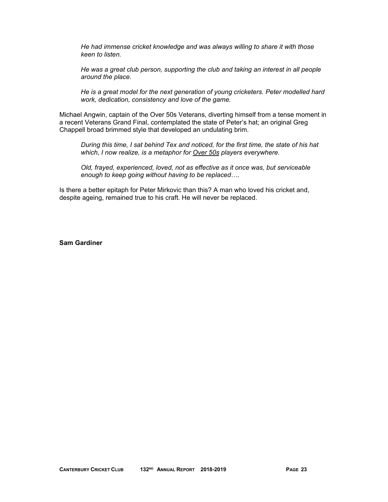*He had immense cricket knowledge and was always willing to share it with those keen to listen.* 

*He was a great club person, supporting the club and taking an interest in all people around the place.* 

*He is a great model for the next generation of young cricketers. Peter modelled hard work, dedication, consistency and love of the game.* 

Michael Angwin, captain of the Over 50s Veterans, diverting himself from a tense moment in a recent Veterans Grand Final, contemplated the state of Peter's hat; an original Greg Chappell broad brimmed style that developed an undulating brim.

*During this time, I sat behind Tex and noticed, for the first time, the state of his hat which, I now realize, is a metaphor for Over 50s players everywhere.* 

*Old, frayed, experienced, loved, not as effective as it once was, but serviceable enough to keep going without having to be replaced….* 

Is there a better epitaph for Peter Mirkovic than this? A man who loved his cricket and, despite ageing, remained true to his craft. He will never be replaced.

**Sam Gardiner**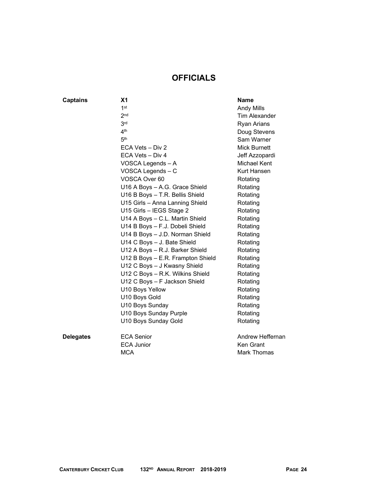# **OFFICIALS**

### **Captains**

| <b>Captains</b>  | X <sub>1</sub>                    | <b>Name</b>          |
|------------------|-----------------------------------|----------------------|
|                  | 1 <sup>st</sup>                   | <b>Andy Mills</b>    |
|                  | 2 <sub>nd</sub>                   | <b>Tim Alexander</b> |
|                  | 3 <sub>rd</sub>                   | Ryan Arians          |
|                  | 4 <sup>th</sup>                   | Doug Stevens         |
|                  | 5 <sup>th</sup>                   | Sam Warner           |
|                  | ECA Vets - Div 2                  | <b>Mick Burnett</b>  |
|                  | ECA Vets - Div 4                  | Jeff Azzopardi       |
|                  | VOSCA Legends - A                 | Michael Kent         |
|                  | VOSCA Legends - C                 | Kurt Hansen          |
|                  | VOSCA Over 60                     | Rotating             |
|                  | U16 A Boys - A.G. Grace Shield    | Rotating             |
|                  | U16 B Boys - T.R. Bellis Shield   | Rotating             |
|                  | U15 Girls - Anna Lanning Shield   | Rotating             |
|                  | U15 Girls - IEGS Stage 2          | Rotating             |
|                  | U14 A Boys - C.L. Martin Shield   | Rotating             |
|                  | U14 B Boys - F.J. Dobeli Shield   | Rotating             |
|                  | U14 B Boys - J.D. Norman Shield   | Rotating             |
|                  | U14 C Boys - J. Bate Shield       | Rotating             |
|                  | U12 A Boys - R.J. Barker Shield   | Rotating             |
|                  | U12 B Boys - E.R. Frampton Shield | Rotating             |
|                  | U12 C Boys - J Kwasny Shield      | Rotating             |
|                  | U12 C Boys - R.K. Wilkins Shield  | Rotating             |
|                  | U12 C Boys - F Jackson Shield     | Rotating             |
|                  | U10 Boys Yellow                   | Rotating             |
|                  | U10 Boys Gold                     | Rotating             |
|                  | U10 Boys Sunday                   | Rotating             |
|                  | U10 Boys Sunday Purple            | Rotating             |
|                  | U10 Boys Sunday Gold              | Rotating             |
| <b>Delegates</b> | <b>ECA Senior</b>                 | Andrew Heffernan     |
|                  | <b>ECA Junior</b>                 | Ken Grant            |

MCA Mark Thomas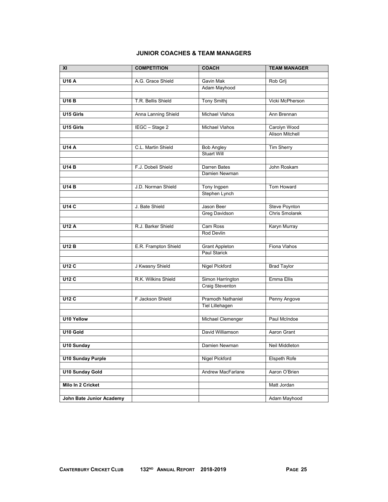### **JUNIOR COACHES & TEAM MANAGERS**

| $\overline{X}$           | <b>COMPETITION</b>   | <b>COACH</b>                            | <b>TEAM MANAGER</b>    |
|--------------------------|----------------------|-----------------------------------------|------------------------|
|                          |                      |                                         |                        |
| <b>U16 A</b>             | A.G. Grace Shield    | Gavin Mak                               | Rob Grlj               |
|                          |                      | Adam Mayhood                            |                        |
|                          |                      |                                         |                        |
| <b>U16 B</b>             | T.R. Bellis Shield   | <b>Tony Smithj</b>                      | Vicki McPherson        |
|                          |                      |                                         |                        |
| U15 Girls                | Anna Lanning Shield  | <b>Michael Vlahos</b>                   | Ann Brennan            |
|                          |                      |                                         |                        |
| U15 Girls                | IEGC - Stage 2       | <b>Michael Vlahos</b>                   | Carolyn Wood           |
|                          |                      |                                         | <b>Alison Mitchell</b> |
|                          |                      |                                         |                        |
| <b>U14 A</b>             | C.L. Martin Shield   | <b>Bob Angley</b><br><b>Stuart Will</b> | <b>Tim Sherry</b>      |
|                          |                      |                                         |                        |
| <b>U14 B</b>             | F.J. Dobeli Shield   | Darren Bates                            | John Roskam            |
|                          |                      | Damien Newman                           |                        |
|                          |                      |                                         |                        |
| U14B                     | J.D. Norman Shield   | Tony Ingpen                             | Tom Howard             |
|                          |                      | Stephen Lynch                           |                        |
|                          |                      |                                         |                        |
| <b>U14 C</b>             | J. Bate Shield       | Jason Beer                              | <b>Steve Poynton</b>   |
|                          |                      | <b>Greg Davidson</b>                    | <b>Chris Smolarek</b>  |
|                          |                      |                                         |                        |
| <b>U12 A</b>             | R.J. Barker Shield   | Cam Ross                                | <b>Karyn Murray</b>    |
|                          |                      | <b>Rod Devlin</b>                       |                        |
|                          |                      |                                         |                        |
| <b>U12 B</b>             | E.R. Frampton Shield | <b>Grant Appleton</b>                   | Fiona Vlahos           |
|                          |                      | <b>Paul Starick</b>                     |                        |
|                          |                      |                                         |                        |
| <b>U12 C</b>             | J Kwasny Shield      | <b>Nigel Pickford</b>                   | <b>Brad Taylor</b>     |
|                          |                      |                                         |                        |
| <b>U12 C</b>             | R.K. Wilkins Shield  | Simon Harrington                        | Emma Ellis             |
|                          |                      | <b>Craig Steventon</b>                  |                        |
|                          |                      |                                         |                        |
| U12C                     | F Jackson Shield     | Pramodh Nathaniel                       | Penny Angove           |
|                          |                      | Tiel Lillehagen                         |                        |
|                          |                      |                                         |                        |
| U10 Yellow               |                      | Michael Clemenger                       | Paul McIndoe           |
|                          |                      |                                         |                        |
| U10 Gold                 |                      | David Williamson                        | Aaron Grant            |
|                          |                      |                                         |                        |
| <b>U10 Sunday</b>        |                      | Damien Newman                           | Neil Middleton         |
|                          |                      |                                         |                        |
| <b>U10 Sunday Purple</b> |                      | Nigel Pickford                          | Elspeth Rofe           |
| <b>U10 Sunday Gold</b>   |                      | Andrew MacFarlane                       | Aaron O'Brien          |
|                          |                      |                                         |                        |
| Milo In 2 Cricket        |                      |                                         | Matt Jordan            |
|                          |                      |                                         |                        |
| John Bate Junior Academy |                      |                                         | Adam Mayhood           |
|                          |                      |                                         |                        |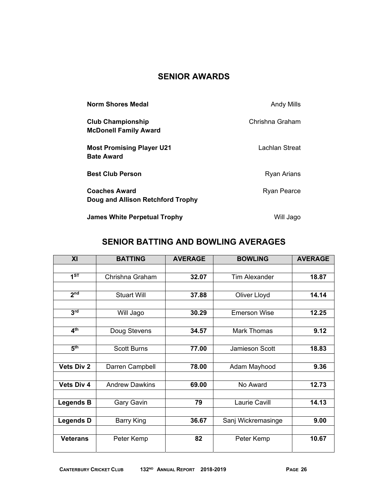# **SENIOR AWARDS**

| <b>Norm Shores Medal</b>                                  | Andy Mills      |
|-----------------------------------------------------------|-----------------|
| <b>Club Championship</b><br><b>McDonell Family Award</b>  | Chrishna Graham |
| <b>Most Promising Player U21</b><br><b>Bate Award</b>     | Lachlan Streat  |
| <b>Best Club Person</b>                                   | Ryan Arians     |
| <b>Coaches Award</b><br>Doug and Allison Retchford Trophy | Ryan Pearce     |
| <b>James White Perpetual Trophy</b>                       | Will Jago       |

# **SENIOR BATTING AND BOWLING AVERAGES**

| XI                | <b>BATTING</b>        | <b>AVERAGE</b> | <b>BOWLING</b>       | <b>AVERAGE</b> |
|-------------------|-----------------------|----------------|----------------------|----------------|
|                   |                       |                |                      |                |
| 1 <sup>ST</sup>   | Chrishna Graham       | 32.07          | <b>Tim Alexander</b> | 18.87          |
|                   |                       |                |                      |                |
| 2 <sub>nd</sub>   | <b>Stuart Will</b>    | 37.88          | Oliver Lloyd         | 14.14          |
|                   |                       |                |                      |                |
| 3 <sup>rd</sup>   | Will Jago             | 30.29          | <b>Emerson Wise</b>  | 12.25          |
|                   |                       |                |                      |                |
| 4 <sup>th</sup>   | Doug Stevens          | 34.57          | <b>Mark Thomas</b>   | 9.12           |
|                   |                       |                |                      |                |
| 5 <sup>th</sup>   | <b>Scott Burns</b>    | 77.00          | Jamieson Scott       | 18.83          |
|                   |                       |                |                      |                |
| <b>Vets Div 2</b> | Darren Campbell       | 78.00          | Adam Mayhood         | 9.36           |
|                   |                       |                |                      |                |
| <b>Vets Div 4</b> | <b>Andrew Dawkins</b> | 69.00          | No Award             | 12.73          |
|                   |                       |                |                      |                |
| <b>Legends B</b>  | Gary Gavin            | 79             | <b>Laurie Cavill</b> | 14.13          |
|                   |                       |                |                      |                |
| <b>Legends D</b>  | <b>Barry King</b>     | 36.67          | Sanj Wickremasinge   | 9.00           |
|                   |                       |                |                      |                |
| <b>Veterans</b>   | Peter Kemp            | 82             | Peter Kemp           | 10.67          |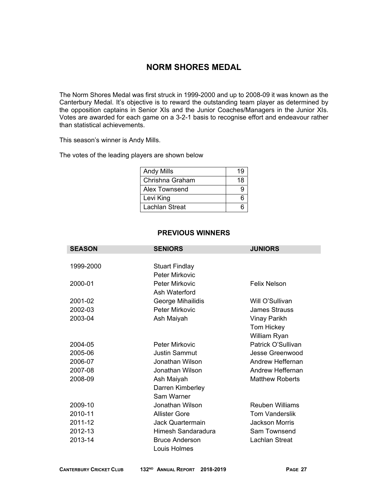# **NORM SHORES MEDAL**

The Norm Shores Medal was first struck in 1999-2000 and up to 2008-09 it was known as the Canterbury Medal. It's objective is to reward the outstanding team player as determined by the opposition captains in Senior XIs and the Junior Coaches/Managers in the Junior XIs. Votes are awarded for each game on a 3-2-1 basis to recognise effort and endeavour rather than statistical achievements.

This season's winner is Andy Mills.

The votes of the leading players are shown below

| <b>Andy Mills</b> | 19 |
|-------------------|----|
| Chrishna Graham   | 18 |
| Alex Townsend     |    |
| Levi King         |    |
| Lachlan Streat    |    |

### **PREVIOUS WINNERS**

| <b>SEASON</b><br><b>SENIORS</b><br><b>JUNIORS</b> |                       |                        |
|---------------------------------------------------|-----------------------|------------------------|
|                                                   |                       |                        |
| 1999-2000                                         | <b>Stuart Findlay</b> |                        |
|                                                   | Peter Mirkovic        |                        |
| 2000-01                                           | <b>Peter Mirkovic</b> | <b>Felix Nelson</b>    |
|                                                   | Ash Waterford         |                        |
| 2001-02                                           | George Mihailidis     | Will O'Sullivan        |
| 2002-03                                           | Peter Mirkovic        | <b>James Strauss</b>   |
| 2003-04                                           | Ash Maiyah            | <b>Vinay Parikh</b>    |
|                                                   |                       | Tom Hickey             |
|                                                   |                       | William Ryan           |
| 2004-05                                           | Peter Mirkovic        | Patrick O'Sullivan     |
| 2005-06                                           | <b>Justin Sammut</b>  | Jesse Greenwood        |
| 2006-07                                           | Jonathan Wilson       | Andrew Heffernan       |
| 2007-08                                           | Jonathan Wilson       | Andrew Heffernan       |
| 2008-09                                           | Ash Maiyah            | <b>Matthew Roberts</b> |
|                                                   | Darren Kimberley      |                        |
|                                                   | Sam Warner            |                        |
| 2009-10                                           | Jonathan Wilson       | <b>Reuben Williams</b> |
| 2010-11                                           | <b>Allister Gore</b>  | <b>Tom Vanderslik</b>  |
| 2011-12                                           | Jack Quartermain      | Jackson Morris         |
| 2012-13                                           | Himesh Sandaradura    | Sam Townsend           |
| 2013-14                                           | <b>Bruce Anderson</b> | <b>Lachlan Streat</b>  |
|                                                   | Louis Holmes          |                        |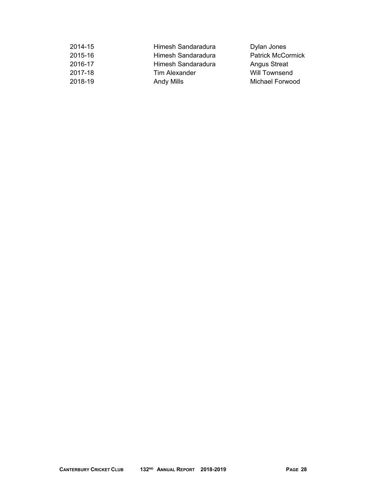| 2014-15 | Himesh Sandaradura | Dylan Jones              |
|---------|--------------------|--------------------------|
| 2015-16 | Himesh Sandaradura | <b>Patrick McCormick</b> |
| 2016-17 | Himesh Sandaradura | <b>Angus Streat</b>      |
| 2017-18 | Tim Alexander      | Will Townsend            |
| 2018-19 | Andy Mills         | Michael Forwood          |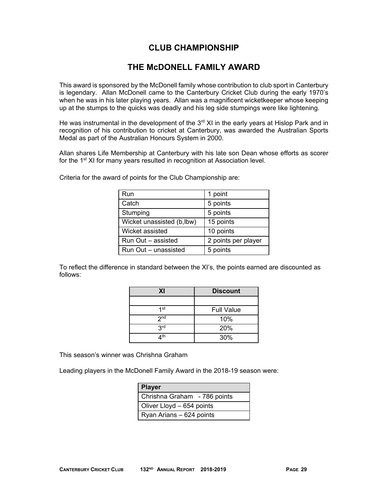# **CLUB CHAMPIONSHIP**

# **THE McDONELL FAMILY AWARD**

This award is sponsored by the McDonell family whose contribution to club sport in Canterbury is legendary. Allan McDonell came to the Canterbury Cricket Club during the early 1970's when he was in his later playing years. Allan was a magnificent wicketkeeper whose keeping up at the stumps to the quicks was deadly and his leg side stumpings were like lightening.

He was instrumental in the development of the  $3<sup>rd</sup>$  XI in the early years at Hislop Park and in recognition of his contribution to cricket at Canterbury, was awarded the Australian Sports Medal as part of the Australian Honours System in 2000.

Allan shares Life Membership at Canterbury with his late son Dean whose efforts as scorer for the 1<sup>st</sup> XI for many years resulted in recognition at Association level.

| Run                       | 1 point             |
|---------------------------|---------------------|
| Catch                     | 5 points            |
| Stumping                  | 5 points            |
| Wicket unassisted (b,lbw) | 15 points           |
| Wicket assisted           | 10 points           |
| Run Out - assisted        | 2 points per player |
| Run Out - unassisted      | 5 points            |

Criteria for the award of points for the Club Championship are:

To reflect the difference in standard between the XI's, the points earned are discounted as follows:

| XI              | <b>Discount</b>   |
|-----------------|-------------------|
|                 |                   |
| 1 <sup>st</sup> | <b>Full Value</b> |
| 2 <sub>nd</sub> | 10%               |
| 3 <sup>rd</sup> | 20%               |
| $\Lambda$ th    | 30%               |

This season's winner was Chrishna Graham

Leading players in the McDonell Family Award in the 2018-19 season were:

| <b>Player</b>                |  |
|------------------------------|--|
| Chrishna Graham - 786 points |  |
| Oliver Lloyd - 654 points    |  |
| Ryan Arians - 624 points     |  |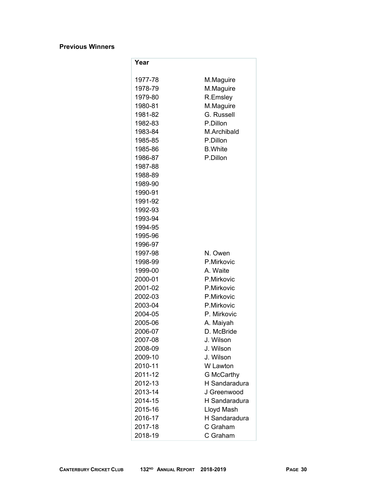### **Previous Winners**

| Year               |                                    |  |  |  |
|--------------------|------------------------------------|--|--|--|
| 1977-78            | M.Maguire                          |  |  |  |
| 1978-79            | M.Maguire                          |  |  |  |
| 1979-80            | R.Emsley                           |  |  |  |
| 1980-81            | M.Maguire                          |  |  |  |
| 1981-82            | G. Russell                         |  |  |  |
| 1982-83            | P.Dillon                           |  |  |  |
| 1983-84            | M.Archibald                        |  |  |  |
| 1985-85            | P.Dillon                           |  |  |  |
| 1985-86            | <b>B.White</b>                     |  |  |  |
| 1986-87            | P.Dillon                           |  |  |  |
| 1987-88            |                                    |  |  |  |
| 1988-89            |                                    |  |  |  |
| 1989-90            |                                    |  |  |  |
| 1990-91            |                                    |  |  |  |
| 1991-92            |                                    |  |  |  |
| 1992-93            |                                    |  |  |  |
| 1993-94            |                                    |  |  |  |
| 1994-95            |                                    |  |  |  |
| 1995-96            |                                    |  |  |  |
| 1996-97            |                                    |  |  |  |
| 1997-98            | N. Owen                            |  |  |  |
| 1998-99            | P.Mirkovic                         |  |  |  |
| 1999-00            | A. Waite                           |  |  |  |
| 2000-01            | P.Mirkovic                         |  |  |  |
| 2001-02            | P.Mirkovic                         |  |  |  |
| 2002-03            | P.Mirkovic                         |  |  |  |
| 2003-04            | P.Mirkovic                         |  |  |  |
| 2004-05            | P. Mirkovic                        |  |  |  |
| 2005-06            | A. Maiyah                          |  |  |  |
| 2006-07            | D. McBride                         |  |  |  |
| 2007-08            | J. Wilson .                        |  |  |  |
| 2008-09            | J. Wilson                          |  |  |  |
| 2009-10<br>2010-11 | J. Wilson<br>W Lawton              |  |  |  |
| 2011-12            |                                    |  |  |  |
| 2012-13            | <b>G McCarthy</b><br>H Sandaradura |  |  |  |
| 2013-14            | J Greenwood                        |  |  |  |
| 2014-15            | H Sandaradura                      |  |  |  |
| 2015-16            | Lloyd Mash                         |  |  |  |
| 2016-17            | H Sandaradura                      |  |  |  |
| 2017-18            | C Graham                           |  |  |  |
| 2018-19            | C Graham                           |  |  |  |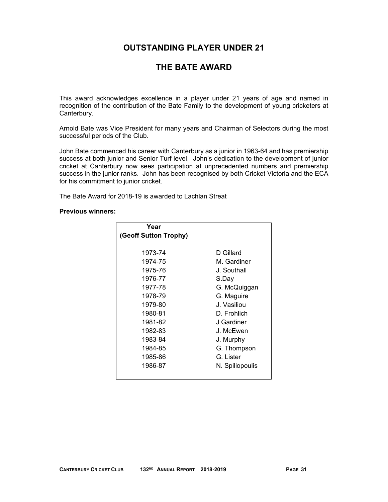# **OUTSTANDING PLAYER UNDER 21**

# **THE BATE AWARD**

This award acknowledges excellence in a player under 21 years of age and named in recognition of the contribution of the Bate Family to the development of young cricketers at Canterbury.

Arnold Bate was Vice President for many years and Chairman of Selectors during the most successful periods of the Club.

John Bate commenced his career with Canterbury as a junior in 1963-64 and has premiership success at both junior and Senior Turf level. John's dedication to the development of junior cricket at Canterbury now sees participation at unprecedented numbers and premiership success in the junior ranks. John has been recognised by both Cricket Victoria and the ECA for his commitment to junior cricket.

The Bate Award for 2018-19 is awarded to Lachlan Streat

### **Previous winners:**

| Year                  |                 |
|-----------------------|-----------------|
| (Geoff Sutton Trophy) |                 |
|                       |                 |
| 1973-74               | D Gillard       |
| 1974-75               | M. Gardiner     |
| 1975-76               | J. Southall     |
| 1976-77               | S.Dav           |
| 1977-78               | G. McQuiggan    |
| 1978-79               | G. Maguire      |
| 1979-80               | J. Vasiliou     |
| 1980-81               | D. Frohlich     |
| 1981-82               | J Gardiner      |
| 1982-83               | J. McEwen       |
| 1983-84               | J. Murphy       |
| 1984-85               | G. Thompson     |
| 1985-86               | G. Lister       |
| 1986-87               | N. Spiliopoulis |
|                       |                 |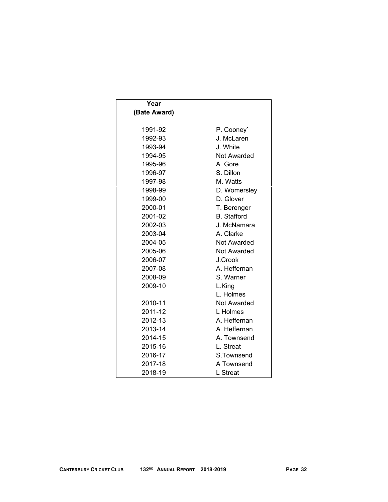| Year              |                    |  |  |  |
|-------------------|--------------------|--|--|--|
| (Bate Award)      |                    |  |  |  |
|                   |                    |  |  |  |
| 1991-92           | P. Cooney`         |  |  |  |
| 1992-93           | J. McLaren         |  |  |  |
| 1993-94           | J. White           |  |  |  |
| 1994-95           | Not Awarded        |  |  |  |
| 1995-96           | A. Gore            |  |  |  |
| 1996-97           | S. Dillon          |  |  |  |
| 1997-98           | M. Watts           |  |  |  |
| 1998-99           | D. Womersley       |  |  |  |
| 1999-00           | D. Glover          |  |  |  |
| 2000-01           | T. Berenger        |  |  |  |
| 2001-02           | <b>B.</b> Stafford |  |  |  |
| 2002-03           | J. McNamara        |  |  |  |
| 2003-04           | A. Clarke          |  |  |  |
| 2004-05           | <b>Not Awarded</b> |  |  |  |
| 2005-06           | <b>Not Awarded</b> |  |  |  |
| 2006-07           | J.Crook            |  |  |  |
| 2007-08           | A. Heffernan       |  |  |  |
| 2008-09           | S. Warner          |  |  |  |
| 2009-10<br>L.King |                    |  |  |  |
|                   | L. Holmes          |  |  |  |
| 2010-11           | Not Awarded        |  |  |  |
| 2011-12           | L Holmes           |  |  |  |
| 2012-13           | A. Heffernan       |  |  |  |
| 2013-14           | A. Heffernan       |  |  |  |
| 2014-15           | A. Townsend        |  |  |  |
| 2015-16           | L. Streat          |  |  |  |
| 2016-17           | S.Townsend         |  |  |  |
| 2017-18           | A Townsend         |  |  |  |
| 2018-19           | L Streat           |  |  |  |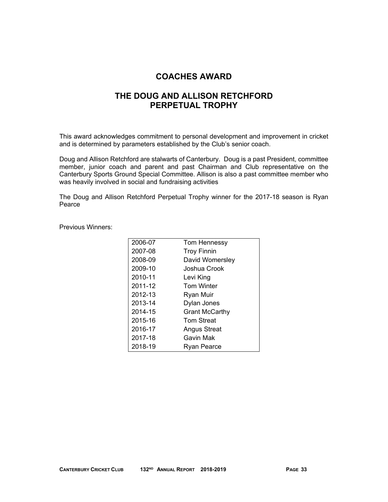### **COACHES AWARD**

# **THE DOUG AND ALLISON RETCHFORD PERPETUAL TROPHY**

This award acknowledges commitment to personal development and improvement in cricket and is determined by parameters established by the Club's senior coach.

Doug and Allison Retchford are stalwarts of Canterbury. Doug is a past President, committee member, junior coach and parent and past Chairman and Club representative on the Canterbury Sports Ground Special Committee. Allison is also a past committee member who was heavily involved in social and fundraising activities

The Doug and Allison Retchford Perpetual Trophy winner for the 2017-18 season is Ryan Pearce

Previous Winners:

| Tom Hennessy          |  |
|-----------------------|--|
| <b>Troy Finnin</b>    |  |
| David Womersley       |  |
| Joshua Crook          |  |
| Levi King             |  |
| <b>Tom Winter</b>     |  |
| Ryan Muir             |  |
| Dylan Jones           |  |
| <b>Grant McCarthy</b> |  |
| <b>Tom Streat</b>     |  |
| Angus Streat          |  |
| Gavin Mak             |  |
| Ryan Pearce           |  |
|                       |  |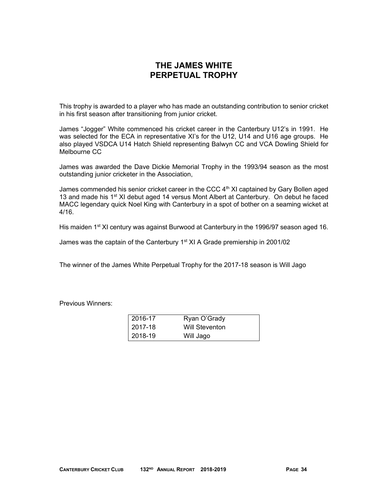# **THE JAMES WHITE PERPETUAL TROPHY**

This trophy is awarded to a player who has made an outstanding contribution to senior cricket in his first season after transitioning from junior cricket.

James "Jogger" White commenced his cricket career in the Canterbury U12's in 1991. He was selected for the ECA in representative XI's for the U12, U14 and U16 age groups. He also played VSDCA U14 Hatch Shield representing Balwyn CC and VCA Dowling Shield for Melbourne CC

James was awarded the Dave Dickie Memorial Trophy in the 1993/94 season as the most outstanding junior cricketer in the Association,

James commended his senior cricket career in the CCC  $4<sup>th</sup>$  XI captained by Gary Bollen aged 13 and made his  $1<sup>st</sup>$  XI debut aged 14 versus Mont Albert at Canterbury. On debut he faced MACC legendary quick Noel King with Canterbury in a spot of bother on a seaming wicket at 4/16.

His maiden 1<sup>st</sup> XI century was against Burwood at Canterbury in the 1996/97 season aged 16.

James was the captain of the Canterbury 1<sup>st</sup> XI A Grade premiership in 2001/02

The winner of the James White Perpetual Trophy for the 2017-18 season is Will Jago

Previous Winners:

| 2016-17   | Ryan O'Grady   |
|-----------|----------------|
| l 2017-18 | Will Steventon |
| 2018-19   | Will Jago      |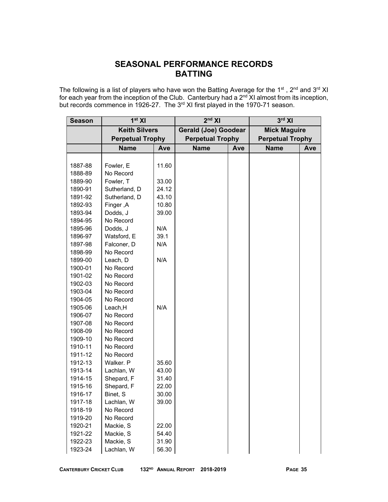# **SEASONAL PERFORMANCE RECORDS BATTING**

The following is a list of players who have won the Batting Average for the 1<sup>st</sup>, 2<sup>nd</sup> and 3<sup>rd</sup> XI for each year from the inception of the Club. Canterbury had a  $2^{nd}$  XI almost from its inception, but records commence in 1926-27. The 3<sup>rd</sup> XI first played in the 1970-71 season.

| <b>Season</b> | 1 <sup>st</sup> XI   |                         | 2 <sup>nd</sup> XI          |                         | $3rd$ XI            |                         |  |
|---------------|----------------------|-------------------------|-----------------------------|-------------------------|---------------------|-------------------------|--|
|               | <b>Keith Silvers</b> |                         | <b>Gerald (Joe) Goodear</b> |                         | <b>Mick Maguire</b> |                         |  |
|               |                      | <b>Perpetual Trophy</b> |                             | <b>Perpetual Trophy</b> |                     | <b>Perpetual Trophy</b> |  |
|               | <b>Name</b>          | Ave                     | <b>Name</b>                 | <b>Ave</b>              | <b>Name</b>         | Ave                     |  |
|               |                      |                         |                             |                         |                     |                         |  |
| 1887-88       | Fowler, E            | 11.60                   |                             |                         |                     |                         |  |
| 1888-89       | No Record            |                         |                             |                         |                     |                         |  |
| 1889-90       | Fowler, T            | 33.00                   |                             |                         |                     |                         |  |
| 1890-91       | Sutherland, D        | 24.12                   |                             |                         |                     |                         |  |
| 1891-92       | Sutherland, D        | 43.10                   |                             |                         |                     |                         |  |
| 1892-93       | Finger, A            | 10.80                   |                             |                         |                     |                         |  |
| 1893-94       | Dodds, J             | 39.00                   |                             |                         |                     |                         |  |
| 1894-95       | No Record            |                         |                             |                         |                     |                         |  |
| 1895-96       | Dodds, J             | N/A                     |                             |                         |                     |                         |  |
| 1896-97       | Watsford, E          | 39.1                    |                             |                         |                     |                         |  |
| 1897-98       | Falconer, D          | N/A                     |                             |                         |                     |                         |  |
| 1898-99       | No Record            |                         |                             |                         |                     |                         |  |
| 1899-00       | Leach, D             | N/A                     |                             |                         |                     |                         |  |
| 1900-01       | No Record            |                         |                             |                         |                     |                         |  |
| 1901-02       | No Record            |                         |                             |                         |                     |                         |  |
| 1902-03       | No Record            |                         |                             |                         |                     |                         |  |
| 1903-04       | No Record            |                         |                             |                         |                     |                         |  |
| 1904-05       | No Record            |                         |                             |                         |                     |                         |  |
| 1905-06       | Leach, H             | N/A                     |                             |                         |                     |                         |  |
| 1906-07       | No Record            |                         |                             |                         |                     |                         |  |
| 1907-08       | No Record            |                         |                             |                         |                     |                         |  |
| 1908-09       | No Record            |                         |                             |                         |                     |                         |  |
| 1909-10       | No Record            |                         |                             |                         |                     |                         |  |
| 1910-11       | No Record            |                         |                             |                         |                     |                         |  |
| 1911-12       | No Record            |                         |                             |                         |                     |                         |  |
| 1912-13       | Walker. P            | 35.60                   |                             |                         |                     |                         |  |
| 1913-14       | Lachlan, W           | 43.00                   |                             |                         |                     |                         |  |
| 1914-15       | Shepard, F           | 31.40                   |                             |                         |                     |                         |  |
| 1915-16       | Shepard, F           | 22.00                   |                             |                         |                     |                         |  |
| 1916-17       | Binet, S             | 30.00                   |                             |                         |                     |                         |  |
| 1917-18       | Lachlan, W           | 39.00                   |                             |                         |                     |                         |  |
| 1918-19       | No Record            |                         |                             |                         |                     |                         |  |
| 1919-20       | No Record            |                         |                             |                         |                     |                         |  |
| 1920-21       | Mackie, S            | 22.00                   |                             |                         |                     |                         |  |
| 1921-22       | Mackie, S            | 54.40                   |                             |                         |                     |                         |  |
| 1922-23       | Mackie, S            | 31.90                   |                             |                         |                     |                         |  |
| 1923-24       | Lachlan, W           | 56.30                   |                             |                         |                     |                         |  |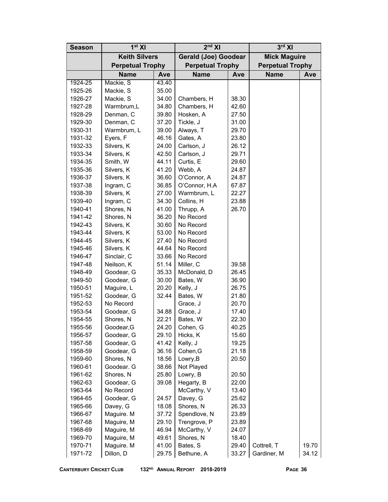| <b>Season</b> | 1 <sup>st</sup> XI      |       | $2nd$ XI                    |                | $3rd$ XI                |       |  |
|---------------|-------------------------|-------|-----------------------------|----------------|-------------------------|-------|--|
|               | <b>Keith Silvers</b>    |       | <b>Gerald (Joe) Goodear</b> |                | <b>Mick Maguire</b>     |       |  |
|               | <b>Perpetual Trophy</b> |       | <b>Perpetual Trophy</b>     |                | <b>Perpetual Trophy</b> |       |  |
|               | <b>Name</b>             | Ave   | <b>Name</b>                 | <b>Ave</b>     | <b>Name</b>             | Ave   |  |
| 1924-25       | Mackie, S               | 43.40 |                             |                |                         |       |  |
| 1925-26       | Mackie, S               | 35.00 |                             |                |                         |       |  |
| 1926-27       | Mackie, S               | 34.00 | Chambers, H                 | 38.30          |                         |       |  |
| 1927-28       | Warmbrum,L              | 34.80 | Chambers, H                 | 42.60          |                         |       |  |
| 1928-29       | Denman, C               | 39.80 | Hosken, A                   | 27.50          |                         |       |  |
| 1929-30       | Denman, C               | 37.20 | Tickle, J                   | 31.00          |                         |       |  |
| 1930-31       | Warmbrum, L             | 39.00 | Always, T                   | 29.70          |                         |       |  |
| 1931-32       | Eyers, F                | 46.16 | Gates, A                    | 23.80          |                         |       |  |
| 1932-33       | Silvers, K              | 24.00 | Carlson, J                  | 26.12          |                         |       |  |
| 1933-34       | Silvers, K              | 42.50 | Carlson, J                  | 29.71          |                         |       |  |
| 1934-35       | Smith, W                | 44.11 | Curtis, E                   | 29.60          |                         |       |  |
| 1935-36       | Silvers, K              | 41.20 | Webb, A                     | 24.87          |                         |       |  |
| 1936-37       | Silvers, K              | 36.60 | O'Connor, A                 | 24.87          |                         |       |  |
|               | Ingram, C               | 36.85 | O'Connor, H.A               |                |                         |       |  |
| 1937-38       | Silvers, K              | 27.00 | Warmbrum, L                 | 67.87          |                         |       |  |
| 1938-39       |                         | 34.30 |                             | 22.27          |                         |       |  |
| 1939-40       | Ingram, C               |       | Collins, H                  | 23.88<br>26.70 |                         |       |  |
| 1940-41       | Shores, N               | 41.00 | Thrupp, A                   |                |                         |       |  |
| 1941-42       | Shores, N               | 36.20 | No Record                   |                |                         |       |  |
| 1942-43       | Silvers, K              | 30.60 | No Record                   |                |                         |       |  |
| 1943-44       | Silvers, K              | 53.00 | No Record                   |                |                         |       |  |
| 1944-45       | Silvers, K              | 27.40 | No Record                   |                |                         |       |  |
| 1945-46       | Silvers. K              | 44.64 | No Record                   |                |                         |       |  |
| 1946-47       | Sinclair, C             | 33.66 | No Record                   |                |                         |       |  |
| 1947-48       | Neilson, K              | 51.14 | Miller, C                   | 39.58          |                         |       |  |
| 1948-49       | Goodear, G              | 35.33 | McDonald, D                 | 26.45          |                         |       |  |
| 1949-50       | Goodear, G              | 30.00 | Bates, W                    | 36.90          |                         |       |  |
| 1950-51       | Maguire, L              | 20.20 | Kelly, J                    | 26.75          |                         |       |  |
| 1951-52       | Goodear, G              | 32.44 | Bates, W                    | 21.80          |                         |       |  |
| 1952-53       | No Record               |       | Grace, J                    | 20.70          |                         |       |  |
| 1953-54       | Goodear, G              | 34.88 | Grace, J                    | 17.40          |                         |       |  |
| 1954-55       | Shores, N               | 22.21 | Bates, W                    | 22.30          |                         |       |  |
| 1955-56       | Goodear, G              | 24.20 | Cohen, G                    | 40.25          |                         |       |  |
| 1956-57       | Goodear, G              | 29.10 | Hicks, K                    | 15.60          |                         |       |  |
| 1957-58       | Goodear, G              | 41.42 | Kelly, J                    | 19.25          |                         |       |  |
| 1958-59       | Goodear, G              | 36.16 | Cohen, G                    | 21.18          |                         |       |  |
| 1959-60       | Shores, N               | 18.56 | Lowry, B                    | 20.50          |                         |       |  |
| 1960-61       | Goodear, G              | 38.66 | Not Played                  |                |                         |       |  |
| 1961-62       | Shores, N               | 25.80 | Lowry, B                    | 20.50          |                         |       |  |
| 1962-63       | Goodear, G              | 39.08 | Hegarty, B                  | 22.00          |                         |       |  |
| 1963-64       | No Record               |       | McCarthy, V                 | 13.40          |                         |       |  |
| 1964-65       | Goodear, G              | 24.57 | Davey, G                    | 25.62          |                         |       |  |
| 1965-66       | Davey, G                | 18.08 | Shores, N                   | 26.33          |                         |       |  |
| 1966-67       | Maguire. M              | 37.72 | Spendlove, N                | 23.89          |                         |       |  |
| 1967-68       | Maguire, M              | 29.10 | Trengrove, P                | 23.89          |                         |       |  |
| 1968-69       | Maguire, M              | 46.94 | McCarthy, V                 | 24.07          |                         |       |  |
| 1969-70       | Maguire, M              | 49.61 | Shores, N                   | 18.40          |                         |       |  |
| 1970-71       | Maguire. M              | 41.00 | Bates, S                    | 29.40          | Cottrell, T             | 19.70 |  |
| 1971-72       | Dillon, D               | 29.75 | Bethune, A                  | 33.27          | Gardiner, M             | 34.12 |  |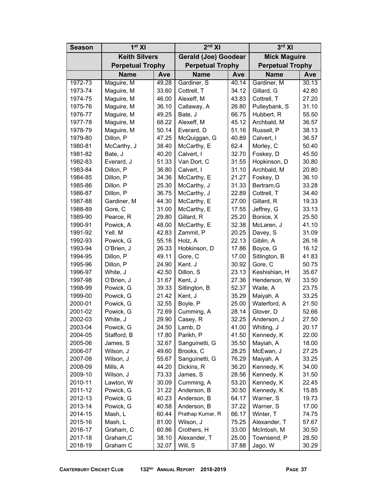| <b>Season</b> | 1 <sup>st</sup> XI      |       | $2nd$ XI                    |       | $3rd$ XI                |            |  |
|---------------|-------------------------|-------|-----------------------------|-------|-------------------------|------------|--|
|               | <b>Keith Silvers</b>    |       | <b>Gerald (Joe) Goodear</b> |       | <b>Mick Maguire</b>     |            |  |
|               | <b>Perpetual Trophy</b> |       | <b>Perpetual Trophy</b>     |       | <b>Perpetual Trophy</b> |            |  |
|               | <b>Name</b>             | Ave   | <b>Name</b>                 | Ave   | <b>Name</b>             | <b>Ave</b> |  |
| 1972-73       | Maguire, M              | 49.28 | Gardiner, S                 | 40.14 | Gardiner, M             | 30.13      |  |
| 1973-74       | Maguire, M              | 33.60 | Cottrell, T                 | 34.12 | Gillard, G              | 42.80      |  |
| 1974-75       | Maguire, M              | 46.00 | Alexeff, M                  | 43.83 | Cottrell, T             | 27.20      |  |
| 1975-76       | Maguire, M              | 36.10 | Callaway, A                 | 26.80 | Pulleybank, S           | 31.10      |  |
| 1976-77       | Maguire, M              | 49.25 | Bate, J                     | 66.75 | Hubbert, R              | 55.50      |  |
| 1977-78       | Maguire, M              | 68.22 | Alexeff, M                  | 45.12 | Archbald, M             | 36.57      |  |
| 1978-79       | Maguire, M              | 50.14 | Everard, D                  | 51.16 | Russell, P              | 38.13      |  |
| 1979-80       | Dillon, P               | 47.25 | McQuiggan, G                | 40.89 | Calvert, I              | 36.57      |  |
| 1980-81       | McCarthy, J             | 38.40 | McCarthy, E                 | 62.4  | Morley, C               | 50.40      |  |
| 1981-82       | Bate, J                 | 40.20 | Calvert, I                  | 32.70 | Foskey, D               | 45.50      |  |
| 1982-83       | Everard, J              | 51.33 | Van Dort, C                 | 31.55 | Hopkinson, D            | 30.80      |  |
| 1983-84       | Dillon, P               | 36.80 | Calvert, I                  | 31.10 | Archbald, M             | 20.80      |  |
| 1984-85       | Dillon, P               | 34.36 | McCarthy, E                 | 21.27 | Foskey, D               | 36.10      |  |
| 1985-86       | Dillon. P               | 25.30 | McCarthy, J                 | 31.33 | Bertram, G              | 33.28      |  |
| 1986-87       | Dillon, P               | 36.75 | McCarthy, J                 | 22.89 | Cottrell, T             | 34.40      |  |
| 1987-88       | Gardiner, M             | 44.30 | McCarthy, E                 | 27.00 | Gillard, R              | 19.33      |  |
| 1988-89       | Gore, C                 | 31.00 | McCarthy, E                 | 17.55 | Jeffrey, G              | 33.13      |  |
| 1989-90       | Pearce, R               | 29.80 | Gillard, R                  | 25.20 | Bonice, X               | 25.50      |  |
| 1990-91       | Powick, A               | 48.00 | McCarthy, E                 | 32.38 | McLaren, J              | 41.10      |  |
| 1991-92       | Yell. M                 | 42.83 | Zammit, P                   | 20.25 | Davey, S                | 31.09      |  |
| 1992-93       | Powick, G               | 55.16 | Holz, A                     | 22.13 | Giblin, A               | 26.16      |  |
| 1993-94       | O'Brien, J              | 26.33 | Hobkinson, D                | 17.86 | Boyce, G                | 16.12      |  |
| 1994-95       | Dillon, P               | 49.11 | Gore, C                     | 17.00 | Sitlington, B           | 41.83      |  |
| 1995-96       | Dillon, P               | 24.90 | Kent. J                     | 30.92 | Gore, C                 | 50.75      |  |
| 1996-97       | White, J                | 42.50 | Dillon, S                   | 23.13 | Keshishian, H           | 35.67      |  |
| 1997-98       | O'Brien, J              | 31.67 | Kent, J                     | 27.36 | Henderson, W            | 33.50      |  |
| 1998-99       | Powick, G               | 39.33 | Sitlington, B               | 52.37 | Waite, A                | 23.75      |  |
| 1999-00       | Powick, G               | 21.42 | Kent, J                     | 35.29 | Maiyah, A               | 33.25      |  |
| 2000-01       | Powick, G               | 32.55 | Boyle, P                    | 25.00 | Waterford, A            | 21.50      |  |
| 2001-02       | Powick, G               | 72.69 | Cumming, A                  | 28.14 | Glover, D               | 52.66      |  |
| 2002-03       | White, J                | 29.90 | Casey, R                    | 32.25 | Anderson, J             | 27.50      |  |
| 2003-04       | Powick, G               | 24.50 | Lamb, D                     | 41.00 | Whiting, J              | 20.17      |  |
| 2004-05       | Stafford, B             | 17.80 | Parikh, P                   | 41.50 | Kennedy, K              | 22.00      |  |
| 2005-06       | James, S                | 32.67 | Sanguinetti, G              | 35.50 | Mayiah, A               | 18.00      |  |
| 2006-07       | Wilson, J               | 49.60 | Brooks, C                   | 28.25 | McEwan, J               | 27.25      |  |
| 2007-08       | Wilson, J               | 55.67 | Sanguinetti, G              | 76.29 | Maiyah, A               | 33.25      |  |
| 2008-09       | Mills, A                | 44.20 | Dickins, R                  | 36.20 | Kennedy, K              | 34.00      |  |
| 2009-10       | Wilson, J               | 73.33 | James, S                    | 28.56 | Kennedy, K              | 31.50      |  |
| 2010-11       | Lawton, W               | 30.09 | Cumming, A                  | 53.20 | Kennedy, K              | 22.45      |  |
| 2011-12       | Powick, G               | 31.22 | Anderson, B                 | 30.50 | Kennedy, K              | 15.85      |  |
| 2012-13       | Powick, G               | 40.23 | Anderson, B                 | 64.17 | Warner, S               | 19.73      |  |
| 2013-14       | Powick, G               | 40.58 | Anderson, B                 | 37.22 | Warner, S               | 17.00      |  |
| 2014-15       | Mash, L                 | 60.44 | Prathap Kumar, R            | 66.17 | Winter, T               | 74.75      |  |
| 2015-16       | Mash, L                 | 81.00 | Wilson, J                   | 75.25 | Alexander, T            | 57.67      |  |
| 2016-17       | Graham, C               | 60.86 | Crothers, H                 | 33.00 | McIntosh, M             | 30.50      |  |
| 2017-18       | Graham, C               | 38.10 | Alexander, T                | 25.00 | Townsend, P             | 28.50      |  |
| 2018-19       | Graham C                | 32.07 | Will, S                     | 37.88 | Jago, W                 | 30.29      |  |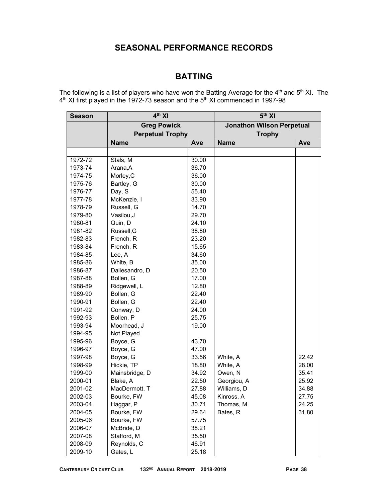# **SEASONAL PERFORMANCE RECORDS**

# **BATTING**

The following is a list of players who have won the Batting Average for the  $4<sup>th</sup>$  and  $5<sup>th</sup>$  XI. The  $4^{\text{th}}$  XI first played in the 1972-73 season and the 5<sup>th</sup> XI commenced in 1997-98

| <b>Season</b> | $4th$ XI                |       | 5 <sup>th</sup> XI               |       |  |  |
|---------------|-------------------------|-------|----------------------------------|-------|--|--|
|               | <b>Greg Powick</b>      |       | <b>Jonathon Wilson Perpetual</b> |       |  |  |
|               | <b>Perpetual Trophy</b> |       | <b>Trophy</b>                    |       |  |  |
|               | <b>Name</b>             | Ave   | <b>Name</b>                      | Ave   |  |  |
|               |                         |       |                                  |       |  |  |
| 1972-72       | Stals, M                | 30.00 |                                  |       |  |  |
| 1973-74       | Arana, A                | 36.70 |                                  |       |  |  |
| 1974-75       | Morley, C               | 36.00 |                                  |       |  |  |
| 1975-76       | Bartley, G              | 30.00 |                                  |       |  |  |
| 1976-77       | Day, S                  | 55.40 |                                  |       |  |  |
| 1977-78       | McKenzie, I             | 33.90 |                                  |       |  |  |
| 1978-79       | Russell, G              | 14.70 |                                  |       |  |  |
| 1979-80       | Vasilou, J              | 29.70 |                                  |       |  |  |
| 1980-81       | Quin, D                 | 24.10 |                                  |       |  |  |
| 1981-82       | Russell, G              | 38.80 |                                  |       |  |  |
| 1982-83       | French, R               | 23.20 |                                  |       |  |  |
| 1983-84       | French, R               | 15.65 |                                  |       |  |  |
| 1984-85       | Lee, A                  | 34.60 |                                  |       |  |  |
| 1985-86       | White, B                | 35.00 |                                  |       |  |  |
| 1986-87       | Dallesandro, D          | 20.50 |                                  |       |  |  |
| 1987-88       | Bollen, G               | 17.00 |                                  |       |  |  |
| 1988-89       | Ridgewell, L            | 12.80 |                                  |       |  |  |
| 1989-90       | Bollen, G               | 22.40 |                                  |       |  |  |
| 1990-91       | Bollen, G               | 22.40 |                                  |       |  |  |
| 1991-92       | Conway, D               | 24.00 |                                  |       |  |  |
| 1992-93       | Bollen, P               | 25.75 |                                  |       |  |  |
| 1993-94       | Moorhead, J             | 19.00 |                                  |       |  |  |
| 1994-95       | Not Played              |       |                                  |       |  |  |
| 1995-96       | Boyce, G                | 43.70 |                                  |       |  |  |
| 1996-97       | Boyce, G                | 47.00 |                                  |       |  |  |
| 1997-98       | Boyce, G                | 33.56 | White, A                         | 22.42 |  |  |
| 1998-99       | Hickie, TP              | 18.80 | White, A                         | 28.00 |  |  |
| 1999-00       | Mainsbridge, D          | 34.92 | Owen, N                          | 35.41 |  |  |
| 2000-01       | Blake, A                | 22.50 | Georgiou, A                      | 25.92 |  |  |
| 2001-02       | MacDermott, T           | 27.88 | Williams, D                      | 34.88 |  |  |
| 2002-03       | Bourke, FW              | 45.08 | Kinross, A                       | 27.75 |  |  |
| 2003-04       | Haggar, P               | 30.71 | Thomas, M                        | 24.25 |  |  |
| 2004-05       | Bourke, FW              | 29.64 | Bates, R                         | 31.80 |  |  |
| 2005-06       | Bourke, FW              | 57.75 |                                  |       |  |  |
| 2006-07       | McBride, D              | 38.21 |                                  |       |  |  |
| 2007-08       | Stafford, M             | 35.50 |                                  |       |  |  |
| 2008-09       | Reynolds, C             | 46.91 |                                  |       |  |  |
| 2009-10       | Gates, L                | 25.18 |                                  |       |  |  |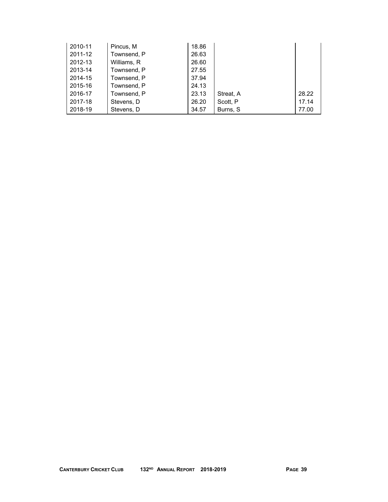| 2010-11 | Pincus, M   | 18.86 |           |       |
|---------|-------------|-------|-----------|-------|
| 2011-12 | Townsend, P | 26.63 |           |       |
| 2012-13 | Williams, R | 26.60 |           |       |
| 2013-14 | Townsend, P | 27.55 |           |       |
| 2014-15 | Townsend, P | 37.94 |           |       |
| 2015-16 | Townsend, P | 24.13 |           |       |
| 2016-17 | Townsend, P | 23.13 | Streat, A | 28.22 |
| 2017-18 | Stevens, D  | 26.20 | Scott, P  | 17.14 |
| 2018-19 | Stevens, D  | 34.57 | Burns, S  | 77.00 |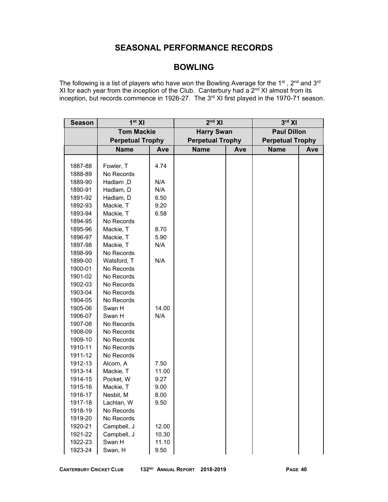# **SEASONAL PERFORMANCE RECORDS**

# **BOWLING**

The following is a list of players who have won the Bowling Average for the 1 $^{\rm st}$  , 2<sup>nd</sup> and 3<sup>rd</sup> XI for each year from the inception of the Club. Canterbury had a  $2<sup>nd</sup>$  XI almost from its inception, but records commence in 1926-27. The 3<sup>rd</sup> XI first played in the 1970-71 season.

| <b>Season</b> | 1 <sup>st</sup> XI      |       | $2nd$ XI                |     | $3rd$ XI                |     |  |
|---------------|-------------------------|-------|-------------------------|-----|-------------------------|-----|--|
|               | <b>Tom Mackie</b>       |       | <b>Harry Swan</b>       |     | <b>Paul Dillon</b>      |     |  |
|               | <b>Perpetual Trophy</b> |       | <b>Perpetual Trophy</b> |     | <b>Perpetual Trophy</b> |     |  |
|               | <b>Name</b>             | Ave   | <b>Name</b>             | Ave | <b>Name</b>             | Ave |  |
|               |                         |       |                         |     |                         |     |  |
| 1887-88       | Fowler, T               | 4.74  |                         |     |                         |     |  |
| 1888-89       | No Records              |       |                         |     |                         |     |  |
| 1889-90       | Hadlam, D               | N/A   |                         |     |                         |     |  |
| 1890-91       | Hadlam, D               | N/A   |                         |     |                         |     |  |
| 1891-92       | Hadlam, D               | 6.50  |                         |     |                         |     |  |
| 1892-93       | Mackie, T               | 9.20  |                         |     |                         |     |  |
| 1893-94       | Mackie, T               | 6.58  |                         |     |                         |     |  |
| 1894-95       | No Records              |       |                         |     |                         |     |  |
| 1895-96       | Mackie, T               | 8.70  |                         |     |                         |     |  |
| 1896-97       | Mackie, T               | 5.90  |                         |     |                         |     |  |
| 1897-98       | Mackie, T               | N/A   |                         |     |                         |     |  |
| 1898-99       | No Records              |       |                         |     |                         |     |  |
| 1899-00       | Watsford, T             | N/A   |                         |     |                         |     |  |
| 1900-01       | No Records              |       |                         |     |                         |     |  |
| 1901-02       | No Records              |       |                         |     |                         |     |  |
| 1902-03       | No Records              |       |                         |     |                         |     |  |
| 1903-04       | No Records              |       |                         |     |                         |     |  |
| 1904-05       | No Records              |       |                         |     |                         |     |  |
| 1905-06       | Swan H                  | 14.00 |                         |     |                         |     |  |
| 1906-07       | Swan H                  | N/A   |                         |     |                         |     |  |
| 1907-08       | No Records              |       |                         |     |                         |     |  |
| 1908-09       | No Records              |       |                         |     |                         |     |  |
| 1909-10       | No Records              |       |                         |     |                         |     |  |
| 1910-11       | No Records              |       |                         |     |                         |     |  |
| 1911-12       | No Records              |       |                         |     |                         |     |  |
| 1912-13       | Alcorn, A               | 7.50  |                         |     |                         |     |  |
| 1913-14       | Mackie, T               | 11.00 |                         |     |                         |     |  |
| 1914-15       | Pocket, W               | 9.27  |                         |     |                         |     |  |
| 1915-16       | Mackie, T               | 9.00  |                         |     |                         |     |  |
| 1916-17       | Nesbit, M               | 8.00  |                         |     |                         |     |  |
| 1917-18       | Lachlan, W              | 9.50  |                         |     |                         |     |  |
| 1918-19       | No Records              |       |                         |     |                         |     |  |
| 1919-20       | No Records              |       |                         |     |                         |     |  |
| 1920-21       | Campbell, J             | 12.00 |                         |     |                         |     |  |
| 1921-22       | Campbell, J             | 10.30 |                         |     |                         |     |  |
| 1922-23       | Swan H                  | 11.10 |                         |     |                         |     |  |
| 1923-24       | Swan, H                 | 9.50  |                         |     |                         |     |  |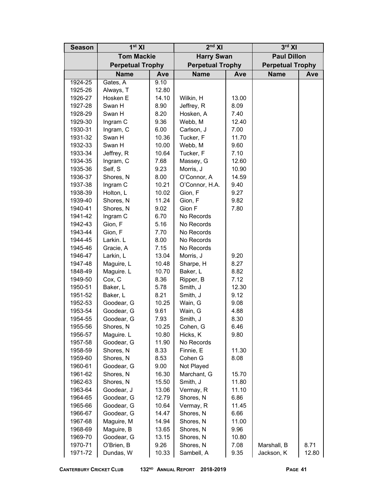| <b>Season</b> | 1 <sup>st</sup> XI      |       | $2nd$ XI                |       | $3rd$ XI                |       |  |
|---------------|-------------------------|-------|-------------------------|-------|-------------------------|-------|--|
|               | <b>Tom Mackie</b>       |       | <b>Harry Swan</b>       |       | <b>Paul Dillon</b>      |       |  |
|               | <b>Perpetual Trophy</b> |       | <b>Perpetual Trophy</b> |       | <b>Perpetual Trophy</b> |       |  |
|               | <b>Name</b>             | Ave   | <b>Name</b>             | Ave   | <b>Name</b>             | Ave   |  |
| 1924-25       | Gates, A                | 9.10  |                         |       |                         |       |  |
| 1925-26       | Always, T               | 12.80 |                         |       |                         |       |  |
| 1926-27       | Hosken E                | 14.10 | Wilkin, H               | 13.00 |                         |       |  |
| 1927-28       | Swan H                  | 8.90  | Jeffrey, R              | 8.09  |                         |       |  |
| 1928-29       | Swan H                  | 8.20  | Hosken, A               | 7.40  |                         |       |  |
| 1929-30       | Ingram C                | 9.36  | Webb, M                 | 12.40 |                         |       |  |
| 1930-31       | Ingram, C               | 6.00  | Carlson, J              | 7.00  |                         |       |  |
| 1931-32       | Swan H                  | 10.36 | Tucker, F               | 11.70 |                         |       |  |
| 1932-33       | Swan H                  | 10.00 | Webb, M                 | 9.60  |                         |       |  |
| 1933-34       | Jeffrey, R              | 10.64 | Tucker, F               | 7.10  |                         |       |  |
| 1934-35       | Ingram, C               | 7.68  | Massey, G               | 12.60 |                         |       |  |
| 1935-36       | Self, S                 | 9.23  | Morris, J               | 10.90 |                         |       |  |
| 1936-37       | Shores, N               | 8.00  | O'Connor, A             | 14.59 |                         |       |  |
| 1937-38       | Ingram C                | 10.21 | O'Connor, H.A.          | 9.40  |                         |       |  |
| 1938-39       | Holton, L               | 10.02 | Gion, F                 | 9.27  |                         |       |  |
| 1939-40       | Shores, N               | 11.24 | Gion, F                 | 9.82  |                         |       |  |
| 1940-41       | Shores, N               | 9.02  | Gion F                  | 7.80  |                         |       |  |
| 1941-42       | Ingram C                | 6.70  | No Records              |       |                         |       |  |
| 1942-43       | Gion, F                 | 5.16  | No Records              |       |                         |       |  |
| 1943-44       | Gion, F                 | 7.70  | No Records              |       |                         |       |  |
| 1944-45       | Larkin. L               | 8.00  | No Records              |       |                         |       |  |
| 1945-46       | Gracie, A               | 7.15  | No Records              |       |                         |       |  |
| 1946-47       | Larkin, L               | 13.04 | Morris, J               | 9.20  |                         |       |  |
| 1947-48       | Maguire, L              | 10.48 | Sharpe, H               | 8.27  |                         |       |  |
| 1848-49       | Maguire. L              | 10.70 | Baker, L                | 8.82  |                         |       |  |
| 1949-50       | Cox, C                  | 8.36  | Ripper, B               | 7.12  |                         |       |  |
| 1950-51       | Baker, L                | 5.78  | Smith, J                | 12.30 |                         |       |  |
| 1951-52       | Baker, L                | 8.21  | Smith, J                | 9.12  |                         |       |  |
| 1952-53       | Goodear, G              | 10.25 | Wain, G                 | 9.08  |                         |       |  |
| 1953-54       | Goodear, G              | 9.61  | Wain, G                 | 4.88  |                         |       |  |
| 1954-55       | Goodear, G              | 7.93  | Smith, J                | 8.30  |                         |       |  |
| 1955-56       | Shores, N               | 10.25 | Cohen, G                | 6.46  |                         |       |  |
| 1956-57       | Maguire. L              | 10.80 | Hicks, K                | 9.80  |                         |       |  |
| 1957-58       | Goodear, G              | 11.90 | No Records              |       |                         |       |  |
| 1958-59       | Shores, N               | 8.33  | Finnie, E               | 11.30 |                         |       |  |
| 1959-60       | Shores, N               | 8.53  | Cohen G                 | 8.08  |                         |       |  |
| 1960-61       | Goodear, G              | 9.00  | Not Played              |       |                         |       |  |
| 1961-62       | Shores, N               | 16.30 | Marchant, G             | 15.70 |                         |       |  |
| 1962-63       | Shores, N               | 15.50 | Smith, J                | 11.80 |                         |       |  |
| 1963-64       | Goodear, J              | 13.06 | Vermay, R               | 11.10 |                         |       |  |
| 1964-65       | Goodear, G              | 12.79 | Shores, N               | 6.86  |                         |       |  |
| 1965-66       | Goodear, G              | 10.64 | Vermay, R               | 11.45 |                         |       |  |
| 1966-67       | Goodear, G              | 14.47 | Shores, N               | 6.66  |                         |       |  |
| 1967-68       | Maguire, M              | 14.94 | Shores, N               | 11.00 |                         |       |  |
|               | Maguire, B              | 13.65 | Shores, N               | 9.96  |                         |       |  |
| 1968-69       | Goodear, G              | 13.15 | Shores, N               | 10.80 |                         |       |  |
| 1969-70       | O'Brien, B              | 9.26  | Shores, N               | 7.08  | Marshall, B             | 8.71  |  |
| 1970-71       |                         |       |                         |       |                         |       |  |
| 1971-72       | Dundas, W               | 10.33 | Sambell, A              | 9.35  | Jackson, K              | 12.80 |  |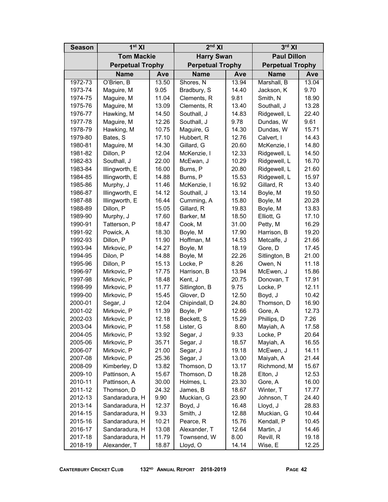| <b>Season</b> | 1 <sup>st</sup> XI      |       | $2nd$ XI                |       | $3rd$ XI                |       |  |
|---------------|-------------------------|-------|-------------------------|-------|-------------------------|-------|--|
|               | <b>Tom Mackie</b>       |       | <b>Harry Swan</b>       |       | <b>Paul Dillon</b>      |       |  |
|               | <b>Perpetual Trophy</b> |       | <b>Perpetual Trophy</b> |       | <b>Perpetual Trophy</b> |       |  |
|               | <b>Name</b>             | Ave   | Name                    | Ave   | <b>Name</b>             | Ave   |  |
| 1972-73       | O'Brien, B              | 13.50 | Shores, N               | 13.94 | Marshall, B             | 13.04 |  |
| 1973-74       | Maguire, M              | 9.05  | Bradbury, S             | 14.40 | Jackson, K              | 9.70  |  |
| 1974-75       | Maguire, M              | 11.04 | Clements, R             | 9.81  | Smith, N                | 18.90 |  |
| 1975-76       | Maguire, M              | 13.09 | Clements, R             | 13.40 | Southall, J             | 13.28 |  |
| 1976-77       | Hawking, M              | 14.50 | Southall, J             | 14.83 | Ridgewell, L            | 22.40 |  |
| 1977-78       | Maguire, M              | 12.26 | Southall, J             | 9.78  | Dundas, W               | 9.61  |  |
| 1978-79       | Hawking, M              | 10.75 | Maguire, G              | 14.30 | Dundas, W               | 15.71 |  |
| 1979-80       | Bates, S                | 17.10 | Hubbert, R              | 12.76 | Calvert, I              | 14.43 |  |
| 1980-81       | Maguire, M              | 14.30 | Gillard, G              | 20.60 | McKenzie, I             | 14.80 |  |
| 1981-82       | Dillon, P               | 12.04 | McKenzie, I             | 12.33 | Ridgewell, L            | 14.50 |  |
| 1982-83       | Southall, J             | 22.00 | McEwan, J               | 10.29 | Ridgewell, L            | 16.70 |  |
| 1983-84       | Illingworth, E          | 16.00 | Burns, P                | 20.80 | Ridgewell, L            | 21.60 |  |
| 1984-85       | Illingworth, E          | 14.88 | Burns, P                | 15.53 | Ridgewell, L            | 15.97 |  |
| 1985-86       | Murphy, J               | 11.46 | McKenzie, I             | 16.92 | Gillard, R              | 13.40 |  |
| 1986-87       | Illingworth, E          | 14.12 | Southall, J             | 13.14 | Boyle, M                | 19.50 |  |
| 1987-88       | Illingworth, E          | 16.44 | Cumming, A              | 15.80 | Boyle, M                | 20.28 |  |
| 1988-89       | Dillon, P               | 15.05 | Gillard, R              | 19.83 | Boyle, M                | 13.83 |  |
| 1989-90       | Murphy, J               | 17.60 | Barker, M               | 18.50 | Elliott, G              | 17.10 |  |
| 1990-91       | Tatterson, P            | 18.47 | Cook, M                 | 31.00 | Petty, M                | 16.29 |  |
| 1991-92       | Powick, A               | 18.30 | Boyle, M                | 17.90 | Harrison, B             | 19.20 |  |
| 1992-93       | Dillon, P               | 11.90 | Hoffman, M              | 14.53 | Metcalfe, J             | 21.66 |  |
| 1993-94       | Mirkovic, P             | 14.27 | Boyle, M                | 18.19 | Gore, D                 | 17.45 |  |
| 1994-95       | Dilon, P                | 14.88 | Boyle, M                | 22.26 | Sitlington, B           | 21.00 |  |
| 1995-96       | Dillon, P               | 15.13 | Locke, P                | 8.26  | Owen, N                 | 11.18 |  |
| 1996-97       | Mirkovic, P             | 17.75 | Harrison, B             | 13.94 | McEwen, J               | 15.86 |  |
| 1997-98       | Mirkovic, P             | 18.48 | Kent, J                 | 20.75 | Donovan, T              | 17.91 |  |
| 1998-99       | Mirkovic, P             | 11.77 | Sitlington, B           | 9.75  | Locke, P                | 12.11 |  |
| 1999-00       | Mirkovic, P             | 15.45 | Glover, D               | 12.50 | Boyd, J                 | 10.42 |  |
| 2000-01       | Segar, J                | 12.04 | Chipindall, D           | 24.80 | Thomson, D              | 16.90 |  |
| 2001-02       | Mirkovic, P             | 11.39 | Boyle, P                | 12.66 | Gore, A                 | 12.73 |  |
| 2002-03       | Mirkovic, P             | 12.18 | Beckett, S              | 15.29 | Phillips, D             | 7.26  |  |
| 2003-04       | Mirkovic, P             | 11.58 | Lister, G               | 8.60  | Mayiah, A               | 17.58 |  |
| 2004-05       | Mirkovic, P             | 13.92 | Segar, J                | 9.33  | Locke, P                | 20.64 |  |
| 2005-06       | Mirkovic, P             | 35.71 | Segar, J                | 18.57 | Mayiah, A               | 16.55 |  |
| 2006-07       | Mirkovic, P             | 21.00 | Segar, J                | 19.18 | McEwen, J               | 14.11 |  |
| 2007-08       | Mirkovic, P             | 25.36 | Segar, J                | 13.00 | Maiyah, A               | 21.44 |  |
| 2008-09       | Kimberley, D            | 13.82 | Thomson, D              | 13.17 | Richmond, M             | 15.67 |  |
| 2009-10       | Pattinson, A            | 15.67 | Thomson, D              | 18.28 | Elton, J                | 12.53 |  |
| 2010-11       | Pattinson, A            | 30.00 | Holmes, L               | 23.30 | Gore, A                 | 16.00 |  |
| 2011-12       | Thomson, D              | 24.32 | James, B                | 18.67 | Winter, T               | 17.77 |  |
| 2012-13       | Sandaradura, H          | 9.90  | Muckian, G              | 23.90 | Johnson, T              | 24.40 |  |
| 2013-14       | Sandaradura, H          | 12.37 | Boyd, J                 | 16.48 | Lloyd, J                | 28.83 |  |
| 2014-15       | Sandaradura, H          | 9.33  | Smith, J                | 12.88 | Muckian, G              | 10.44 |  |
| 2015-16       | Sandaradura, H          | 10.21 | Pearce, R               | 15.76 | Kendall, P              | 10.45 |  |
| 2016-17       | Sandaradura, H          | 13.08 | Alexander, T            | 12.64 | Martin, J               | 14.46 |  |
| 2017-18       | Sandaradura, H          | 11.79 | Townsend, W             | 8.00  | Revill, R               | 19.18 |  |
| 2018-19       | Alexander, T            | 18.87 | Lloyd, O                | 14.14 | Wise, E                 | 12.25 |  |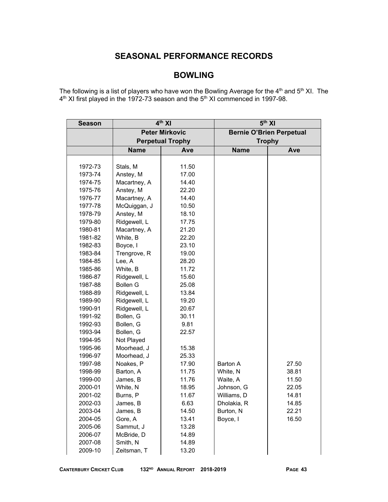# **SEASONAL PERFORMANCE RECORDS**

# **BOWLING**

The following is a list of players who have won the Bowling Average for the  $4<sup>th</sup>$  and  $5<sup>th</sup>$  XI. The  $4<sup>th</sup>$  XI first played in the 1972-73 season and the 5<sup>th</sup> XI commenced in 1997-98.

| <b>Season</b> |                 | $4th$ XI                | 5 <sup>th</sup> XI |                                 |  |  |
|---------------|-----------------|-------------------------|--------------------|---------------------------------|--|--|
|               |                 | <b>Peter Mirkovic</b>   |                    | <b>Bernie O'Brien Perpetual</b> |  |  |
|               |                 | <b>Perpetual Trophy</b> |                    | <b>Trophy</b>                   |  |  |
|               | <b>Name</b>     | Ave                     | <b>Name</b>        | Ave                             |  |  |
|               |                 |                         |                    |                                 |  |  |
| 1972-73       | Stals, M        | 11.50                   |                    |                                 |  |  |
| 1973-74       | Anstey, M       | 17.00                   |                    |                                 |  |  |
| 1974-75       | Macartney, A    | 14.40                   |                    |                                 |  |  |
| 1975-76       | Anstey, M       | 22.20                   |                    |                                 |  |  |
| 1976-77       | Macartney, A    | 14.40                   |                    |                                 |  |  |
| 1977-78       | McQuiggan, J    | 10.50                   |                    |                                 |  |  |
| 1978-79       | Anstey, M       | 18.10                   |                    |                                 |  |  |
| 1979-80       | Ridgewell, L    | 17.75                   |                    |                                 |  |  |
| 1980-81       | Macartney, A    | 21.20                   |                    |                                 |  |  |
| 1981-82       | White, B        | 22.20                   |                    |                                 |  |  |
| 1982-83       | Boyce, I        | 23.10                   |                    |                                 |  |  |
| 1983-84       | Trengrove, R    | 19.00                   |                    |                                 |  |  |
| 1984-85       | Lee, A          | 28.20                   |                    |                                 |  |  |
| 1985-86       | White, B        | 11.72                   |                    |                                 |  |  |
| 1986-87       | Ridgewell, L    | 15.60                   |                    |                                 |  |  |
| 1987-88       | <b>Bollen G</b> | 25.08                   |                    |                                 |  |  |
| 1988-89       | Ridgewell, L    | 13.84                   |                    |                                 |  |  |
| 1989-90       | Ridgewell, L    | 19.20                   |                    |                                 |  |  |
| 1990-91       | Ridgewell, L    | 20.67                   |                    |                                 |  |  |
| 1991-92       | Bollen, G       | 30.11                   |                    |                                 |  |  |
| 1992-93       | Bollen, G       | 9.81                    |                    |                                 |  |  |
| 1993-94       | Bollen, G       | 22.57                   |                    |                                 |  |  |
| 1994-95       | Not Played      |                         |                    |                                 |  |  |
| 1995-96       | Moorhead, J     | 15.38                   |                    |                                 |  |  |
| 1996-97       | Moorhead, J     | 25.33                   |                    |                                 |  |  |
| 1997-98       | Noakes, P       | 17.90                   | Barton A           | 27.50                           |  |  |
| 1998-99       | Barton, A       | 11.75                   | White, N           | 38.81                           |  |  |
| 1999-00       | James, B        | 11.76                   | Waite, A           | 11.50                           |  |  |
| 2000-01       | White, N        | 18.95                   | Johnson, G         | 22.05                           |  |  |
| 2001-02       | Burns, P        | 11.67                   | Williams, D        | 14.81                           |  |  |
| 2002-03       | James, B        | 6.63                    | Dholakia, R        | 14.85                           |  |  |
| 2003-04       | James, B        | 14.50                   | Burton, N          | 22.21                           |  |  |
| 2004-05       | Gore, A         | 13.41                   | Boyce, I           | 16.50                           |  |  |
| 2005-06       | Sammut, J       | 13.28                   |                    |                                 |  |  |
| 2006-07       | McBride, D      | 14.89                   |                    |                                 |  |  |
| 2007-08       | Smith, N        | 14.89                   |                    |                                 |  |  |
| 2009-10       | Zeitsman, T     | 13.20                   |                    |                                 |  |  |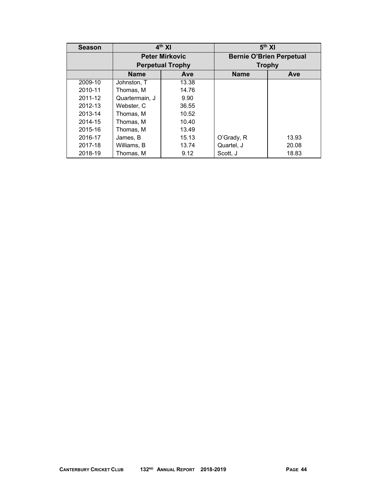| <b>Season</b> |                    | $4th$ XI                | 5 <sup>th</sup> XI              |       |  |  |
|---------------|--------------------|-------------------------|---------------------------------|-------|--|--|
|               |                    | <b>Peter Mirkovic</b>   | <b>Bernie O'Brien Perpetual</b> |       |  |  |
|               |                    | <b>Perpetual Trophy</b> | <b>Trophy</b>                   |       |  |  |
|               | <b>Name</b><br>Ave |                         | <b>Name</b>                     | Ave   |  |  |
| 2009-10       | Johnston, T        | 13.38                   |                                 |       |  |  |
| 2010-11       | Thomas, M          | 14.76                   |                                 |       |  |  |
| 2011-12       | Quartermain. J     | 9.90                    |                                 |       |  |  |
| 2012-13       | Webster, C         | 36.55                   |                                 |       |  |  |
| 2013-14       | Thomas, M          | 10.52                   |                                 |       |  |  |
| 2014-15       | Thomas, M          | 10.40                   |                                 |       |  |  |
| 2015-16       | Thomas, M          | 13.49                   |                                 |       |  |  |
| 2016-17       | James, B           | 15.13                   | O'Grady, R                      | 13.93 |  |  |
| 2017-18       | Williams, B        | 13.74                   | Quartel, J                      | 20.08 |  |  |
| 2018-19       | Thomas, M          | 9.12                    | Scott, J                        | 18.83 |  |  |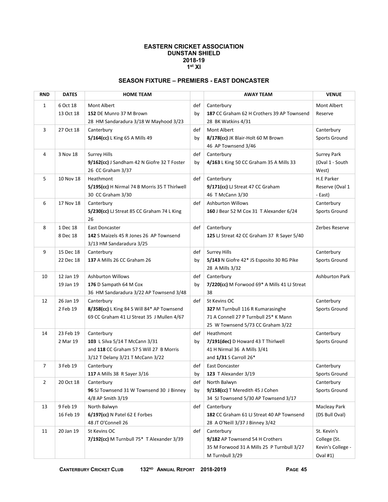#### **EASTERN CRICKET ASSOCIATION DUNSTAN SHIELD 2018-19 1st XI**

## **SEASON FIXTURE – PREMIERS - EAST DONCASTER**

| <b>RND</b>     | <b>DATES</b>           | <b>HOME TEAM</b>                                                                                                            |           | <b>AWAY TEAM</b>                                                                                                                | <b>VENUE</b>                                                 |  |
|----------------|------------------------|-----------------------------------------------------------------------------------------------------------------------------|-----------|---------------------------------------------------------------------------------------------------------------------------------|--------------------------------------------------------------|--|
| 1              | 6 Oct 18<br>13 Oct 18  | Mont Albert<br>152 DE Munro 37 M Brown<br>28 HM Sandaradura 3/18 W Mayhood 3/23                                             | def<br>by | Canterbury<br>187 CC Graham 62 H Crothers 39 AP Townsend<br>28 BK Watkins 4/31                                                  | Mont Albert<br>Reserve                                       |  |
| 3              | 27 Oct 18              | Canterbury<br>5/164(cc) L King 65 A Mills 49                                                                                | def<br>by | Mont Albert<br>8/178(cc) JK Blair-Holt 60 M Brown<br>46 AP Townsend 3/46                                                        | Canterbury<br>Sports Ground                                  |  |
| 4              | 3 Nov 18               | <b>Surrey Hills</b><br>9/162(cc) J Sandham 42 N Giofre 32 T Foster<br>26 CC Graham 3/37                                     | def<br>by | Canterbury<br>4/163 L King 50 CC Graham 35 A Mills 33                                                                           | <b>Surrey Park</b><br>(Oval 1 - South<br>West)               |  |
| 5              | 10 Nov 18              | Heathmont<br>5/195(cc) H Nirmal 74 B Morris 35 T Thirlwell<br>30 CC Graham 3/30                                             | def       | Canterbury<br>$9/171$ (cc) LJ Streat 47 CC Graham<br>46 T McCann 3/30                                                           | H.E Parker<br>Reserve (Oval 1<br>- East)                     |  |
| 6              | 17 Nov 18              | Canterbury<br>5/230(cc) LJ Streat 85 CC Graham 74 L King<br>26                                                              | def       | <b>Ashburton Willows</b><br>160 J Bear 52 M Cox 31 T Alexander 6/24                                                             | Canterbury<br>Sports Ground                                  |  |
| 8              | 1 Dec 18<br>8 Dec 18   | East Doncaster<br>142 S Maizels 45 R Jones 26 AP Townsend<br>3/13 HM Sandaradura 3/25                                       | def       | Canterbury<br>125 LJ Streat 42 CC Graham 37 R Sayer 5/40                                                                        | Zerbes Reserve                                               |  |
| 9              | 15 Dec 18<br>22 Dec 18 | Canterbury<br>137 A Mills 26 CC Graham 26                                                                                   | def<br>by | <b>Surrey Hills</b><br>5/143 N Giofre 42* JS Esposito 30 RG Pike<br>28 A Mills 3/32                                             | Canterbury<br>Sports Ground                                  |  |
| 10             | 12 Jan 19<br>19 Jan 19 | <b>Ashburton Willows</b><br>176 D Sampath 64 M Cox<br>36 HM Sandaradura 3/22 AP Townsend 3/48                               | def<br>by | Canterbury<br>7/220(cc) M Forwood 69* A Mills 41 LJ Streat<br>38                                                                | <b>Ashburton Park</b>                                        |  |
| 12             | 26 Jan 19<br>2 Feb 19  | Canterbury<br>8/358(cc) L King 84 S Will 84* AP Townsend<br>69 CC Graham 41 LJ Streat 35 J Mullen 4/67                      | def       | St Kevins OC<br>327 M Turnbull 116 R Kumarasinghe<br>71 A Connell 27 P Turnbull 25* K Mann<br>25 W Townsend 5/73 CC Graham 3/22 | Canterbury<br>Sports Ground                                  |  |
| 14             | 23 Feb 19<br>2 Mar 19  | Canterbury<br>103 L Silva 5/14 T McCann 3/31<br>and 118 CC Graham 57 S Will 27 B Morris<br>3/12 T Delany 3/21 T McCann 3/22 | def<br>by | Heathmont<br>7/191(dec) D Howard 43 T Thirlwell<br>41 H Nirmal 36 A Mills 3/41<br>and 1/31 S Carroll 26*                        | Canterbury<br>Sports Ground                                  |  |
| $\overline{7}$ | 3 Feb 19               | Canterbury<br>117 A Mills 38 R Sayer 3/16                                                                                   | def<br>рy | East Doncaster<br>123 T Alexander 3/19                                                                                          | Canterbury<br>Sports Ground                                  |  |
| 2              | 20 Oct 18              | Canterbury<br>96 SJ Townsend 31 W Townsend 30 J Binney<br>4/8 AP Smith 3/19                                                 | def<br>by | North Balwyn<br>9/158(cc) T Meredith 45 J Cohen<br>34 SJ Townsend 5/30 AP Townsend 3/17                                         | Canterbury<br>Sports Ground                                  |  |
| 13             | 9 Feb 19<br>16 Feb 19  | North Balwyn<br>6/197(cc) N Patel 62 E Forbes<br>48 JT O'Connell 26                                                         | def       | Canterbury<br>182 CC Graham 61 LJ Streat 40 AP Townsend<br>28 A O'Neill 3/37 J Binney 3/42                                      | Macleay Park<br>(DS Bull Oval)                               |  |
| 11             | 20 Jan 19              | St Kevins OC<br>7/192(cc) M Turnbull 75* T Alexander 3/39                                                                   | def       | Canterbury<br>9/182 AP Townsend 54 H Crothers<br>35 M Forwood 31 A Mills 25 P Turnbull 3/27<br>M Turnbull 3/29                  | St. Kevin's<br>College (St.<br>Kevin's College -<br>Oval #1) |  |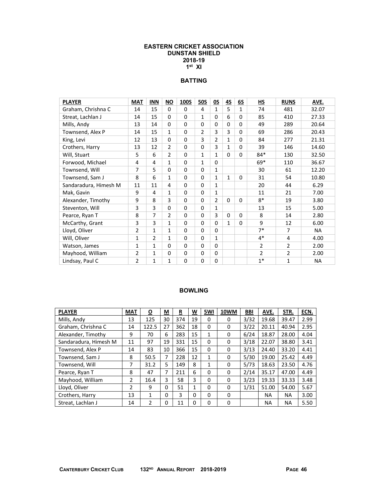### **EASTERN CRICKET ASSOCIATION DUNSTAN SHIELD 2018-19 1st XI**

## **BATTING**

| <b>PLAYER</b>         | <b>MAT</b>     | <b>INN</b>     | <b>NO</b>      | <b>100S</b> | 50S          | 0S             | 45           | 65           | НS             | <b>RUNS</b>    | AVE.      |
|-----------------------|----------------|----------------|----------------|-------------|--------------|----------------|--------------|--------------|----------------|----------------|-----------|
| Graham, Chrishna C    | 14             | 15             | 0              | 0           | 4            | 1              | 5            | $\mathbf{1}$ | 74             | 481            | 32.07     |
| Streat, Lachlan J     | 14             | 15             | 0              | $\Omega$    | $\mathbf{1}$ | $\Omega$       | 6            | 0            | 85             | 410            | 27.33     |
| Mills, Andy           | 13             | 14             | 0              | $\Omega$    | $\Omega$     | $\Omega$       | $\Omega$     | 0            | 49             | 289            | 20.64     |
| Townsend, Alex P      | 14             | 15             | $\mathbf{1}$   | $\Omega$    | 2            | 3              | 3            | 0            | 69             | 286            | 20.43     |
| King, Levi            | 12             | 13             | 0              | 0           | 3            | $\overline{2}$ | 1            | 0            | 84             | 277            | 21.31     |
| Crothers, Harry       | 13             | 12             | $\overline{2}$ | 0           | $\Omega$     | 3              | 1            | 0            | 39             | 146            | 14.60     |
| Will, Stuart          | 5              | 6              | 2              | $\Omega$    | $\mathbf{1}$ | $\mathbf{1}$   | 0            | 0            | $84*$          | 130            | 32.50     |
| Forwood, Michael      | 4              | 4              | $\mathbf{1}$   | $\Omega$    | $\mathbf{1}$ | $\Omega$       |              |              | $69*$          | 110            | 36.67     |
| Townsend, Will        | $\overline{7}$ | 5              | 0              | $\Omega$    | $\Omega$     | $\mathbf{1}$   |              |              | 30             | 61             | 12.20     |
| Townsend, Sam J       | 8              | 6              | 1              | $\Omega$    | $\Omega$     | $\mathbf{1}$   | $\mathbf{1}$ | $\Omega$     | 31             | 54             | 10.80     |
| Sandaradura, Himesh M | 11             | 11             | 4              | 0           | $\Omega$     | $\mathbf{1}$   |              |              | 20             | 44             | 6.29      |
| Mak, Gavin            | 9              | 4              | $\mathbf{1}$   | $\Omega$    | $\Omega$     | $\mathbf{1}$   |              |              | 11             | 21             | 7.00      |
| Alexander, Timothy    | 9              | 8              | 3              | $\Omega$    | $\Omega$     | 2              | $\Omega$     | $\Omega$     | $8*$           | 19             | 3.80      |
| Steventon, Will       | 3              | 3              | 0              | $\Omega$    | $\Omega$     | $\mathbf{1}$   |              |              | 13             | 15             | 5.00      |
| Pearce, Ryan T        | 8              | 7              | $\overline{2}$ | 0           | $\Omega$     | 3              | 0            | 0            | 8              | 14             | 2.80      |
| McCarthy, Grant       | 3              | 3              | 1              | $\Omega$    | $\Omega$     | $\Omega$       | $\mathbf{1}$ | 0            | 9              | 12             | 6.00      |
| Lloyd, Oliver         | 2              | $\mathbf{1}$   | $\mathbf{1}$   | $\Omega$    | $\Omega$     | $\Omega$       |              |              | $7*$           | $\overline{7}$ | NA        |
| Will, Oliver          | $\mathbf{1}$   | $\overline{2}$ | 1              | $\Omega$    | $\Omega$     | $\mathbf{1}$   |              |              | $4*$           | 4              | 4.00      |
| Watson, James         | $\mathbf{1}$   | 1              | 0              | 0           | $\Omega$     | $\Omega$       |              |              | $\overline{2}$ | 2              | 2.00      |
| Mayhood, William      | $\overline{2}$ | 1              | 0              | 0           | 0            | 0              |              |              | $\overline{2}$ | $\overline{2}$ | 2.00      |
| Lindsay, Paul C       | $\overline{2}$ | $\mathbf{1}$   | 1              | 0           | $\mathbf 0$  | 0              |              |              | $1*$           | $\mathbf{1}$   | <b>NA</b> |

| <b>PLAYER</b>         | <b>MAT</b> | <u>0</u>     | М        | $\overline{\mathbf{R}}$ | $\underline{\mathsf{w}}$ | 5WI          | 10WM | <b>BBI</b> | AVE.      | STR.      | ECN. |
|-----------------------|------------|--------------|----------|-------------------------|--------------------------|--------------|------|------------|-----------|-----------|------|
| Mills, Andy           | 13         | 125          | 30       | 374                     | 19                       | 0            | 0    | 3/32       | 19.68     | 39.47     | 2.99 |
| Graham, Chrishna C    | 14         | 122.5        | 27       | 362                     | 18                       | 0            | 0    | 3/22       | 20.11     | 40.94     | 2.95 |
| Alexander, Timothy    | 9          | 70           | 6        | 283                     | 15                       | 1            | 0    | 6/24       | 18.87     | 28.00     | 4.04 |
| Sandaradura, Himesh M | 11         | 97           | 19       | 331                     | 15                       | 0            | 0    | 3/18       | 22.07     | 38.80     | 3.41 |
| Townsend, Alex P      | 14         | 83           | 10       | 366                     | 15                       | 0            | 0    | 3/13       | 24.40     | 33.20     | 4.41 |
| Townsend, Sam J       | 8          | 50.5         | 7        | 228                     | 12                       | $\mathbf{1}$ | 0    | 5/30       | 19.00     | 25.42     | 4.49 |
| Townsend, Will        | 7          | 31.2         | 5        | 149                     | 8                        | 1            | 0    | 5/73       | 18.63     | 23.50     | 4.76 |
| Pearce, Ryan T        | 8          | 47           | 7        | 211                     | 6                        | 0            | 0    | 2/14       | 35.17     | 47.00     | 4.49 |
| Mayhood, William      | 2          | 16.4         | 3        | 58                      | 3                        | 0            | 0    | 3/23       | 19.33     | 33.33     | 3.48 |
| Lloyd, Oliver         | 2          | 9            | 0        | 51                      | $\mathbf{1}$             | 0            | 0    | 1/31       | 51.00     | 54.00     | 5.67 |
| Crothers, Harry       | 13         | $\mathbf{1}$ | $\Omega$ | 3                       | $\Omega$                 | 0            | 0    |            | <b>NA</b> | <b>NA</b> | 3.00 |
| Streat. Lachlan J     | 14         | 2            | 0        | 11                      | $\Omega$                 | 0            | 0    |            | <b>NA</b> | ΝA        | 5.50 |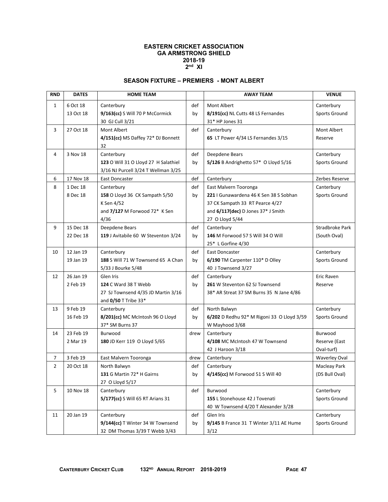### **EASTERN CRICKET ASSOCIATION GA ARMSTRONG SHIELD 2018-19 2nd XI**

## **SEASON FIXTURE – PREMIERS - MONT ALBERT**

| <b>RND</b>     | <b>DATES</b> | <b>HOME TEAM</b>                     |      | <b>AWAY TEAM</b>                           | <b>VENUE</b>         |
|----------------|--------------|--------------------------------------|------|--------------------------------------------|----------------------|
| $\mathbf{1}$   | 6 Oct 18     | Canterbury                           | def  | Mont Albert                                | Canterbury           |
|                | 13 Oct 18    | 9/163(cc) S Will 70 P McCormick      | by   | 8/191(cc) NL Cutts 48 LS Fernandes         | Sports Ground        |
|                |              | 30 GJ Cull 3/21                      |      | 31* HP Jones 31                            |                      |
| 3              | 27 Oct 18    | Mont Albert                          | def  | Canterbury                                 | Mont Albert          |
|                |              | 4/151(cc) MS Daffey 72* DJ Bonnett   |      | 65 LT Power 4/34 LS Fernandes 3/15         | Reserve              |
|                |              | 32                                   |      |                                            |                      |
| 4              | 3 Nov 18     | Canterbury                           | def  | Deepdene Bears                             | Canterbury           |
|                |              | 123 O Will 31 O Lloyd 27 H Salathiel | by   | 5/126 B Andrighetto 57* O Lloyd 5/16       | <b>Sports Ground</b> |
|                |              | 3/16 NJ Purcell 3/24 T Wellman 3/25  |      |                                            |                      |
| 6              | 17 Nov 18    | East Doncaster                       | def  | Canterbury                                 | Zerbes Reserve       |
| 8              | 1 Dec 18     | Canterbury                           | def  | East Malvern Tooronga                      | Canterbury           |
|                | 8 Dec 18     | 158 O Lloyd 36 CK Sampath 5/50       | by   | 221   Gunawardena 46 K Sen 38 S Sobhan     | Sports Ground        |
|                |              | K Sen 4/52                           |      | 37 CK Sampath 33 RT Pearce 4/27            |                      |
|                |              | and 7/127 M Forwood 72* K Sen        |      | and 6/117(dec) D Jones 37* J Smith         |                      |
|                |              | 4/36                                 |      | 27 O Lloyd 5/44                            |                      |
| 9              | 15 Dec 18    | Deepdene Bears                       | def  | Canterbury                                 | Stradbroke Park      |
|                | 22 Dec 18    | 119 J Avitabile 60 W Steventon 3/24  | by   | 146 M Forwood 57 S Will 34 O Will          | (South Oval)         |
|                |              |                                      |      | 25* L Gorfine 4/30                         |                      |
| 10             | 12 Jan 19    | Canterbury                           | def  | East Doncaster                             | Canterbury           |
|                | 19 Jan 19    | 188 S Will 71 W Townsend 65 A Chan   | by   | 6/190 TM Carpenter 110* D Olley            | Sports Ground        |
|                |              | 5/33 J Bourke 5/48                   |      | 40 J Townsend 3/27                         |                      |
| 12             | 26 Jan 19    | Glen Iris                            | def  | Canterbury                                 | Eric Raven           |
|                | 2 Feb 19     | 124 C Ward 38 T Webb                 | by   | 261 W Steventon 62 SJ Townsend             | Reserve              |
|                |              | 27 SJ Townsend 4/35 JD Martin 3/16   |      | 38* AR Streat 37 SM Burns 35 N Jane 4/86   |                      |
|                |              | and 0/50 T Tribe 33*                 |      |                                            |                      |
| 13             | 9 Feb 19     | Canterbury                           | def  | North Balwyn                               | Canterbury           |
|                | 16 Feb 19    | 8/201(cc) MC McIntosh 96 O Lloyd     | by   | 6/202 D Redhu 92* M Rigoni 33 O Lloyd 3/59 | Sports Ground        |
|                |              | 37* SM Burns 37                      |      | W Mayhood 3/68                             |                      |
| 14             | 23 Feb 19    | Burwood                              | drew | Canterbury                                 | Burwood              |
|                | 2 Mar 19     | 180 JD Kerr 119 O Lloyd 5/65         |      | 4/108 MC McIntosh 47 W Townsend            | Reserve (East        |
|                |              |                                      |      | 42 J Haroon 3/18                           | Oval-turf)           |
| 7              | 3 Feb 19     | East Malvern Tooronga                | drew | Canterbury                                 | <b>Waverley Oval</b> |
| $\overline{2}$ | 20 Oct 18    | North Balwyn                         | def  | Canterbury                                 | Macleay Park         |
|                |              | 131 G Martin 72* H Gairns            | by   | 4/145(cc) M Forwood 51 S Will 40           | (DS Bull Oval)       |
|                |              | 27 O Lloyd 5/17                      |      |                                            |                      |
| 5              | 10 Nov 18    | Canterbury                           | def  | Burwood                                    | Canterbury           |
|                |              | 5/177(cc) S Will 65 RT Arians 31     |      | 155 L Stonehouse 42 J Tovenati             | Sports Ground        |
|                |              |                                      |      | 40 W Townsend 4/20 T Alexander 3/28        |                      |
| 11             | 20 Jan 19    | Canterbury                           | def  | Glen Iris                                  | Canterbury           |
|                |              | 9/144(cc) T Winter 34 W Townsend     | by   | 9/145 B France 31 T Winter 3/11 AE Hume    | Sports Ground        |
|                |              | 32 DM Thomas 3/39 T Webb 3/43        |      | 3/12                                       |                      |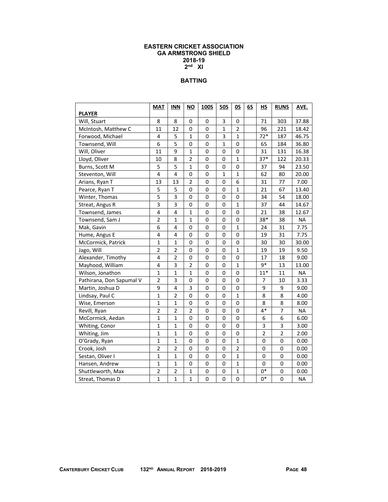### **EASTERN CRICKET ASSOCIATION GA ARMSTRONG SHIELD 2018-19 2nd XI**

## **BATTING**

|                          | <b>MAT</b>              | <b>INN</b>     | $\underline{\mathsf{NO}}$ | 100S | 50S         | <u>OS</u>      | 65 | H <sub>S</sub> | <b>RUNS</b>    | AVE.      |
|--------------------------|-------------------------|----------------|---------------------------|------|-------------|----------------|----|----------------|----------------|-----------|
| <b>PLAYER</b>            |                         |                |                           |      |             |                |    |                |                |           |
| Will, Stuart             | 8                       | 8              | 0                         | 0    | 3           | 0              |    | 71             | 303            | 37.88     |
| McIntosh, Matthew C      | 11                      | 12             | 0                         | 0    | 1           | 2              |    | 96             | 221            | 18.42     |
| Forwood, Michael         | 4                       | 5              | 1                         | 0    | 3           | $\mathbf{1}$   |    | $72*$          | 187            | 46.75     |
| Townsend, Will           | 6                       | 5              | 0                         | 0    | 1           | 0              |    | 65             | 184            | 36.80     |
| Will, Oliver             | 11                      | 9              | $\mathbf{1}$              | 0    | 0           | 0              |    | 31             | 131            | 16.38     |
| Lloyd, Oliver            | 10                      | 8              | $\overline{2}$            | 0    | 0           | $\mathbf{1}$   |    | $37*$          | 122            | 20.33     |
| Burns, Scott M           | 5                       | 5              | $\mathbf 1$               | 0    | 0           | 0              |    | 37             | 94             | 23.50     |
| Steventon, Will          | 4                       | 4              | 0                         | 0    | $\mathbf 1$ | $\mathbf{1}$   |    | 62             | 80             | 20.00     |
| Arians, Ryan T           | 13                      | 13             | $\overline{2}$            | 0    | 0           | 6              |    | 31             | 77             | 7.00      |
| Pearce, Ryan T           | 5                       | 5              | 0                         | 0    | 0           | $\mathbf{1}$   |    | 21             | 67             | 13.40     |
| Winter, Thomas           | $\overline{\mathbf{5}}$ | 3              | 0                         | 0    | 0           | 0              |    | 34             | 54             | 18.00     |
| Streat, Angus R          | 3                       | 3              | 0                         | 0    | 0           | 1              |    | 37             | 44             | 14.67     |
| Townsend, James          | 4                       | 4              | $\mathbf{1}$              | 0    | 0           | 0              |    | 21             | 38             | 12.67     |
| Townsend, Sam J          | $\overline{2}$          | $\mathbf{1}$   | $\mathbf{1}$              | 0    | 0           | 0              |    | 38*            | 38             | <b>NA</b> |
| Mak, Gavin               | 6                       | 4              | 0                         | 0    | 0           | 1              |    | 24             | 31             | 7.75      |
| Hume, Angus E            | 4                       | 4              | 0                         | 0    | 0           | 0              |    | 19             | 31             | 7.75      |
| McCormick, Patrick       | $\mathbf 1$             | $\mathbf{1}$   | 0                         | 0    | 0           | 0              |    | 30             | 30             | 30.00     |
| Jago, Will               | $\overline{2}$          | $\overline{2}$ | 0                         | 0    | 0           | $\mathbf{1}$   |    | 19             | 19             | 9.50      |
| Alexander, Timothy       | 4                       | $\overline{2}$ | 0                         | 0    | 0           | 0              |    | 17             | 18             | 9.00      |
| Mayhood, William         | 4                       | 3              | $\overline{2}$            | 0    | 0           | $\mathbf{1}$   |    | $9*$           | 13             | 13.00     |
| Wilson, Jonathon         | $\mathbf{1}$            | $\mathbf 1$    | $\mathbf{1}$              | 0    | 0           | 0              |    | $11*$          | 11             | <b>NA</b> |
| Pathirana, Don Sapumal V | $\overline{2}$          | 3              | 0                         | 0    | 0           | 0              |    | 7              | 10             | 3.33      |
| Martin, Joshua D         | 9                       | 4              | 3                         | 0    | 0           | 0              |    | 9              | 9              | 9.00      |
| Lindsay, Paul C          | $\overline{1}$          | $\overline{2}$ | 0                         | 0    | 0           | $\mathbf{1}$   |    | 8              | 8              | 4.00      |
| Wise, Emerson            | $\mathbf 1$             | $\mathbf{1}$   | $\pmb{0}$                 | 0    | 0           | 0              |    | 8              | 8              | 8.00      |
| Revill, Ryan             | $\overline{2}$          | $\overline{2}$ | $\overline{2}$            | 0    | 0           | 0              |    | $4*$           | $\overline{7}$ | <b>NA</b> |
| McCormick, Aedan         | $\mathbf{1}$            | $\overline{1}$ | 0                         | 0    | $\mathbf 0$ | $\mathbf 0$    |    | 6              | 6              | 6.00      |
| Whiting, Conor           | $\mathbf{1}$            | 1              | 0                         | 0    | 0           | 0              |    | 3              | 3              | 3.00      |
| Whiting, Jim             | $\mathbf{1}$            | $\mathbf{1}$   | 0                         | 0    | 0           | 0              |    | $\overline{2}$ | $\overline{2}$ | 2.00      |
| O'Grady, Ryan            | $\mathbf{1}$            | $\mathbf 1$    | 0                         | 0    | 0           | $\mathbf{1}$   |    | 0              | 0              | 0.00      |
| Crook, Josh              | $\overline{2}$          | $\overline{2}$ | 0                         | 0    | 0           | $\overline{2}$ |    | 0              | 0              | 0.00      |
| Sestan, Oliver I         | $\mathbf{1}$            | $\mathbf{1}$   | 0                         | 0    | 0           | $\mathbf{1}$   |    | 0              | 0              | 0.00      |
| Hansen, Andrew           | $\mathbf 1$             | $\mathbf{1}$   | 0                         | 0    | 0           | $\mathbf{1}$   |    | 0              | 0              | 0.00      |
| Shuttleworth, Max        | $\overline{\mathbf{c}}$ | $\overline{2}$ | $\mathbf{1}$              | 0    | 0           | $\mathbf{1}$   |    | $0*$           | 0              | 0.00      |
| Streat, Thomas D         | $\mathbf{1}$            | $\mathbf{1}$   | $\mathbf{1}$              | 0    | 0           | 0              |    | $0*$           | 0              | <b>NA</b> |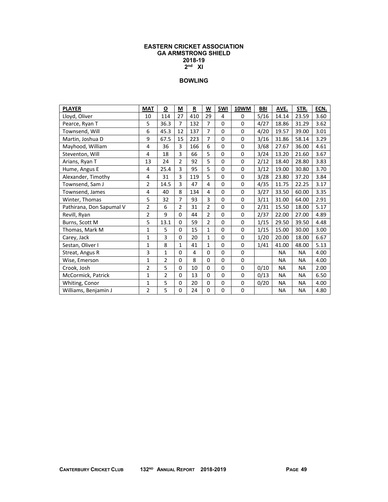### **EASTERN CRICKET ASSOCIATION GA ARMSTRONG SHIELD 2018-19 2nd XI**

| <b>PLAYER</b>            | <b>MAT</b>     | O              | M              | R   | W              | 5WI         | 10WM        | <b>BBI</b> | AVE.      | STR.      | ECN. |
|--------------------------|----------------|----------------|----------------|-----|----------------|-------------|-------------|------------|-----------|-----------|------|
| Lloyd, Oliver            | 10             | 114            | 27             | 410 | 29             | 4           | $\Omega$    | 5/16       | 14.14     | 23.59     | 3.60 |
| Pearce, Ryan T           | 5              | 36.3           | $\overline{7}$ | 132 | $\overline{7}$ | $\Omega$    | 0           | 4/27       | 18.86     | 31.29     | 3.62 |
| Townsend, Will           | 6              | 45.3           | 12             | 137 | 7              | $\Omega$    | 0           | 4/20       | 19.57     | 39.00     | 3.01 |
| Martin, Joshua D         | 9              | 67.5           | 15             | 223 | 7              | $\Omega$    | 0           | 3/16       | 31.86     | 58.14     | 3.29 |
| Mayhood, William         | 4              | 36             | 3              | 166 | 6              | $\Omega$    | $\Omega$    | 3/68       | 27.67     | 36.00     | 4.61 |
| Steventon, Will          | 4              | 18             | 3              | 66  | 5              | $\Omega$    | 0           | 3/24       | 13.20     | 21.60     | 3.67 |
| Arians, Ryan T           | 13             | 24             | $\overline{2}$ | 92  | 5              | $\Omega$    | $\Omega$    | 2/12       | 18.40     | 28.80     | 3.83 |
| Hume, Angus E            | 4              | 25.4           | 3              | 95  | 5              | $\Omega$    | 0           | 3/12       | 19.00     | 30.80     | 3.70 |
| Alexander, Timothy       | 4              | 31             | 3              | 119 | 5              | $\Omega$    | 0           | 3/28       | 23.80     | 37.20     | 3.84 |
| Townsend, Sam J          | $\overline{2}$ | 14.5           | 3              | 47  | 4              | $\Omega$    | 0           | 4/35       | 11.75     | 22.25     | 3.17 |
| Townsend, James          | 4              | 40             | 8              | 134 | 4              | 0           | $\Omega$    | 3/27       | 33.50     | 60.00     | 3.35 |
| Winter, Thomas           | 5              | 32             | 7              | 93  | 3              | $\Omega$    | 0           | 3/11       | 31.00     | 64.00     | 2.91 |
| Pathirana, Don Sapumal V | $\overline{2}$ | 6              | $\overline{2}$ | 31  | 2              | 0           | 0           | 2/31       | 15.50     | 18.00     | 5.17 |
| Revill, Ryan             | 2              | 9              | $\Omega$       | 44  | $\overline{2}$ | $\Omega$    | 0           | 2/37       | 22.00     | 27.00     | 4.89 |
| Burns, Scott M           | 5              | 13.1           | $\Omega$       | 59  | $\overline{2}$ | $\Omega$    | $\Omega$    | 1/15       | 29.50     | 39.50     | 4.48 |
| Thomas, Mark M           | 1              | 5              | $\Omega$       | 15  | $\mathbf{1}$   | $\mathbf 0$ | 0           | 1/15       | 15.00     | 30.00     | 3.00 |
| Carey, Jack              | $\mathbf{1}$   | 3              | 0              | 20  | $\mathbf{1}$   | $\Omega$    | $\Omega$    | 1/20       | 20.00     | 18.00     | 6.67 |
| Sestan, Oliver I         | $\mathbf 1$    | 8              | 1              | 41  | 1              | 0           | 0           | 1/41       | 41.00     | 48.00     | 5.13 |
| Streat, Angus R          | 3              | $\mathbf{1}$   | $\Omega$       | 4   | 0              | 0           | 0           |            | <b>NA</b> | <b>NA</b> | 4.00 |
| Wise, Emerson            | $\mathbf{1}$   | 2              | $\Omega$       | 8   | 0              | 0           | 0           |            | <b>NA</b> | <b>NA</b> | 4.00 |
| Crook, Josh              | $\mathbf{2}$   | 5              | $\Omega$       | 10  | 0              | 0           | 0           | 0/10       | NA        | <b>NA</b> | 2.00 |
| McCormick, Patrick       | $\mathbf 1$    | $\overline{2}$ | $\Omega$       | 13  | 0              | 0           | 0           | 0/13       | <b>NA</b> | <b>NA</b> | 6.50 |
| Whiting, Conor           | $\mathbf{1}$   | 5              | 0              | 20  | 0              | 0           | 0           | 0/20       | <b>NA</b> | <b>NA</b> | 4.00 |
| Williams, Benjamin J     | $\mathbf{2}$   | 5              | $\Omega$       | 24  | 0              | 0           | $\mathbf 0$ |            | <b>NA</b> | <b>NA</b> | 4.80 |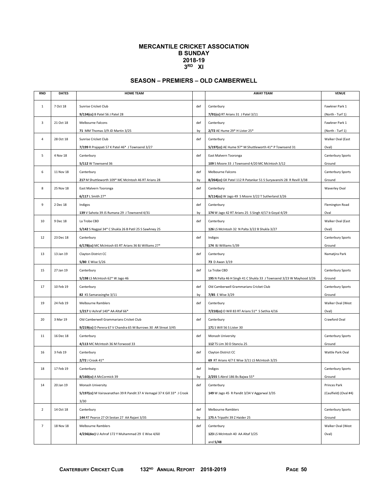### **MERCANTILE CRICKET ASSOCIATION B SUNDAY 2018-19 3RD XI**

### **SEASON – PREMIERS – OLD CAMBERWELL**

| <b>RND</b>     | <b>DATES</b> | <b>HOME TEAM</b>                                                         |           | <b>AWAY TEAM</b>                                                     | <b>VENUE</b>          |
|----------------|--------------|--------------------------------------------------------------------------|-----------|----------------------------------------------------------------------|-----------------------|
|                | 7 Oct 18     | Sunrise Cricket Club                                                     | def       | Canterbury                                                           | Fawkner Park 1        |
| $\mathbf{1}$   |              | 9/134(cc) B Patel 56 J Patel 28                                          |           | 7/91(cc) RT Arians 31 J Patel 3/11                                   | (North - Turf 1)      |
| 3              | 21 Oct 18    | Melbourne Falcons                                                        | def       | Canterbury                                                           | Fawkner Park 1        |
|                |              |                                                                          |           | 2/72 AE Hume 29* H Lister 25*                                        | (North - Turf 1)      |
| $\overline{4}$ | 28 Oct 18    | 71 MM Thomas 3/9 JD Martin 3/25                                          | by<br>def |                                                                      | Walker Oval (East     |
|                |              | Sunrise Cricket Club<br>7/199 R Prajapati 57 K Patel 46* J Townsend 3/27 |           | Canterbury<br>5/197(cc) AE Hume 97* M Shuttleworth 41* P Townsend 31 | Oval)                 |
|                | 4 Nov 18     |                                                                          |           | East Malvern Tooronga                                                | Canterbury Sports     |
| 5              |              | Canterbury<br>5/112 W Townsend 36                                        | def       | 109 S Moore 33 J Townsend 4/20 MC McIntosh 3/12                      | Ground                |
| 6              | 11 Nov 18    |                                                                          | def       | Melbourne Falcons                                                    | Canterbury Sports     |
|                |              | Canterbury<br>217 M Shuttleworth 109* MC McIntosh 46 RT Arians 28        | by        | 8/264(cc) GK Patel 112 R Patankar 51 S Suryavanshi 28 R Revill 3/38  | Ground                |
| 8              | 25 Nov 18    |                                                                          | def       |                                                                      |                       |
|                |              | East Malvern Tooronga<br>6/117 L Smith 27*                               |           | Canterbury<br>9/114(cc) W Jago 49 S Moore 3/22 T Sutherland 3/26     | <b>Waverley Oval</b>  |
| 9              | 2 Dec 18     |                                                                          | def       |                                                                      |                       |
|                |              | Indigos<br>139 V Sahota 39 JS Rumana 29 J Townsend 4/31                  |           | Canterbury                                                           | Flemington Road       |
|                |              |                                                                          | by        | 174 W Jago 42 RT Arians 25 S Singh 4/17 b Goyal 4/29                 | Oval                  |
| 10             | 9 Dec 18     | La Trobe CBD                                                             | def       | Canterbury                                                           | Walker Oval (East     |
|                |              | 5/142 S Nagpal 34* C Shukla 26 B Patil 25 S Sawhney 25                   |           | 126 LS McIntosh 32 N Palta 3/22 B Shukla 3/27                        | Oval)                 |
| 12             | 23 Dec 18    | Canterbury                                                               | def       | Indigos                                                              | Canterbury Sports     |
|                |              | 6/178(cc) MC McIntosh 65 RT Arians 36 BJ Williams 27*                    |           | 174 BJ Williams 5/39                                                 | Ground                |
| 13             | 13 Jan 19    | Clayton District CC                                                      | def       | Canterbury                                                           | Namatjira Park        |
|                |              | 5/80 E Wise 5/26                                                         |           | 73 D Awan 3/19                                                       |                       |
| 15             | 27 Jan 19    | Canterbury                                                               | def       | La Trobe CBD                                                         | Canterbury Sports     |
|                |              | 5/198 LS McIntosh 62* W Jago 46                                          |           | 195 N Palta 46 H Singh 41 C Shukla 33 J Townsend 3/23 W Mayhood 3/26 | Ground                |
| 17             | 10 Feb 19    | Canterbury                                                               | def       | Old Camberwell Grammarians Cricket Club                              | Canterbury Sports     |
|                |              | 82 KS Samarasinghe 3/11                                                  | by        | 7/85 E Wise 3/29                                                     | Ground                |
| 19             | 24 Feb 19    | Melbourne Ramblers                                                       | def       | Canterbury                                                           | Walker Oval (West     |
|                |              | 1/217 U Ashraf 140* AA Altaf 66*                                         |           | 7/210(cc) O Will 83 RT Arians 51* S Sethia 4/16                      | Oval)                 |
| 20             | 3 Mar 19     | Old Camberwell Grammarians Cricket Club                                  | def       | Canterbury                                                           | Crawford Oval         |
|                |              | 9/219(cc) D Perera 67 V Chandra 65 M Burrows 30 AR Streat 3/45           |           | 171 S Will 56 S Lister 30                                            |                       |
| 11             | 16 Dec 18    | Canterbury                                                               | def       | Monash University                                                    | Canterbury Sports     |
|                |              | 4/113 MC McIntosh 36 M Forwood 33                                        |           | 112 TS Lim 30 D Stanciu 25                                           | Ground                |
| 16             | 3 Feb 19     | Canterbury                                                               | def       | Clayton District CC                                                  | Wattle Park Oval      |
|                |              | 2/72 J Crook 41*                                                         |           | 69 RT Arians 4/7 E Wise 3/11 LS McIntosh 3/25                        |                       |
| 18             | 17 Feb 19    | Canterbury                                                               | def       | Indigos                                                              | Canterbury Sports     |
|                |              | 8/160(cc) A McCormick 39                                                 | by        | 2/255 S Abrol 186 Bs Bajwa 55*                                       | Ground                |
| 14             | 20 Jan 19    | Monash University                                                        | def       | Canterbury                                                           | Princes Park          |
|                |              | 5/197(cc) M Vairavanathan 39 R Pandit 37 A Vemagal 37 K Gill 33* J Crook |           | 149 W Jago 45 R Pandit 3/34 V Aggarwal 3/35                          | (Caulfield) (Oval #4) |
|                |              | 3/30                                                                     |           |                                                                      |                       |
| $\overline{2}$ | 14 Oct 18    | Canterbury                                                               | def       | <b>Melbourne Ramblers</b>                                            | Canterbury Sports     |
|                |              | 144 RT Pearce 27 OI Sestan 27 AA Rajani 3/35                             | by        | 175 A Tripathi 39 Z Haider 25                                        | Ground                |
| $\overline{7}$ | 18 Nov 18    | Melbourne Ramblers                                                       | def       | Canterbury                                                           | Walker Oval (West     |
|                |              | 4/236(dec) U Ashraf 172 Y Muhammad 29 E Wise 4/60                        |           | 123 LS McIntosh 40 AA Altaf 3/25                                     | Oval)                 |
|                |              |                                                                          |           | and $5/48$                                                           |                       |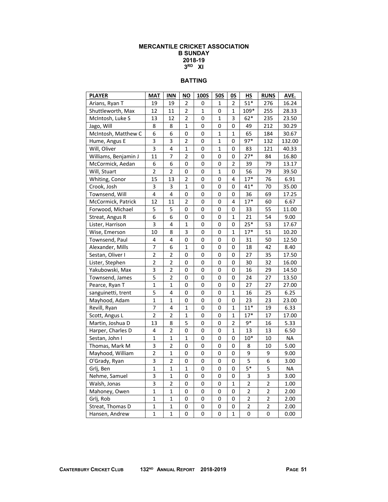### **MERCANTILE CRICKET ASSOCIATION B SUNDAY 2018-19 3RD XI**

### **BATTING**

| <b>PLAYER</b>        | <b>MAT</b>     | <b>INN</b>              | <b>NO</b>      | 100S | <b>50S</b>   | 0S             | <b>HS</b>      | <b>RUNS</b>    | AVE.      |
|----------------------|----------------|-------------------------|----------------|------|--------------|----------------|----------------|----------------|-----------|
| Arians, Ryan T       | 19             | 19                      | $\overline{2}$ | 0    | 1            | 2              | $51*$          | 276            | 16.24     |
| Shuttleworth, Max    | 12             | 11                      | $\overline{2}$ | 1    | 0            | $\mathbf{1}$   | 109*           | 255            | 28.33     |
| McIntosh, Luke S     | 13             | 12                      | 2              | 0    | $\mathbf{1}$ | 3              | $62*$          | 235            | 23.50     |
| Jago, Will           | 8              | 8                       | $\mathbf{1}$   | 0    | 0            | 0              | 49             | 212            | 30.29     |
| McIntosh, Matthew C  | 6              | 6                       | 0              | 0    | $\mathbf{1}$ | $\mathbf{1}$   | 65             | 184            | 30.67     |
| Hume, Angus E        | 3              | 3                       | $\overline{2}$ | 0    | $\mathbf{1}$ | 0              | $97*$          | 132            | 132.00    |
| Will, Oliver         | 3              | 4                       | $\mathbf 1$    | 0    | $\mathbf 1$  | 0              | 83             | 121            | 40.33     |
| Williams, Benjamin J | 11             | 7                       | $\overline{2}$ | 0    | 0            | 0              | $27*$          | 84             | 16.80     |
| McCormick, Aedan     | 6              | 6                       | 0              | 0    | 0            | $\overline{2}$ | 39             | 79             | 13.17     |
| Will, Stuart         | 2              | 2                       | 0              | 0    | $\mathbf 1$  | 0              | 56             | 79             | 39.50     |
| Whiting, Conor       | 15             | 13                      | 2              | 0    | 0            | 4              | $17*$          | 76             | 6.91      |
| Crook, Josh          | 3              | 3                       | 1              | 0    | 0            | 0              | $41*$          | 70             | 35.00     |
| Townsend, Will       | 4              | $\overline{\mathbf{4}}$ | 0              | 0    | 0            | 0              | 36             | 69             | 17.25     |
| McCormick, Patrick   | 12             | 11                      | 2              | 0    | 0            | 4              | $17*$          | 60             | 6.67      |
| Forwood, Michael     | 5              | 5                       | 0              | 0    | 0            | 0              | 33             | 55             | 11.00     |
| Streat, Angus R      | 6              | 6                       | 0              | 0    | 0            | $\mathbf{1}$   | 21             | 54             | 9.00      |
| Lister, Harrison     | $\overline{3}$ | $\overline{\mathbf{4}}$ | $\mathbf 1$    | 0    | 0            | 0              | $25*$          | 53             | 17.67     |
| Wise, Emerson        | 10             | 8                       | 3              | 0    | 0            | $\mathbf{1}$   | $17*$          | 51             | 10.20     |
| Townsend, Paul       | 4              | 4                       | 0              | 0    | 0            | 0              | 31             | 50             | 12.50     |
| Alexander, Mills     | $\overline{7}$ | 6                       | $\mathbf{1}$   | 0    | 0            | 0              | 18             | 42             | 8.40      |
| Sestan, Oliver I     | $\overline{2}$ | $\overline{2}$          | 0              | 0    | 0            | 0              | 27             | 35             | 17.50     |
| Lister, Stephen      | 2              | 2                       | 0              | 0    | 0            | 0              | 30             | 32             | 16.00     |
| Yakubowski, Max      | $\overline{3}$ | $\overline{2}$          | 0              | 0    | 0            | 0              | 16             | 29             | 14.50     |
| Townsend, James      | 5              | $\overline{2}$          | 0              | 0    | 0            | 0              | 24             | 27             | 13.50     |
| Pearce, Ryan T       | $\mathbf{1}$   | $\overline{1}$          | 0              | 0    | 0            | 0              | 27             | 27             | 27.00     |
| sanguinetti, trent   | 5              | 4                       | 0              | 0    | 0            | $\mathbf{1}$   | 16             | 25             | 6.25      |
| Mayhood, Adam        | $\overline{1}$ | $\mathbf{1}$            | 0              | 0    | 0            | 0              | 23             | 23             | 23.00     |
| Revill, Ryan         | $\overline{7}$ | 4                       | $\mathbf{1}$   | 0    | 0            | $\mathbf{1}$   | $11*$          | 19             | 6.33      |
| Scott, Angus L       | $\overline{2}$ | $\overline{2}$          | $\mathbf{1}$   | 0    | 0            | $\mathbf{1}$   | $17*$          | 17             | 17.00     |
| Martin, Joshua D     | 13             | 8                       | 5              | 0    | 0            | $\overline{2}$ | 9*             | 16             | 5.33      |
| Harper, Charles D    | 4              | $\overline{2}$          | 0              | 0    | 0            | $\mathbf{1}$   | 13             | 13             | 6.50      |
| Sestan, John I       | $\overline{1}$ | $\mathbf 1$             | $\mathbf{1}$   | 0    | 0            | 0              | $10*$          | 10             | <b>NA</b> |
| Thomas, Mark M       | 3              | $\overline{\mathbf{c}}$ | 0              | 0    | 0            | 0              | 8              | 10             | 5.00      |
| Mayhood, William     | $\overline{c}$ | $\mathbf{1}$            | 0              | 0    | 0            | 0              | 9              | 9              | 9.00      |
| O'Grady, Ryan        | 3              | 2                       | 0              | 0    | 0            | 0              | 5              | 6              | 3.00      |
| Grlj, Ben            | $\overline{1}$ | $\mathbf 1$             | $\mathbf 1$    | 0    | 0            | 0              | $5*$           | 5              | <b>NA</b> |
| Nehme, Samuel        | 3              | $\mathbf 1$             | 0              | 0    | 0            | 0              | 3              | 3              | 3.00      |
| Walsh, Jonas         | 3              | 2                       | 0              | 0    | 0            | 1              | 2              | 2              | 1.00      |
| Mahoney, Owen        | $\overline{1}$ | $\mathbf 1$             | 0              | 0    | 0            | 0              | $\overline{2}$ | $\overline{2}$ | 2.00      |
| Grlj, Rob            | $\mathbf 1$    | $\mathbf 1$             | 0              | 0    | 0            | 0              | $\overline{2}$ | $\overline{2}$ | 2.00      |
| Streat, Thomas D     | $\mathbf 1$    | $\mathbf 1$             | 0              | 0    | 0            | 0              | $\overline{2}$ | $\overline{2}$ | 2.00      |
| Hansen, Andrew       | $\overline{1}$ | $\overline{1}$          | 0              | 0    | 0            | $\mathbf{1}$   | 0              | 0              | 0.00      |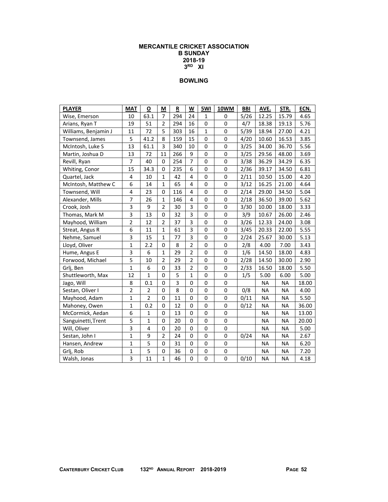### **MERCANTILE CRICKET ASSOCIATION B SUNDAY 2018-19 3RD XI**

| <b>PLAYER</b>        | <b>MAT</b>       | O              | M              | R   | W              | 5WI          | 10WM        | <b>BBI</b> | AVE.      | STR.      | ECN.  |
|----------------------|------------------|----------------|----------------|-----|----------------|--------------|-------------|------------|-----------|-----------|-------|
| Wise, Emerson        | 10               | 63.1           | $\overline{7}$ | 294 | 24             | 1            | $\Omega$    | 5/26       | 12.25     | 15.79     | 4.65  |
| Arians, Ryan T       | 19               | 51             | $\overline{2}$ | 294 | 16             | 0            | 0           | 4/7        | 18.38     | 19.13     | 5.76  |
| Williams, Benjamin J | 11               | 72             | 5              | 303 | 16             | $\mathbf{1}$ | $\mathbf 0$ | 5/39       | 18.94     | 27.00     | 4.21  |
| Townsend, James      | 5                | 41.2           | 8              | 159 | 15             | 0            | $\mathbf 0$ | 4/20       | 10.60     | 16.53     | 3.85  |
| McIntosh, Luke S     | 13               | 61.1           | 3              | 340 | 10             | 0            | 0           | 3/25       | 34.00     | 36.70     | 5.56  |
| Martin, Joshua D     | 13               | 72             | 11             | 266 | 9              | 0            | 0           | 3/25       | 29.56     | 48.00     | 3.69  |
| Revill, Ryan         | $\overline{7}$   | 40             | 0              | 254 | $\overline{7}$ | 0            | 0           | 3/38       | 36.29     | 34.29     | 6.35  |
| Whiting, Conor       | 15               | 34.3           | $\pmb{0}$      | 235 | 6              | $\mathbf 0$  | $\mathbf 0$ | 2/36       | 39.17     | 34.50     | 6.81  |
| Quartel, Jack        | $\overline{4}$   | 10             | $\mathbf{1}$   | 42  | $\overline{4}$ | $\mathbf 0$  | $\mathbf 0$ | 2/11       | 10.50     | 15.00     | 4.20  |
| McIntosh, Matthew C  | 6                | 14             | 1              | 65  | $\overline{4}$ | 0            | 0           | 3/12       | 16.25     | 21.00     | 4.64  |
| Townsend, Will       | 4                | 23             | 0              | 116 | 4              | 0            | 0           | 2/14       | 29.00     | 34.50     | 5.04  |
| Alexander, Mills     | $\overline{7}$   | 26             | $\mathbf{1}$   | 146 | 4              | 0            | $\mathbf 0$ | 2/18       | 36.50     | 39.00     | 5.62  |
| Crook, Josh          | 3                | 9              | $\overline{2}$ | 30  | 3              | 0            | 0           | 3/30       | 10.00     | 18.00     | 3.33  |
| Thomas, Mark M       | 3                | 13             | 0              | 32  | 3              | 0            | 0           | 3/9        | 10.67     | 26.00     | 2.46  |
| Mayhood, William     | $\overline{2}$   | 12             | $\overline{2}$ | 37  | 3              | $\mathbf 0$  | $\mathbf 0$ | 3/26       | 12.33     | 24.00     | 3.08  |
| Streat, Angus R      | $\boldsymbol{6}$ | 11             | $\mathbf{1}$   | 61  | 3              | $\mathbf 0$  | $\pmb{0}$   | 3/45       | 20.33     | 22.00     | 5.55  |
| Nehme, Samuel        | 3                | 15             | 1              | 77  | $\overline{3}$ | 0            | $\mathbf 0$ | 2/24       | 25.67     | 30.00     | 5.13  |
| Lloyd, Oliver        | $\mathbf{1}$     | 2.2            | 0              | 8   | $\overline{2}$ | $\mathbf 0$  | $\mathbf 0$ | 2/8        | 4.00      | 7.00      | 3.43  |
| Hume, Angus E        | 3                | 6              | $\mathbf{1}$   | 29  | $\overline{2}$ | $\mathbf 0$  | $\pmb{0}$   | 1/6        | 14.50     | 18.00     | 4.83  |
| Forwood, Michael     | 5                | 10             | $\overline{2}$ | 29  | $\overline{2}$ | 0            | 0           | 2/28       | 14.50     | 30.00     | 2.90  |
| Grlj, Ben            | $\mathbf{1}$     | 6              | 0              | 33  | $\mathbf 2$    | 0            | 0           | 2/33       | 16.50     | 18.00     | 5.50  |
| Shuttleworth, Max    | 12               | $\mathbf{1}$   | 0              | 5   | $\mathbf{1}$   | 0            | 0           | 1/5        | 5.00      | 6.00      | 5.00  |
| Jago, Will           | 8                | 0.1            | $\pmb{0}$      | 3   | $\mathbf 0$    | 0            | 0           |            | <b>NA</b> | <b>NA</b> | 18.00 |
| Sestan, Oliver I     | $\overline{2}$   | $\overline{2}$ | $\pmb{0}$      | 8   | $\mathbf 0$    | $\mathbf 0$  | $\mathbf 0$ | 0/8        | <b>NA</b> | <b>NA</b> | 4.00  |
| Mayhood, Adam        | $\mathbf{1}$     | $\overline{2}$ | $\mathbf 0$    | 11  | $\mathbf 0$    | $\mathbf 0$  | $\mathbf 0$ | 0/11       | <b>NA</b> | <b>NA</b> | 5.50  |
| Mahoney, Owen        | $\mathbf{1}$     | 0.2            | 0              | 12  | $\mathbf 0$    | $\mathbf 0$  | $\mathbf 0$ | 0/12       | <b>NA</b> | <b>NA</b> | 36.00 |
| McCormick, Aedan     | 6                | 1              | 0              | 13  | 0              | 0            | 0           |            | <b>NA</b> | <b>NA</b> | 13.00 |
| Sanguinetti, Trent   | 5                | $\mathbf{1}$   | 0              | 20  | $\mathbf 0$    | 0            | 0           |            | <b>NA</b> | <b>NA</b> | 20.00 |
| Will, Oliver         | 3                | $\overline{4}$ | 0              | 20  | $\mathbf 0$    | 0            | 0           |            | <b>NA</b> | <b>NA</b> | 5.00  |
| Sestan, John I       | $\mathbf{1}$     | 9              | $\overline{2}$ | 24  | 0              | 0            | 0           | 0/24       | <b>NA</b> | <b>NA</b> | 2.67  |
| Hansen, Andrew       | $\mathbf 1$      | 5              | 0              | 31  | 0              | 0            | 0           |            | <b>NA</b> | <b>NA</b> | 6.20  |
| Grlj, Rob            | $\mathbf 1$      | 5              | 0              | 36  | 0              | 0            | 0           |            | <b>NA</b> | <b>NA</b> | 7.20  |
| Walsh, Jonas         | 3                | 11             | $\mathbf{1}$   | 46  | $\mathbf 0$    | 0            | 0           | 0/10       | <b>NA</b> | <b>NA</b> | 4.18  |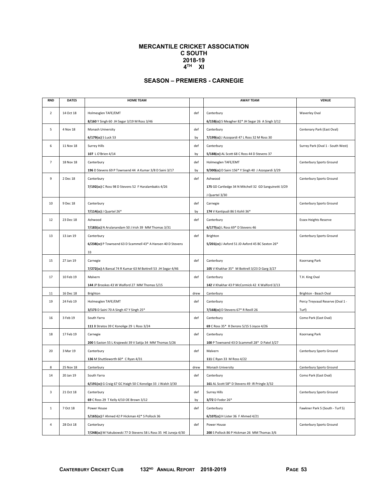### **MERCANTILE CRICKET ASSOCIATION C SOUTH 2018-19 4TH XI**

# **SEASON – PREMIERS - CARNEGIE**

| <b>RND</b>     | <b>DATES</b> | <b>HOME TEAM</b>                                                |      | <b>AWAY TEAM</b>                                               | <b>VENUE</b>                      |
|----------------|--------------|-----------------------------------------------------------------|------|----------------------------------------------------------------|-----------------------------------|
| $\overline{2}$ | 14 Oct 18    | Holmesglen TAFE/EMT                                             | def  |                                                                |                                   |
|                |              |                                                                 |      | Canterbury                                                     | <b>Waverley Oval</b>              |
| 5              | 4 Nov 18     | 8/160 Y Singh 60 JH Segar 3/19 M Ross 3/46<br>Monash University | def  | 6/158(cc) S Meagher 82* JH Segar 26 A Singh 3/12<br>Canterbury | Centenary Park (East Oval)        |
|                |              | 6/179(cc) S Luck 53                                             | by   | 7/199(cc) J Azzopardi 47 L Ross 32 M Ross 30                   |                                   |
|                |              |                                                                 |      |                                                                |                                   |
| 6              | 11 Nov 18    | Surrey Hills<br>107 L O'Brien 4/14                              | def  | Canterbury<br>5/188(cc) AL Scott 68 C Ross 44 D Stevens 37     | Surrey Park (Oval 1 - South West) |
|                |              |                                                                 | by   |                                                                |                                   |
| 7              | 18 Nov 18    | Canterbury                                                      | def  | Holmesglen TAFE/EMT                                            | Canterbury Sports Ground          |
|                |              | 196 D Stevens 69 P Townsend 44 A Kumar 3/8 D Saini 3/17         | by   | 9/300(cc) D Saini 156* Y Singh 40 J Azzopardi 3/29             |                                   |
| 9              | 2 Dec 18     | Canterbury                                                      | def  | Ashwood                                                        | Canterbury Sports Ground          |
|                |              | 7/192(cc) C Ross 98 D Stevens 52 F Haralambakis 4/26            |      | 175 GD Cartledge 34 N Mitchell 32 GD Sanguinetti 3/29          |                                   |
|                |              |                                                                 |      | J Quartel 3/30                                                 |                                   |
| 10             | 9 Dec 18     | Canterbury                                                      | def  | Carnegie                                                       | Canterbury Sports Ground          |
|                |              | 7/114(cc) J Quartel 26*                                         | by   | 174 V Kantipudi 86 S Kohli 36*                                 |                                   |
| 12             | 23 Dec 18    | Ashwood                                                         | def  | Canterbury                                                     | <b>Essex Heights Reserve</b>      |
|                |              | 7/183(cc) N Arulanandam 50 J Irish 39 MM Thomas 3/31            |      | 6/177(cc) L Ross 69* D Stevens 46                              |                                   |
| 13             | 13 Jan 19    | Canterbury                                                      | def  | Brighton                                                       | Canterbury Sports Ground          |
|                |              | 6/238(cc) P Townsend 63 D Scammell 43* A Hansen 40 D Stevens    |      | 5/201(cc) J Axford 51 JD Axford 45 BC Sexton 26*               |                                   |
|                |              | 33                                                              |      |                                                                |                                   |
| 15             | 27 Jan 19    | Carnegie                                                        | def  | Canterbury                                                     | Koornang Park                     |
|                |              | 7/272(cc) A Bansal 74 R Kumar 63 M Bottrell 53 JH Segar 4/46    |      | 105 V Khakhar 35* M Bottrell 3/23 D Garg 3/27                  |                                   |
| 17             | 10 Feb 19    | Malvern                                                         | def  | Canterbury                                                     | T.H. King Oval                    |
|                |              | 144 JP Brookes 43 W Walford 27 MM Thomas 5/15                   |      | 142 V Khakhar 43 P McCormick 42 K Walford 3/13                 |                                   |
| 11             | 16 Dec 18    | Brighton                                                        | drew | Canterbury                                                     | Brighton - Beach Oval             |
| 19             | 24 Feb 19    | Holmesglen TAFE/EMT                                             | def  | Canterbury                                                     | Percy Treyvaud Reserve (Oval 1 -  |
|                |              | 3/173 D Saini 70 A Singh 47 Y Singh 25*                         |      | 7/168(cc) D Stevens 67* R Revill 26                            | Turf)                             |
| 16             | 3 Feb 19     | South Yarra                                                     | def  | Canterbury                                                     | Como Park (East Oval)             |
|                |              | 111 B Stratos 39 C Konolige 29 L Ross 3/24                      |      | 69 C Ross 35* R Derons 5/15 S Joyce 4/26                       |                                   |
| 18             | 17 Feb 19    | Carnegie                                                        | def  | Canterbury                                                     | Koornang Park                     |
|                |              | 200 S Easton 55 L Krajewski 39 V Satija 34 MM Thomas 5/26       |      | 100 P Townsend 43 D Scammell 28* D Patel 3/27                  |                                   |
| 20             | 3 Mar 19     | Canterbury                                                      | def  | Malvern                                                        | Canterbury Sports Ground          |
|                |              | 136 M Shuttleworth 60* C Ryan 4/31                              |      | 111 C Ryan 33 M Ross 4/22                                      |                                   |
| 8              | 25 Nov 18    | Canterbury                                                      | drew | Monash University                                              | Canterbury Sports Ground          |
| 14             | 20 Jan 19    | South Yarra                                                     | def  | Canterbury                                                     | Como Park (East Oval)             |
|                |              | 6/191(cc) G Craig 67 GC Haigh 50 C Konolige 33 J Walsh 3/30     |      | 161 AL Scott 58* D Stevens 49 IR Pringle 3/32                  |                                   |
| 3              | 21 Oct 18    | Canterbury                                                      | def  | <b>Surrey Hills</b>                                            | Canterbury Sports Ground          |
|                |              | 69 C Ross 29 T Kelly 4/10 OE Brown 3/12                         | by   | 3/72 D Fodor 26*                                               |                                   |
| $\mathbf{1}$   | 7 Oct 18     | Power House                                                     | def  | Canterbury                                                     | Fawkner Park 5 (South - Turf 5)   |
|                |              | 5/165(cc) F Ahmed 42 P Hickman 42* S Pollock 36                 |      | 6/107(cc) H Lister 36 F Ahmed 4/21                             |                                   |
| 4              | 28 Oct 18    | Canterbury                                                      | def  | Power House                                                    | Canterbury Sports Ground          |
|                |              | 7/248(cc) M Yakubowski 77 D Stevens 58 L Ross 35 HE Juneja 4/30 |      | 200 S Pollock 86 P Hickman 26 MM Thomas 3/6                    |                                   |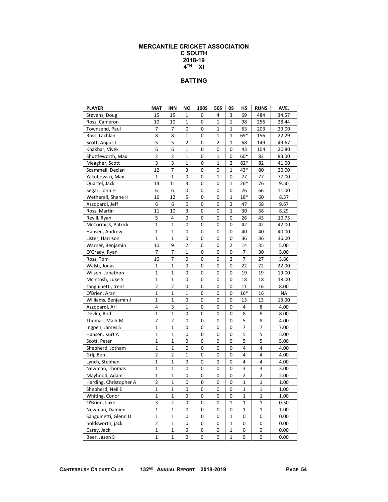### **MERCANTILE CRICKET ASSOCIATION C SOUTH 2018-19 4TH XI**

### **BATTING**

| <b>PLAYER</b>          | MAT            | <b>INN</b>     | ΝO             | 100S | <b>50S</b>     | OS             | HS             | <b>RUNS</b>    | AVE.      |
|------------------------|----------------|----------------|----------------|------|----------------|----------------|----------------|----------------|-----------|
| Stevens, Doug          | 15             | 15             | 1              | 0    | 4              | 3              | 69             | 484            | 34.57     |
| Ross, Cameron          | 10             | 10             | 1              | 0    | 1              | $\mathbf{1}$   | 98             | 256            | 28.44     |
| Townsend, Paul         | 7              | 7              | 0              | 0    | 1              | 1              | 63             | 203            | 29.00     |
| Ross, Lachlan          | 8              | 8              | 1              | 0    | 1              | 1              | 69*            | 156            | 22.29     |
| Scott, Angus L         | 5              | 5              | $\overline{2}$ | 0    | $\overline{2}$ | 1              | 68             | 149            | 49.67     |
| Khakhar, Vivek         | 6              | 6              | 1              | 0    | 0              | 0              | 43             | 104            | 20.80     |
| Shuttleworth, Max      | $\overline{2}$ | $\overline{2}$ | 1              | 0    | 1              | 0              | 60*            | 83             | 83.00     |
| Meagher, Scott         | 3              | 3              | 1              | 0    | 1              | 2              | $82*$          | 82             | 41.00     |
| Scammell, Declan       | 12             | $\overline{7}$ | 3              | 0    | 0              | 1              | 43*            | 80             | 20.00     |
| Yakubowski, Max        | $\mathbf{1}$   | $\mathbf 1$    | 0              | 0    | 1              | 0              | 77             | 77             | 77.00     |
| Quartel, Jack          | 14             | 11             | 3              | 0    | 0              | 1              | $26*$          | 76             | 9.50      |
| Segar, John H          | 6              | 6              | 0              | 0    | 0              | 0              | 26             | 66             | 11.00     |
| Wetherall, Shane H     | 16             | 12             | 5              | 0    | 0              | 1              | $18*$          | 60             | 8.57      |
| Azzopardi, Jeff        | 6              | 6              | 0              | 0    | 0              | $\mathbf 2$    | 47             | 58             | 9.67      |
| Ross, Martin           | 11             | 10             | 3              | 0    | 0              | 1              | 30             | 58             | 8.29      |
| Revill, Ryan           | 5              | 4              | 0              | 0    | 0              | 0              | 26             | 43             | 10.75     |
| McCormick, Patrick     | $\mathbf{1}$   | $\mathbf 1$    | 0              | 0    | 0              | 0              | 42             | 42             | 42.00     |
| Hansen, Andrew         | 1              | 1              | 0              | 0    | 0              | 0              | 40             | 40             | 40.00     |
| Lister, Harrison       | $\mathbf 1$    | 1              | 0              | 0    | 0              | 0              | 36             | 36             | 36.00     |
| Warner, Benjamin       | 10             | 9              | $\overline{2}$ | 0    | 0              | $\overline{2}$ | 14             | 35             | 5.00      |
| O'Grady, Ryan          | 7              | 7              | 1              | 0    | 0              | 0              | 7              | 30             | 5.00      |
| Ross, Tom              | 10             | 7              | 0              | 0    | 0              | $\overline{2}$ | 7              | 27             | 3.86      |
| Walsh, Jonas           | 1              | 1              | 0              | 0    | 0              | 0              | 22             | 22             | 22.00     |
| Wilson, Jonathon       | $\mathbf 1$    | 1              | 0              | 0    | 0              | 0              | 19             | 19             | 19.00     |
| McIntosh, Luke S       | $\mathbf 1$    | 1              | 0              | 0    | 0              | 0              | 18             | 18             | 18.00     |
| sanguinetti, trent     | $\overline{2}$ | 2              | 0              | 0    | 0              | 0              | 11             | 16             | 8.00      |
| O'Brien, Aran          | $\mathbf{1}$   | $\mathbf{1}$   | 1              | 0    | 0              | 0              | $16*$          | 16             | <b>NA</b> |
| Williams, Benjamin J   | $\mathbf 1$    | 1              | 0              | 0    | 0              | 0              | 13             | 13             | 13.00     |
| Azzopardi, Ari         | 4              | 3              | 1              | 0    | 0              | 0              | 4              | 8              | 4.00      |
| Devlin, Rod            | 1              | 1              | 0              | 0    | 0              | 0              | 8              | 8              | 8.00      |
| Thomas, Mark M         | 7              | 2              | 0              | 0    | 0              | 0              | 5              | 8              | 4.00      |
| Ingpen, James S        | $\mathbf 1$    | $\mathbf{1}$   | 0              | 0    | 0              | 0              | 7              | 7              | 7.00      |
| Hansen, Kurt A         | 1              | 1              | 0              | 0    | 0              | 0              | 5              | 5              | 5.00      |
| Scott, Peter           | $\mathbf 1$    | $\mathbf 1$    | 0              | 0    | 0              | 0              | 5              | $\overline{5}$ | 5.00      |
| Shepherd, Jotham       | $\mathbf 1$    | $\mathbf 1$    | 0              | 0    | 0              | 0              | 4              | 4              | 4.00      |
| Grlj, Ben              | $\overline{2}$ | $\overline{2}$ | 1              | 0    | 0              | 0              | 4              | 4              | 4.00      |
| Lynch, Stephen         | $\mathbf 1$    | $\mathbf 1$    | 0              | 0    | 0              | 0              | 4              | 4              | 4.00      |
| Newman, Thomas         | $\mathbf 1$    | 1              | 0              | 0    | 0              | 0              | 3              | 3              | 3.00      |
| Mayhood, Adam          | $\mathbf 1$    | $\mathbf 1$    | 0              | 0    | 0              | 0              | $\overline{2}$ | $\overline{2}$ | 2.00      |
| Harding, Christopher A | $\overline{2}$ | 1              | 0              | 0    | 0              | 0              | 1              | $\mathbf 1$    | 1.00      |
| Shepherd, Neil E       | 1              | $\mathbf 1$    | 0              | 0    | 0              | 0              | 1              | 1              | 1.00      |
| Whiting, Conor         | $\mathbf 1$    | $\mathbf{1}$   | $\mathbf 0$    | 0    | 0              | 0              | 1              | $\mathbf{1}$   | 1.00      |
| O'Brien, Luke          | 3              | 2              | 0              | 0    | 0              | 1              | 1              | 1              | 0.50      |
| Newman, Damien         | $\mathbf 1$    | $\mathbf 1$    | 0              | 0    | 0              | 0              | 1              | $\mathbf{1}$   | 1.00      |
| Sanguinetti, Glenn D   | 1              | 1              | 0              | 0    | 0              | 1              | 0              | 0              | 0.00      |
| holdsworth, jack       | $\overline{2}$ | 1              | 0              | 0    | 0              | 1              | 0              | 0              | 0.00      |
| Carey, Jack            | 1              | $\mathbf 1$    | 0              | 0    | 0              | $\mathbf 1$    | 0              | 0              | 0.00      |
| Beer, Jason S          | 1              | 1              | 0              | 0    | 0              | 1              | 0              | 0              | 0.00      |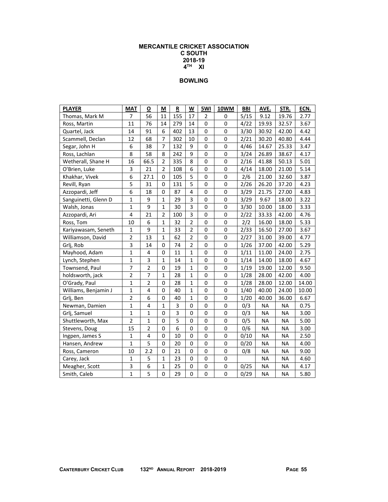### **MERCANTILE CRICKET ASSOCIATION C SOUTH 2018-19 4TH XI**

| <b>PLAYER</b>        | <b>MAT</b>     | O                       | M              | R              | W                       | 5WI         | 10WM        | <b>BBI</b> | AVE.      | STR.      | ECN.  |
|----------------------|----------------|-------------------------|----------------|----------------|-------------------------|-------------|-------------|------------|-----------|-----------|-------|
| Thomas, Mark M       | 7              | 56                      | 11             | 155            | 17                      | 2           | 0           | 5/15       | 9.12      | 19.76     | 2.77  |
| Ross, Martin         | 11             | 76                      | 14             | 279            | 14                      | $\mathbf 0$ | 0           | 4/22       | 19.93     | 32.57     | 3.67  |
| Quartel, Jack        | 14             | 91                      | 6              | 402            | 13                      | $\mathbf 0$ | 0           | 3/30       | 30.92     | 42.00     | 4.42  |
| Scammell, Declan     | 12             | 68                      | $\overline{7}$ | 302            | 10                      | $\mathbf 0$ | 0           | 2/21       | 30.20     | 40.80     | 4.44  |
| Segar, John H        | 6              | 38                      | $\overline{7}$ | 132            | 9                       | $\mathbf 0$ | $\mathbf 0$ | 4/46       | 14.67     | 25.33     | 3.47  |
| Ross, Lachlan        | 8              | 58                      | 8              | 242            | 9                       | $\mathbf 0$ | $\mathbf 0$ | 3/24       | 26.89     | 38.67     | 4.17  |
| Wetherall, Shane H   | 16             | 66.5                    | $\overline{2}$ | 335            | 8                       | $\mathbf 0$ | $\mathbf 0$ | 2/16       | 41.88     | 50.13     | 5.01  |
| O'Brien, Luke        | 3              | 21                      | $\overline{2}$ | 108            | 6                       | $\mathbf 0$ | $\mathbf 0$ | 4/14       | 18.00     | 21.00     | 5.14  |
| Khakhar, Vivek       | 6              | 27.1                    | 0              | 105            | 5                       | $\mathbf 0$ | 0           | 2/6        | 21.00     | 32.60     | 3.87  |
| Revill, Ryan         | 5              | 31                      | 0              | 131            | 5                       | $\mathbf 0$ | 0           | 2/26       | 26.20     | 37.20     | 4.23  |
| Azzopardi, Jeff      | 6              | 18                      | 0              | 87             | $\overline{\mathbf{4}}$ | $\mathbf 0$ | $\mathbf 0$ | 3/29       | 21.75     | 27.00     | 4.83  |
| Sanguinetti, Glenn D | $\mathbf{1}$   | 9                       | $\mathbf{1}$   | 29             | 3                       | $\mathbf 0$ | $\mathbf 0$ | 3/29       | 9.67      | 18.00     | 3.22  |
| Walsh, Jonas         | $\mathbf 1$    | 9                       | 1              | 30             | 3                       | $\mathbf 0$ | $\pmb{0}$   | 3/30       | 10.00     | 18.00     | 3.33  |
| Azzopardi, Ari       | 4              | 21                      | $\overline{2}$ | 100            | 3                       | 0           | $\mathbf 0$ | 2/22       | 33.33     | 42.00     | 4.76  |
| Ross, Tom            | 10             | 6                       | 1              | 32             | $\overline{2}$          | $\mathbf 0$ | $\pmb{0}$   | 2/2        | 16.00     | 18.00     | 5.33  |
| Kariyawasam, Seneth  | $\mathbf{1}$   | 9                       | $\mathbf{1}$   | 33             | $\overline{2}$          | $\mathbf 0$ | $\pmb{0}$   | 2/33       | 16.50     | 27.00     | 3.67  |
| Williamson, David    | $\overline{2}$ | 13                      | $\mathbf{1}$   | 62             | $\overline{2}$          | 0           | 0           | 2/27       | 31.00     | 39.00     | 4.77  |
| Grlj, Rob            | 3              | 14                      | 0              | 74             | $\mathbf 2$             | $\pmb{0}$   | 0           | 1/26       | 37.00     | 42.00     | 5.29  |
| Mayhood, Adam        | $\mathbf{1}$   | $\overline{\mathbf{4}}$ | 0              | 11             | $\mathbf 1$             | $\mathbf 0$ | $\pmb{0}$   | 1/11       | 11.00     | 24.00     | 2.75  |
| Lynch, Stephen       | $\mathbf 1$    | 3                       | $\mathbf{1}$   | 14             | $\mathbf 1$             | $\pmb{0}$   | $\pmb{0}$   | 1/14       | 14.00     | 18.00     | 4.67  |
| Townsend, Paul       | $\overline{7}$ | $\overline{2}$          | 0              | 19             | $\mathbf 1$             | $\mathbf 0$ | $\pmb{0}$   | 1/19       | 19.00     | 12.00     | 9.50  |
| holdsworth, jack     | $\overline{2}$ | $\overline{7}$          | $\mathbf{1}$   | 28             | $\mathbf{1}$            | $\mathbf 0$ | $\mathbf 0$ | 1/28       | 28.00     | 42.00     | 4.00  |
| O'Grady, Paul        | $\mathbf{1}$   | $\overline{2}$          | 0              | 28             | $\mathbf{1}$            | $\mathbf 0$ | $\mathbf 0$ | 1/28       | 28.00     | 12.00     | 14.00 |
| Williams, Benjamin J | $\mathbf{1}$   | $\overline{\mathbf{4}}$ | $\mathbf 0$    | 40             | $\mathbf{1}$            | $\mathbf 0$ | $\mathbf 0$ | 1/40       | 40.00     | 24.00     | 10.00 |
| Grlj, Ben            | $\overline{2}$ | 6                       | 0              | 40             | $\mathbf{1}$            | $\mathbf 0$ | $\mathbf 0$ | 1/20       | 40.00     | 36.00     | 6.67  |
| Newman, Damien       | $\mathbf{1}$   | 4                       | $\mathbf{1}$   | 3              | 0                       | $\mathbf 0$ | 0           | 0/3        | <b>NA</b> | <b>NA</b> | 0.75  |
| Grlj, Samuel         | $\mathbf{1}$   | $\mathbf{1}$            | 0              | $\overline{3}$ | $\Omega$                | $\mathbf 0$ | $\mathbf 0$ | 0/3        | <b>NA</b> | <b>NA</b> | 3.00  |
| Shuttleworth, Max    | $\overline{2}$ | $\mathbf{1}$            | 0              | $\overline{5}$ | 0                       | $\mathbf 0$ | $\mathbf 0$ | 0/5        | <b>NA</b> | <b>NA</b> | 5.00  |
| Stevens, Doug        | 15             | $\overline{2}$          | 0              | $\overline{6}$ | $\mathbf 0$             | $\mathbf 0$ | $\mathbf 0$ | 0/6        | <b>NA</b> | <b>NA</b> | 3.00  |
| Ingpen, James S      | $\mathbf{1}$   | 4                       | 0              | 10             | 0                       | $\mathbf 0$ | 0           | 0/10       | <b>NA</b> | ΝA        | 2.50  |
| Hansen, Andrew       | $\mathbf{1}$   | 5                       | 0              | 20             | 0                       | $\mathbf 0$ | 0           | 0/20       | NA        | ΝA        | 4.00  |
| Ross, Cameron        | 10             | 2.2                     | 0              | 21             | 0                       | $\mathbf 0$ | 0           | 0/8        | NA        | ΝA        | 9.00  |
| Carey, Jack          | $\mathbf 1$    | 5                       | 1              | 23             | 0                       | 0           | 0           |            | <b>NA</b> | <b>NA</b> | 4.60  |
| Meagher, Scott       | 3              | 6                       | 1              | 25             | 0                       | 0           | 0           | 0/25       | <b>NA</b> | NA        | 4.17  |
| Smith, Caleb         | $\mathbf{1}$   | 5                       | 0              | 29             | 0                       | $\pmb{0}$   | 0           | 0/29       | <b>NA</b> | <b>NA</b> | 5.80  |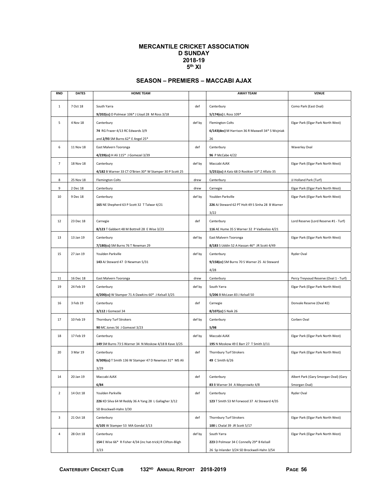#### **MERCANTILE CRICKET ASSOCIATION D SUNDAY 2018-19 5th XI**

## **SEASON – PREMIERS – MACCABI AJAX**

| <b>RND</b>     | <b>DATES</b> | <b>HOME TEAM</b>                                             |        | <b>AWAY TEAM</b>                                 | <b>VENUE</b>                           |
|----------------|--------------|--------------------------------------------------------------|--------|--------------------------------------------------|----------------------------------------|
| $\mathbf 1$    | 7 Oct 18     | South Yarra                                                  | def    | Canterbury                                       | Como Park (East Oval)                  |
|                |              | 9/202(cc) D Polmear 106* J Lloyd 28 M Ross 3/18              |        | 5/174(cc) L Ross 109*                            |                                        |
| 5              | 4 Nov 18     | Canterbury                                                   | def by | <b>Flemington Colts</b>                          | Elgar Park (Elgar Park North West)     |
|                |              | 74 RG Frazer 4/13 RC Edwards 3/9                             |        | 6/143(dec) M Harrison 36 R Maxwell 34* S Wojniak |                                        |
|                |              | and 2/93 SM Burns 62* E Angel 25*                            |        | 26                                               |                                        |
| 6              | 11 Nov 18    | East Malvern Tooronga                                        | def    | Canterbury                                       | <b>Waverley Oval</b>                   |
|                |              | 4/239(cc) H Ali 115* J Gomezel 3/39                          |        | 96 P McCabe 4/22                                 |                                        |
| 7              | 18 Nov 18    | Canterbury                                                   | def by | Maccabi AJAX                                     | Elgar Park (Elgar Park North West)     |
|                |              | 4/182 B Warner 33 CT O'Brien 30* W Stamper 30 P Scott 25     |        | 5/251(cc) A Katz 68 D Rostkier 53* Z Aflalo 35   |                                        |
| 8              | 25 Nov 18    | <b>Flemington Colts</b>                                      | drew   | Canterbury                                       | JJ Holland Park (Turf)                 |
|                |              |                                                              |        |                                                  |                                        |
| 9              | 2 Dec 18     | Canterbury                                                   | drew   | Carnegie                                         | Elgar Park (Elgar Park North West)     |
| 10             | 9 Dec 18     | Canterbury                                                   | def by | Youlden Parkville                                | Elgar Park (Elgar Park North West)     |
|                |              | 165 NE Shepherd 63 P Scott 32 T Talwar 4/21                  |        | 226 AJ Steward 62 PT Holt 49 S Sinha 28 B Warner |                                        |
|                |              |                                                              |        | 3/22                                             |                                        |
| 12             | 23 Dec 18    | Carnegie                                                     | def    | Canterbury                                       | Lord Reserve (Lord Reserve #1 - Turf)  |
|                |              | 8/123 T Gabbert 48 M Bottrell 28 E Wise 3/23                 |        | 116 AE Hume 35 S Warner 32 P Vadiveloo 4/21      |                                        |
| 13             | 13 Jan 19    | Canterbury                                                   | def by | East Malvern Tooronga                            | Elgar Park (Elgar Park North West)     |
|                |              | 7/180(cc) SM Burns 76 T Newman 29                            |        | 8/183 S Uddin 52 A Hassan 46* JR Scott 4/49      |                                        |
| 15             | 27 Jan 19    | Youlden Parkville                                            | def by | Canterbury                                       | Ryder Oval                             |
|                |              | 143 AJ Steward 47 D Newman 5/31                              |        | 9/158(cc) SM Burns 70 S Warner 25 AJ Steward     |                                        |
|                |              |                                                              |        | 4/28                                             |                                        |
| 11             | 16 Dec 18    | East Malvern Tooronga                                        | drew   | Canterbury                                       | Percy Treyvaud Reserve (Oval 1 - Turf) |
| 19             | 24 Feb 19    | Canterbury                                                   | def by | South Yarra                                      | Elgar Park (Elgar Park North West)     |
|                |              | 6/200(cc) W Stamper 71 A Dawkins 60* J Kelsall 3/25          |        | 5/206 B McLean 83 J Kelsall 50                   |                                        |
| 16             | 3 Feb 19     | Canterbury                                                   | def    | Carnegie                                         | Donvale Reserve (Oval #2)              |
|                |              | 3/112 J Gomezel 34                                           |        | 8/107(cc) S Naik 26                              |                                        |
| 17             | 10 Feb 19    | Thornbury Turf Strokers                                      | def by | Canterbury                                       | Corben Oval                            |
|                |              | 90 MC Jones 56 J Gomezel 3/23                                |        | 5/98                                             |                                        |
| 18             | 17 Feb 19    | Canterbury                                                   | def by | Maccabi AJAX                                     | Elgar Park (Elgar Park North West)     |
|                |              | 149 SM Burns 73 S Warner 34 N Moskow 4/18 B Kave 3/25        |        | 195 N Moskow 49 E Barr 27 T Smith 3/11           |                                        |
| 20             | 3 Mar 19     | Canterbury                                                   | def    | Thornbury Turf Strokers                          | Elgar Park (Elgar Park North West)     |
|                |              | 9/309(cc) T Smith 136 W Stamper 47 D Newman 31* MS Ali       |        | 49 C Smith 6/26                                  |                                        |
|                |              | 3/29                                                         |        |                                                  |                                        |
| 14             | 20 Jan 19    | Maccabi AJAX                                                 | def    | Canterbury                                       | Albert Park (Gary Smorgan Oval) (Gary  |
|                |              | 6/84                                                         |        | 83 B Warner 34 A Meyerowitz 4/8                  | Smorgan Oval)                          |
| $\overline{2}$ | 14 Oct 18    | Youlden Parkville                                            | def    | Canterbury                                       | Ryder Oval                             |
|                |              | 226 KD Silva 64 M Reddy 36 A Yang 28 L Gallagher 3/12        |        | 123 T Smith 53 M Forwood 37 AJ Steward 4/35      |                                        |
|                |              | SD Brockwell-Hahn 3/30                                       |        |                                                  |                                        |
| 3              | 21 Oct 18    | Canterbury                                                   | def    | Thornbury Turf Strokers                          | Elgar Park (Elgar Park North West)     |
|                |              | 6/105 W Stamper 53 MA Gondal 3/13                            |        | 100 L Chalal 39 JR Scott 5/17                    |                                        |
| 4              | 28 Oct 18    | Canterbury                                                   | def by | South Yarra                                      | Elgar Park (Elgar Park North West)     |
|                |              | 154 E Wise 66* R Fisher 4/34 (inc hat-trick) R Clifton-Bligh |        | 223 D Polmear 34 C Connelly 29* B Kelsall        |                                        |
|                |              | 3/23                                                         |        | 26 Sp Inlander 3/24 SD Brockwell-Hahn 3/54       |                                        |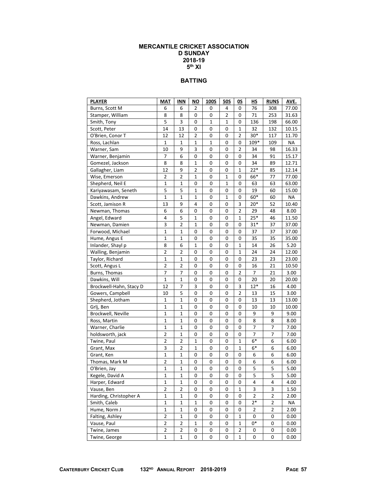#### **MERCANTILE CRICKET ASSOCIATION D SUNDAY 2018-19 5th XI**

## **BATTING**

| <b>PLAYER</b>           | <b>MAT</b>     | INN            | ΝO           | <b>100S</b>  | <b>50S</b>   | OS             | НS             | <b>RUNS</b>    | AVE.      |
|-------------------------|----------------|----------------|--------------|--------------|--------------|----------------|----------------|----------------|-----------|
| Burns, Scott M          | 6              | 6              | 2            | 0            | 4            | 0              | 76             | 308            | 77.00     |
| Stamper, William        | 8              | 8              | 0            | 0            | 2            | 0              | 71             | 253            | 31.63     |
| Smith, Tony             | 5              | 3              | 0            | $\mathbf{1}$ | $\mathbf{1}$ | 0              | 136            | 198            | 66.00     |
| Scott, Peter            | 14             | 13             | 0            | 0            | 0            | 1              | 32             | 132            | 10.15     |
| O'Brien, Conor T        | 12             | 12             | 2            | 0            | 0            | 2              | $30*$          | 117            | 11.70     |
| Ross, Lachlan           | $\mathbf{1}$   | 1              | $\mathbf{1}$ | 1            | 0            | 0              | 109*           | 109            | <b>NA</b> |
| Warner, Sam             | 10             | 9              | 3            | 0            | 0            | 2              | 34             | 98             | 16.33     |
| Warner, Benjamin        | 7              | 6              | $\mathbf 0$  | 0            | 0            | 0              | 34             | 91             | 15.17     |
| Gomezel, Jackson        | 8              | 8              | $\mathbf 1$  | 0            | 0            | 0              | 34             | 89             | 12.71     |
| Gallagher, Liam         | 12             | 9              | 2            | 0            | 0            | 1              | $22*$          | 85             | 12.14     |
| Wise, Emerson           | $\overline{2}$ | $\overline{2}$ | $\mathbf{1}$ | 0            | $\mathbf{1}$ | 0              | 66*            | 77             | 77.00     |
| Shepherd, Neil E        | 1              | 1              | 0            | 0            | $\mathbf 1$  | 0              | 63             | 63             | 63.00     |
| Kariyawasam, Seneth     | 5              | 5              | $\mathbf 1$  | $\mathbf 0$  | 0            | 0              | 19             | 60             | 15.00     |
| Dawkins, Andrew         | 1              | 1              | 1            | 0            | 1            | 0              | 60*            | 60             | ΝA        |
| Scott, Jamison R        | 13             | 9              | 4            | 0            | 0            | 3              | $20*$          | 52             | 10.40     |
| Newman, Thomas          | 6              | 6              | 0            | 0            | 0            | $\overline{2}$ | 29             | 48             | 8.00      |
| Angel, Edward           | 4              | 5              | 1            | 0            | 0            | 1              | $25*$          | 46             | 11.50     |
| Newman, Damien          | 3              | $\overline{2}$ | $\mathbf 1$  | $\mathbf 0$  | 0            | 0              | $31*$          | 37             | 37.00     |
| Forwood, Michael        | 1              | 1              | 0            | 0            | 0            | 0              | 37             | 37             | 37.00     |
| Hume, Angus E           | 1              | 1              | 0            | 0            | 0            | 0              | 35             | 35             | 35.00     |
| Inlander, Shayl p       | 8              | 6              | $\mathbf{1}$ | 0            | 0            | $\mathbf{1}$   | 14             | 26             | 5.20      |
| Walling, Benjamin       | $\overline{2}$ | $\overline{2}$ | 0            | 0            | 0            | 1              | 24             | 24             | 12.00     |
| Taylor, Richard         | $\mathbf 1$    | $\mathbf 1$    | 0            | $\mathbf 0$  | 0            | 0              | 23             | 23             | 23.00     |
| Scott, Angus L          | $\mathbf 2$    | 2              | 0            | 0            | 0            | 0              | 16             | 21             | 10.50     |
| Burns, Thomas           | 7              | 7              | 0            | 0            | 0            | 2              | 7              | 21             | 3.00      |
| Dawkins, Will           | $\mathbf 1$    | $\mathbf{1}$   | 0            | 0            | 0            | 0              | 20             | 20             | 20.00     |
| Brockwell-Hahn, Stacy D | 12             | 7              | 3            | 0            | 0            | 3              | $12*$          | 16             | 4.00      |
| Gowers, Campbell        | 10             | 5              | 0            | $\mathbf 0$  | 0            | $\overline{2}$ | 13             | 15             | 3.00      |
| Shepherd, Jotham        | $\mathbf 1$    | 1              | 0            | 0            | 0            | 0              | 13             | 13             | 13.00     |
| Grlj, Ben               | 1              | 1              | 0            | 0            | 0            | 0              | 10             | 10             | 10.00     |
| Brockwell, Neville      | $\mathbf 1$    | 1              | 0            | 0            | 0            | 0              | 9              | 9              | 9.00      |
| Ross, Martin            | 1              | 1              | 0            | 0            | 0            | 0              | 8              | 8              | 8.00      |
| Warner, Charlie         | $\mathbf 1$    | 1              | 0            | $\mathbf 0$  | 0            | 0              | 7              | 7              | 7.00      |
| holdsworth, jack        | $\mathbf 2$    | 1              | 0            | 0            | 0            | 0              | 7              | 7              | 7.00      |
| Twine, Paul             | $\overline{2}$ | 2              | 1            | 0            | 0            | 1              | $6*$           | 6              | 6.00      |
| Grant, Max              | 3              | 2              | 1            | 0            | 0            | 1              | $6*$           | 6              | 6.00      |
| Grant, Ken              | 1              | 1              | 0            | 0            | 0            | 0              | 6              | 6              | 6.00      |
| Thomas, Mark M          | $\overline{2}$ | 1              | 0            | $\mathbf 0$  | 0            | 0              | 6              | 6              | 6.00      |
| O'Brien, Jay            | $\mathbf 1$    | 1              | 0            | 0            | 0            | 0              | 5              | 5              | 5.00      |
| Kegele, David A         | 1              | 1              | 0            | 0            | 0            | 0              | 5              | 5              | 5.00      |
| Harper, Edward          | 1              | 1              | U            | U            | U            | U              | 4              | 4              | 4.00      |
| Vause, Ben              | $\overline{2}$ | $\overline{2}$ | 0            | 0            | 0            | 1              | 3              | 3              | 1.50      |
| Harding, Christopher A  | 1              | 1              | 0            | $\pmb{0}$    | 0            | 0              | $\overline{2}$ | $\overline{2}$ | 2.00      |
| Smith, Caleb            | $\mathbf 1$    | 1              | 1            | 0            | 0            | 0              | $2*$           | 2              | NA        |
| Hume, Norm J            | 1              | 1              | 0            | 0            | 0            | 0              | 2              | 2              | 2.00      |
| Falting, Ashley         | $\overline{2}$ | 1              | 0            | 0            | 0            | 1              | 0              | 0              | 0.00      |
| Vause, Paul             | $\overline{2}$ | $\overline{2}$ | 1            | 0            | 0            | 1              | 0*             | 0              | 0.00      |
| Twine, James            | $\mathbf 2$    | $\overline{2}$ | 0            | 0            | $\pmb{0}$    | $\overline{2}$ | 0              | 0              | 0.00      |
| Twine, George           | $\mathbf 1$    | $\mathbf 1$    | 0            | 0            | 0            | 1              | 0              | 0              | 0.00      |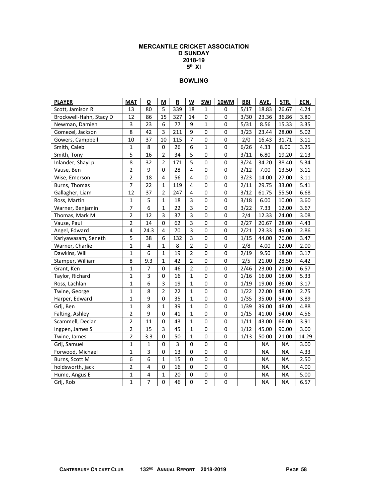#### **MERCANTILE CRICKET ASSOCIATION D SUNDAY 2018-19**   $5<sup>th</sup>$  XI

| <b>PLAYER</b>           | <b>MAT</b>              | О              | M              | R   | W              | 5WI         | 10WM        | <b>BBI</b> | AVE.      | STR.      | ECN.  |
|-------------------------|-------------------------|----------------|----------------|-----|----------------|-------------|-------------|------------|-----------|-----------|-------|
| Scott, Jamison R        | 13                      | 80             | 5              | 339 | 18             | 1           | 0           | 5/17       | 18.83     | 26.67     | 4.24  |
| Brockwell-Hahn, Stacy D | 12                      | 86             | 15             | 327 | 14             | 0           | 0           | 3/30       | 23.36     | 36.86     | 3.80  |
| Newman, Damien          | 3                       | 23             | 6              | 77  | 9              | 1           | 0           | 5/31       | 8.56      | 15.33     | 3.35  |
| Gomezel, Jackson        | 8                       | 42             | 3              | 211 | 9              | $\pmb{0}$   | 0           | 3/23       | 23.44     | 28.00     | 5.02  |
| Gowers, Campbell        | 10                      | 37             | 10             | 115 | $\overline{7}$ | 0           | $\mathbf 0$ | 2/0        | 16.43     | 31.71     | 3.11  |
| Smith, Caleb            | $\mathbf 1$             | 8              | $\pmb{0}$      | 26  | 6              | $\mathbf 1$ | 0           | 6/26       | 4.33      | 8.00      | 3.25  |
| Smith, Tony             | 5                       | 16             | $\overline{2}$ | 34  | 5              | $\pmb{0}$   | $\pmb{0}$   | 3/11       | 6.80      | 19.20     | 2.13  |
| Inlander, Shayl p       | 8                       | 32             | $\overline{2}$ | 171 | 5              | $\mathbf 0$ | 0           | 3/24       | 34.20     | 38.40     | 5.34  |
| Vause, Ben              | $\overline{2}$          | 9              | 0              | 28  | 4              | $\mathbf 0$ | 0           | 2/12       | 7.00      | 13.50     | 3.11  |
| Wise, Emerson           | $\overline{2}$          | 18             | 4              | 56  | 4              | 0           | 0           | 3/23       | 14.00     | 27.00     | 3.11  |
| Burns, Thomas           | $\overline{7}$          | 22             | $\mathbf{1}$   | 119 | 4              | $\mathbf 0$ | 0           | 2/11       | 29.75     | 33.00     | 5.41  |
| Gallagher, Liam         | 12                      | 37             | $\overline{2}$ | 247 | $\overline{4}$ | $\mathbf 0$ | 0           | 3/12       | 61.75     | 55.50     | 6.68  |
| Ross, Martin            | $\mathbf 1$             | 5              | 1              | 18  | 3              | $\pmb{0}$   | 0           | 3/18       | 6.00      | 10.00     | 3.60  |
| Warner, Benjamin        | $\overline{7}$          | 6              | $\mathbf{1}$   | 22  | 3              | 0           | 0           | $3/22$     | 7.33      | 12.00     | 3.67  |
| Thomas, Mark M          | $\overline{2}$          | 12             | 3              | 37  | 3              | $\mathbf 0$ | 0           | 2/4        | 12.33     | 24.00     | 3.08  |
| Vause, Paul             | $\overline{2}$          | 14             | $\pmb{0}$      | 62  | 3              | $\pmb{0}$   | 0           | 2/27       | 20.67     | 28.00     | 4.43  |
| Angel, Edward           | $\overline{\mathbf{4}}$ | 24.3           | $\overline{4}$ | 70  | 3              | $\pmb{0}$   | 0           | 2/21       | 23.33     | 49.00     | 2.86  |
| Kariyawasam, Seneth     | 5                       | 38             | 6              | 132 | 3              | 0           | 0           | 1/15       | 44.00     | 76.00     | 3.47  |
| Warner, Charlie         | $\mathbf{1}$            | 4              | $\mathbf{1}$   | 8   | $\overline{2}$ | $\mathsf 0$ | 0           | 2/8        | 4.00      | 12.00     | 2.00  |
| Dawkins, Will           | $\mathbf{1}$            | 6              | 1              | 19  | $\overline{2}$ | 0           | 0           | 2/19       | 9.50      | 18.00     | 3.17  |
| Stamper, William        | 8                       | 9.3            | $\mathbf{1}$   | 42  | $\overline{2}$ | 0           | 0           | 2/5        | 21.00     | 28.50     | 4.42  |
| Grant, Ken              | $\mathbf 1$             | $\overline{7}$ | 0              | 46  | $\overline{2}$ | $\pmb{0}$   | 0           | 2/46       | 23.00     | 21.00     | 6.57  |
| Taylor, Richard         | $\mathbf 1$             | 3              | 0              | 16  | 1              | 0           | 0           | 1/16       | 16.00     | 18.00     | 5.33  |
| Ross, Lachlan           | $\mathbf 1$             | 6              | 3              | 19  | $\mathbf{1}$   | 0           | 0           | 1/19       | 19.00     | 36.00     | 3.17  |
| Twine, George           | $\mathbf{1}$            | 8              | $\overline{2}$ | 22  | $\mathbf{1}$   | $\mathbf 0$ | $\mathbf 0$ | 1/22       | 22.00     | 48.00     | 2.75  |
| Harper, Edward          | $\mathbf 1$             | 9              | 0              | 35  | $\mathbf{1}$   | $\mathbf 0$ | 0           | 1/35       | 35.00     | 54.00     | 3.89  |
| Grlj, Ben               | $\overline{1}$          | 8              | $\mathbf{1}$   | 39  | $\mathbf{1}$   | $\mathsf 0$ | 0           | 1/39       | 39.00     | 48.00     | 4.88  |
| Falting, Ashley         | $\overline{2}$          | 9              | $\pmb{0}$      | 41  | $\mathbf{1}$   | $\mathbf 0$ | 0           | 1/15       | 41.00     | 54.00     | 4.56  |
| Scammell, Declan        | $\overline{2}$          | 11             | 0              | 43  | $\mathbf{1}$   | 0           | 0           | 1/11       | 43.00     | 66.00     | 3.91  |
| Ingpen, James S         | $\overline{2}$          | 15             | 3              | 45  | $\mathbf{1}$   | $\mathbf 0$ | 0           | 1/12       | 45.00     | 90.00     | 3.00  |
| Twine, James            | $\overline{2}$          | 3.3            | $\Omega$       | 50  | $\mathbf{1}$   | $\mathbf 0$ | 0           | 1/13       | 50.00     | 21.00     | 14.29 |
| Grlj, Samuel            | $\mathbf 1$             | 1              | 0              | 3   | $\mathbf 0$    | 0           | $\mathbf 0$ |            | <b>NA</b> | <b>NA</b> | 3.00  |
| Forwood, Michael        | $\mathbf{1}$            | 3              | 0              | 13  | 0              | $\pmb{0}$   | 0           |            | NA        | <b>NA</b> | 4.33  |
| Burns, Scott M          | 6                       | 6              | $\mathbf{1}$   | 15  | $\mathbf 0$    | $\mathbf 0$ | 0           |            | <b>NA</b> | <b>NA</b> | 2.50  |
| holdsworth, jack        | $\overline{2}$          | 4              | 0              | 16  | 0              | $\mathbf 0$ | 0           |            | <b>NA</b> | ΝA        | 4.00  |
| Hume, Angus E           | $\mathbf 1$             | 4              | $\mathbf 1$    | 20  | 0              | $\pmb{0}$   | 0           |            | <b>NA</b> | <b>NA</b> | 5.00  |
| Grlj, Rob               | 1                       | 7              | 0              | 46  | 0              | $\mathbf 0$ | 0           |            | <b>NA</b> | <b>NA</b> | 6.57  |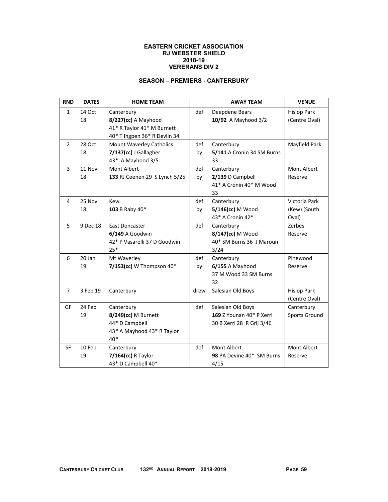### **EASTERN CRICKET ASSOCIATION RJ WEBSTER SHIELD 2018-19 VERERANS DIV 2**

## **SEASON – PREMIERS - CANTERBURY**

| <b>RND</b>     | <b>DATES</b> | <b>HOME TEAM</b>                |      | <b>AWAY TEAM</b>           | <b>VENUE</b>       |
|----------------|--------------|---------------------------------|------|----------------------------|--------------------|
| $\mathbf{1}$   | 14 Oct       | Canterbury                      | def  | Deepdene Bears             | <b>Hislop Park</b> |
|                | 18           | 8/227(cc) A Mayhood             |      | 10/92 A Mayhood 3/2        | (Centre Oval)      |
|                |              | 41* R Taylor 41* M Burnett      |      |                            |                    |
|                |              | 40* T Ingpen 36* R Devlin 34    |      |                            |                    |
| $\overline{2}$ | 28 Oct       | <b>Mount Waverley Catholics</b> | def  | Canterbury                 | Mayfield Park      |
|                | 18           | 7/137(cc) J Gallagher           | by   | 5/141 A Cronin 34 SM Burns |                    |
|                |              | 43* A Mayhood 3/5               |      | 33                         |                    |
| 3              | 11 Nov       | Mont Albert                     | def  | Canterbury                 | Mont Albert        |
|                | 18           | 133 RJ Coenen 29 S Lynch 5/25   | by   | 2/139 D Campbell           | Reserve            |
|                |              |                                 |      | 41* A Cronin 40* M Wood    |                    |
|                |              |                                 |      | 33                         |                    |
| 4              | 25 Nov       | Kew                             | def  | Canterbury                 | Victoria Park      |
|                | 18           | 103 B Raby 40*                  | by   | 5/146(cc) M Wood           | (Kew) (South       |
|                |              |                                 |      | 43* A Cronin 42*           | Oval)              |
| 5              | 9 Dec 18     | <b>East Doncaster</b>           | def  | Canterbury                 | Zerbes             |
|                |              | 6/149 A Goodwin                 |      | 8/147(cc) M Wood           | Reserve            |
|                |              | 42* P Vasarelli 37 D Goodwin    |      | 40* SM Burns 36 J Maroun   |                    |
|                |              | $25*$                           |      | 3/24                       |                    |
| 6              | 20 Jan       | Mt Waverley                     | def  | Canterbury                 | Pinewood           |
|                | 19           | $7/153$ (cc) W Thompson $40*$   | by   | 6/155 A Mayhood            | Reserve            |
|                |              |                                 |      | 37 M Wood 33 SM Burns      |                    |
|                |              |                                 |      | 32                         |                    |
| $\overline{7}$ | 3 Feb 19     | Canterbury                      | drew | Salesian Old Boys          | <b>Hislop Park</b> |
|                |              |                                 |      |                            | (Centre Oval)      |
| GF             | 24 Feb       | Canterbury                      | def  | Salesian Old Boys          | Canterbury         |
|                | 19           | 8/249(cc) M Burnett             |      | 169 Z Younan 40* P Xerri   | Sports Ground      |
|                |              | 44* D Campbell                  |      | 30 B Xerri 28 R Grlj 3/46  |                    |
|                |              | 43* A Mayhood 43* R Taylor      |      |                            |                    |
|                |              | 40*                             |      |                            |                    |
| <b>SF</b>      | 10 Feb       | Canterbury                      | def  | Mont Albert                | Mont Albert        |
|                | 19           | 7/164(cc) R Taylor              |      | 98 PA Devine 40* SM Burns  | Reserve            |
|                |              | 43* D Campbell 40*              |      | 4/15                       |                    |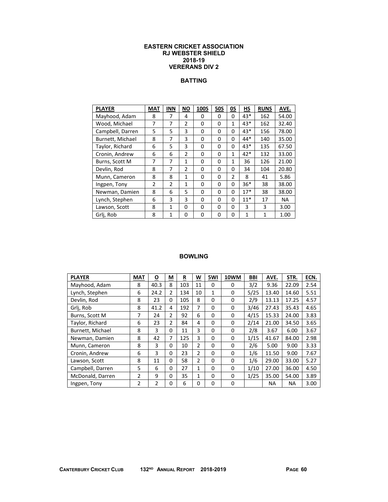#### **EASTERN CRICKET ASSOCIATION RJ WEBSTER SHIELD 2018-19 VERERANS DIV 2**

### **BATTING**

| <b>PLAYER</b>    | <b>MAT</b>     | <b>INN</b>     | ΝO             | <b>100S</b> | <b>50S</b> | 0S             | НS    | <b>RUNS</b> | AVE.      |
|------------------|----------------|----------------|----------------|-------------|------------|----------------|-------|-------------|-----------|
| Mayhood, Adam    | 8              | 7              | 4              | 0           | 0          | 0              | $43*$ | 162         | 54.00     |
| Wood, Michael    | 7              | 7              | $\mathfrak{p}$ | 0           | 0          | $\mathbf{1}$   | $43*$ | 162         | 32.40     |
| Campbell, Darren | 5              | 5              | 3              | 0           | 0          | 0              | $43*$ | 156         | 78.00     |
| Burnett, Michael | 8              | 7              | 3              | 0           | 0          | 0              | $44*$ | 140         | 35.00     |
| Taylor, Richard  | 6              | 5              | 3              | 0           | 0          | 0              | $43*$ | 135         | 67.50     |
| Cronin, Andrew   | 6              | 6              | $\mathfrak z$  | 0           | 0          | 1              | $42*$ | 132         | 33.00     |
| Burns, Scott M   | 7              | 7              | 1              | 0           | 0          | 1              | 36    | 126         | 21.00     |
| Devlin, Rod      | 8              | 7              | 2              | 0           | 0          | 0              | 34    | 104         | 20.80     |
| Munn, Cameron    | 8              | 8              | $\mathbf{1}$   | 0           | 0          | $\overline{2}$ | 8     | 41          | 5.86      |
| Ingpen, Tony     | $\overline{2}$ | $\overline{2}$ | 1              | 0           | 0          | 0              | $36*$ | 38          | 38.00     |
| Newman, Damien   | 8              | 6              | 5              | 0           | 0          | 0              | $17*$ | 38          | 38.00     |
| Lynch, Stephen   | 6              | 3              | 3              | 0           | 0          | 0              | $11*$ | 17          | <b>NA</b> |
| Lawson, Scott    | 8              | 1              | 0              | 0           | 0          | 0              | 3     | 3           | 3.00      |
| Grlj, Rob        | 8              | 1              | 0              | 0           | 0          | 0              | 1     | 1           | 1.00      |

| <b>PLAYER</b>    | <b>MAT</b> | $\overline{\mathbf{O}}$ | М              | ${\underline{\bf R}}$ | W              | 5WI | 10WM | <b>BBI</b> | AVE.  | STR.  | ECN. |
|------------------|------------|-------------------------|----------------|-----------------------|----------------|-----|------|------------|-------|-------|------|
| Mayhood, Adam    | 8          | 40.3                    | 8              | 103                   | 11             | 0   | 0    | 3/2        | 9.36  | 22.09 | 2.54 |
| Lynch, Stephen   | 6          | 24.2                    | 2              | 134                   | 10             | 1   | 0    | 5/25       | 13.40 | 14.60 | 5.51 |
| Devlin, Rod      | 8          | 23                      | 0              | 105                   | 8              | 0   | 0    | 2/9        | 13.13 | 17.25 | 4.57 |
| Grlj, Rob        | 8          | 41.2                    | 4              | 192                   | 7              | 0   | 0    | 3/46       | 27.43 | 35.43 | 4.65 |
| Burns, Scott M   | 7          | 24                      | $\overline{2}$ | 92                    | 6              | 0   | 0    | 4/15       | 15.33 | 24.00 | 3.83 |
| Taylor, Richard  | 6          | 23                      | 2              | 84                    | 4              | 0   | 0    | 2/14       | 21.00 | 34.50 | 3.65 |
| Burnett, Michael | 8          | 3                       | 0              | 11                    | 3              | 0   | 0    | 2/8        | 3.67  | 6.00  | 3.67 |
| Newman, Damien   | 8          | 42                      | 7              | 125                   | 3              | 0   | 0    | 1/15       | 41.67 | 84.00 | 2.98 |
| Munn, Cameron    | 8          | 3                       | 0              | 10                    | $\overline{2}$ | 0   | 0    | 2/6        | 5.00  | 9.00  | 3.33 |
| Cronin, Andrew   | 6          | 3                       | 0              | 23                    | $\overline{2}$ | 0   | 0    | 1/6        | 11.50 | 9.00  | 7.67 |
| Lawson, Scott    | 8          | 11                      | 0              | 58                    | $\overline{2}$ | 0   | 0    | 1/6        | 29.00 | 33.00 | 5.27 |
| Campbell, Darren | 5          | 6                       | 0              | 27                    | $\mathbf{1}$   | 0   | 0    | 1/10       | 27.00 | 36.00 | 4.50 |
| McDonald, Darren | 2          | 9                       | 0              | 35                    | $\mathbf{1}$   | 0   | 0    | 1/25       | 35.00 | 54.00 | 3.89 |
| Ingpen, Tony     | 2          | 2                       | 0              | 6                     | 0              | 0   | 0    |            | ΝA    | NA.   | 3.00 |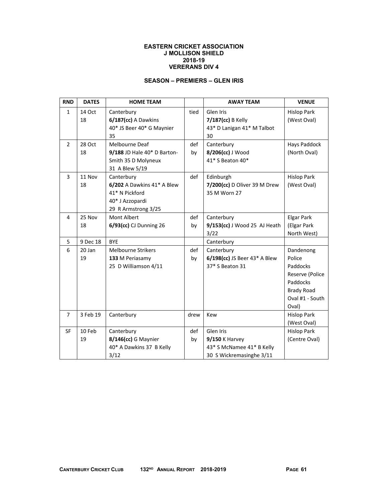#### **EASTERN CRICKET ASSOCIATION J MOLLISON SHIELD 2018-19 VERERANS DIV 4**

## **SEASON – PREMIERS – GLEN IRIS**

| <b>RND</b>     | <b>DATES</b> | <b>HOME TEAM</b>            |      | <b>AWAY TEAM</b>             | <b>VENUE</b>       |
|----------------|--------------|-----------------------------|------|------------------------------|--------------------|
| $\mathbf{1}$   | 14 Oct       | Canterbury                  | tied | Glen Iris                    | <b>Hislop Park</b> |
|                | 18           | 6/187(cc) A Dawkins         |      | 7/187(cc) B Kelly            | (West Oval)        |
|                |              | 40* JS Beer 40* G Maynier   |      | 43* D Lanigan 41* M Talbot   |                    |
|                |              | 35                          |      | 30                           |                    |
| $\overline{2}$ | 28 Oct       | Melbourne Deaf              | def  | Canterbury                   | Hays Paddock       |
|                | 18           | 9/188 JD Hale 40* D Barton- | by   | 8/206(cc) J Wood             | (North Oval)       |
|                |              | Smith 35 D Molyneux         |      | 41* S Beaton 40*             |                    |
|                |              | 31 A Blew 5/19              |      |                              |                    |
| 3              | 11 Nov       | Canterbury                  | def  | Edinburgh                    | <b>Hislop Park</b> |
|                | 18           | 6/202 A Dawkins 41* A Blew  |      | 7/200(cc) D Oliver 39 M Drew | (West Oval)        |
|                |              | 41* N Pickford              |      | 35 M Worn 27                 |                    |
|                |              | 40* J Azzopardi             |      |                              |                    |
|                |              | 29 R Armstrong 3/25         |      |                              |                    |
| 4              | 25 Nov       | Mont Albert                 | def  | Canterbury                   | <b>Elgar Park</b>  |
|                | 18           | 6/93(cc) CJ Dunning 26      | by   | 9/153(cc) J Wood 25 AJ Heath | (Elgar Park        |
|                |              |                             |      | 3/22                         | North West)        |
| 5              | 9 Dec 18     | <b>BYE</b>                  |      | Canterbury                   |                    |
| 6              | 20 Jan       | <b>Melbourne Strikers</b>   | def  | Canterbury                   | Dandenong          |
|                | 19           | 133 M Periasamy             | by   | 6/198(cc) JS Beer 43* A Blew | Police             |
|                |              | 25 D Williamson 4/11        |      | 37* S Beaton 31              | Paddocks           |
|                |              |                             |      |                              | Reserve (Police    |
|                |              |                             |      |                              | Paddocks           |
|                |              |                             |      |                              | <b>Brady Road</b>  |
|                |              |                             |      |                              | Oval #1 - South    |
|                |              |                             |      |                              | Oval)              |
| $\overline{7}$ | 3 Feb 19     | Canterbury                  | drew | Kew                          | <b>Hislop Park</b> |
|                |              |                             |      |                              | (West Oval)        |
| <b>SF</b>      | 10 Feb       | Canterbury                  | def  | Glen Iris                    | <b>Hislop Park</b> |
|                | 19           | 8/146(cc) G Maynier         | by   | $9/150$ K Harvey             | (Centre Oval)      |
|                |              | 40* A Dawkins 37 B Kelly    |      | 43* S McNamee 41* B Kelly    |                    |
|                |              | 3/12                        |      | 30 S Wickremasinghe 3/11     |                    |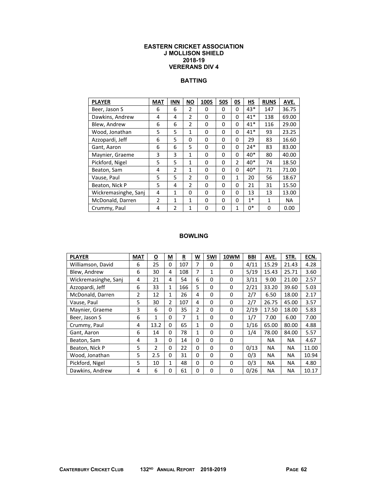#### **EASTERN CRICKET ASSOCIATION J MOLLISON SHIELD 2018-19 VERERANS DIV 4**

### **BATTING**

| <b>PLAYER</b>        | <b>MAT</b>     | <b>INN</b>   | <b>NO</b>      | 100S | <b>50S</b> | 0S             | HS    | <b>RUNS</b> | AVE.  |
|----------------------|----------------|--------------|----------------|------|------------|----------------|-------|-------------|-------|
| Beer, Jason S        | 6              | 6            | $\overline{2}$ | 0    | 0          | 0              | 43*   | 147         | 36.75 |
| Dawkins, Andrew      | 4              | 4            | $\overline{2}$ | 0    | 0          | 0              | $41*$ | 138         | 69.00 |
| Blew, Andrew         | 6              | 6            | 2              | 0    | 0          | 0              | $41*$ | 116         | 29.00 |
| Wood, Jonathan       | 5              | 5            | $\mathbf{1}$   | 0    | 0          | 0              | $41*$ | 93          | 23.25 |
| Azzopardi, Jeff      | 6              | 5            | 0              | 0    | 0          | 0              | 29    | 83          | 16.60 |
| Gant, Aaron          | 6              | 6            | 5              | 0    | 0          | 0              | $24*$ | 83          | 83.00 |
| Maynier, Graeme      | 3              | 3            | $\mathbf{1}$   | 0    | 0          | 0              | $40*$ | 80          | 40.00 |
| Pickford, Nigel      | 5              | 5            | 1              | 0    | 0          | $\overline{2}$ | $40*$ | 74          | 18.50 |
| Beaton, Sam          | 4              | 2            | $\mathbf{1}$   | 0    | 0          | 0              | $40*$ | 71          | 71.00 |
| Vause, Paul          | 5              | 5            | $\overline{2}$ | 0    | 0          | $\mathbf{1}$   | 20    | 56          | 18.67 |
| Beaton, Nick P       | 5              | 4            | 2              | 0    | 0          | 0              | 21    | 31          | 15.50 |
| Wickremasinghe, Sanj | 4              | $\mathbf{1}$ | 0              | 0    | 0          | 0              | 13    | 13          | 13.00 |
| McDonald, Darren     | $\overline{2}$ | 1            | 1              | 0    | 0          | 0              | $1*$  | 1           | NA    |
| Crummy, Paul         | 4              | 2            | $\mathbf{1}$   | 0    | 0          | $\mathbf{1}$   | $0*$  | 0           | 0.00  |

| <b>PLAYER</b>        | <b>MAT</b>     | Ο              | М           | R   | W            | 5WI         | 10WM     | BBI  | AVE.      | STR.      | ECN.  |
|----------------------|----------------|----------------|-------------|-----|--------------|-------------|----------|------|-----------|-----------|-------|
| Williamson, David    | 6              | 25             | 0           | 107 | 7            | 0           | 0        | 4/11 | 15.29     | 21.43     | 4.28  |
| Blew, Andrew         | 6              | 30             | 4           | 108 | 7            | 1           | $\Omega$ | 5/19 | 15.43     | 25.71     | 3.60  |
| Wickremasinghe, Sanj | 4              | 21             | 4           | 54  | 6            | 0           | 0        | 3/11 | 9.00      | 21.00     | 2.57  |
| Azzopardi, Jeff      | 6              | 33             | 1           | 166 | 5            | 0           | 0        | 2/21 | 33.20     | 39.60     | 5.03  |
| McDonald, Darren     | $\overline{2}$ | 12             | 1           | 26  | 4            | 0           | $\Omega$ | 2/7  | 6.50      | 18.00     | 2.17  |
| Vause, Paul          | 5              | 30             | 2           | 107 | 4            | 0           | 0        | 2/7  | 26.75     | 45.00     | 3.57  |
| Maynier, Graeme      | 3              | 6              | 0           | 35  | 2            | 0           | 0        | 2/19 | 17.50     | 18.00     | 5.83  |
| Beer, Jason S        | 6              | 1              | $\Omega$    | 7   | 1            | 0           | $\Omega$ | 1/7  | 7.00      | 6.00      | 7.00  |
| Crummy, Paul         | 4              | 13.2           | $\mathbf 0$ | 65  | $\mathbf{1}$ | $\mathbf 0$ | $\Omega$ | 1/16 | 65.00     | 80.00     | 4.88  |
| Gant, Aaron          | 6              | 14             | 0           | 78  | 1            | 0           | 0        | 1/4  | 78.00     | 84.00     | 5.57  |
| Beaton, Sam          | 4              | 3              | 0           | 14  | $\Omega$     | 0           | $\Omega$ |      | NA.       | <b>NA</b> | 4.67  |
| Beaton, Nick P       | 5              | $\overline{2}$ | 0           | 22  | $\Omega$     | 0           | 0        | 0/13 | <b>NA</b> | <b>NA</b> | 11.00 |
| Wood, Jonathan       | 5              | 2.5            | 0           | 31  | 0            | 0           | 0        | 0/3  | <b>NA</b> | <b>NA</b> | 10.94 |
| Pickford, Nigel      | 5              | 10             | 1           | 48  | $\Omega$     | 0           | $\Omega$ | 0/3  | ΝA        | ΝA        | 4.80  |
| Dawkins, Andrew      | 4              | 6              | $\Omega$    | 61  | 0            | 0           | $\Omega$ | 0/26 | <b>NA</b> | <b>NA</b> | 10.17 |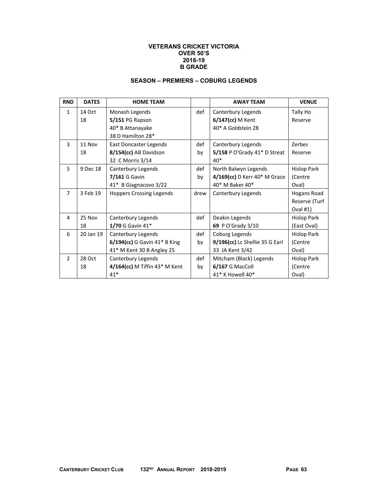#### **VETERANS CRICKET VICTORIA OVER 50'S 2018-19 B GRADE**

## **SEASON – PREMIERS – COBURG LEGENDS**

| <b>RND</b>     | <b>DATES</b> | <b>HOME TEAM</b>                |      | <b>AWAY TEAM</b>               | <b>VENUE</b>       |
|----------------|--------------|---------------------------------|------|--------------------------------|--------------------|
| $\mathbf{1}$   | 14 Oct       | Monash Legends                  | def  | Canterbury Legends             | Tally Ho           |
|                | 18           | 5/151 PG Rapson                 |      | 6/147(cc) M Kent               | Reserve            |
|                |              | 40* B Attanayake                |      | 40* A Goldstein 28             |                    |
|                |              | 38 D Hamilton 28*               |      |                                |                    |
| 3              | 11 Nov       | East Doncaster Legends          | def  | Canterbury Legends             | Zerbes             |
|                | 18           | 8/154(cc) AB Davidson           | by   | $5/158$ P O'Grady 41* D Streat | Reserve            |
|                |              | 32 C Morris 3/14                |      | $40*$                          |                    |
| 5              | 9 Dec 18     | Canterbury Legends              | def  | North Balwyn Legends           | <b>Hislop Park</b> |
|                |              | 7/161 G Gavin                   | by   | 4/169(cc) D Kerr 40* M Grace   | (Centre            |
|                |              | 41* B Giagnacovo 3/22           |      | 40* M Baker 40*                | Oval)              |
| $\overline{7}$ | 3 Feb 19     | <b>Hoppers Crossing Legends</b> | drew | Canterbury Legends             | Hogans Road        |
|                |              |                                 |      |                                | Reserve (Turf      |
|                |              |                                 |      |                                | Oval $#1$ )        |
| 4              | 25 Nov       | Canterbury Legends              | def  | Deakin Legends                 | Hislop Park        |
|                | 18           | 1/70 G Gavin 41*                |      | 69 P O'Grady 3/10              | (East Oval)        |
| 6              | 20 Jan 19    | Canterbury Legends              | def  | Coburg Legends                 | <b>Hislop Park</b> |
|                |              | $6/194$ (cc) G Gavin 41* B King | by   | 9/196(cc) Lc Shellie 35 G Earl | (Centre            |
|                |              | 41* M Kent 30 B Angley 25       |      | 33 JA Kent 3/42                | Oval)              |
| $\mathfrak{D}$ | 28 Oct       | Canterbury Legends              | def  | Mitcham (Black) Legends        | <b>Hislop Park</b> |
|                | 18           | 4/164(cc) M Tiffin 43* M Kent   | by   | 6/167 G MacColl                | (Centre            |
|                |              | $41*$                           |      | 41* K Howell 40*               | Oval)              |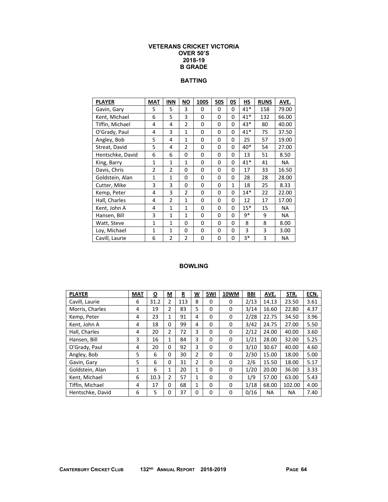#### **VETERANS CRICKET VICTORIA OVER 50'S 2018-19 B GRADE**

## **BATTING**

| <b>PLAYER</b>    | <b>MAT</b>     | <b>INN</b>     | ΝO             | <b>100S</b> | <b>50S</b>  | 0S | HS    | <b>RUNS</b> | AVE.      |
|------------------|----------------|----------------|----------------|-------------|-------------|----|-------|-------------|-----------|
| Gavin, Gary      | 5              | 5              | 3              | 0           | 0           | 0  | $41*$ | 158         | 79.00     |
| Kent, Michael    | 6              | 5              | 3              | 0           | 0           | 0  | $41*$ | 132         | 66.00     |
| Tiffin, Michael  | 4              | 4              | $\overline{2}$ | $\Omega$    | 0           | 0  | $43*$ | 80          | 40.00     |
| O'Grady, Paul    | 4              | 3              | $\mathbf{1}$   | 0           | 0           | 0  | $41*$ | 75          | 37.50     |
| Angley, Bob      | 5              | 4              | $\mathbf{1}$   | 0           | $\mathbf 0$ | 0  | 25    | 57          | 19.00     |
| Streat, David    | 5              | 4              | $\overline{2}$ | 0           | $\mathbf 0$ | 0  | 40*   | 54          | 27.00     |
| Hentschke, David | 6              | 6              | 0              | 0           | 0           | 0  | 13    | 51          | 8.50      |
| King, Barry      | $\mathbf{1}$   | $\mathbf{1}$   | $\mathbf{1}$   | 0           | 0           | 0  | $41*$ | 41          | <b>NA</b> |
| Davis, Chris     | $\overline{2}$ | $\overline{2}$ | $\Omega$       | $\Omega$    | 0           | 0  | 17    | 33          | 16.50     |
| Goldstein, Alan  | $\mathbf{1}$   | $\mathbf{1}$   | 0              | 0           | 0           | 0  | 28    | 28          | 28.00     |
| Cutter, Mike     | 3              | 3              | 0              | 0           | 0           | 1  | 18    | 25          | 8.33      |
| Kemp, Peter      | 4              | 3              | $\overline{2}$ | 0           | 0           | 0  | $14*$ | 22          | 22.00     |
| Hall, Charles    | 4              | $\overline{2}$ | $\mathbf{1}$   | 0           | 0           | 0  | 12    | 17          | 17.00     |
| Kent, John A     | 4              | $\mathbf{1}$   | $\mathbf{1}$   | 0           | 0           | 0  | $15*$ | 15          | <b>NA</b> |
| Hansen, Bill     | 3              | $\mathbf{1}$   | 1              | 0           | 0           | 0  | 9*    | 9           | <b>NA</b> |
| Watt, Steve      | $\mathbf{1}$   | $\mathbf{1}$   | 0              | 0           | 0           | 0  | 8     | 8           | 8.00      |
| Loy, Michael     | 1              | $\mathbf{1}$   | 0              | 0           | 0           | 0  | 3     | 3           | 3.00      |
| Cavill, Laurie   | 6              | $\overline{2}$ | $\overline{2}$ | 0           | 0           | 0  | 3*    | 3           | <b>NA</b> |

| <b>PLAYER</b>    | <b>MAT</b> | $\overline{\mathbf{o}}$ | <u>M</u>       | R<br>= | <u>W</u>       | 5WI | 10WM     | <b>BBI</b> | AVE.  | STR.      | ECN. |
|------------------|------------|-------------------------|----------------|--------|----------------|-----|----------|------------|-------|-----------|------|
| Cavill, Laurie   | 6          | 31.2                    | 2              | 113    | 8              | 0   | 0        | 2/13       | 14.13 | 23.50     | 3.61 |
| Morris, Charles  | 4          | 19                      | $\overline{2}$ | 83     | 5              | 0   | 0        | 3/14       | 16.60 | 22.80     | 4.37 |
| Kemp, Peter      | 4          | 23                      | 1              | 91     | 4              | 0   | 0        | 2/28       | 22.75 | 34.50     | 3.96 |
| Kent, John A     | 4          | 18                      | 0              | 99     | 4              | 0   | 0        | 3/42       | 24.75 | 27.00     | 5.50 |
| Hall, Charles    | 4          | 20                      | $\overline{2}$ | 72     | 3              | 0   | 0        | 2/12       | 24.00 | 40.00     | 3.60 |
| Hansen, Bill     | 3          | 16                      | 1              | 84     | 3              | 0   | 0        | 1/21       | 28.00 | 32.00     | 5.25 |
| O'Grady, Paul    | 4          | 20                      | 0              | 92     | 3              | 0   | 0        | 3/10       | 30.67 | 40.00     | 4.60 |
| Angley, Bob      | 5          | 6                       | 0              | 30     | 2              | 0   | 0        | 2/30       | 15.00 | 18.00     | 5.00 |
| Gavin, Gary      | 5          | 6                       | 0              | 31     | $\overline{2}$ | 0   | 0        | 2/6        | 15.50 | 18.00     | 5.17 |
| Goldstein, Alan  | 1          | 6                       | $\mathbf{1}$   | 20     | 1              | 0   | $\Omega$ | 1/20       | 20.00 | 36.00     | 3.33 |
| Kent, Michael    | 6          | 10.3                    | 2              | 57     | $\mathbf{1}$   | 0   | $\Omega$ | 1/9        | 57.00 | 63.00     | 5.43 |
| Tiffin, Michael  | 4          | 17                      | 0              | 68     | 1              | 0   | 0        | 1/18       | 68.00 | 102.00    | 4.00 |
| Hentschke, David | 6          | 5                       | 0              | 37     | 0              | 0   | 0        | 0/16       | NA.   | <b>NA</b> | 7.40 |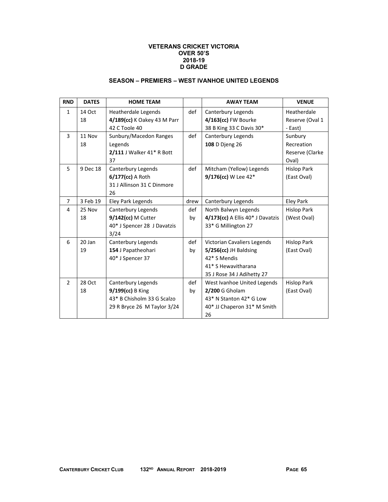#### **VETERANS CRICKET VICTORIA OVER 50'S 2018-19 D GRADE**

### **SEASON – PREMIERS – WEST IVANHOE UNITED LEGENDS**

| <b>RND</b>     | <b>DATES</b> | <b>HOME TEAM</b>            |      | <b>AWAY TEAM</b>                 | <b>VENUE</b>       |
|----------------|--------------|-----------------------------|------|----------------------------------|--------------------|
| $\mathbf{1}$   | 14 Oct       | <b>Heatherdale Legends</b>  | def  | Canterbury Legends               | Heatherdale        |
|                | 18           | 4/189(cc) K Oakey 43 M Parr |      | 4/163(cc) FW Bourke              | Reserve (Oval 1    |
|                |              | 42 C Toole 40               |      | 38 B King 33 C Davis 30*         | - East)            |
| $\overline{3}$ | 11 Nov       | Sunbury/Macedon Ranges      | def  | Canterbury Legends               | Sunbury            |
|                | 18           | Legends                     |      | 108 D Djeng 26                   | Recreation         |
|                |              | 2/111 J Walker 41* R Bott   |      |                                  | Reserve (Clarke    |
|                |              | 37                          |      |                                  | Oval)              |
| 5              | 9 Dec 18     | Canterbury Legends          | def  | Mitcham (Yellow) Legends         | <b>Hislop Park</b> |
|                |              | 6/177(cc) A Roth            |      | 9/176(cc) W Lee 42*              | (East Oval)        |
|                |              | 31 J Allinson 31 C Dinmore  |      |                                  |                    |
|                |              | 26                          |      |                                  |                    |
| $\overline{7}$ | 3 Feb 19     | Eley Park Legends           | drew | Canterbury Legends               | Eley Park          |
| 4              | 25 Nov       | Canterbury Legends          | def  | North Balwyn Legends             | <b>Hislop Park</b> |
|                | 18           | 9/142(cc) M Cutter          | by   | 4/173(cc) A Ellis 40* J Davatzis | (West Oval)        |
|                |              | 40* J Spencer 28 J Davatzis |      | 33* G Millington 27              |                    |
|                |              | 3/24                        |      |                                  |                    |
| 6              | 20 Jan       | Canterbury Legends          | def  | Victorian Cavaliers Legends      | <b>Hislop Park</b> |
|                | 19           | 154 J Papatheohari          | by   | $5/256$ (cc) JH Baldsing         | (East Oval)        |
|                |              | 40* J Spencer 37            |      | 42* S Mendis                     |                    |
|                |              |                             |      | 41* S Hewavitharana              |                    |
|                |              |                             |      | 35 J Rose 34 J Adihetty 27       |                    |
| $\overline{2}$ | 28 Oct       | Canterbury Legends          | def  | West Ivanhoe United Legends      | <b>Hislop Park</b> |
|                | 18           | 9/199(cc) B King            | by   | 2/200 G Gholam                   | (East Oval)        |
|                |              | 43* B Chisholm 33 G Scalzo  |      | 43* N Stanton 42* G Low          |                    |
|                |              | 29 R Bryce 26 M Taylor 3/24 |      | 40* JJ Chaperon 31* M Smith      |                    |
|                |              |                             |      | 26                               |                    |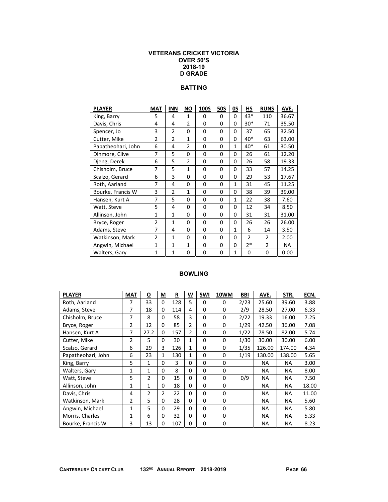### **VETERANS CRICKET VICTORIA OVER 50'S 2018-19 D GRADE**

# **BATTING**

| <b>PLAYER</b>      | <b>MAT</b>     | <b>INN</b>     | <b>NO</b>      | <b>100S</b> | <b>50S</b> | OS           | HS             | <b>RUNS</b>    | AVE.  |
|--------------------|----------------|----------------|----------------|-------------|------------|--------------|----------------|----------------|-------|
| King, Barry        | 5              | 4              | $\mathbf{1}$   | 0           | 0          | 0            | 43*            | 110            | 36.67 |
| Davis, Chris       | 4              | 4              | $\overline{2}$ | 0           | 0          | 0            | $30*$          | 71             | 35.50 |
| Spencer, Jo        | 3              | $\overline{2}$ | 0              | 0           | $\Omega$   | 0            | 37             | 65             | 32.50 |
| Cutter, Mike       | $\overline{2}$ | $\overline{2}$ | $\mathbf{1}$   | $\Omega$    | 0          | $\Omega$     | 40*            | 63             | 63.00 |
| Papatheohari, John | 6              | 4              | $\overline{2}$ | 0           | 0          | 1            | 40*            | 61             | 30.50 |
| Dinmore, Clive     | 7              | 5              | 0              | 0           | 0          | 0            | 26             | 61             | 12.20 |
| Djeng, Derek       | 6              | 5              | $\overline{2}$ | 0           | 0          | $\Omega$     | 26             | 58             | 19.33 |
| Chisholm, Bruce    | 7              | 5              | $\mathbf{1}$   | 0           | 0          | 0            | 33             | 57             | 14.25 |
| Scalzo, Gerard     | 6              | 3              | 0              | 0           | 0          | 0            | 29             | 53             | 17.67 |
| Roth, Aarland      | 7              | 4              | 0              | 0           | 0          | $\mathbf{1}$ | 31             | 45             | 11.25 |
| Bourke, Francis W  | 3              | $\overline{2}$ | $\mathbf{1}$   | 0           | 0          | 0            | 38             | 39             | 39.00 |
| Hansen, Kurt A     | 7              | 5              | 0              | 0           | 0          | 1            | 22             | 38             | 7.60  |
| Watt, Steve        | 5              | 4              | 0              | 0           | 0          | 0            | 12             | 34             | 8.50  |
| Allinson, John     | 1              | $\mathbf{1}$   | 0              | 0           | 0          | 0            | 31             | 31             | 31.00 |
| Bryce, Roger       | 2              | $\mathbf{1}$   | 0              | 0           | 0          | 0            | 26             | 26             | 26.00 |
| Adams, Steve       | 7              | 4              | 0              | 0           | 0          | $\mathbf{1}$ | 6              | 14             | 3.50  |
| Watkinson, Mark    | $\overline{2}$ | $\mathbf{1}$   | 0              | 0           | 0          | 0            | $\overline{2}$ | $\overline{2}$ | 2.00  |
| Angwin, Michael    | 1              | $\mathbf{1}$   | $\mathbf{1}$   | 0           | 0          | 0            | $2*$           | $\overline{2}$ | NA    |
| Walters, Gary      | $\mathbf{1}$   | $\mathbf{1}$   | 0              | 0           | 0          | 1            | 0              | 0              | 0.00  |

| <b>PLAYER</b>      | <b>MAT</b>     | $\overline{\mathbf{o}}$ | М        | R   | W              | 5WI      | 10WM     | BBI  | AVE.      | STR.      | ECN.  |
|--------------------|----------------|-------------------------|----------|-----|----------------|----------|----------|------|-----------|-----------|-------|
| Roth, Aarland      | 7              | 33                      | 0        | 128 | 5              | 0        | $\Omega$ | 2/23 | 25.60     | 39.60     | 3.88  |
| Adams, Steve       | 7              | 18                      | 0        | 114 | 4              | $\Omega$ | $\Omega$ | 2/9  | 28.50     | 27.00     | 6.33  |
| Chisholm, Bruce    | 7              | 8                       | 0        | 58  | 3              | 0        | 0        | 2/22 | 19.33     | 16.00     | 7.25  |
| Bryce, Roger       | $\overline{2}$ | 12                      | 0        | 85  | $\overline{2}$ | $\Omega$ | 0        | 1/29 | 42.50     | 36.00     | 7.08  |
| Hansen, Kurt A     | 7              | 27.2                    | 0        | 157 | 2              | 0        | 0        | 1/22 | 78.50     | 82.00     | 5.74  |
| Cutter, Mike       | $\overline{2}$ | 5                       | 0        | 30  | 1              | 0        | 0        | 1/30 | 30.00     | 30.00     | 6.00  |
| Scalzo, Gerard     | 6              | 29                      | 3        | 126 | $\mathbf{1}$   | 0        | 0        | 1/35 | 126.00    | 174.00    | 4.34  |
| Papatheohari, John | 6              | 23                      | 1        | 130 | 1              | 0        | 0        | 1/19 | 130.00    | 138.00    | 5.65  |
| King, Barry        | 5              | $\mathbf{1}$            | 0        | 3   | 0              | 0        | $\Omega$ |      | <b>NA</b> | <b>NA</b> | 3.00  |
| Walters, Gary      | $\mathbf{1}$   | $\mathbf{1}$            | 0        | 8   | 0              | 0        | 0        |      | <b>NA</b> | <b>NA</b> | 8.00  |
| Watt, Steve        | 5              | $\overline{2}$          | $\Omega$ | 15  | 0              | 0        | $\Omega$ | 0/9  | <b>NA</b> | <b>NA</b> | 7.50  |
| Allinson, John     | $\mathbf{1}$   | $\mathbf{1}$            | 0        | 18  | $\Omega$       | 0        | $\Omega$ |      | <b>NA</b> | <b>NA</b> | 18.00 |
| Davis, Chris       | 4              | $\overline{2}$          | 2        | 22  | 0              | $\Omega$ | $\Omega$ |      | <b>NA</b> | <b>NA</b> | 11.00 |
| Watkinson, Mark    | 2              | 5                       | $\Omega$ | 28  | $\Omega$       | 0        | $\Omega$ |      | <b>NA</b> | <b>NA</b> | 5.60  |
| Angwin, Michael    | 1              | 5                       | 0        | 29  | 0              | 0        | 0        |      | <b>NA</b> | <b>NA</b> | 5.80  |
| Morris, Charles    | 1              | 6                       | 0        | 32  | 0              | 0        | 0        |      | <b>NA</b> | <b>NA</b> | 5.33  |
| Bourke, Francis W  | 3              | 13                      | 0        | 107 | 0              | $\Omega$ | 0        |      | <b>NA</b> | <b>NA</b> | 8.23  |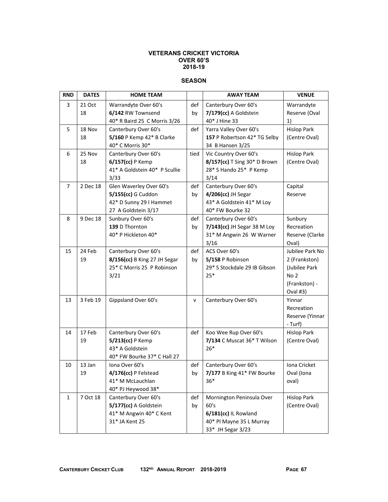#### **VETERANS CRICKET VICTORIA OVER 60'S 2018-19**

### **SEASON**

| <b>RND</b>     | <b>DATES</b> | <b>HOME TEAM</b>                                     |      | <b>AWAY TEAM</b>                  | <b>VENUE</b>                     |
|----------------|--------------|------------------------------------------------------|------|-----------------------------------|----------------------------------|
| 3              | 21 Oct       | Warrandyte Over 60's                                 | def  | Canterbury Over 60's              | Warrandyte                       |
|                | 18           | 6/142 RW Townsend                                    | by   | 7/179(cc) A Goldstein             | Reserve (Oval                    |
|                |              | 40* R Baird 25 C Morris 3/26                         |      | 40* J Hine 33                     | 1)                               |
| 5              | 18 Nov       | Canterbury Over 60's                                 | def  | Yarra Valley Over 60's            | <b>Hislop Park</b>               |
|                | 18           | 5/160 P Kemp 42* B Clarke                            |      | 157 P Robertson 42* TG Selby      | (Centre Oval)                    |
|                |              | 40* C Morris 30*                                     |      | 34 B Hansen 3/25                  |                                  |
| 6              | 25 Nov       | Canterbury Over 60's                                 | tied | Vic Country Over 60's             | <b>Hislop Park</b>               |
|                | 18           | 6/157(cc) P Kemp                                     |      | 8/157(cc) T Sing 30* D Brown      | (Centre Oval)                    |
|                |              | 41* A Goldstein 40* P Scullie                        |      | 28* S Hando 25* P Kemp            |                                  |
|                |              | 3/33                                                 |      | 3/14                              |                                  |
| $\overline{7}$ | 2 Dec 18     | Glen Waverley Over 60's                              | def  | Canterbury Over 60's              | Capital                          |
|                |              | 5/155(cc) G Cuddon                                   | by   | 4/206(cc) JH Segar                | Reserve                          |
|                |              | 42* D Sunny 29 I Hammet                              |      | 43* A Goldstein 41* M Loy         |                                  |
|                |              | 27 A Goldstein 3/17                                  |      | 40* FW Bourke 32                  |                                  |
| 8              | 9 Dec 18     | Sunbury Over 60's                                    | def  | Canterbury Over 60's              | Sunbury                          |
|                |              | 139 D Thornton                                       | by   | 7/143(cc) JH Segar 38 M Loy       | Recreation                       |
|                |              | 40* P Hickleton 40*                                  |      | 31* M Angwin 26 W Warner          | Reserve (Clarke                  |
|                |              |                                                      |      | 3/16                              | Oval)                            |
| 15             | 24 Feb<br>19 | Canterbury Over 60's<br>8/156(cc) B King 27 JH Segar | def  | ACS Over 60's<br>5/158 P Robinson | Jubilee Park No<br>2 (Frankston) |
|                |              | 25* C Morris 25 P Robinson                           | by   | 29* S Stockdale 29 IB Gibson      | (Jubilee Park                    |
|                |              | 3/21                                                 |      | $25*$                             | No <sub>2</sub>                  |
|                |              |                                                      |      |                                   | (Frankston) -                    |
|                |              |                                                      |      |                                   | Oval #3)                         |
| 13             | 3 Feb 19     | Gippsland Over 60's                                  | v    | Canterbury Over 60's              | Yinnar                           |
|                |              |                                                      |      |                                   | Recreation                       |
|                |              |                                                      |      |                                   | Reserve (Yinnar                  |
|                |              |                                                      |      |                                   | - Turf)                          |
| 14             | 17 Feb       | Canterbury Over 60's                                 | def  | Koo Wee Rup Over 60's             | <b>Hislop Park</b>               |
|                | 19           | $5/213$ (cc) P Kemp                                  |      | 7/134 C Muscat 36* T Wilson       | (Centre Oval)                    |
|                |              | 43* A Goldstein                                      |      | $26*$                             |                                  |
|                |              | 40* FW Bourke 37* C Hall 27                          |      |                                   |                                  |
| 10             | 13 Jan       | Iona Over 60's                                       | def  | Canterbury Over 60's              | Iona Cricket                     |
|                | 19           | 4/176(cc) P Felstead                                 | by   | 7/177 B King 41* FW Bourke        | Oval (Iona                       |
|                |              | 41* M McLauchlan                                     |      | 36*                               | oval)                            |
|                |              | 40* PJ Heywood 38*                                   |      |                                   |                                  |
| $\mathbf{1}$   | 7 Oct 18     | Canterbury Over 60's                                 | def  | Mornington Peninsula Over         | <b>Hislop Park</b>               |
|                |              | 5/177(cc) A Goldstein                                | by   | 60's                              | (Centre Oval)                    |
|                |              | 41* M Angwin 40* C Kent                              |      | 6/181(cc) IL Rowland              |                                  |
|                |              | 31* JA Kent 25                                       |      | 40* PI Mayne 35 L Murray          |                                  |
|                |              |                                                      |      | 33* JH Segar 3/23                 |                                  |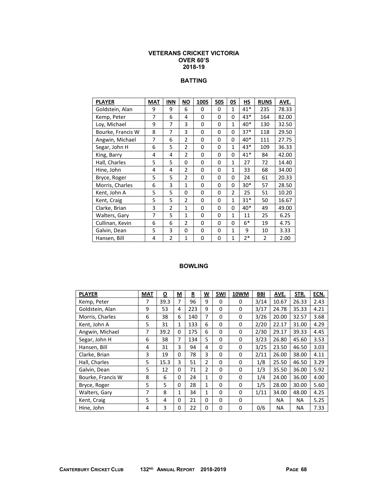#### **VETERANS CRICKET VICTORIA OVER 60'S 2018-19**

## **BATTING**

| <b>PLAYER</b>     | <b>MAT</b> | <b>INN</b>     | ΝO             | <b>100S</b> | <b>50S</b>  | 0S             | HS    | <b>RUNS</b>    | AVE.  |
|-------------------|------------|----------------|----------------|-------------|-------------|----------------|-------|----------------|-------|
| Goldstein, Alan   | 9          | 9              | 6              | 0           | 0           | $\mathbf{1}$   | $41*$ | 235            | 78.33 |
| Kemp, Peter       | 7          | 6              | 4              | 0           | 0           | 0              | 43*   | 164            | 82.00 |
| Loy, Michael      | 9          | 7              | 3              | 0           | 0           | $\mathbf{1}$   | 40*   | 130            | 32.50 |
| Bourke, Francis W | 8          | 7              | 3              | $\Omega$    | $\mathbf 0$ | 0              | $37*$ | 118            | 29.50 |
| Angwin, Michael   | 7          | 6              | $\overline{2}$ | 0           | 0           | 0              | 40*   | 111            | 27.75 |
| Segar, John H     | 6          | 5              | $\overline{2}$ | $\Omega$    | $\mathbf 0$ | $\mathbf{1}$   | 43*   | 109            | 36.33 |
| King, Barry       | 4          | 4              | $\overline{2}$ | $\Omega$    | $\mathbf 0$ | 0              | $41*$ | 84             | 42.00 |
| Hall, Charles     | 5          | 5              | $\Omega$       | 0           | $\mathbf 0$ | $\mathbf{1}$   | 27    | 72             | 14.40 |
| Hine, John        | 4          | 4              | $\overline{2}$ | $\Omega$    | 0           | $\mathbf{1}$   | 33    | 68             | 34.00 |
| Bryce, Roger      | 5          | 5              | $\overline{2}$ | 0           | 0           | 0              | 24    | 61             | 20.33 |
| Morris, Charles   | 6          | 3              | $\mathbf{1}$   | 0           | 0           | 0              | $30*$ | 57             | 28.50 |
| Kent, John A      | 5          | 5              | 0              | 0           | 0           | $\overline{2}$ | 25    | 51             | 10.20 |
| Kent, Craig       | 5          | 5              | $\overline{2}$ | 0           | 0           | 1              | $31*$ | 50             | 16.67 |
| Clarke, Brian     | 3          | $\overline{2}$ | 1              | 0           | 0           | 0              | 40*   | 49             | 49.00 |
| Walters, Gary     | 7          | 5              | $\mathbf{1}$   | 0           | 0           | $\mathbf{1}$   | 11    | 25             | 6.25  |
| Cullinan, Kevin   | 6          | 6              | $\overline{2}$ | 0           | 0           | 0              | $6*$  | 19             | 4.75  |
| Galvin, Dean      | 5          | 3              | 0              | 0           | 0           | $\mathbf{1}$   | 9     | 10             | 3.33  |
| Hansen, Bill      | 4          | $\overline{2}$ | $\mathbf{1}$   | 0           | 0           | $\mathbf{1}$   | 2*    | $\overline{2}$ | 2.00  |

| <b>PLAYER</b>     | <b>MAT</b> | $\overline{\mathbf{o}}$ | М | R   | W              | 5WI | 10WM     | BBI  | AVE.      | STR.      | ECN. |
|-------------------|------------|-------------------------|---|-----|----------------|-----|----------|------|-----------|-----------|------|
| Kemp, Peter       | 7          | 39.3                    | 7 | 96  | 9              | 0   | 0        | 3/14 | 10.67     | 26.33     | 2.43 |
| Goldstein, Alan   | 9          | 53                      | 4 | 223 | 9              | 0   | 0        | 3/17 | 24.78     | 35.33     | 4.21 |
| Morris, Charles   | 6          | 38                      | 6 | 140 | 7              | 0   | 0        | 3/26 | 20.00     | 32.57     | 3.68 |
| Kent, John A      | 5          | 31                      | 1 | 133 | 6              | 0   | 0        | 2/20 | 22.17     | 31.00     | 4.29 |
| Angwin, Michael   | 7          | 39.2                    | 0 | 175 | 6              | 0   | $\Omega$ | 2/30 | 29.17     | 39.33     | 4.45 |
| Segar, John H     | 6          | 38                      | 7 | 134 | 5              | 0   | $\Omega$ | 3/23 | 26.80     | 45.60     | 3.53 |
| Hansen, Bill      | 4          | 31                      | 3 | 94  | 4              | 0   | 0        | 3/25 | 23.50     | 46.50     | 3.03 |
| Clarke, Brian     | 3          | 19                      | 0 | 78  | 3              | 0   | 0        | 2/11 | 26.00     | 38.00     | 4.11 |
| Hall, Charles     | 5          | 15.3                    | 3 | 51  | 2              | 0   | 0        | 1/8  | 25.50     | 46.50     | 3.29 |
| Galvin, Dean      | 5          | 12                      | 0 | 71  | $\overline{2}$ | 0   | 0        | 1/3  | 35.50     | 36.00     | 5.92 |
| Bourke, Francis W | 8          | 6                       | 0 | 24  | $\mathbf{1}$   | 0   | $\Omega$ | 1/4  | 24.00     | 36.00     | 4.00 |
| Bryce, Roger      | 5          | 5                       | 0 | 28  | 1              | 0   | 0        | 1/5  | 28.00     | 30.00     | 5.60 |
| Walters, Gary     | 7          | 8                       | 1 | 34  | 1              | 0   | 0        | 1/11 | 34.00     | 48.00     | 4.25 |
| Kent, Craig       | 5          | 4                       | 0 | 21  | 0              | 0   | 0        |      | NA.       | ΝA        | 5.25 |
| Hine, John        | 4          | 3                       | 0 | 22  | 0              | 0   | 0        | 0/6  | <b>NA</b> | <b>NA</b> | 7.33 |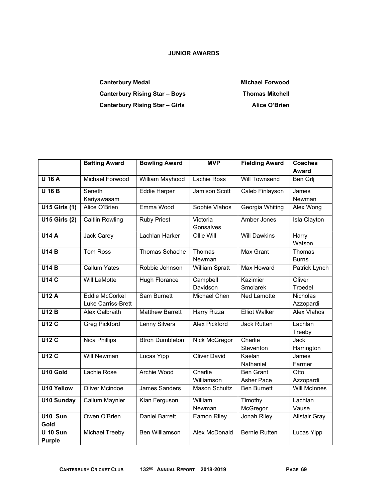## **JUNIOR AWARDS**

Canterbury Medal **Michael Forwood Michael Forwood** Canterbury Rising Star – Boys **Thomas Mitchell** Canterbury Rising Star – Girls **Alice O'Brien** 

|                        | <b>Batting Award</b>      | <b>Bowling Award</b>   | <b>MVP</b>            | <b>Fielding Award</b> | <b>Coaches</b>       |  |
|------------------------|---------------------------|------------------------|-----------------------|-----------------------|----------------------|--|
|                        |                           |                        |                       |                       | <b>Award</b>         |  |
| <b>U 16 A</b>          | <b>Michael Forwood</b>    | William Mayhood        | Lachie Ross           | <b>Will Townsend</b>  | Ben Grlj             |  |
| $\overline{U}$ 16 B    | Seneth                    | <b>Eddie Harper</b>    | <b>Jamison Scott</b>  | Caleb Finlayson       | James                |  |
|                        | Kariyawasam               |                        |                       |                       | Newman               |  |
| <b>U15 Girls (1)</b>   | Alice O'Brien             | Emma Wood              | Sophie Vlahos         | Georgia Whiting       | Alex Wong            |  |
| <b>U15 Girls (2)</b>   | <b>Caitlin Rowling</b>    | <b>Ruby Priest</b>     | Victoria              | Amber Jones           | Isla Clayton         |  |
|                        |                           |                        | Gonsalves             |                       |                      |  |
| U14A                   | Jack Carey                | Lachlan Harker         | Ollie Will            | <b>Will Dawkins</b>   | Harry                |  |
|                        |                           |                        |                       |                       | Watson               |  |
| U14B                   | <b>Tom Ross</b>           | Thomas Schache         | Thomas                | <b>Max Grant</b>      | Thomas               |  |
|                        |                           |                        | Newman                |                       | <b>Burns</b>         |  |
| U14B                   | <b>Callum Yates</b>       | Robbie Johnson         | <b>William Spratt</b> | Max Howard            | Patrick Lynch        |  |
| <b>U14 C</b>           | <b>Will LaMotte</b>       | <b>Hugh Florance</b>   | Campbell              | Kazimier              | Oliver               |  |
|                        |                           |                        | Davidson              | Smolarek              | Troedel              |  |
| <b>U12 A</b>           | Eddie McCorkel            | <b>Sam Burnett</b>     | Michael Chen          | <b>Ned Lamotte</b>    | <b>Nicholas</b>      |  |
|                        | <b>Luke Carriss-Brett</b> |                        |                       |                       | Azzopardi            |  |
| U12B                   | <b>Alex Galbraith</b>     | <b>Matthew Barrett</b> | <b>Harry Rizza</b>    | <b>Elliot Walker</b>  | <b>Alex Vlahos</b>   |  |
| U12C                   | <b>Greg Pickford</b>      | <b>Lenny Silvers</b>   | <b>Alex Pickford</b>  | <b>Jack Rutten</b>    | Lachlan              |  |
|                        |                           |                        |                       |                       | Treeby               |  |
| <b>U12 C</b>           | <b>Nica Phillips</b>      | <b>Btron Dumbleton</b> | Nick McGregor         | Charlie               | Jack                 |  |
|                        |                           |                        |                       | Steventon             | Harrington           |  |
| <b>U12 C</b>           | <b>Will Newman</b>        | Lucas Yipp             | <b>Oliver David</b>   | Kaelan                | James                |  |
|                        |                           |                        |                       | Nathaniel             | Farmer               |  |
| U10 Gold               | Lachie Rose               | <b>Archie Wood</b>     | Charlie               | <b>Ben Grant</b>      | Otto                 |  |
|                        |                           |                        | Williamson            | <b>Asher Pace</b>     | Azzopardi            |  |
| U <sub>10</sub> Yellow | <b>Oliver Mcindoe</b>     | <b>James Sanders</b>   | <b>Mason Schultz</b>  | <b>Ben Burnett</b>    | <b>Will McInnes</b>  |  |
| <b>U10 Sunday</b>      | Callum Maynier            | Kian Ferguson          | William               | Timothy               | Lachlan              |  |
|                        |                           |                        | Newman                | McGregor              | Vause                |  |
| U10 Sun                | Owen O'Brien              | <b>Daniel Barrett</b>  | <b>Eamon Riley</b>    | Jonah Riley           | <b>Alistair Gray</b> |  |
| Gold                   |                           |                        |                       |                       |                      |  |
| <b>U 10 Sun</b>        | <b>Michael Treeby</b>     | <b>Ben Williamson</b>  | <b>Alex McDonald</b>  | <b>Bernie Rutten</b>  | Lucas Yipp           |  |
| <b>Purple</b>          |                           |                        |                       |                       |                      |  |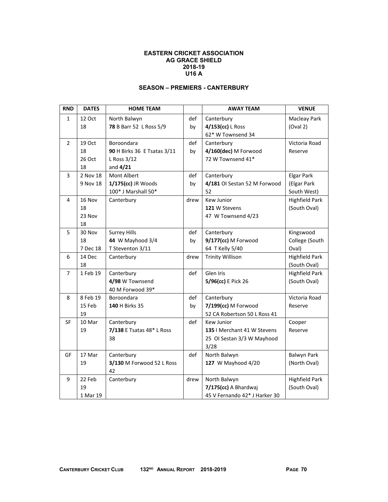### **EASTERN CRICKET ASSOCIATION AG GRACE SHIELD 2018-19 U16 A**

### **SEASON – PREMIERS - CANTERBURY**

| <b>RND</b>     | <b>DATES</b> | <b>HOME TEAM</b>            |      | <b>AWAY TEAM</b>              | <b>VENUE</b>          |
|----------------|--------------|-----------------------------|------|-------------------------------|-----------------------|
| $\mathbf{1}$   | 12 Oct       | North Balwyn                | def  | Canterbury                    | Macleay Park          |
|                | 18           | 78 B Barr 52 L Ross 5/9     | by   | 4/153(cc) L Ross              | (Oval 2)              |
|                |              |                             |      | 62* W Townsend 34             |                       |
| $\overline{2}$ | 19 Oct       | Boroondara                  | def  | Canterbury                    | Victoria Road         |
|                | 18           | 90 H Birks 36 E Tsatas 3/11 | by   | 4/160(dec) M Forwood          | Reserve               |
|                | 26 Oct       | L Ross 3/12                 |      | 72 W Townsend 41*             |                       |
|                | 18           | and $4/21$                  |      |                               |                       |
| 3              | 2 Nov 18     | Mont Albert                 | def  | Canterbury                    | <b>Elgar Park</b>     |
|                | 9 Nov 18     | 1/175(cc) JR Woods          | bv   | 4/181 OI Sestan 52 M Forwood  | (Elgar Park           |
|                |              | 100* J Marshall 50*         |      | 52                            | South West)           |
| 4              | 16 Nov       | Canterbury                  | drew | Kew Junior                    | <b>Highfield Park</b> |
|                | 18           |                             |      | 121 W Stevens                 | (South Oval)          |
|                | 23 Nov       |                             |      | 47 W Townsend 4/23            |                       |
|                | 18           |                             |      |                               |                       |
| 5              | 30 Nov       | <b>Surrey Hills</b>         | def  | Canterbury                    | Kingswood             |
|                | 18           | 44 W Mayhood 3/4            | bv   | 9/177(cc) M Forwood           | College (South        |
|                | 7 Dec 18     | T Steventon 3/11            |      | 64 T Kelly 5/40               | Oval)                 |
| 6              | 14 Dec       | Canterbury                  | drew | <b>Trinity Willison</b>       | <b>Highfield Park</b> |
|                | 18           |                             |      |                               | (South Oval)          |
| $\overline{7}$ | 1 Feb 19     | Canterbury                  | def  | Glen Iris                     | <b>Highfield Park</b> |
|                |              | 4/98 W Townsend             |      | 5/96(cc) E Pick 26            | (South Oval)          |
|                |              | 40 M Forwood 39*            |      |                               |                       |
| 8              | 8 Feb 19     | Boroondara                  | def  | Canterbury                    | Victoria Road         |
|                | 15 Feb       | 140 H Birks 35              | by   | 7/199(cc) M Forwood           | Reserve               |
|                | 19           |                             |      | 52 CA Robertson 50 L Ross 41  |                       |
| SF             | 10 Mar       | Canterbury                  | def  | <b>Kew Junior</b>             | Cooper                |
|                | 19           | 7/138 E Tsatas 48* L Ross   |      | 135   Merchant 41 W Stevens   | Reserve               |
|                |              | 38                          |      | 25 OI Sestan 3/3 W Mayhood    |                       |
|                |              |                             |      | 3/28                          |                       |
| GF             | 17 Mar       | Canterbury                  | def  | North Balwyn                  | Balwyn Park           |
|                | 19           | 3/130 M Forwood 52 L Ross   |      | 127 W Mayhood 4/20            | (North Oval)          |
|                |              | 42                          |      |                               |                       |
| 9              | 22 Feb       | Canterbury                  | drew | North Balwyn                  | <b>Highfield Park</b> |
|                | 19           |                             |      | 7/175(cc) A Bhardwaj          | (South Oval)          |
|                | 1 Mar 19     |                             |      | 45 V Fernando 42* J Harker 30 |                       |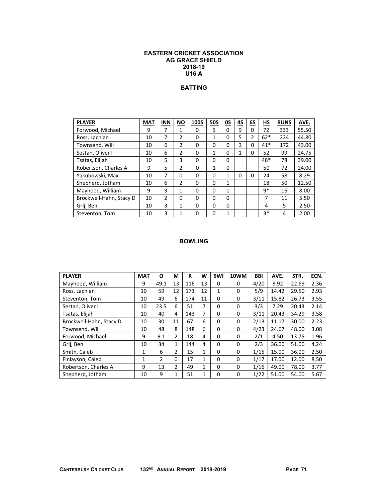### **EASTERN CRICKET ASSOCIATION AG GRACE SHIELD 2018-19 U16 A**

# **BATTING**

| <b>PLAYER</b>           | <b>MAT</b> | <b>INN</b> | <b>NO</b>     | 100S | <b>50S</b> | OS | 4S | 6S | НS    | <b>RUNS</b> | AVE.  |
|-------------------------|------------|------------|---------------|------|------------|----|----|----|-------|-------------|-------|
| Forwood, Michael        | 9          | 7          | 1             | 0    | 5          | 0  | 9  | 0  | 72    | 333         | 55.50 |
| Ross, Lachlan           | 10         | 7          | 2             | 0    | 1          | 0  | 5  | 2  | $62*$ | 224         | 44.80 |
| Townsend, Will          | 10         | 6          | 2             | 0    | 0          | 0  | 3  | 0  | $41*$ | 172         | 43.00 |
| Sestan, Oliver I        | 10         | 6          | $\mathcal{P}$ | 0    | 1          | 0  | 1  | 0  | 52    | 99          | 24.75 |
| Tsatas, Elijah          | 10         | 5          | 3             | 0    | 0          | 0  |    |    | 48*   | 78          | 39.00 |
| Robertson, Charles A    | 9          | 5          | 2             | 0    | 1          | 0  |    |    | 50    | 72          | 24.00 |
| Yakubowski, Max         | 10         | 7          | 0             | 0    | 0          | 1  | 0  | 0  | 24    | 58          | 8.29  |
| Shepherd, Jotham        | 10         | 6          | $\mathcal{P}$ | 0    | 0          | 1  |    |    | 18    | 50          | 12.50 |
| Mayhood, William        | 9          | 3          | 1             | 0    | 0          | 1  |    |    | q*    | 16          | 8.00  |
| Brockwell-Hahn, Stacy D | 10         | 2          | 0             | 0    | 0          | 0  |    |    | 7     | 11          | 5.50  |
| Grlj, Ben               | 10         | 3          | $\mathbf{1}$  | 0    | 0          | 0  |    |    | 4     | 5           | 2.50  |
| Steventon, Tom          | 10         | 3          |               | 0    | 0          | 1  |    |    | $3*$  | 4           | 2.00  |

| <b>PLAYER</b>           | <b>MAT</b> | $\overline{\mathbf{o}}$ | М  | R   | W            | 5WI          | 10WM | <b>BBI</b> | AVE.  | STR.  | ECN. |
|-------------------------|------------|-------------------------|----|-----|--------------|--------------|------|------------|-------|-------|------|
| Mayhood, William        | 9          | 49.1                    | 13 | 116 | 13           | 0            | 0    | 4/20       | 8.92  | 22.69 | 2.36 |
| Ross, Lachlan           | 10         | 59                      | 12 | 173 | 12           | $\mathbf{1}$ | 0    | 5/9        | 14.42 | 29.50 | 2.93 |
| Steventon, Tom          | 10         | 49                      | 6  | 174 | 11           | 0            | 0    | 3/11       | 15.82 | 26.73 | 3.55 |
| Sestan, Oliver I        | 10         | 23.5                    | 6  | 51  | 7            | 0            | 0    | 3/3        | 7.29  | 20.43 | 2.14 |
| Tsatas, Elijah          | 10         | 40                      | 4  | 143 | 7            | 0            | 0    | 3/11       | 20.43 | 34.29 | 3.58 |
| Brockwell-Hahn, Stacy D | 10         | 30                      | 11 | 67  | 6            | 0            | 0    | 2/13       | 11.17 | 30.00 | 2.23 |
| Townsend, Will          | 10         | 48                      | 8  | 148 | 6            | 0            | 0    | 4/23       | 24.67 | 48.00 | 3.08 |
| Forwood, Michael        | 9          | 9.1                     | 2  | 18  | 4            | 0            | 0    | 2/1        | 4.50  | 13.75 | 1.96 |
| Grlj, Ben               | 10         | 34                      | 1  | 144 | 4            | 0            | 0    | 2/3        | 36.00 | 51.00 | 4.24 |
| Smith, Caleb            | 1          | 6                       | 2  | 15  | 1            | 0            | 0    | 1/15       | 15.00 | 36.00 | 2.50 |
| Finlayson, Caleb        | 1          | 2                       | 0  | 17  | 1            | 0            | 0    | 1/17       | 17.00 | 12.00 | 8.50 |
| Robertson, Charles A    | 9          | 13                      | 2  | 49  | $\mathbf{1}$ | 0            | 0    | 1/16       | 49.00 | 78.00 | 3.77 |
| Shepherd, Jotham        | 10         | 9                       | 1  | 51  | 1            | 0            | 0    | 1/22       | 51.00 | 54.00 | 5.67 |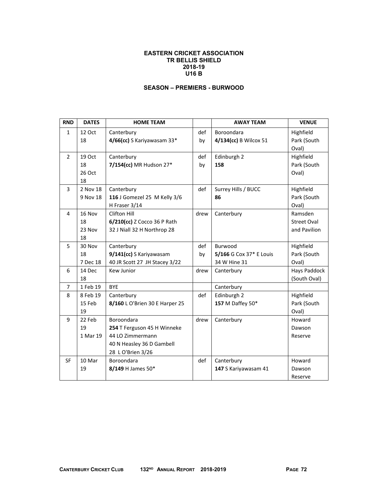### **EASTERN CRICKET ASSOCIATION TR BELLIS SHIELD 2018-19 U16 B**

## **SEASON – PREMIERS - BURWOOD**

| <b>RND</b>     | <b>DATES</b> | <b>HOME TEAM</b>               |      | <b>AWAY TEAM</b>        | <b>VENUE</b>       |
|----------------|--------------|--------------------------------|------|-------------------------|--------------------|
| $\mathbf{1}$   | 12 Oct       | Canterbury                     | def  | Boroondara              | Highfield          |
|                | 18           | 4/66(cc) S Kariyawasam 33*     | by   | 4/134(cc) B Wilcox 51   | Park (South        |
|                |              |                                |      |                         | Oval)              |
| $\overline{2}$ | 19 Oct       | Canterbury                     | def  | Edinburgh 2             | Highfield          |
|                | 18           | 7/154(cc) MR Hudson 27*        | by   | 158                     | Park (South        |
|                | 26 Oct       |                                |      |                         | Oval)              |
|                | 18           |                                |      |                         |                    |
| 3              | 2 Nov 18     | Canterbury                     | def  | Surrey Hills / BUCC     | Highfield          |
|                | 9 Nov 18     | 116 J Gomezel 25 M Kelly 3/6   |      | 86                      | Park (South        |
|                |              | H Fraser 3/14                  |      |                         | Oval)              |
| $\overline{4}$ | 16 Nov       | Clifton Hill                   | drew | Canterbury              | Ramsden            |
|                | 18           | 6/210(cc) Z Cocco 36 P Rath    |      |                         | <b>Street Oval</b> |
|                | 23 Nov       | 32 J Niall 32 H Northrop 28    |      |                         | and Pavilion       |
|                | 18           |                                |      |                         |                    |
| 5              | 30 Nov       | Canterbury                     | def  | Burwood                 | Highfield          |
|                | 18           | 9/141(cc) S Kariyawasam        | by   | 5/166 G Cox 37* E Louis | Park (South        |
|                | 7 Dec 18     | 40 JR Scott 27 JH Stacey 3/22  |      | 34 W Hine 31            | Oval)              |
| 6              | 14 Dec       | Kew Junior                     | drew | Canterbury              | Hays Paddock       |
|                | 18           |                                |      |                         | (South Oval)       |
| $\overline{7}$ | 1 Feb 19     | <b>BYE</b>                     |      | Canterbury              |                    |
| 8              | 8 Feb 19     | Canterbury                     | def  | Edinburgh 2             | Highfield          |
|                | 15 Feb       | 8/160 L O'Brien 30 E Harper 25 |      | 157 M Daffey 50*        | Park (South        |
|                | 19           |                                |      |                         | Oval)              |
| 9              | 22 Feb       | Boroondara                     | drew | Canterbury              | Howard             |
|                | 19           | 254 T Ferguson 45 H Winneke    |      |                         | Dawson             |
|                | 1 Mar 19     | 44 LO Zimmermann               |      |                         | Reserve            |
|                |              | 40 N Heasley 36 D Gambell      |      |                         |                    |
|                |              | 28 L O'Brien 3/26              |      |                         |                    |
| <b>SF</b>      | 10 Mar       | Boroondara                     | def  | Canterbury              | Howard             |
|                | 19           | 8/149 H James 50*              |      | 147 S Kariyawasam 41    | Dawson             |
|                |              |                                |      |                         | Reserve            |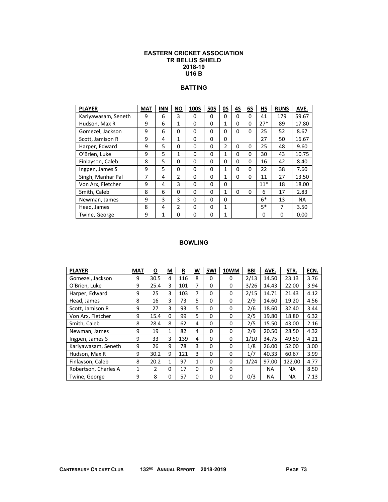### **EASTERN CRICKET ASSOCIATION TR BELLIS SHIELD 2018-19 U16 B**

# **BATTING**

| <b>PLAYER</b>       | <b>MAT</b> | <b>INN</b>   | <b>NO</b>      | 100S | <b>50S</b> | 0S             | 4S       | 6S       | <b>HS</b> | <b>RUNS</b> | AVE.      |
|---------------------|------------|--------------|----------------|------|------------|----------------|----------|----------|-----------|-------------|-----------|
| Kariyawasam, Seneth | 9          | 6            | 3              | 0    | 0          | 0              | 0        | 0        | 41        | 179         | 59.67     |
| Hudson, Max R       | 9          | 6            | 1              | 0    | $\Omega$   | $\mathbf{1}$   | $\Omega$ | $\Omega$ | $27*$     | 89          | 17.80     |
| Gomezel, Jackson    | 9          | 6            | 0              | 0    | 0          | 0              | 0        | 0        | 25        | 52          | 8.67      |
| Scott, Jamison R    | 9          | 4            | $\mathbf{1}$   | 0    | 0          | 0              |          |          | 27        | 50          | 16.67     |
| Harper, Edward      | 9          | 5            | 0              | 0    | 0          | $\overline{2}$ | 0        | 0        | 25        | 48          | 9.60      |
| O'Brien, Luke       | 9          | 5            | $\mathbf{1}$   | 0    | $\Omega$   | 1              | 0        | 0        | 30        | 43          | 10.75     |
| Finlayson, Caleb    | 8          | 5            | 0              | 0    | 0          | 0              | 0        | 0        | 16        | 42          | 8.40      |
| Ingpen, James S     | 9          | 5            | 0              | 0    | 0          | 1              | $\Omega$ | $\Omega$ | 22        | 38          | 7.60      |
| Singh, Manhar Pal   | 7          | 4            | $\overline{2}$ | 0    | 0          | 1              | 0        | 0        | 11        | 27          | 13.50     |
| Von Arx, Fletcher   | 9          | 4            | 3              | 0    | $\Omega$   | 0              |          |          | $11*$     | 18          | 18.00     |
| Smith, Caleb        | 8          | 6            | 0              | 0    | 0          | 1              | $\Omega$ | 0        | 6         | 17          | 2.83      |
| Newman, James       | 9          | 3            | 3              | 0    | 0          | 0              |          |          | $6*$      | 13          | <b>NA</b> |
| Head, James         | 8          | 4            | $\overline{2}$ | 0    | 0          | $\mathbf{1}$   |          |          | $5*$      | 7           | 3.50      |
| Twine, George       | 9          | $\mathbf{1}$ | 0              | 0    | 0          | $\mathbf{1}$   |          |          | 0         | $\Omega$    | 0.00      |

| <b>PLAYER</b>        | <b>MAT</b>   | $\overline{\mathbf{o}}$ | <u>м</u> | $\overline{\mathbf{R}}$ | <u>w</u>     | 5WI      | 10WM | <b>BBI</b> | AVE.  | STR.      | ECN. |
|----------------------|--------------|-------------------------|----------|-------------------------|--------------|----------|------|------------|-------|-----------|------|
| Gomezel, Jackson     | 9            | 30.5                    | 4        | 116                     | 8            | 0        | 0    | 2/13       | 14.50 | 23.13     | 3.76 |
| O'Brien, Luke        | 9            | 25.4                    | 3        | 101                     | 7            | 0        | 0    | 3/26       | 14.43 | 22.00     | 3.94 |
| Harper, Edward       | 9            | 25                      | 3        | 103                     | 7            | $\Omega$ | 0    | 2/15       | 14.71 | 21.43     | 4.12 |
| Head, James          | 8            | 16                      | 3        | 73                      | 5            | 0        | 0    | 2/9        | 14.60 | 19.20     | 4.56 |
| Scott, Jamison R     | 9            | 27                      | 3        | 93                      | 5            | 0        | 0    | 2/6        | 18.60 | 32.40     | 3.44 |
| Von Arx, Fletcher    | 9            | 15.4                    | 0        | 99                      | 5            | 0        | 0    | 2/5        | 19.80 | 18.80     | 6.32 |
| Smith, Caleb         | 8            | 28.4                    | 8        | 62                      | 4            | 0        | 0    | 2/5        | 15.50 | 43.00     | 2.16 |
| Newman, James        | 9            | 19                      | 1        | 82                      | 4            | $\Omega$ | 0    | 2/9        | 20.50 | 28.50     | 4.32 |
| Ingpen, James S      | 9            | 33                      | 3        | 139                     | 4            | 0        | 0    | 1/10       | 34.75 | 49.50     | 4.21 |
| Kariyawasam, Seneth  | 9            | 26                      | 9        | 78                      | 3            | 0        | 0    | 1/8        | 26.00 | 52.00     | 3.00 |
| Hudson, Max R        | 9            | 30.2                    | 9        | 121                     | 3            | 0        | 0    | 1/7        | 40.33 | 60.67     | 3.99 |
| Finlayson, Caleb     | 8            | 20.2                    | 1        | 97                      | $\mathbf{1}$ | 0        | 0    | 1/24       | 97.00 | 122.00    | 4.77 |
| Robertson, Charles A | $\mathbf{1}$ | $\overline{2}$          | 0        | 17                      | 0            | 0        | 0    |            | NA    | <b>NA</b> | 8.50 |
| Twine, George        | 9            | 8                       | 0        | 57                      | 0            | 0        | 0    | 0/3        | NA    | ΝA        | 7.13 |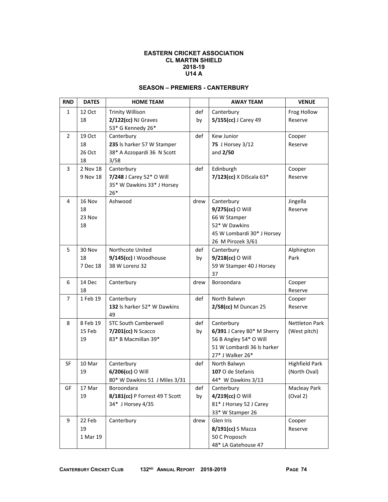#### **EASTERN CRICKET ASSOCIATION CL MARTIN SHIELD 2018-19 U14 A**

# **SEASON – PREMIERS - CANTERBURY**

| <b>RND</b>     | <b>DATES</b> | <b>HOME TEAM</b>                          |      | <b>AWAY TEAM</b>                                     | <b>VENUE</b>          |
|----------------|--------------|-------------------------------------------|------|------------------------------------------------------|-----------------------|
| $\mathbf{1}$   | 12 Oct       | <b>Trinity Willison</b>                   | def  | Canterbury                                           | Frog Hollow           |
|                | 18           | 2/122(cc) NJ Graves                       | by   | 5/155(cc) J Carey 49                                 | Reserve               |
|                |              | 53* G Kennedy 26*                         |      |                                                      |                       |
| 2              | 19 Oct       | Canterbury                                | def  | Kew Junior                                           | Cooper                |
|                | 18           | 235 ls harker 57 W Stamper                |      | 75 J Horsey 3/12                                     | Reserve               |
|                | 26 Oct       | 38* A Azzopardi 36 N Scott                |      | and $2/50$                                           |                       |
|                | 18           | 3/58                                      |      |                                                      |                       |
| 3              | 2 Nov 18     | Canterbury                                | def  | Edinburgh                                            | Cooper                |
|                | 9 Nov 18     | 7/248 J Carey 52* O Will                  |      | 7/123(cc) X DiScala 63*                              | Reserve               |
|                |              | 35* W Dawkins 33* J Horsey<br>$26*$       |      |                                                      |                       |
| 4              | 16 Nov       | Ashwood                                   | drew | Canterbury                                           | Jingella              |
|                | 18           |                                           |      | 9/275(cc) O Will                                     | Reserve               |
|                | 23 Nov       |                                           |      | 66 W Stamper                                         |                       |
|                | 18           |                                           |      | 52* W Dawkins                                        |                       |
|                |              |                                           |      | 45 W Lombardi 30* J Horsey                           |                       |
|                |              |                                           |      | 26 M Pirozek 3/61                                    |                       |
| 5              | 30 Nov       | Northcote United                          | def  | Canterbury                                           | Alphington            |
|                | 18           | 9/145(cc)   Woodhouse                     | by   | 9/218(cc) O Will                                     | Park                  |
|                | 7 Dec 18     | 38 W Lorenz 32                            |      | 59 W Stamper 40 J Horsey                             |                       |
|                |              |                                           |      | 37                                                   |                       |
| 6              | 14 Dec       | Canterbury                                | drew | Boroondara                                           | Cooper                |
|                | 18           |                                           |      |                                                      | Reserve               |
| $\overline{7}$ | 1 Feb 19     | Canterbury                                | def  | North Balwyn                                         | Cooper                |
|                |              | 132 Is harker 52* W Dawkins               |      | 2/58(cc) M Duncan 25                                 | Reserve               |
|                |              | 49                                        |      |                                                      |                       |
| 8              | 8 Feb 19     | <b>STC South Camberwell</b>               | def  | Canterbury                                           | <b>Nettleton Park</b> |
|                | 15 Feb<br>19 | 7/201(cc) N Scacco<br>83* B Macmillan 39* | by   | 6/391 J Carey 80* M Sherry<br>56 B Angley 54* O Will | (West pitch)          |
|                |              |                                           |      | 51 W Lombardi 36 ls harker                           |                       |
|                |              |                                           |      | 27* J Walker 26*                                     |                       |
| <b>SF</b>      | 10 Mar       | Canterbury                                | def  | North Balwyn                                         | <b>Highfield Park</b> |
|                | 19           | 6/206(cc) O Will                          |      | 107 O de Stefanis                                    | (North Oval)          |
|                |              | 80* W Dawkins 51 J Miles 3/31             |      | 44* W Dawkins 3/13                                   |                       |
| GF             | 17 Mar       | Boroondara                                | def  | Canterbury                                           | <b>Macleay Park</b>   |
|                | 19           | 8/181(cc) P Forrest 49 T Scott            | by   | 4/219(cc) O Will                                     | (Oval 2)              |
|                |              | 34* J Horsey 4/35                         |      | 81* J Horsey 52 J Carey                              |                       |
|                |              |                                           |      | 33* W Stamper 26                                     |                       |
| 9              | 22 Feb       | Canterbury                                | drew | Glen Iris                                            | Cooper                |
|                | 19           |                                           |      | 8/191(cc) S Mazza                                    | Reserve               |
|                | 1 Mar 19     |                                           |      | 50 C Proposch                                        |                       |
|                |              |                                           |      | 48* LA Gatehouse 47                                  |                       |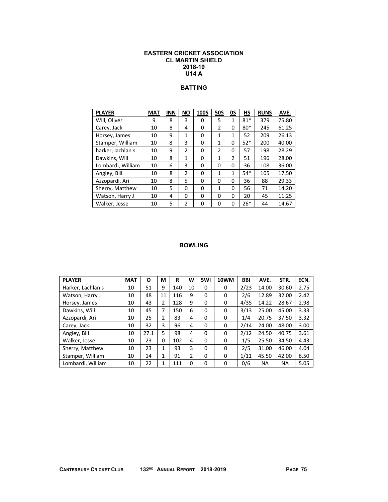### **EASTERN CRICKET ASSOCIATION CL MARTIN SHIELD 2018-19 U14 A**

# **BATTING**

| <b>PLAYER</b>     | <b>MAT</b> | <b>INN</b> | <b>NO</b> | <b>100S</b> | <b>50S</b>     | 0S             | НS    | <b>RUNS</b> | AVE.  |
|-------------------|------------|------------|-----------|-------------|----------------|----------------|-------|-------------|-------|
| Will, Oliver      | 9          | 8          | 3         | 0           | 5              | 1              | $81*$ | 379         | 75.80 |
| Carey, Jack       | 10         | 8          | 4         | 0           | $\mathfrak{p}$ | 0              | $80*$ | 245         | 61.25 |
| Horsey, James     | 10         | 9          | 1         | 0           | 1              | 1              | 52    | 209         | 26.13 |
| Stamper, William  | 10         | 8          | 3         | 0           | $\mathbf{1}$   | 0              | $52*$ | 200         | 40.00 |
| harker, lachlan s | 10         | 9          | 2         | 0           | $\overline{2}$ | 0              | 57    | 198         | 28.29 |
| Dawkins, Will     | 10         | 8          | 1         | 0           | $\mathbf{1}$   | $\overline{2}$ | 51    | 196         | 28.00 |
| Lombardi, William | 10         | 6          | 3         | 0           | 0              | 0              | 36    | 108         | 36.00 |
| Angley, Bill      | 10         | 8          | 2         | 0           | 1              | $\mathbf{1}$   | $54*$ | 105         | 17.50 |
| Azzopardi, Ari    | 10         | 8          | 5         | 0           | 0              | 0              | 36    | 88          | 29.33 |
| Sherry, Matthew   | 10         | 5          | 0         | 0           | $\mathbf{1}$   | 0              | 56    | 71          | 14.20 |
| Watson, Harry J   | 10         | 4          | 0         | $\Omega$    | $\Omega$       | 0              | 20    | 45          | 11.25 |
| Walker, Jesse     | 10         | 5          | 2         | 0           | 0              | 0              | $26*$ | 44          | 14.67 |

| <b>PLAYER</b>     | <b>MAT</b> | <u>0</u> | M  | $\overline{\mathbf{R}}$ | W        | 5WI | 10WM | BBI  | AVE.  | STR.  | ECN. |
|-------------------|------------|----------|----|-------------------------|----------|-----|------|------|-------|-------|------|
| Harker, Lachlan s | 10         | 51       | 9  | 140                     | 10       | 0   | 0    | 2/23 | 14.00 | 30.60 | 2.75 |
| Watson, Harry J   | 10         | 48       | 11 | 116                     | 9        | 0   | 0    | 2/6  | 12.89 | 32.00 | 2.42 |
| Horsey, James     | 10         | 43       | 2  | 128                     | 9        | 0   | 0    | 4/35 | 14.22 | 28.67 | 2.98 |
| Dawkins, Will     | 10         | 45       | 7  | 150                     | 6        | 0   | 0    | 3/13 | 25.00 | 45.00 | 3.33 |
| Azzopardi, Ari    | 10         | 25       | 2  | 83                      | 4        | 0   | 0    | 1/4  | 20.75 | 37.50 | 3.32 |
| Carey, Jack       | 10         | 32       | 3  | 96                      | 4        | 0   | 0    | 2/14 | 24.00 | 48.00 | 3.00 |
| Angley, Bill      | 10         | 27.1     | 5  | 98                      | 4        | 0   | 0    | 2/12 | 24.50 | 40.75 | 3.61 |
| Walker, Jesse     | 10         | 23       | 0  | 102                     | 4        | 0   | 0    | 1/5  | 25.50 | 34.50 | 4.43 |
| Sherry, Matthew   | 10         | 23       | 1  | 93                      | 3        | 0   | 0    | 2/5  | 31.00 | 46.00 | 4.04 |
| Stamper, William  | 10         | 14       | 1  | 91                      | 2        | 0   | 0    | 1/11 | 45.50 | 42.00 | 6.50 |
| Lombardi, William | 10         | 22       | 1  | 111                     | $\Omega$ | 0   | 0    | 0/6  | ΝA    | ΝA    | 5.05 |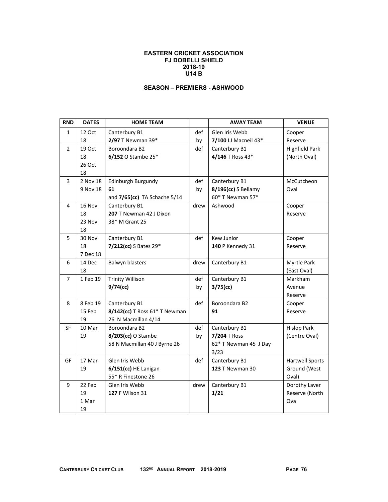### **EASTERN CRICKET ASSOCIATION FJ DOBELLI SHIELD 2018-19 U14 B**

## **SEASON – PREMIERS - ASHWOOD**

| <b>RND</b>     | <b>DATES</b> | <b>HOME TEAM</b>              |      | <b>AWAY TEAM</b>       | <b>VENUE</b>           |
|----------------|--------------|-------------------------------|------|------------------------|------------------------|
| $\mathbf{1}$   | 12 Oct       | Canterbury B1                 | def  | Glen Iris Webb         | Cooper                 |
|                | 18           | 2/97 T Newman 39*             | by   | 7/100 LJ Macneil 43*   | Reserve                |
| $\overline{2}$ | 19 Oct       | Boroondara B2                 | def  | Canterbury B1          | <b>Highfield Park</b>  |
|                | 18           | 6/152 O Stambe 25*            |      | 4/146 T Ross 43*       | (North Oval)           |
|                | 26 Oct       |                               |      |                        |                        |
|                | 18           |                               |      |                        |                        |
| 3              | 2 Nov 18     | Edinburgh Burgundy            | def  | Canterbury B1          | McCutcheon             |
|                | 9 Nov 18     | 61                            | by   | 8/196(cc) S Bellamy    | Oval                   |
|                |              | and 7/65(cc) TA Schache 5/14  |      | 60* T Newman 57*       |                        |
| 4              | 16 Nov       | Canterbury B1                 | drew | Ashwood                | Cooper                 |
|                | 18           | 207 T Newman 42 J Dixon       |      |                        | Reserve                |
|                | 23 Nov       | 38* M Grant 25                |      |                        |                        |
|                | 18           |                               |      |                        |                        |
| 5              | 30 Nov       | Canterbury B1                 | def  | Kew Junior             | Cooper                 |
|                | 18           | 7/212(cc) S Bates 29*         |      | 140 P Kennedy 31       | Reserve                |
|                | 7 Dec 18     |                               |      |                        |                        |
| 6              | 14 Dec       | Balwyn blasters               | drew | Canterbury B1          | Myrtle Park            |
|                | 18           |                               |      |                        | (East Oval)            |
| $\overline{7}$ | 1 Feb 19     | <b>Trinity Willison</b>       | def  | Canterbury B1          | Markham                |
|                |              | $9/74$ (cc)                   | by   | $3/75$ (cc)            | Avenue                 |
|                |              |                               |      |                        | Reserve                |
| 8              | 8 Feb 19     | Canterbury B1                 | def  | Boroondara B2          | Cooper                 |
|                | 15 Feb       | 8/142(cc) T Ross 61* T Newman |      | 91                     | Reserve                |
|                | 19           | 26 N Macmillan 4/14           |      |                        |                        |
| <b>SF</b>      | 10 Mar       | Boroondara B2                 | def  | Canterbury B1          | <b>Hislop Park</b>     |
|                | 19           | 8/203(cc) O Stambe            | by   | 7/204 T Ross           | (Centre Oval)          |
|                |              | 58 N Macmillan 40 J Byrne 26  |      | 62* T Newman 45 J Day  |                        |
|                |              |                               |      | 3/23                   |                        |
| GF             | 17 Mar       | Glen Iris Webb                | def  | Canterbury B1          | <b>Hartwell Sports</b> |
|                | 19           | 6/151(cc) HE Lanigan          |      | <b>123 T Newman 30</b> | Ground (West           |
|                |              | 55* R Finestone 26            |      |                        | Oval)                  |
| 9              | 22 Feb       | Glen Iris Webb                | drew | Canterbury B1          | Dorothy Laver          |
|                | 19           | 127 F Wilson 31               |      | 1/21                   | Reserve (North         |
|                | 1 Mar        |                               |      |                        | Ova                    |
|                | 19           |                               |      |                        |                        |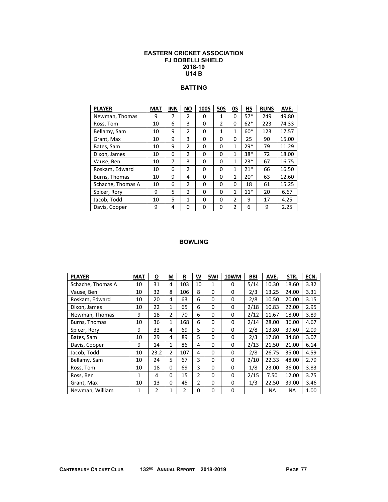### **EASTERN CRICKET ASSOCIATION FJ DOBELLI SHIELD 2018-19 U14 B**

# **BATTING**

| <b>PLAYER</b>     | <b>MAT</b> | <b>INN</b> | <b>NO</b>     | 100S     | <b>50S</b> | 0S           | НS    | <b>RUNS</b> | AVE.  |
|-------------------|------------|------------|---------------|----------|------------|--------------|-------|-------------|-------|
| Newman, Thomas    | 9          | 7          | $\mathcal{P}$ | 0        | 1          | 0            | $57*$ | 249         | 49.80 |
| Ross, Tom         | 10         | 6          | 3             | 0        | 2          | 0            | $62*$ | 223         | 74.33 |
| Bellamy, Sam      | 10         | 9          | $\mathcal{P}$ | $\Omega$ | 1          | 1            | $60*$ | 123         | 17.57 |
| Grant, Max        | 10         | 9          | 3             | $\Omega$ | $\Omega$   | 0            | 25    | 90          | 15.00 |
| Bates, Sam        | 10         | 9          | 2             | $\Omega$ | $\Omega$   | $\mathbf{1}$ | $29*$ | 79          | 11.29 |
| Dixon, James      | 10         | 6          | $\mathcal{P}$ | $\Omega$ | $\Omega$   | $\mathbf{1}$ | 38*   | 72          | 18.00 |
| Vause, Ben        | 10         | 7          | 3             | $\Omega$ | 0          | 1            | $23*$ | 67          | 16.75 |
| Roskam, Edward    | 10         | 6          | 2             | $\Omega$ | $\Omega$   | 1            | $21*$ | 66          | 16.50 |
| Burns, Thomas     | 10         | 9          | 4             | $\Omega$ | $\Omega$   | $\mathbf{1}$ | $20*$ | 63          | 12.60 |
| Schache, Thomas A | 10         | 6          | $\mathcal{P}$ | $\Omega$ | $\Omega$   | 0            | 18    | 61          | 15.25 |
| Spicer, Rory      | 9          | 5          | $\mathcal{P}$ | $\Omega$ | 0          | 1            | $11*$ | 20          | 6.67  |
| Jacob, Todd       | 10         | 5          | 1             | $\Omega$ | $\Omega$   | 2            | 9     | 17          | 4.25  |
| Davis, Cooper     | 9          | 4          | 0             | $\Omega$ | $\Omega$   | 2            | 6     | 9           | 2.25  |

| <b>PLAYER</b>     | <b>MAT</b> | <u>୦</u> | М              | R   | W              | 5WI | 10WM     | BBI  | AVE.  | STR.  | ECN. |
|-------------------|------------|----------|----------------|-----|----------------|-----|----------|------|-------|-------|------|
| Schache, Thomas A | 10         | 31       | 4              | 103 | 10             | 1   | 0        | 5/14 | 10.30 | 18.60 | 3.32 |
| Vause, Ben        | 10         | 32       | 8              | 106 | 8              | 0   | 0        | 2/3  | 13.25 | 24.00 | 3.31 |
| Roskam, Edward    | 10         | 20       | 4              | 63  | 6              | 0   | 0        | 2/8  | 10.50 | 20.00 | 3.15 |
| Dixon, James      | 10         | 22       | 1              | 65  | 6              | 0   | 0        | 2/18 | 10.83 | 22.00 | 2.95 |
| Newman, Thomas    | 9          | 18       | 2              | 70  | 6              | 0   | 0        | 2/12 | 11.67 | 18.00 | 3.89 |
| Burns, Thomas     | 10         | 36       | 1              | 168 | 6              | 0   | 0        | 2/14 | 28.00 | 36.00 | 4.67 |
| Spicer, Rory      | 9          | 33       | 4              | 69  | 5              | 0   | 0        | 2/8  | 13.80 | 39.60 | 2.09 |
| Bates, Sam        | 10         | 29       | 4              | 89  | 5              | 0   | 0        | 2/3  | 17.80 | 34.80 | 3.07 |
| Davis, Cooper     | 9          | 14       | $\mathbf{1}$   | 86  | 4              | 0   | 0        | 2/13 | 21.50 | 21.00 | 6.14 |
| Jacob, Todd       | 10         | 23.2     | $\overline{2}$ | 107 | 4              | 0   | 0        | 2/8  | 26.75 | 35.00 | 4.59 |
| Bellamy, Sam      | 10         | 24       | 5              | 67  | 3              | 0   | 0        | 2/10 | 22.33 | 48.00 | 2.79 |
| Ross, Tom         | 10         | 18       | 0              | 69  | 3              | 0   | 0        | 1/8  | 23.00 | 36.00 | 3.83 |
| Ross, Ben         | 1          | 4        | 0              | 15  | $\overline{2}$ | 0   | 0        | 2/15 | 7.50  | 12.00 | 3.75 |
| Grant, Max        | 10         | 13       | 0              | 45  | 2              | 0   | 0        | 1/3  | 22.50 | 39.00 | 3.46 |
| Newman, William   | 1          | 2        | 1              | 2   | 0              | 0   | $\Omega$ |      | ΝA    | NA.   | 1.00 |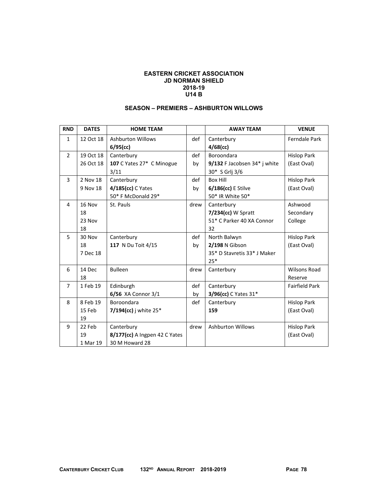#### **EASTERN CRICKET ASSOCIATION JD NORMAN SHIELD 2018-19 U14 B**

| <b>RND</b>     | <b>DATES</b> | <b>HOME TEAM</b>              |      | <b>AWAY TEAM</b>             | <b>VENUE</b>          |
|----------------|--------------|-------------------------------|------|------------------------------|-----------------------|
| $\mathbf{1}$   | 12 Oct 18    | <b>Ashburton Willows</b>      | def  | Canterbury                   | Ferndale Park         |
|                |              | $6/95$ (cc)                   |      | $4/68$ (cc)                  |                       |
| $\overline{2}$ | 19 Oct 18    | Canterbury                    | def  | Boroondara                   | <b>Hislop Park</b>    |
|                | 26 Oct 18    | 107 C Yates 27* C Minogue     | by   | 9/132 F Jacobsen 34* j white | (East Oval)           |
|                |              | 3/11                          |      | 30* S Grlj 3/6               |                       |
| 3              | 2 Nov 18     | Canterbury                    | def  | <b>Box Hill</b>              | <b>Hislop Park</b>    |
|                | 9 Nov 18     | 4/185(cc) C Yates             | by   | $6/186$ (cc) E Stilve        | (East Oval)           |
|                |              | 50* F McDonald 29*            |      | 50* IR White 50*             |                       |
| 4              | 16 Nov       | St. Pauls                     | drew | Canterbury                   | Ashwood               |
|                | 18           |                               |      | 7/234(cc) W Spratt           | Secondary             |
|                | 23 Nov       |                               |      | 51* C Parker 40 XA Connor    | College               |
|                | 18           |                               |      | 32                           |                       |
| 5              | 30 Nov       | Canterbury                    | def  | North Balwyn                 | <b>Hislop Park</b>    |
|                | 18           | 117 N Du Toit 4/15            | by   | 2/198 N Gibson               | (East Oval)           |
|                | 7 Dec 18     |                               |      | 35* D Stavretis 33* J Maker  |                       |
|                |              |                               |      | $25*$                        |                       |
| 6              | 14 Dec       | <b>Bulleen</b>                | drew | Canterbury                   | <b>Wilsons Road</b>   |
|                | 18           |                               |      |                              | Reserve               |
| $\overline{7}$ | 1 Feb 19     | Edinburgh                     | def  | Canterbury                   | <b>Fairfield Park</b> |
|                |              | 6/56 XA Connor 3/1            | by   | 3/96(cc) C Yates 31*         |                       |
| 8              | 8 Feb 19     | Boroondara                    | def  | Canterbury                   | <b>Hislop Park</b>    |
|                | 15 Feb       | 7/194(cc) i white $25^*$      |      | 159                          | (East Oval)           |
|                | 19           |                               |      |                              |                       |
| 9              | 22 Feb       | Canterbury                    | drew | <b>Ashburton Willows</b>     | <b>Hislop Park</b>    |
|                | 19           | 8/177(cc) A Ingpen 42 C Yates |      |                              | (East Oval)           |
|                | 1 Mar 19     | 30 M Howard 28                |      |                              |                       |

## **SEASON – PREMIERS – ASHBURTON WILLOWS**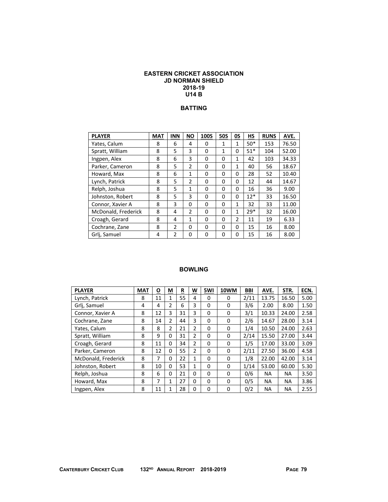### **EASTERN CRICKET ASSOCIATION JD NORMAN SHIELD 2018-19 U14 B**

### **BATTING**

| <b>PLAYER</b>       | <b>MAT</b> | <b>INN</b>     | <b>NO</b>      | 100S | <b>50S</b>   | <b>OS</b>    | HS    | <b>RUNS</b> | AVE.  |
|---------------------|------------|----------------|----------------|------|--------------|--------------|-------|-------------|-------|
| Yates, Calum        | 8          | 6              | 4              | 0    | $\mathbf{1}$ | 1            | $50*$ | 153         | 76.50 |
| Spratt, William     | 8          | 5              | 3              | 0    | $\mathbf{1}$ | 0            | $51*$ | 104         | 52.00 |
| Ingpen, Alex        | 8          | 6              | 3              | 0    | 0            | 1            | 42    | 103         | 34.33 |
| Parker, Cameron     | 8          | 5              | $\mathfrak{p}$ | 0    | 0            | $\mathbf{1}$ | 40    | 56          | 18.67 |
| Howard, Max         | 8          | 6              | 1              | 0    | 0            | 0            | 28    | 52          | 10.40 |
| Lynch, Patrick      | 8          | 5              | $\overline{2}$ | 0    | 0            | 0            | 12    | 44          | 14.67 |
| Relph, Joshua       | 8          | 5              | 1              | 0    | 0            | 0            | 16    | 36          | 9.00  |
| Johnston, Robert    | 8          | 5              | 3              | 0    | 0            | 0            | $12*$ | 33          | 16.50 |
| Connor, Xavier A    | 8          | 3              | $\Omega$       | 0    | 0            | $\mathbf{1}$ | 32    | 33          | 11.00 |
| McDonald, Frederick | 8          | 4              | 2              | 0    | 0            | $\mathbf{1}$ | $29*$ | 32          | 16.00 |
| Croagh, Gerard      | 8          | 4              | $\mathbf{1}$   | 0    | 0            | 2            | 11    | 19          | 6.33  |
| Cochrane, Zane      | 8          | $\overline{2}$ | 0              | 0    | 0            | 0            | 15    | 16          | 8.00  |
| Grlj, Samuel        | 4          | $\overline{2}$ | 0              | 0    | 0            | 0            | 15    | 16          | 8.00  |

| <b>PLAYER</b>       | <b>MAT</b>     | О  | M              | R  | W              | 5WI | 10WM | <b>BBI</b> | AVE.      | STR.      | ECN. |
|---------------------|----------------|----|----------------|----|----------------|-----|------|------------|-----------|-----------|------|
| Lynch, Patrick      | 8              | 11 | 1              | 55 | 4              | 0   | 0    | 2/11       | 13.75     | 16.50     | 5.00 |
| Grlj, Samuel        | $\overline{4}$ | 4  | $\overline{2}$ | 6  | 3              | 0   | 0    | 3/6        | 2.00      | 8.00      | 1.50 |
| Connor, Xavier A    | 8              | 12 | 3              | 31 | 3              | 0   | 0    | 3/1        | 10.33     | 24.00     | 2.58 |
| Cochrane, Zane      | 8              | 14 | 2              | 44 | 3              | 0   | 0    | 2/6        | 14.67     | 28.00     | 3.14 |
| Yates, Calum        | 8              | 8  | $\overline{2}$ | 21 | $\overline{2}$ | 0   | 0    | 1/4        | 10.50     | 24.00     | 2.63 |
| Spratt, William     | 8              | 9  | 0              | 31 | 2              | 0   | 0    | 2/14       | 15.50     | 27.00     | 3.44 |
| Croagh, Gerard      | 8              | 11 | 0              | 34 | $\mathcal{P}$  | 0   | 0    | 1/5        | 17.00     | 33.00     | 3.09 |
| Parker, Cameron     | 8              | 12 | 0              | 55 | 2              | 0   | 0    | 2/11       | 27.50     | 36.00     | 4.58 |
| McDonald, Frederick | 8              | 7  | 0              | 22 | $\mathbf{1}$   | 0   | 0    | 1/8        | 22.00     | 42.00     | 3.14 |
| Johnston, Robert    | 8              | 10 | 0              | 53 | 1              | 0   | 0    | 1/14       | 53.00     | 60.00     | 5.30 |
| Relph, Joshua       | 8              | 6  | 0              | 21 | 0              | 0   | 0    | 0/6        | <b>NA</b> | <b>NA</b> | 3.50 |
| Howard, Max         | 8              | 7  | $\mathbf{1}$   | 27 | 0              | 0   | 0    | 0/5        | <b>NA</b> | <b>NA</b> | 3.86 |
| Ingpen, Alex        | 8              | 11 | 1              | 28 | 0              | 0   | 0    | 0/2        | <b>NA</b> | <b>NA</b> | 2.55 |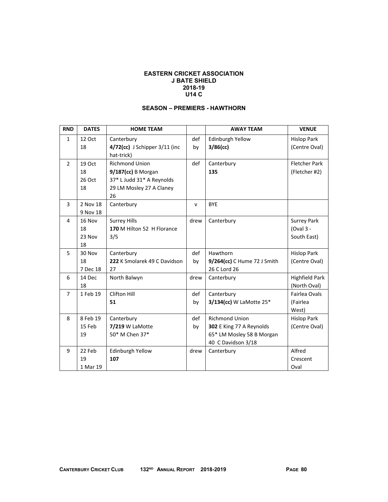#### **EASTERN CRICKET ASSOCIATION J BATE SHIELD 2018-19 U14 C**

## **SEASON – PREMIERS - HAWTHORN**

| <b>RND</b>     | <b>DATES</b> | <b>HOME TEAM</b>                   |              | <b>AWAY TEAM</b>            | <b>VENUE</b>          |
|----------------|--------------|------------------------------------|--------------|-----------------------------|-----------------------|
| $\mathbf{1}$   | 12 Oct       | Canterbury                         | def          | Edinburgh Yellow            | <b>Hislop Park</b>    |
|                | 18           | $4/72$ (cc) J Schipper $3/11$ (inc | by           | $3/86$ (cc)                 | (Centre Oval)         |
|                |              | hat-trick)                         |              |                             |                       |
| $\overline{2}$ | 19 Oct       | <b>Richmond Union</b>              | def          | Canterbury                  | <b>Fletcher Park</b>  |
|                | 18           | $9/187$ (cc) B Morgan              |              | 135                         | (Fletcher #2)         |
|                | 26 Oct       | 37* L Judd 31* A Reynolds          |              |                             |                       |
|                | 18           | 29 LM Mosley 27 A Claney           |              |                             |                       |
|                |              | 26                                 |              |                             |                       |
| 3              | 2 Nov 18     | Canterbury                         | $\mathsf{v}$ | <b>BYE</b>                  |                       |
|                | 9 Nov 18     |                                    |              |                             |                       |
| 4              | 16 Nov       | <b>Surrey Hills</b>                | drew         | Canterbury                  | <b>Surrey Park</b>    |
|                | 18           | 170 M Hilton 52 H Florance         |              |                             | (Oval 3 -             |
|                | 23 Nov       | 3/5                                |              |                             | South East)           |
|                | 18           |                                    |              |                             |                       |
| 5              | 30 Nov       | Canterbury                         | def          | Hawthorn                    | <b>Hislop Park</b>    |
|                | 18           | 222 K Smolarek 49 C Davidson       | by           | 9/264(cc) C Hume 72 J Smith | (Centre Oval)         |
|                | 7 Dec 18     | 27                                 |              | 26 C Lord 26                |                       |
| 6              | 14 Dec       | North Balwyn                       | drew         | Canterbury                  | <b>Highfield Park</b> |
|                | 18           |                                    |              |                             | (North Oval)          |
| $\overline{7}$ | 1 Feb 19     | Clifton Hill                       | def          | Canterbury                  | Fairlea Ovals         |
|                |              | 51                                 | by           | 3/134(cc) W LaMotte 25*     | (Fairlea              |
|                |              |                                    |              |                             | West)                 |
| 8              | 8 Feb 19     | Canterbury                         | def          | <b>Richmond Union</b>       | <b>Hislop Park</b>    |
|                | 15 Feb       | 7/219 W LaMotte                    | by           | 302 E King 77 A Reynolds    | (Centre Oval)         |
|                | 19           | 50* M Chen 37*                     |              | 65* LM Mosley 58 B Morgan   |                       |
|                |              |                                    |              | 40 C Davidson 3/18          |                       |
| 9              | 22 Feb       | Edinburgh Yellow                   | drew         | Canterbury                  | Alfred                |
|                | 19           | 107                                |              |                             | Crescent              |
|                | 1 Mar 19     |                                    |              |                             | Oval                  |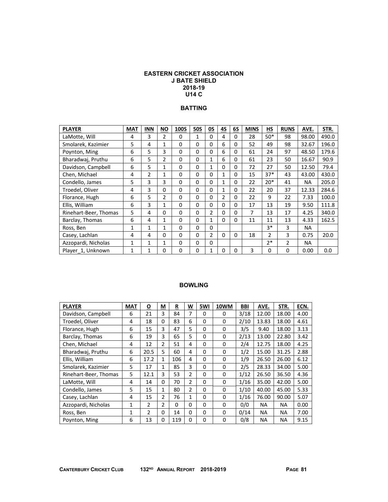### **EASTERN CRICKET ASSOCIATION J BATE SHIELD 2018-19 U14 C**

### **BATTING**

| <b>PLAYER</b>         | <b>MAT</b>   | <b>INN</b>     | <b>NO</b>      | 100S     | <b>50S</b>   | OS             | 4S           | 6S       | <b>MINS</b> | HS.            | <b>RUNS</b>    | AVE.      | STR.  |
|-----------------------|--------------|----------------|----------------|----------|--------------|----------------|--------------|----------|-------------|----------------|----------------|-----------|-------|
| LaMotte, Will         | 4            | 3              | 2              | 0        | $\mathbf{1}$ | $\mathbf{0}$   | 4            | $\Omega$ | 28          | $50*$          | 98             | 98.00     | 490.0 |
| Smolarek, Kazimier    | 5            | 4              | 1              | 0        | 0            | 0              | 6            | 0        | 52          | 49             | 98             | 32.67     | 196.0 |
| Poynton, Ming         | 6            | 5              | 3              | 0        | 0            | 0              | 6            | $\Omega$ | 61          | 24             | 97             | 48.50     | 179.6 |
| Bharadwaj, Pruthu     | 6            | 5              | $\overline{2}$ | 0        | 0            | $\mathbf{1}$   | 6            | 0        | 61          | 23             | 50             | 16.67     | 90.9  |
| Davidson, Campbell    | 6            | 5              | 1              | 0        | 0            | 1              | 0            | 0        | 72          | 27             | 50             | 12.50     | 79.4  |
| Chen, Michael         | 4            | $\overline{2}$ | 1              | 0        | 0            | 0              | 1            | $\Omega$ | 15          | $37*$          | 43             | 43.00     | 430.0 |
| Condello, James       | 5            | 3              | 3              | 0        | 0            | $\Omega$       | $\mathbf{1}$ | 0        | 22          | $20*$          | 41             | <b>NA</b> | 205.0 |
| Troedel, Oliver       | 4            | 3              | 0              | 0        | 0            | $\mathbf{0}$   | 1            | 0        | 22          | 20             | 37             | 12.33     | 284.6 |
| Florance, Hugh        | 6            | 5              | 2              | 0        | 0            | 0              | 2            | 0        | 22          | 9              | 22             | 7.33      | 100.0 |
| Ellis, William        | 6            | 3              | 1              | 0        | 0            | 0              | 0            | 0        | 17          | 13             | 19             | 9.50      | 111.8 |
| Rinehart-Beer, Thomas | 5            | 4              | 0              | 0        | 0            | 2              | 0            | 0        | 7           | 13             | 17             | 4.25      | 340.0 |
| Barclay, Thomas       | 6            | 4              | 1              | 0        | 0            | $\mathbf{1}$   | $\Omega$     | $\Omega$ | 11          | 11             | 13             | 4.33      | 162.5 |
| Ross, Ben             | $\mathbf{1}$ | 1              | 1              | 0        | 0            | $\Omega$       |              |          |             | $3*$           | 3              | <b>NA</b> |       |
| Casey, Lachlan        | 4            | 4              | $\Omega$       | $\Omega$ | $\Omega$     | $\overline{2}$ | 0            | $\Omega$ | 18          | $\overline{2}$ | 3              | 0.75      | 20.0  |
| Azzopardi, Nicholas   | $\mathbf{1}$ | 1              | 1              | $\Omega$ | 0            | $\mathbf{0}$   |              |          |             | $2*$           | $\mathfrak{p}$ | NA.       |       |
| Player 1, Unknown     | 1            | 1              | 0              | 0        | 0            | 1              | 0            | 0        | 3           | 0              | 0              | 0.00      | 0.0   |

| <b>PLAYER</b>         | <b>MAT</b> | <u>0</u>       | М              | R   | W              | 5WI      | 10WM | <b>BBI</b> | AVE.      | STR.  | ECN. |
|-----------------------|------------|----------------|----------------|-----|----------------|----------|------|------------|-----------|-------|------|
| Davidson, Campbell    | 6          | 21             | 3              | 84  | 7              | $\Omega$ | 0    | 3/18       | 12.00     | 18.00 | 4.00 |
| Troedel, Oliver       | 4          | 18             | 0              | 83  | 6              | $\Omega$ | 0    | 2/10       | 13.83     | 18.00 | 4.61 |
| Florance, Hugh        | 6          | 15             | 3              | 47  | 5              | 0        | 0    | 3/5        | 9.40      | 18.00 | 3.13 |
| Barclay, Thomas       | 6          | 19             | 3              | 65  | 5              | $\Omega$ | 0    | 2/13       | 13.00     | 22.80 | 3.42 |
| Chen, Michael         | 4          | 12             | 2              | 51  | 4              | $\Omega$ | 0    | 2/4        | 12.75     | 18.00 | 4.25 |
| Bharadwai, Pruthu     | 6          | 20.5           | 5              | 60  | 4              | 0        | 0    | 1/2        | 15.00     | 31.25 | 2.88 |
| Ellis, William        | 6          | 17.2           | 1              | 106 | 4              | $\Omega$ | 0    | 1/9        | 26.50     | 26.00 | 6.12 |
| Smolarek, Kazimier    | 5          | 17             | $\mathbf{1}$   | 85  | 3              | 0        | 0    | 2/5        | 28.33     | 34.00 | 5.00 |
| Rinehart-Beer, Thomas | 5          | 12.1           | 3              | 53  | $\overline{2}$ | 0        | 0    | 1/12       | 26.50     | 36.50 | 4.36 |
| LaMotte, Will         | 4          | 14             | 0              | 70  | $\overline{2}$ | $\Omega$ | 0    | 1/16       | 35.00     | 42.00 | 5.00 |
| Condello, James       | 5          | 15             | 1              | 80  | $\overline{2}$ | 0        | 0    | 1/10       | 40.00     | 45.00 | 5.33 |
| Casey, Lachlan        | 4          | 15             | $\overline{2}$ | 76  | 1              | $\Omega$ | 0    | 1/16       | 76.00     | 90.00 | 5.07 |
| Azzopardi, Nicholas   | 1          | 2              | 2              | 0   | 0              | $\Omega$ | 0    | 0/0        | <b>NA</b> | NA.   | 0.00 |
| Ross, Ben             | 1          | $\overline{2}$ | 0              | 14  | 0              | 0        | 0    | 0/14       | ΝA        | ΝA    | 7.00 |
| Poynton, Ming         | 6          | 13             | 0              | 119 | 0              | $\Omega$ | 0    | 0/8        | ΝA        | NA    | 9.15 |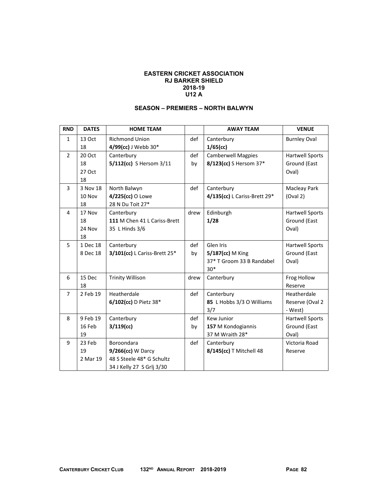### **EASTERN CRICKET ASSOCIATION RJ BARKER SHIELD 2018-19 U12 A**

## **SEASON – PREMIERS – NORTH BALWYN**

| <b>RND</b>     | <b>DATES</b> | <b>HOME TEAM</b>             |      | <b>AWAY TEAM</b>             | <b>VENUE</b>           |
|----------------|--------------|------------------------------|------|------------------------------|------------------------|
| $\mathbf{1}$   | 13 Oct       | <b>Richmond Union</b>        | def  | Canterbury                   | <b>Burnley Oval</b>    |
|                | 18           | 4/99(cc) J Webb 30*          |      | $1/65$ (cc)                  |                        |
| $\overline{2}$ | 20 Oct       | Canterbury                   | def  | <b>Camberwell Magpies</b>    | <b>Hartwell Sports</b> |
|                | 18           | 5/112(cc) S Hersom 3/11      | by   | 8/123(cc) S Hersom 37*       | Ground (East           |
|                | 27 Oct       |                              |      |                              | Oval)                  |
|                | 18           |                              |      |                              |                        |
| 3              | 3 Nov 18     | North Balwyn                 | def  | Canterbury                   | Macleay Park           |
|                | 10 Nov       | 4/225(cc) O Lowe             |      | 4/135(cc) L Cariss-Brett 29* | (Oval 2)               |
|                | 18           | 28 N Du Toit 27*             |      |                              |                        |
| 4              | 17 Nov       | Canterbury                   | drew | Edinburgh                    | <b>Hartwell Sports</b> |
|                | 18           | 111 M Chen 41 L Cariss-Brett |      | 1/28                         | Ground (East           |
|                | 24 Nov       | 35 L Hinds 3/6               |      |                              | Oval)                  |
|                | 18           |                              |      |                              |                        |
| 5              | 1 Dec 18     | Canterbury                   | def  | Glen Iris                    | Hartwell Sports        |
|                | 8 Dec 18     | 3/101(cc) L Cariss-Brett 25* | by   | 5/187(cc) M King             | Ground (East           |
|                |              |                              |      | 37* T Groom 33 B Randabel    | Oval)                  |
|                |              |                              |      | $30*$                        |                        |
| 6              | 15 Dec       | <b>Trinity Willison</b>      | drew | Canterbury                   | Frog Hollow            |
|                | 18           |                              |      |                              | Reserve                |
| $\overline{7}$ | 2 Feb 19     | Heatherdale                  | def  | Canterbury                   | Heatherdale            |
|                |              | 6/102(cc) D Pietz 38*        |      | 85 L Hobbs 3/3 O Williams    | Reserve (Oval 2        |
|                |              |                              |      | 3/7                          | - West)                |
| 8              | 9 Feb 19     | Canterbury                   | def  | <b>Kew Junior</b>            | Hartwell Sports        |
|                | 16 Feb       | $3/119$ (cc)                 | by   | 157 M Kondogiannis           | Ground (East           |
|                | 19           |                              |      | 37 M Wraith 28*              | Oval)                  |
| 9              | 23 Feb       | <b>Boroondara</b>            | def  | Canterbury                   | Victoria Road          |
|                | 19           | 9/266(cc) W Darcy            |      | 8/145(cc) T Mitchell 48      | Reserve                |
|                | 2 Mar 19     | 48 S Steele 48* G Schultz    |      |                              |                        |
|                |              | 34 J Kelly 27 S Grlj 3/30    |      |                              |                        |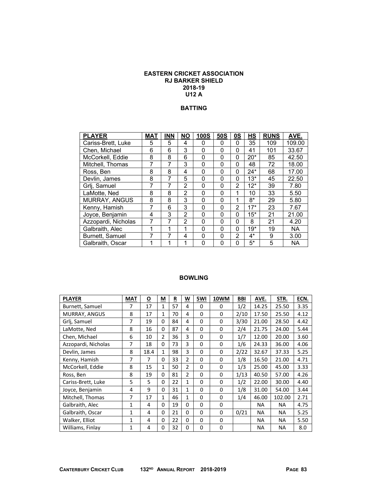### **EASTERN CRICKET ASSOCIATION RJ BARKER SHIELD 2018-19 U12 A**

### **BATTING**

| <b>PLAYER</b>          | <b>MAT</b> | <b>INN</b> | <b>NO</b>      | <b>100S</b> | 50S      | 0S             | HS    | <b>RUNS</b> | AVE.      |
|------------------------|------------|------------|----------------|-------------|----------|----------------|-------|-------------|-----------|
| Cariss-Brett, Luke     | 5          | 5          | 4              | 0           | 0        | 0              | 35    | 109         | 109.00    |
| Chen, Michael          | 6          | 6          | 3              | 0           | $\Omega$ | $\Omega$       | 41    | 101         | 33.67     |
| McCorkell, Eddie       | 8          | 8          | 6              | 0           | $\Omega$ | 0              | $20*$ | 85          | 42.50     |
| Mitchell, Thomas       | 7          | 7          | 3              | 0           | 0        | 0              | 48    | 72          | 18.00     |
| Ross, Ben              | 8          | 8          | 4              | 0           | $\Omega$ | 0              | $24*$ | 68          | 17.00     |
| Devlin, James          | 8          | 7          | 5              | 0           | 0        | 0              | $13*$ | 45          | 22.50     |
| Grlj, Samuel           | 7          | 7          | $\mathfrak{p}$ | 0           | $\Omega$ | 2              | $12*$ | 39          | 7.80      |
| LaMotte, Ned           | 8          | 8          | 2              | 0           | 0        | 1              | 10    | 33          | 5.50      |
| <b>MURRAY, ANGUS</b>   | 8          | 8          | 3              | 0           | $\Omega$ | 1              | $8*$  | 29          | 5.80      |
| Kenny, Hamish          | 7          | 6          | 3              | 0           | 0        | $\overline{2}$ | $17*$ | 23          | 7.67      |
| Joyce, Benjamin        | 4          | 3          | $\mathfrak{p}$ | 0           | 0        | $\Omega$       | $15*$ | 21          | 21.00     |
| Azzopardi, Nicholas    | 7          | 7          | 2              | 0           | 0        | $\Omega$       | 8     | 21          | 4.20      |
| Galbraith, Alec        | 1          | 1          | 1              | 0           | 0        | $\Omega$       | $19*$ | 19          | <b>NA</b> |
| <b>Burnett, Samuel</b> | 7          | 7          | 4              | 0           | 0        | $\overline{2}$ | 4*    | 9           | 3.00      |
| Galbraith, Oscar       | 1          | 1          | 1              | 0           | $\Omega$ | 0              | 5*    | 5           | <b>NA</b> |

| <b>PLAYER</b>       | <b>MAT</b>   | <u>0</u> | M              | R  | W              | 5WI      | 10WM        | <b>BBI</b> | AVE.      | STR.      | ECN. |
|---------------------|--------------|----------|----------------|----|----------------|----------|-------------|------------|-----------|-----------|------|
| Burnett, Samuel     | 7            | 17       | $\mathbf{1}$   | 57 | 4              | 0        | 0           | 1/2        | 14.25     | 25.50     | 3.35 |
| MURRAY, ANGUS       | 8            | 17       | 1              | 70 | 4              | 0        | $\Omega$    | 2/10       | 17.50     | 25.50     | 4.12 |
| Grlj, Samuel        | 7            | 19       | $\Omega$       | 84 | 4              | $\Omega$ | 0           | 3/30       | 21.00     | 28.50     | 4.42 |
| LaMotte, Ned        | 8            | 16       | 0              | 87 | 4              | $\Omega$ | 0           | 2/4        | 21.75     | 24.00     | 5.44 |
| Chen, Michael       | 6            | 10       | $\overline{2}$ | 36 | 3              | 0        | 0           | 1/7        | 12.00     | 20.00     | 3.60 |
| Azzopardi, Nicholas | 7            | 18       | 0              | 73 | 3              | $\Omega$ | 0           | 1/6        | 24.33     | 36.00     | 4.06 |
| Devlin, James       | 8            | 18.4     | $\mathbf{1}$   | 98 | 3              | $\Omega$ | $\Omega$    | 2/22       | 32.67     | 37.33     | 5.25 |
| Kenny, Hamish       | 7            | 7        | 0              | 33 | $\overline{2}$ | 0        | 0           | 1/8        | 16.50     | 21.00     | 4.71 |
| McCorkell, Eddie    | 8            | 15       | 1              | 50 | $\overline{2}$ | $\Omega$ | 0           | 1/3        | 25.00     | 45.00     | 3.33 |
| Ross, Ben           | 8            | 19       | 0              | 81 | $\overline{2}$ | $\Omega$ | $\Omega$    | 1/13       | 40.50     | 57.00     | 4.26 |
| Cariss-Brett, Luke  | 5            | 5        | $\Omega$       | 22 | $\mathbf{1}$   | 0        | $\Omega$    | 1/2        | 22.00     | 30.00     | 4.40 |
| Joyce, Benjamin     | 4            | 9        | $\Omega$       | 31 | $\mathbf{1}$   | $\Omega$ | $\Omega$    | 1/8        | 31.00     | 54.00     | 3.44 |
| Mitchell, Thomas    | 7            | 17       | $\mathbf{1}$   | 46 | $\mathbf{1}$   | $\Omega$ | $\mathbf 0$ | 1/4        | 46.00     | 102.00    | 2.71 |
| Galbraith, Alec     | $\mathbf{1}$ | 4        | 0              | 19 | $\Omega$       | $\Omega$ | 0           |            | <b>NA</b> | <b>NA</b> | 4.75 |
| Galbraith, Oscar    | 1            | 4        | 0              | 21 | $\Omega$       | 0        | 0           | 0/21       | <b>NA</b> | ΝA        | 5.25 |
| Walker, Elliot      | 1            | 4        | $\Omega$       | 22 | 0              | 0        | $\mathbf 0$ |            | <b>NA</b> | <b>NA</b> | 5.50 |
| Williams, Finlay    | 1            | 4        | 0              | 32 | 0              | $\Omega$ | 0           |            | <b>NA</b> | <b>NA</b> | 8.0  |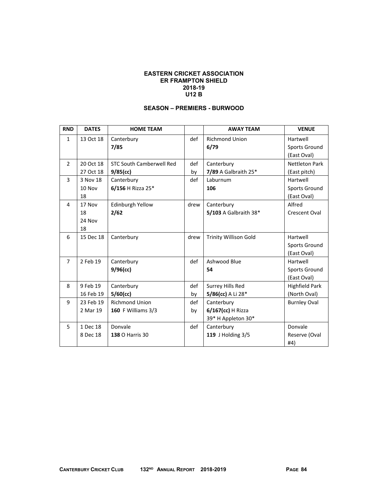### **EASTERN CRICKET ASSOCIATION ER FRAMPTON SHIELD 2018-19 U12 B**

## **SEASON – PREMIERS - BURWOOD**

| <b>RND</b>     | <b>DATES</b> | <b>HOME TEAM</b>                |      | <b>AWAY TEAM</b>             | <b>VENUE</b>          |
|----------------|--------------|---------------------------------|------|------------------------------|-----------------------|
| $\mathbf{1}$   | 13 Oct 18    | Canterbury                      | def  | <b>Richmond Union</b>        | Hartwell              |
|                |              | 7/85                            |      | 6/79                         | Sports Ground         |
|                |              |                                 |      |                              | (East Oval)           |
| $\overline{2}$ | 20 Oct 18    | <b>STC South Camberwell Red</b> | def  | Canterbury                   | <b>Nettleton Park</b> |
|                | 27 Oct 18    | $9/85$ (cc)                     | by   | 7/89 A Galbraith 25*         | (East pitch)          |
| 3              | 3 Nov 18     | Canterbury                      | def  | Laburnum                     | Hartwell              |
|                | 10 Nov       | 6/156 H Rizza 25*               |      | 106                          | Sports Ground         |
|                | 18           |                                 |      |                              | (East Oval)           |
| 4              | 17 Nov       | Edinburgh Yellow                | drew | Canterbury                   | Alfred                |
|                | 18           | 2/62                            |      | 5/103 A Galbraith 38*        | Crescent Oval         |
|                | 24 Nov       |                                 |      |                              |                       |
|                | 18           |                                 |      |                              |                       |
| 6              | 15 Dec 18    | Canterbury                      | drew | <b>Trinity Willison Gold</b> | Hartwell              |
|                |              |                                 |      |                              | Sports Ground         |
|                |              |                                 |      |                              | (East Oval)           |
| $\overline{7}$ | 2 Feb 19     | Canterbury                      | def  | Ashwood Blue                 | Hartwell              |
|                |              | $9/96$ (cc)                     |      | 54                           | Sports Ground         |
|                |              |                                 |      |                              | (East Oval)           |
| 8              | 9 Feb 19     | Canterbury                      | def  | Surrey Hills Red             | <b>Highfield Park</b> |
|                | 16 Feb 19    | $5/60$ (cc)                     | by   | 5/86(cc) A Li 28*            | (North Oval)          |
| 9              | 23 Feb 19    | <b>Richmond Union</b>           | def  | Canterbury                   | <b>Burnley Oval</b>   |
|                | 2 Mar 19     | 160 F Williams 3/3              | by   | 6/167(cc) H Rizza            |                       |
|                |              |                                 |      | 39* H Appleton 30*           |                       |
| 5              | 1 Dec 18     | Donvale                         | def  | Canterbury                   | Donvale               |
|                | 8 Dec 18     | <b>138 O Harris 30</b>          |      | 119 J Holding 3/5            | Reserve (Oval         |
|                |              |                                 |      |                              | #4)                   |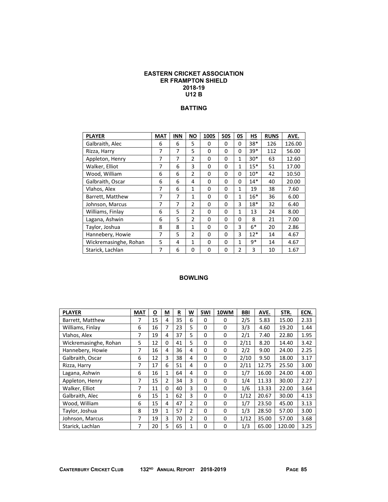#### **EASTERN CRICKET ASSOCIATION ER FRAMPTON SHIELD 2018-19 U12 B**

### **BATTING**

| <b>PLAYER</b>         | <b>MAT</b>     | <b>INN</b> | <b>NO</b>      | <b>100S</b> | <b>50S</b> | 0S             | <b>HS</b> | <b>RUNS</b> | AVE.   |
|-----------------------|----------------|------------|----------------|-------------|------------|----------------|-----------|-------------|--------|
| Galbraith, Alec       | 6              | 6          | 5              | 0           | 0          | 0              | $38*$     | 126         | 126.00 |
| Rizza, Harry          | 7              | 7          | 5              | 0           | 0          | 0              | $39*$     | 112         | 56.00  |
| Appleton, Henry       | 7              | 7          | $\overline{2}$ | 0           | 0          | $\mathbf{1}$   | 30*       | 63          | 12.60  |
| Walker, Elliot        | $\overline{7}$ | 6          | 3              | 0           | 0          | $\mathbf{1}$   | $15*$     | 51          | 17.00  |
| Wood, William         | 6              | 6          | $\overline{2}$ | 0           | 0          | 0              | $10*$     | 42          | 10.50  |
| Galbraith, Oscar      | 6              | 6          | 4              | 0           | 0          | 0              | $14*$     | 40          | 20.00  |
| Vlahos, Alex          | 7              | 6          | 1              | 0           | 0          | $\mathbf{1}$   | 19        | 38          | 7.60   |
| Barrett, Matthew      | $\overline{7}$ | 7          | 1              | 0           | 0          | 1              | $16*$     | 36          | 6.00   |
| Johnson, Marcus       | 7              | 7          | $\overline{2}$ | 0           | 0          | 3              | $18*$     | 32          | 6.40   |
| Williams, Finlay      | 6              | 5          | 2              | 0           | 0          | $\mathbf{1}$   | 13        | 24          | 8.00   |
| Lagana, Ashwin        | 6              | 5          | 2              | 0           | $\Omega$   | 0              | 8         | 21          | 7.00   |
| Taylor, Joshua        | 8              | 8          | $\mathbf{1}$   | 0           | 0          | 3              | $6*$      | 20          | 2.86   |
| Hannebery, Howie      | 7              | 5          | $\overline{2}$ | 0           | 0          | 3              | $12*$     | 14          | 4.67   |
| Wickremasinghe, Rohan | 5              | 4          | 1              | 0           | 0          | $\mathbf{1}$   | q*        | 14          | 4.67   |
| Starick, Lachlan      | 7              | 6          | 0              | 0           | 0          | $\overline{2}$ | 3         | 10          | 1.67   |

| <b>PLAYER</b>         | <b>MAT</b> | O  | М              | R  | W              | 5WI      | 10WM     | BBI  | AVE.  | STR.   | ECN. |
|-----------------------|------------|----|----------------|----|----------------|----------|----------|------|-------|--------|------|
| Barrett, Matthew      | 7          | 15 | 4              | 35 | 6              | 0        | 0        | 2/5  | 5.83  | 15.00  | 2.33 |
| Williams, Finlay      | 6          | 16 | 7              | 23 | 5              | 0        | $\Omega$ | 3/3  | 4.60  | 19.20  | 1.44 |
| Vlahos, Alex          | 7          | 19 | 4              | 37 | 5              | $\Omega$ | $\Omega$ | 2/1  | 7.40  | 22.80  | 1.95 |
| Wickremasinghe, Rohan | 5          | 12 | 0              | 41 | 5              | $\Omega$ | 0        | 2/11 | 8.20  | 14.40  | 3.42 |
| Hannebery, Howie      | 7          | 16 | 4              | 36 | 4              | 0        | 0        | 2/2  | 9.00  | 24.00  | 2.25 |
| Galbraith, Oscar      | 6          | 12 | 3              | 38 | 4              | $\Omega$ | 0        | 2/10 | 9.50  | 18.00  | 3.17 |
| Rizza, Harry          | 7          | 17 | 6              | 51 | 4              | 0        | 0        | 2/11 | 12.75 | 25.50  | 3.00 |
| Lagana, Ashwin        | 6          | 16 | 1              | 64 | 4              | 0        | 0        | 1/7  | 16.00 | 24.00  | 4.00 |
| Appleton, Henry       | 7          | 15 | $\overline{2}$ | 34 | 3              | 0        | 0        | 1/4  | 11.33 | 30.00  | 2.27 |
| Walker, Elliot        | 7          | 11 | 0              | 40 | 3              | 0        | 0        | 1/6  | 13.33 | 22.00  | 3.64 |
| Galbraith, Alec       | 6          | 15 | 1              | 62 | 3              | 0        | 0        | 1/12 | 20.67 | 30.00  | 4.13 |
| Wood, William         | 6          | 15 | 4              | 47 | $\overline{2}$ | 0        | $\Omega$ | 1/7  | 23.50 | 45.00  | 3.13 |
| Taylor, Joshua        | 8          | 19 | $\mathbf{1}$   | 57 | $\overline{2}$ | $\Omega$ | 0        | 1/3  | 28.50 | 57.00  | 3.00 |
| Johnson, Marcus       | 7          | 19 | 3              | 70 | 2              | 0        | 0        | 1/12 | 35.00 | 57.00  | 3.68 |
| Starick, Lachlan      | 7          | 20 | 5              | 65 | 1              | 0        | 0        | 1/3  | 65.00 | 120.00 | 3.25 |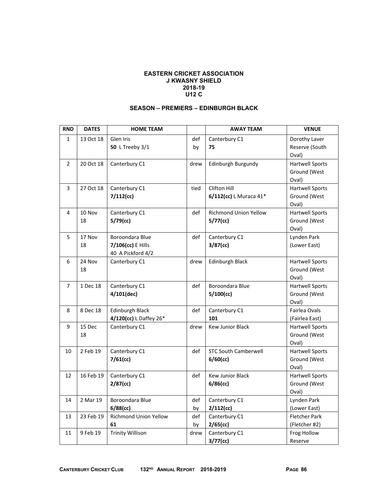#### **EASTERN CRICKET ASSOCIATION J KWASNY SHIELD 2018-19 U12 C**

## **SEASON – PREMIERS – EDINBURGH BLACK**

| <b>RND</b>     | <b>DATES</b> | <b>HOME TEAM</b>                                          |           | <b>AWAY TEAM</b>                            | <b>VENUE</b>                                    |
|----------------|--------------|-----------------------------------------------------------|-----------|---------------------------------------------|-------------------------------------------------|
| $\mathbf{1}$   | 13 Oct 18    | Glen Iris<br><b>50 L Treeby 3/1</b>                       | def<br>by | Canterbury C1<br>75                         | Dorothy Laver<br>Reserve (South<br>Oval)        |
| $\overline{2}$ | 20 Oct 18    | Canterbury C1                                             | drew      | Edinburgh Burgundy                          | <b>Hartwell Sports</b><br>Ground (West<br>Oval) |
| 3              | 27 Oct 18    | Canterbury C1<br>$7/112$ (cc)                             | tied      | Clifton Hill<br>6/112(cc) L Muraca 41*      | <b>Hartwell Sports</b><br>Ground (West<br>Oval) |
| 4              | 10 Nov<br>18 | Canterbury C1<br>$5/79$ (cc)                              | def       | <b>Richmond Union Yellow</b><br>$5/77$ (cc) | <b>Hartwell Sports</b><br>Ground (West<br>Oval) |
| 5              | 17 Nov<br>18 | Boroondara Blue<br>7/106(cc) E Hills<br>40 A Pickford 4/2 | def       | Canterbury C1<br>$3/87$ (cc)                | Lynden Park<br>(Lower East)                     |
| 6              | 24 Nov<br>18 | Canterbury C1                                             | drew      | <b>Edinburgh Black</b>                      | <b>Hartwell Sports</b><br>Ground (West<br>Oval) |
| $\overline{7}$ | 1 Dec 18     | Canterbury C1<br>$4/101$ (dec)                            | def       | Boroondara Blue<br>$5/100$ (cc)             | <b>Hartwell Sports</b><br>Ground (West<br>Oval) |
| 8              | 8 Dec 18     | <b>Edinburgh Black</b><br>4/120(cc) L Daffey 26*          | def       | Canterbury C1<br>101                        | Fairlea Ovals<br>(Fairlea East)                 |
| 9              | 15 Dec<br>18 | Canterbury C1                                             | drew      | <b>Kew Junior Black</b>                     | <b>Hartwell Sports</b><br>Ground (West<br>Oval) |
| 10             | 2 Feb 19     | Canterbury C1<br>$7/61$ (cc)                              | def       | <b>STC South Camberwell</b><br>6/60(cc)     | <b>Hartwell Sports</b><br>Ground (West<br>Oval) |
| 12             | 16 Feb 19    | Canterbury C1<br>$2/87$ (cc)                              | def       | <b>Kew Junior Black</b><br>$6/86$ (cc)      | <b>Hartwell Sports</b><br>Ground (West<br>Oval) |
| 14             | 2 Mar 19     | Boroondara Blue<br>$6/88$ (cc)                            | def<br>by | Canterbury C1<br>$2/112$ (cc)               | Lynden Park<br>(Lower East)                     |
| 13             | 23 Feb 19    | Richmond Union Yellow<br>61                               | def<br>by | Canterbury C1<br>2/65(cc)                   | Fletcher Park<br>(Fletcher #2)                  |
| 11             | 9 Feb 19     | <b>Trinity Willison</b>                                   | drew      | Canterbury C1<br>$3/77$ (cc)                | Frog Hollow<br>Reserve                          |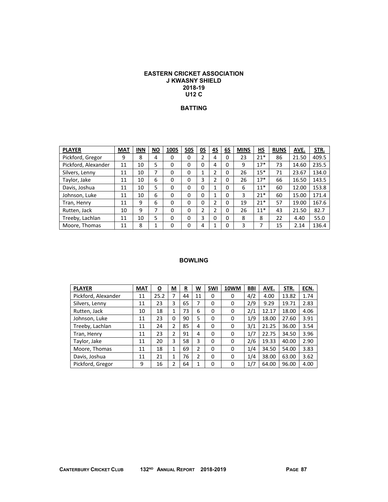### **EASTERN CRICKET ASSOCIATION J KWASNY SHIELD 2018-19 U12 C**

### **BATTING**

| <b>PLAYER</b>       | <b>MAT</b> | <b>INN</b> | <b>NO</b> | <b>100S</b> | <b>50S</b> | OS | 4S | 6S       | <b>MINS</b> | НS    | <b>RUNS</b> | AVE.  | STR.  |
|---------------------|------------|------------|-----------|-------------|------------|----|----|----------|-------------|-------|-------------|-------|-------|
| Pickford, Gregor    | 9          | 8          | 4         | 0           | 0          | 2  | 4  | 0        | 23          | $21*$ | 86          | 21.50 | 409.5 |
| Pickford, Alexander | 11         | 10         | 5         | 0           | 0          | 0  | 4  | 0        | 9           | $17*$ | 73          | 14.60 | 235.5 |
| Silvers, Lenny      | 11         | 10         | ⇁         | 0           | 0          | 4  | ำ  | 0        | 26          | $15*$ | 71          | 23.67 | 134.0 |
| Taylor, Jake        | 11         | 10         | 6         | 0           | 0          | 3  | ኀ  | 0        | 26          | $17*$ | 66          | 16.50 | 143.5 |
| Davis, Joshua       | 11         | 10         | 5         | 0           | $\Omega$   | 0  |    | $\Omega$ | 6           | $11*$ | 60          | 12.00 | 153.8 |
| Johnson, Luke       | 11         | 10         | 6         | 0           | $\Omega$   | 0  |    | 0        | 3           | $21*$ | 60          | 15.00 | 171.4 |
| Tran, Henry         | 11         | 9          | 6         | o           | 0          | 0  | n. | 0        | 19          | $21*$ | 57          | 19.00 | 167.6 |
| Rutten, Jack        | 10         | 9          | 7         | 0           | $\Omega$   | 2  | 2  | 0        | 26          | $11*$ | 43          | 21.50 | 82.7  |
| Treeby, Lachlan     | 11         | 10         | 5         | 0           | 0          | 3  | 0  | 0        | 8           | 8     | 22          | 4.40  | 55.0  |
| Moore, Thomas       | 11         | 8          | 1         | o           | $\Omega$   | 4  |    | 0        | 3           |       | 15          | 2.14  | 136.4 |

| <b>PLAYER</b>       | <b>MAT</b> | <u>0</u> | M | R  | W  | 5WI      | <b>10WM</b> | <b>BBI</b> | AVE.  | STR.  | ECN. |
|---------------------|------------|----------|---|----|----|----------|-------------|------------|-------|-------|------|
| Pickford, Alexander | 11         | 25.2     | 7 | 44 | 11 | 0        | 0           | 4/2        | 4.00  | 13.82 | 1.74 |
| Silvers, Lenny      | 11         | 23       | 3 | 65 |    | 0        | 0           | 2/9        | 9.29  | 19.71 | 2.83 |
| Rutten, Jack        | 10         | 18       | 1 | 73 | 6  | 0        | 0           | 2/1        | 12.17 | 18.00 | 4.06 |
| Johnson, Luke       | 11         | 23       | 0 | 90 | 5  | 0        | 0           | 1/9        | 18.00 | 27.60 | 3.91 |
| Treeby, Lachlan     | 11         | 24       | 2 | 85 | 4  | 0        | 0           | 3/1        | 21.25 | 36.00 | 3.54 |
| Tran, Henry         | 11         | 23       | 2 | 91 | 4  | $\Omega$ | 0           | 1/7        | 22.75 | 34.50 | 3.96 |
| Taylor, Jake        | 11         | 20       | 3 | 58 | 3  | 0        | 0           | 2/6        | 19.33 | 40.00 | 2.90 |
| Moore, Thomas       | 11         | 18       | 1 | 69 | 2  | 0        | 0           | 1/4        | 34.50 | 54.00 | 3.83 |
| Davis, Joshua       | 11         | 21       | 1 | 76 | 2  | 0        | 0           | 1/4        | 38.00 | 63.00 | 3.62 |
| Pickford, Gregor    | 9          | 16       | 2 | 64 | 1  | 0        | 0           | 1/7        | 64.00 | 96.00 | 4.00 |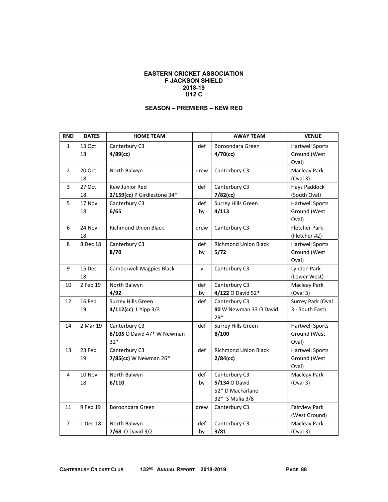#### **EASTERN CRICKET ASSOCIATION F JACKSON SHIELD 2018-19 U12 C**

## **SEASON – PREMIERS – KEW RED**

| <b>RND</b>     | <b>DATES</b> | <b>HOME TEAM</b>                |      | <b>AWAY TEAM</b>            | <b>VENUE</b>           |
|----------------|--------------|---------------------------------|------|-----------------------------|------------------------|
| $\mathbf{1}$   | 13 Oct       | Canterbury C3                   | def  | Boroondara Green            | <b>Hartwell Sports</b> |
|                | 18           | $4/89$ (cc)                     |      | $4/70$ (cc)                 | Ground (West           |
|                |              |                                 |      |                             | Oval)                  |
| $\overline{2}$ | 20 Oct       | North Balwyn                    | drew | Canterbury C3               | Macleay Park           |
|                | 18           |                                 |      |                             | (Oval 3)               |
| 3              | 27 Oct       | Kew Junior Red                  | def  | Canterbury C3               | <b>Hays Paddock</b>    |
|                | 18           | 2/159(cc) P Girdlestone 34*     |      | $7/82$ (cc)                 | (South Oval)           |
| 5              | 17 Nov       | Canterbury C3                   | def  | Surrey Hills Green          | <b>Hartwell Sports</b> |
|                | 18           | 6/65                            | by   | 4/113                       | Ground (West           |
|                |              |                                 |      |                             | Oval)                  |
| 6              | 24 Nov       | <b>Richmond Union Black</b>     | drew | Canterbury C3               | <b>Fletcher Park</b>   |
|                | 18           |                                 |      |                             | (Fletcher #2)          |
| 8              | 8 Dec 18     | Canterbury C3                   | def  | <b>Richmond Union Black</b> | <b>Hartwell Sports</b> |
|                |              | 8/70                            | by   | 5/72                        | Ground (West           |
|                |              |                                 |      |                             | Oval)                  |
| 9              | 15 Dec       | <b>Camberwell Magpies Black</b> | v    | Canterbury C3               | Lynden Park            |
|                | 18           |                                 |      |                             | (Lower West)           |
| 10             | 2 Feb 19     | North Balwyn                    | def  | Canterbury C3               | Macleay Park           |
|                |              | 4/92                            | by   | 4/122 O David 52*           | (Oval 3)               |
| 12             | 16 Feb       | Surrey Hills Green              | def  | Canterbury C3               | Surrey Park (Oval      |
|                | 19           | 4/112(cc) L Yipp 3/3            |      | 90 W Newman 33 O David      | 3 - South East)        |
|                |              |                                 |      | $29*$                       |                        |
| 14             | 2 Mar 19     | Canterbury C3                   | def  | Surrey Hills Green          | <b>Hartwell Sports</b> |
|                |              | 6/105 O David 47* W Newman      |      | 8/100                       | Ground (West           |
|                |              | $32*$                           |      |                             | Oval)                  |
| 13             | 23 Feb       | Canterbury C3                   | def  | <b>Richmond Union Black</b> | <b>Hartwell Sports</b> |
|                | 19           | 7/85(cc) W Newman 26*           |      | $2/84$ (cc)                 | Ground (West           |
|                |              |                                 |      |                             | Oval)                  |
| 4              | 10 Nov       | North Balwyn                    | def  | Canterbury C3               | Macleay Park           |
|                | 18           | 6/110                           | by   | 5/134 O David               | (Oval 3)               |
|                |              |                                 |      | 52* D MacFarlane            |                        |
|                |              |                                 |      | 32* S Mulia 3/8             |                        |
| 11             | 9 Feb 19     | Boroondara Green                | drew | Canterbury C3               | <b>Fairview Park</b>   |
|                |              |                                 |      |                             | (West Ground)          |
| 7              | 1 Dec 18     | North Balwyn                    | def  | Canterbury C3               | Macleay Park           |
|                |              | 7/68 O David 3/2                | by   | 3/81                        | (Oval 3)               |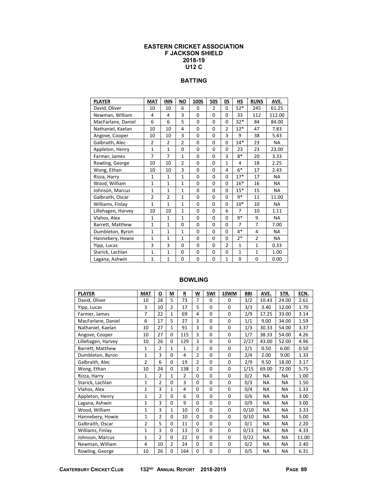#### **EASTERN CRICKET ASSOCIATION F JACKSON SHIELD 2018-19 U12 C**

# **BATTING**

| <b>PLAYER</b>      | <b>MAT</b>     | <b>INN</b>     | <b>NO</b>      | <b>100S</b>  | <b>50S</b>     | 0S             | HS             | <b>RUNS</b>    | AVE.      |
|--------------------|----------------|----------------|----------------|--------------|----------------|----------------|----------------|----------------|-----------|
| David, Oliver      | 10             | 10             | 6              | $\Omega$     | $\overline{2}$ | $\Omega$       | $52*$          | 245            | 61.25     |
| Newman, William    | 4              | 4              | 3              | $\Omega$     | $\Omega$       | $\Omega$       | 33             | 112            | 112.00    |
| MacFarlane, Daniel | 6              | 6              | 5              | $\mathbf{0}$ | $\Omega$       | $\Omega$       | $32*$          | 84             | 84.00     |
| Nathaniel, Kaelan  | 10             | 10             | $\overline{4}$ | $\Omega$     | $\Omega$       | $\overline{2}$ | $12*$          | 47             | 7.83      |
| Angove, Cooper     | 10             | 10             | 3              | $\Omega$     | $\Omega$       | 3              | 9              | 38             | 5.43      |
| Galbraith, Alec    | $\overline{2}$ | $\overline{2}$ | $\overline{2}$ | 0            | 0              | 0              | $14*$          | 23             | NA        |
| Appleton, Henry    | $\mathbf{1}$   | $\mathbf{1}$   | $\Omega$       | $\Omega$     | 0              | 0              | 23             | 23             | 23.00     |
| Farmer, James      | $\overline{7}$ | 7              | $\mathbf{1}$   | $\Omega$     | $\Omega$       | 3              | $8*$           | 20             | 3.33      |
| Rowling, George    | 10             | 10             | $\overline{2}$ | 0            | $\Omega$       | $\mathbf{1}$   | 4              | 18             | 2.25      |
| Wong, Ethan        | 10             | 10             | 3              | 0            | $\Omega$       | 4              | $6*$           | 17             | 2.43      |
| Rizza, Harry       | $\mathbf{1}$   | $\mathbf{1}$   | $\mathbf{1}$   | $\Omega$     | 0              | 0              | $17*$          | 17             | <b>NA</b> |
| Wood, William      | $\mathbf{1}$   | $\mathbf{1}$   | $\mathbf{1}$   | 0            | $\Omega$       | 0              | $16*$          | 16             | NA        |
| Johnson, Marcus    | $\mathbf{1}$   | $\mathbf{1}$   | $\mathbf{1}$   | 0            | $\Omega$       | $\Omega$       | $15*$          | 15             | <b>NA</b> |
| Galbraith, Oscar   | $\overline{2}$ | $\overline{2}$ | $\mathbf{1}$   | 0            | $\Omega$       | $\Omega$       | $9*$           | 11             | 11.00     |
| Williams, Finlay   | $\mathbf{1}$   | $\mathbf{1}$   | $\mathbf{1}$   | 0            | $\Omega$       | $\Omega$       | $10*$          | 10             | NA        |
| Lillehagen, Harvey | 10             | 10             | $\mathbf{1}$   | $\Omega$     | $\Omega$       | 6              | $\overline{7}$ | 10             | 1.11      |
| Vlahos, Alex       | $\mathbf{1}$   | $\mathbf{1}$   | $\mathbf{1}$   | $\Omega$     | $\Omega$       | $\Omega$       | 9*             | 9              | <b>NA</b> |
| Barrett, Matthew   | $\mathbf{1}$   | $\mathbf{1}$   | $\Omega$       | 0            | 0              | $\Omega$       | $\overline{7}$ | $\overline{7}$ | 7.00      |
| Dumbleton, Byron   | $\mathbf{1}$   | $\mathbf{1}$   | $\mathbf{1}$   | 0            | $\Omega$       | $\Omega$       | $4*$           | $\overline{4}$ | NA.       |
| Hannebery, Howie   | $\mathbf{1}$   | $\mathbf{1}$   | $\mathbf{1}$   | $\Omega$     | $\Omega$       | $\Omega$       | $2*$           | $\overline{2}$ | <b>NA</b> |
| Yipp, Lucas        | 3              | 3              | $\Omega$       | $\Omega$     | $\Omega$       | $\overline{2}$ | $\mathbf{1}$   | $\mathbf{1}$   | 0.33      |
| Starick, Lachlan   | $\mathbf{1}$   | $\mathbf{1}$   | 0              | 0            | $\Omega$       | $\Omega$       | $\mathbf{1}$   | $\mathbf{1}$   | 1.00      |
| Lagana, Ashwin     | $\mathbf{1}$   | $\mathbf{1}$   | 0              | 0            | 0              | $\mathbf{1}$   | 0              | 0              | 0.00      |

| <b>PLAYER</b>      | <b>MAT</b>     | O              | М              | R              | W              | 5WI          | 10WM        | <b>BBI</b> | AVE.      | STR.      | ECN.  |
|--------------------|----------------|----------------|----------------|----------------|----------------|--------------|-------------|------------|-----------|-----------|-------|
| David, Oliver      | 10             | 28             | 5              | 73             | $\overline{7}$ | 0            | 0           | 3/2        | 10.43     | 24.00     | 2.61  |
| Yipp, Lucas        | 3              | 10             | $\overline{2}$ | 17             | 5              | 0            | $\mathbf 0$ | 3/3        | 3.40      | 12.00     | 1.70  |
| Farmer, James      | 7              | 22             | $\mathbf{1}$   | 69             | $\overline{4}$ | 0            | $\mathbf 0$ | 2/9        | 17.25     | 33.00     | 3.14  |
| MacFarlane, Daniel | 6              | 17             | 5              | 27             | 3              | 0            | $\mathbf 0$ | 1/1        | 9.00      | 34.00     | 1.59  |
| Nathaniel, Kaelan  | 10             | 27             | 1              | 91             | $\overline{3}$ | 0            | $\mathbf 0$ | 1/3        | 30.33     | 54.00     | 3.37  |
| Angove, Cooper     | 10             | 27             | $\Omega$       | 115            | 3              | 0            | $\Omega$    | 1/7        | 38.33     | 54.00     | 4.26  |
| Lillehagen, Harvey | 10             | 26             | $\Omega$       | 129            | 3              | $\Omega$     | $\mathbf 0$ | 2/27       | 43.00     | 52.00     | 4.96  |
| Barrett, Matthew   | 1              | $\overline{2}$ | 1              | $\mathbf{1}$   | $\overline{2}$ | 0            | $\mathbf 0$ | 2/1        | 0.50      | 6.00      | 0.50  |
| Dumbleton, Byron   | 1              | 3              | 0              | 4              | $\overline{2}$ | $\Omega$     | $\mathbf 0$ | 2/4        | 2.00      | 9.00      | 1.33  |
| Galbraith, Alec    | $\overline{2}$ | 6              | $\mathbf 0$    | 19             | $\overline{2}$ | 0            | $\mathbf 0$ | 2/9        | 9.50      | 18.00     | 3.17  |
| Wong, Ethan        | 10             | 24             | 0              | 138            | $\overline{2}$ | $\Omega$     | $\mathbf 0$ | 1/15       | 69.00     | 72.00     | 5.75  |
| Rizza, Harry       | $\mathbf{1}$   | $\overline{2}$ | $\mathbf{1}$   | $\overline{2}$ | $\Omega$       | $\Omega$     | $\mathbf 0$ | 0/2        | <b>NA</b> | <b>NA</b> | 1.00  |
| Starick, Lachlan   | 1              | $\overline{2}$ | 0              | 3              | $\Omega$       | $\mathbf{0}$ | $\mathbf 0$ | 0/3        | <b>NA</b> | <b>NA</b> | 1.50  |
| Vlahos, Alex       | 1              | 3              | $\mathbf{1}$   | 4              | 0              | 0            | $\mathbf 0$ | 0/4        | <b>NA</b> | <b>NA</b> | 1.33  |
| Appleton, Henry    | 1              | $\overline{2}$ | 0              | 6              | $\mathbf 0$    | 0            | $\mathbf 0$ | 0/6        | <b>NA</b> | <b>NA</b> | 3.00  |
| Lagana, Ashwin     | 1              | 3              | 0              | 9              | $\Omega$       | 0            | $\mathbf 0$ | 0/9        | <b>NA</b> | <b>NA</b> | 3.00  |
| Wood, William      | 1              | 3              | $\mathbf{1}$   | 10             | $\Omega$       | 0            | $\mathbf 0$ | 0/10       | <b>NA</b> | <b>NA</b> | 3.33  |
| Hannebery, Howie   | 1              | 2              | 0              | 10             | $\Omega$       | 0            | $\mathbf 0$ | 0/10       | <b>NA</b> | <b>NA</b> | 5.00  |
| Galbraith, Oscar   | $\overline{2}$ | 5              | 0              | 11             | $\Omega$       | 0            | $\mathbf 0$ | 0/1        | <b>NA</b> | NA        | 2.20  |
| Williams, Finlay   | 1              | 3              | $\mathbf 0$    | 13             | 0              | 0            | $\mathbf 0$ | 0/13       | <b>NA</b> | <b>NA</b> | 4.33  |
| Johnson, Marcus    | 1              | $\overline{2}$ | $\Omega$       | 22             | 0              | $\Omega$     | $\mathbf 0$ | 0/22       | <b>NA</b> | <b>NA</b> | 11.00 |
| Newman, William    | $\overline{4}$ | 10             | $\overline{2}$ | 24             | $\Omega$       | 0            | $\mathbf 0$ | 0/2        | <b>NA</b> | <b>NA</b> | 2.40  |
| Rowling, George    | 10             | 26             | 0              | 164            | 0              | 0            | 0           | 0/5        | <b>NA</b> | <b>NA</b> | 6.31  |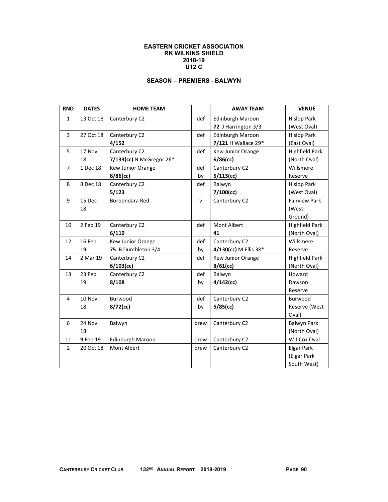#### **EASTERN CRICKET ASSOCIATION RK WILKINS SHIELD 2018-19 U12 C**

# **SEASON – PREMIERS - BALWYN**

| <b>RND</b>     | <b>DATES</b> | <b>HOME TEAM</b>         |              | <b>AWAY TEAM</b>        | <b>VENUE</b>          |
|----------------|--------------|--------------------------|--------------|-------------------------|-----------------------|
| $\mathbf{1}$   | 13 Oct 18    | Canterbury C2            | def          | <b>Edinburgh Maroon</b> | <b>Hislop Park</b>    |
|                |              |                          |              | 72 J Harrington 3/3     | (West Oval)           |
| 3              | 27 Oct 18    | Canterbury C2            | def          | Edinburgh Maroon        | <b>Hislop Park</b>    |
|                |              | 4/152                    |              | 7/121 H Wallace 29*     | (East Oval)           |
| 5              | 17 Nov       | Canterbury C2            | def          | Kew Junior Orange       | <b>Highfield Park</b> |
|                | 18           | 7/133(cc) N McGregor 26* |              | $6/86$ (cc)             | (North Oval)          |
| $\overline{7}$ | 1 Dec 18     | Kew Junior Orange        | def          | Canterbury C2           | Willsmere             |
|                |              | $8/86$ (cc)              | by           | 5/113(cc)               | Reserve               |
| 8              | 8 Dec 18     | Canterbury C2            | def          | Balwyn                  | <b>Hislop Park</b>    |
|                |              | 5/123                    |              | $7/100$ (cc)            | (West Oval)           |
| 9              | 15 Dec       | Boroondara Red           | $\mathsf{v}$ | Canterbury C2           | <b>Fairview Park</b>  |
|                | 18           |                          |              |                         | (West                 |
|                |              |                          |              |                         | Ground)               |
| 10             | 2 Feb 19     | Canterbury C2            | def          | <b>Mont Albert</b>      | <b>Highfield Park</b> |
|                |              | 6/110                    |              | 41                      | (North Oval)          |
| 12             | 16 Feb       | Kew Junior Orange        | def          | Canterbury C2           | Willsmere             |
|                | 19           | 75 B Dumbleton 3/4       | by           | 4/130(cc) M Ellis 38*   | Reserve               |
| 14             | 2 Mar 19     | Canterbury C2            | def          | Kew Junior Orange       | <b>Highfield Park</b> |
|                |              | $6/103$ (cc)             |              | $8/61$ (cc)             | (North Oval)          |
| 13             | 23 Feb       | Canterbury C2            | def          | Balwyn                  | Howard                |
|                | 19           | 8/108                    | by           | $4/142$ (cc)            | Dawson                |
|                |              |                          |              |                         | Reserve               |
| 4              | 10 Nov       | Burwood                  | def          | Canterbury C2           | Burwood               |
|                | 18           | $8/72$ (cc)              | by           | 5/85(cc)                | Reserve (West         |
|                |              |                          |              |                         | Oval)                 |
| 6              | 24 Nov       | Balwyn                   | drew         | Canterbury C2           | <b>Balwyn Park</b>    |
|                | 18           |                          |              |                         | (North Oval)          |
| 11             | 9 Feb 19     | Edinburgh Maroon         | drew         | Canterbury C2           | W.J Cox Oval          |
| $\overline{2}$ | 20 Oct 18    | <b>Mont Albert</b>       | drew         | Canterbury C2           | <b>Elgar Park</b>     |
|                |              |                          |              |                         | (Elgar Park           |
|                |              |                          |              |                         | South West)           |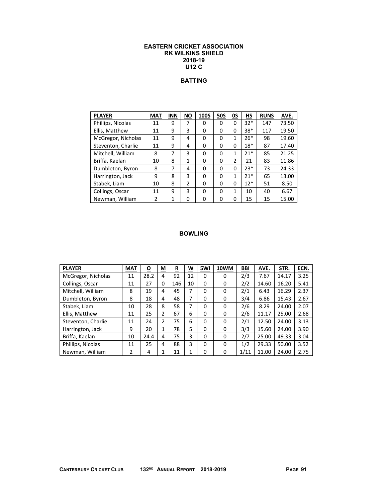#### **EASTERN CRICKET ASSOCIATION RK WILKINS SHIELD 2018-19 U12 C**

# **BATTING**

| <b>PLAYER</b>      | <b>MAT</b>    | <b>INN</b> | <b>NO</b>    | 100S     | <b>50S</b> | 0S       | НS    | <b>RUNS</b> | AVE.  |
|--------------------|---------------|------------|--------------|----------|------------|----------|-------|-------------|-------|
| Phillips, Nicolas  | 11            | 9          |              | 0        | 0          | $\Omega$ | $32*$ | 147         | 73.50 |
| Ellis, Matthew     | 11            | 9          | 3            | 0        | 0          | 0        | $38*$ | 117         | 19.50 |
| McGregor, Nicholas | 11            | 9          | 4            | 0        | 0          | 1        | $26*$ | 98          | 19.60 |
| Steventon, Charlie | 11            | 9          | 4            | 0        | $\Omega$   | $\Omega$ | $18*$ | 87          | 17.40 |
| Mitchell, William  | 8             | 7          | 3            | $\Omega$ | 0          | 1        | $21*$ | 85          | 21.25 |
| Briffa, Kaelan     | 10            | 8          | $\mathbf{1}$ | 0        | $\Omega$   | 2        | 21    | 83          | 11.86 |
| Dumbleton, Byron   | 8             | 7          | 4            | 0        | 0          | $\Omega$ | $23*$ | 73          | 24.33 |
| Harrington, Jack   | 9             | 8          | 3            | 0        | 0          | 1        | $21*$ | 65          | 13.00 |
| Stabek, Liam       | 10            | 8          | 2            | $\Omega$ | 0          | $\Omega$ | $12*$ | 51          | 8.50  |
| Collings, Oscar    | 11            | 9          | 3            | 0        | 0          | 1        | 10    | 40          | 6.67  |
| Newman, William    | $\mathfrak z$ | 1          | $\Omega$     | 0        | 0          | $\Omega$ | 15    | 15          | 15.00 |

| <b>PLAYER</b>      | <b>MAT</b> | <u>0</u> | $\underline{\mathsf{M}}$ | <u>R</u> | W  | 5WI | 10WM     | BBI  | AVE.  | STR.  | ECN. |
|--------------------|------------|----------|--------------------------|----------|----|-----|----------|------|-------|-------|------|
| McGregor, Nicholas | 11         | 28.2     | 4                        | 92       | 12 | 0   | 0        | 2/3  | 7.67  | 14.17 | 3.25 |
| Collings, Oscar    | 11         | 27       | 0                        | 146      | 10 | 0   | 0        | 2/2  | 14.60 | 16.20 | 5.41 |
| Mitchell, William  | 8          | 19       | 4                        | 45       | 7  | 0   | 0        | 2/1  | 6.43  | 16.29 | 2.37 |
| Dumbleton, Byron   | 8          | 18       | 4                        | 48       | 7  | 0   | 0        | 3/4  | 6.86  | 15.43 | 2.67 |
| Stabek, Liam       | 10         | 28       | 8                        | 58       | 7  | 0   | 0        | 2/6  | 8.29  | 24.00 | 2.07 |
| Ellis, Matthew     | 11         | 25       | 2                        | 67       | 6  | 0   | 0        | 2/6  | 11.17 | 25.00 | 2.68 |
| Steventon, Charlie | 11         | 24       | 2                        | 75       | 6  | 0   | 0        | 2/1  | 12.50 | 24.00 | 3.13 |
| Harrington, Jack   | 9          | 20       | 1                        | 78       | 5  | 0   | 0        | 3/3  | 15.60 | 24.00 | 3.90 |
| Briffa, Kaelan     | 10         | 24.4     | 4                        | 75       | 3  | 0   | 0        | 2/7  | 25.00 | 49.33 | 3.04 |
| Phillips, Nicolas  | 11         | 25       | 4                        | 88       | 3  | 0   | 0        | 1/2  | 29.33 | 50.00 | 3.52 |
| Newman, William    | 2          | 4        | 1                        | 11       | 1  | 0   | $\Omega$ | 1/11 | 11.00 | 24.00 | 2.75 |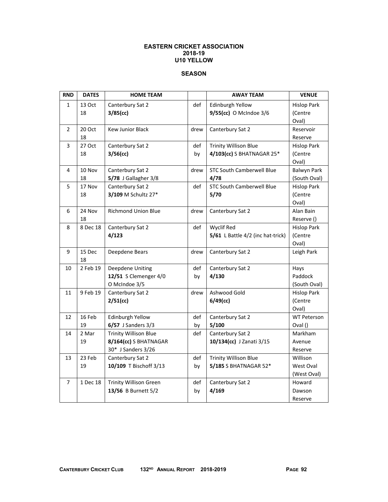### **EASTERN CRICKET ASSOCIATION 2018-19 U10 YELLOW**

## **SEASON**

| <b>RND</b>     | <b>DATES</b> | <b>HOME TEAM</b>              |      | <b>AWAY TEAM</b>                  | <b>VENUE</b>       |
|----------------|--------------|-------------------------------|------|-----------------------------------|--------------------|
| $\mathbf{1}$   | 13 Oct       | Canterbury Sat 2              | def  | Edinburgh Yellow                  | <b>Hislop Park</b> |
|                | 18           | $3/85$ (cc)                   |      | 9/55(cc) O McIndoe 3/6            | (Centre            |
|                |              |                               |      |                                   | Oval)              |
| $\overline{2}$ | 20 Oct       | <b>Kew Junior Black</b>       | drew | Canterbury Sat 2                  | Reservoir          |
|                | 18           |                               |      |                                   | Reserve            |
| 3              | 27 Oct       | Canterbury Sat 2              | def  | <b>Trinity Willison Blue</b>      | <b>Hislop Park</b> |
|                | 18           | 3/56(cc)                      | by   | 4/103(cc) S BHATNAGAR 25*         | (Centre            |
|                |              |                               |      |                                   | Oval)              |
| 4              | 10 Nov       | Canterbury Sat 2              | drew | <b>STC South Camberwell Blue</b>  | <b>Balwyn Park</b> |
|                | 18           | 5/78 J Gallagher 3/8          |      | 4/78                              | (South Oval)       |
| 5              | 17 Nov       | Canterbury Sat 2              | def  | <b>STC South Camberwell Blue</b>  | <b>Hislop Park</b> |
|                | 18           | 3/109 M Schultz 27*           |      | 5/70                              | (Centre            |
|                |              |                               |      |                                   | Oval)              |
| 6              | 24 Nov       | <b>Richmond Union Blue</b>    | drew | Canterbury Sat 2                  | Alan Bain          |
|                | 18           |                               |      |                                   | Reserve ()         |
| 8              | 8 Dec 18     | Canterbury Sat 2              | def  | <b>Wyclif Red</b>                 | <b>Hislop Park</b> |
|                |              | 4/123                         |      | 5/61 L Battle 4/2 (inc hat-trick) | (Centre            |
|                |              |                               |      |                                   | Oval)              |
| 9              | 15 Dec       | Deepdene Bears                | drew | Canterbury Sat 2                  | Leigh Park         |
|                | 18           |                               |      |                                   |                    |
| 10             | 2 Feb 19     | Deepdene Uniting              | def  | Canterbury Sat 2                  | Hays               |
|                |              | 12/51 S Clemenger 4/0         | by   | 4/130                             | Paddock            |
|                |              | O McIndoe 3/5                 |      |                                   | (South Oval)       |
| 11             | 9 Feb 19     | Canterbury Sat 2              | drew | Ashwood Gold                      | <b>Hislop Park</b> |
|                |              | 2/51(cc)                      |      | $6/49$ (cc)                       | (Centre            |
|                |              |                               |      |                                   | Oval)              |
| 12             | 16 Feb       | Edinburgh Yellow              | def  | Canterbury Sat 2                  | <b>WT Peterson</b> |
|                | 19           | $6/57$ J Sanders $3/3$        | by   | 5/100                             | Oval ()            |
| 14             | 2 Mar        | <b>Trinity Willison Blue</b>  | def  | Canterbury Sat 2                  | Markham            |
|                | 19           | 8/164(cc) S BHATNAGAR         |      | 10/134(cc) J Zanati 3/15          | Avenue             |
|                |              | 30* J Sanders 3/26            |      |                                   | Reserve            |
| 13             | 23 Feb       | Canterbury Sat 2              | def  | <b>Trinity Willison Blue</b>      | Willison           |
|                | 19           | 10/109 T Bischoff 3/13        | by   | 5/185 S BHATNAGAR 52*             | West Oval          |
|                |              |                               |      |                                   | (West Oval)        |
| 7              | 1 Dec 18     | <b>Trinity Willison Green</b> | def  | Canterbury Sat 2                  | Howard             |
|                |              | 13/56 B Burnett 5/2           | by   | 4/169                             | Dawson             |
|                |              |                               |      |                                   | Reserve            |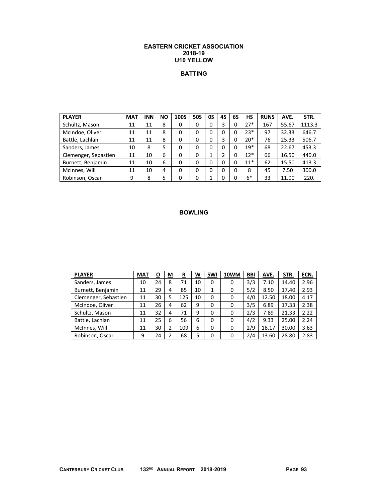#### **EASTERN CRICKET ASSOCIATION 2018-19 U10 YELLOW**

### **BATTING**

| <b>PLAYER</b>        | <b>MAT</b> | <b>INN</b> | <b>NO</b> | <b>100S</b> | <b>50S</b> | 0S | 4S | 6S       | НS    | <b>RUNS</b> | AVE.  | STR.   |
|----------------------|------------|------------|-----------|-------------|------------|----|----|----------|-------|-------------|-------|--------|
| Schultz, Mason       | 11         | 11         | 8         | 0           | 0          | 0  | 3  | 0        | $27*$ | 167         | 55.67 | 1113.3 |
| McIndoe, Oliver      | 11         | 11         | 8         | 0           | 0          | 0  | 0  | 0        | $23*$ | 97          | 32.33 | 646.7  |
| Battle, Lachlan      | 11         | 11         | 8         | 0           | 0          | 0  | 3  | 0        | $20*$ | 76          | 25.33 | 506.7  |
| Sanders, James       | 10         | 8          | 5         | 0           | 0          | 0  | 0  | $\Omega$ | $19*$ | 68          | 22.67 | 453.3  |
| Clemenger, Sebastien | 11         | 10         | 6         | $\Omega$    | 0          |    | 2  | $\Omega$ | $12*$ | 66          | 16.50 | 440.0  |
| Burnett, Benjamin    | 11         | 10         | 6         | 0           | 0          | 0  | 0  | 0        | $11*$ | 62          | 15.50 | 413.3  |
| McInnes, Will        | 11         | 10         | 4         | $\Omega$    | 0          | 0  | 0  | $\Omega$ | 8     | 45          | 7.50  | 300.0  |
| Robinson, Oscar      | 9          | 8          |           | 0           |            |    | 0  | 0        | $6*$  | 33          | 11.00 | 220.   |

| <b>PLAYER</b>        | <b>MAT</b> | О  | М | R   | W  | 5WI | <b>10WM</b> | <b>BBI</b> | AVE.  | STR.  | ECN. |
|----------------------|------------|----|---|-----|----|-----|-------------|------------|-------|-------|------|
| Sanders, James       | 10         | 24 | 8 | 71  | 10 | 0   | 0           | 3/3        | 7.10  | 14.40 | 2.96 |
| Burnett, Benjamin    | 11         | 29 | 4 | 85  | 10 | 1   | 0           | 5/2        | 8.50  | 17.40 | 2.93 |
| Clemenger, Sebastien | 11         | 30 | 5 | 125 | 10 | 0   | 0           | 4/0        | 12.50 | 18.00 | 4.17 |
| McIndoe, Oliver      | 11         | 26 | 4 | 62  | 9  | 0   | 0           | 3/5        | 6.89  | 17.33 | 2.38 |
| Schultz, Mason       | 11         | 32 | 4 | 71  | 9  | 0   | 0           | 2/3        | 7.89  | 21.33 | 2.22 |
| Battle, Lachlan      | 11         | 25 | 6 | 56  | 6  | 0   | 0           | 4/2        | 9.33  | 25.00 | 2.24 |
| McInnes, Will        | 11         | 30 | 2 | 109 | 6  | 0   | 0           | 2/9        | 18.17 | 30.00 | 3.63 |
| Robinson, Oscar      | 9          | 24 |   | 68  | 5  | 0   | 0           | 2/4        | 13.60 | 28.80 | 2.83 |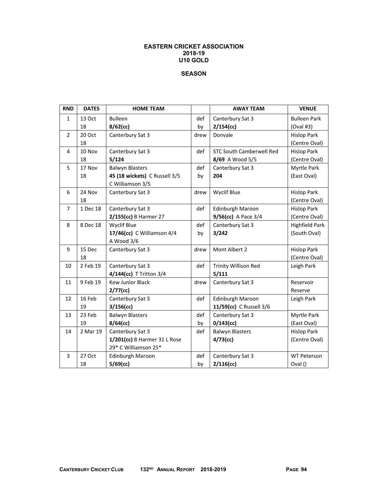#### **EASTERN CRICKET ASSOCIATION 2018-19 U10 GOLD**

# **SEASON**

| <b>RND</b>     | <b>DATES</b> | <b>HOME TEAM</b>              |      | <b>AWAY TEAM</b>                | <b>VENUE</b>          |
|----------------|--------------|-------------------------------|------|---------------------------------|-----------------------|
| $\mathbf{1}$   | 13 Oct       | <b>Bulleen</b>                | def  | Canterbury Sat 3                | <b>Bulleen Park</b>   |
|                | 18           | $8/62$ (cc)                   | by   | $2/154$ (cc)                    | (Oval #3)             |
| $\overline{2}$ | 20 Oct       | Canterbury Sat 3              | drew | Donvale                         | <b>Hislop Park</b>    |
|                | 18           |                               |      |                                 | (Centre Oval)         |
| 4              | 10 Nov       | Canterbury Sat 3              | def  | <b>STC South Camberwell Red</b> | <b>Hislop Park</b>    |
|                | 18           | 5/124                         |      | 8/69 A Wood 5/5                 | (Centre Oval)         |
| 5              | 17 Nov       | <b>Balwyn Blasters</b>        | def  | Canterbury Sat 3                | Myrtle Park           |
|                | 18           | 45 (18 wickets) C Russell 3/5 | by   | 204                             | (East Oval)           |
|                |              | C Williamson 3/5              |      |                                 |                       |
| 6              | 24 Nov       | Canterbury Sat 3              | drew | <b>Wyclif Blue</b>              | <b>Hislop Park</b>    |
|                | 18           |                               |      |                                 | (Centre Oval)         |
| $\overline{7}$ | 1 Dec 18     | Canterbury Sat 3              | def  | Edinburgh Maroon                | <b>Hislop Park</b>    |
|                |              | 2/155(cc) B Harmer 27         |      | 9/56(cc) A Pace 3/4             | (Centre Oval)         |
| 8              | 8 Dec 18     | <b>Wyclif Blue</b>            | def  | Canterbury Sat 3                | <b>Highfield Park</b> |
|                |              | 17/46(cc) C Williamson 4/4    | by   | 3/242                           | (South Oval)          |
|                |              | A Wood 3/6                    |      |                                 |                       |
| 9              | 15 Dec       | Canterbury Sat 3              | drew | Mont Albert 2                   | <b>Hislop Park</b>    |
|                | 18           |                               |      |                                 | (Centre Oval)         |
| 10             | 2 Feb 19     | Canterbury Sat 3              | def  | <b>Trinity Willison Red</b>     | Leigh Park            |
|                |              | 4/144(cc) T Tritton 3/4       |      | 5/111                           |                       |
| 11             | 9 Feb 19     | <b>Kew Junior Black</b>       | drew | Canterbury Sat 3                | Reservoir             |
|                |              | $2/77$ (cc)                   |      |                                 | Reserve               |
| 12             | 16 Feb       | Canterbury Sat 3              | def  | <b>Edinburgh Maroon</b>         | Leigh Park            |
|                | 19           | 3/156(cc)                     |      | 11/59(cc) C Russell 3/6         |                       |
| 13             | 23 Feb       | <b>Balwyn Blasters</b>        | def  | Canterbury Sat 3                | Myrtle Park           |
|                | 19           | $8/64$ (cc)                   | by   | $0/143$ (cc)                    | (East Oval)           |
| 14             | 2 Mar 19     | Canterbury Sat 3              | def  | <b>Balwyn Blasters</b>          | <b>Hislop Park</b>    |
|                |              | 1/201(cc) B Harmer 31 L Rose  |      | $4/73$ (cc)                     | (Centre Oval)         |
|                |              | 29* C Williamson 25*          |      |                                 |                       |
| 3              | 27 Oct       | Edinburgh Maroon              | def  | Canterbury Sat 3                | <b>WT Peterson</b>    |
|                | 18           | 5/69(cc)                      | by   | 2/116(cc)                       | Oval ()               |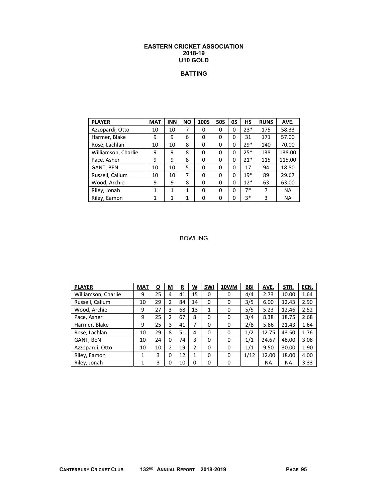#### **EASTERN CRICKET ASSOCIATION 2018-19 U10 GOLD**

# **BATTING**

| <b>PLAYER</b>       | <b>MAT</b> | <b>INN</b>   | <b>NO</b> | <b>100S</b> | <b>50S</b> | 0S | HS    | <b>RUNS</b> | AVE.      |
|---------------------|------------|--------------|-----------|-------------|------------|----|-------|-------------|-----------|
| Azzopardi, Otto     | 10         | 10           | 7         | 0           | 0          | 0  | $23*$ | 175         | 58.33     |
| Harmer, Blake       | 9          | 9            | 6         | 0           | 0          | 0  | 31    | 171         | 57.00     |
| Rose, Lachlan       | 10         | 10           | 8         | $\Omega$    | 0          | 0  | $29*$ | 140         | 70.00     |
| Williamson, Charlie | 9          | 9            | 8         | 0           | 0          | 0  | $25*$ | 138         | 138.00    |
| Pace, Asher         | 9          | 9            | 8         | $\Omega$    | 0          | 0  | $21*$ | 115         | 115.00    |
| GANT, BEN           | 10         | 10           | 5         | $\Omega$    | 0          | 0  | 17    | 94          | 18.80     |
| Russell, Callum     | 10         | 10           | 7         | 0           | 0          | 0  | $19*$ | 89          | 29.67     |
| Wood, Archie        | 9          | 9            | 8         | 0           | 0          | 0  | $12*$ | 63          | 63.00     |
| Riley, Jonah        | 1          | $\mathbf{1}$ | 1         | 0           | 0          | 0  | $7*$  | 7           | <b>NA</b> |
| Riley, Eamon        | 1          | 1            | 1         | 0           | 0          | 0  | $3*$  | 3           | <b>NA</b> |

| <b>PLAYER</b>       | <b>MAT</b> | $\overline{\mathbf{o}}$ | $\underline{\mathsf{M}}$ | R<br>- | <u>W</u> | 5WI | 10WM | <b>BBI</b> | AVE.  | STR.  | ECN. |
|---------------------|------------|-------------------------|--------------------------|--------|----------|-----|------|------------|-------|-------|------|
| Williamson, Charlie | 9          | 25                      | 4                        | 41     | 15       | 0   | 0    | 4/4        | 2.73  | 10.00 | 1.64 |
| Russell, Callum     | 10         | 29                      | 2                        | 84     | 14       | 0   | 0    | 3/5        | 6.00  | 12.43 | 2.90 |
| Wood, Archie        | 9          | 27                      | 3                        | 68     | 13       | 1   | 0    | 5/5        | 5.23  | 12.46 | 2.52 |
| Pace, Asher         | 9          | 25                      | 2                        | 67     | 8        | 0   | 0    | 3/4        | 8.38  | 18.75 | 2.68 |
| Harmer, Blake       | 9          | 25                      | 3                        | 41     | 7        | 0   | 0    | 2/8        | 5.86  | 21.43 | 1.64 |
| Rose, Lachlan       | 10         | 29                      | 8                        | 51     | 4        | 0   | 0    | 1/2        | 12.75 | 43.50 | 1.76 |
| GANT, BEN           | 10         | 24                      | $\mathbf 0$              | 74     | 3        | 0   | 0    | 1/1        | 24.67 | 48.00 | 3.08 |
| Azzopardi, Otto     | 10         | 10                      | 2                        | 19     | 2        | 0   | 0    | 1/1        | 9.50  | 30.00 | 1.90 |
| Riley, Eamon        | 1          | 3                       | 0                        | 12     | 1        | 0   | 0    | 1/12       | 12.00 | 18.00 | 4.00 |
| Riley, Jonah        | 1          | 3                       | 0                        | 10     | 0        | 0   | 0    |            | ΝA    | NA    | 3.33 |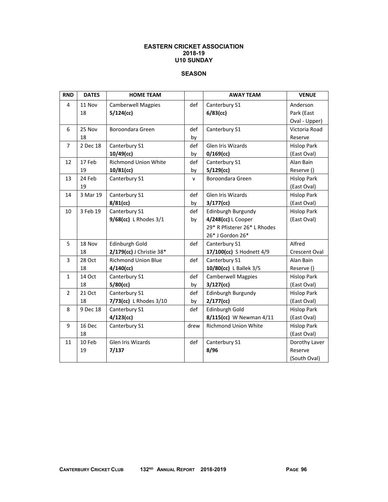### **EASTERN CRICKET ASSOCIATION 2018-19 U10 SUNDAY**

### **SEASON**

| <b>RND</b>     | <b>DATES</b> | <b>HOME TEAM</b>            |      | <b>AWAY TEAM</b>             | <b>VENUE</b>       |
|----------------|--------------|-----------------------------|------|------------------------------|--------------------|
| 4              | 11 Nov       | <b>Camberwell Magpies</b>   | def  | Canterbury S1                | Anderson           |
|                | 18           | $5/124$ (cc)                |      | $6/83$ (cc)                  | Park (East         |
|                |              |                             |      |                              | Oval - Upper)      |
| 6              | 25 Nov       | Boroondara Green            | def  | Canterbury S1                | Victoria Road      |
|                | 18           |                             | by   |                              | Reserve            |
| $\overline{7}$ | 2 Dec 18     | Canterbury S1               | def  | <b>Glen Iris Wizards</b>     | <b>Hislop Park</b> |
|                |              | $10/49$ (cc)                | by   | $0/169$ (cc)                 | (East Oval)        |
| 12             | 17 Feb       | <b>Richmond Union White</b> | def  | Canterbury S1                | Alan Bain          |
|                | 19           | 10/81(cc)                   | by   | $5/129$ (cc)                 | Reserve ()         |
| 13             | 24 Feb       | Canterbury S1               | v    | Boroondara Green             | <b>Hislop Park</b> |
|                | 19           |                             |      |                              | (East Oval)        |
| 14             | 3 Mar 19     | Canterbury S1               | def  | Glen Iris Wizards            | <b>Hislop Park</b> |
|                |              | $8/81$ (cc)                 | by   | $3/177$ (cc)                 | (East Oval)        |
| 10             | 3 Feb 19     | Canterbury S1               | def  | Edinburgh Burgundy           | <b>Hislop Park</b> |
|                |              | 9/68(cc) L Rhodes 3/1       | by   | 4/248(cc) L Cooper           | (East Oval)        |
|                |              |                             |      | 29* R Pfisterer 26* L Rhodes |                    |
|                |              |                             |      | 26* J Gordon 26*             |                    |
| 5              | 18 Nov       | Edinburgh Gold              | def  | Canterbury S1                | Alfred             |
|                | 18           | 2/179(cc) J Christie 38*    |      | 17/100(cc) S Hodnett 4/9     | Crescent Oval      |
| 3              | 28 Oct       | <b>Richmond Union Blue</b>  | def  | Canterbury S1                | Alan Bain          |
|                | 18           | $4/140$ (cc)                |      | 10/80(cc) L Ballek 3/5       | Reserve ()         |
| $\mathbf{1}$   | 14 Oct       | Canterbury S1               | def  | <b>Camberwell Magpies</b>    | <b>Hislop Park</b> |
|                | 18           | $5/80$ (cc)                 | by   | $3/127$ (cc)                 | (East Oval)        |
| $\overline{2}$ | 21 Oct       | Canterbury S1               | def  | Edinburgh Burgundy           | <b>Hislop Park</b> |
|                | 18           | 7/73(cc) L Rhodes 3/10      | by   | $2/177$ (cc)                 | (East Oval)        |
| 8              | 9 Dec 18     | Canterbury S1               | def  | Edinburgh Gold               | <b>Hislop Park</b> |
|                |              | $4/123$ (cc)                |      | 8/115(cc) W Newman 4/11      | (East Oval)        |
| 9              | 16 Dec       | Canterbury S1               | drew | <b>Richmond Union White</b>  | <b>Hislop Park</b> |
|                | 18           |                             |      |                              | (East Oval)        |
| 11             | 10 Feb       | Glen Iris Wizards           | def  | Canterbury S1                | Dorothy Laver      |
|                | 19           | 7/137                       |      | 8/96                         | Reserve            |
|                |              |                             |      |                              | (South Oval)       |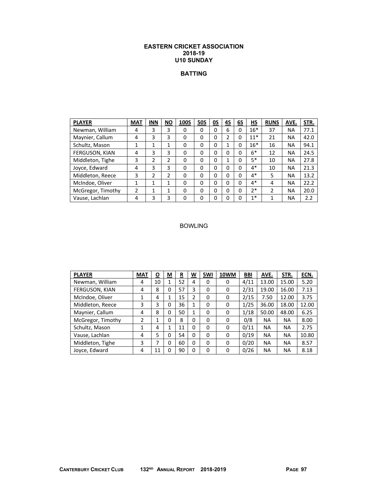### **EASTERN CRICKET ASSOCIATION 2018-19 U10 SUNDAY**

# **BATTING**

| <b>PLAYER</b>     | <b>MAT</b> | <b>INN</b> | <b>NO</b> | <b>100S</b> | <b>50S</b> | 0S | 45 | 6S | НS    | <b>RUNS</b>    | AVE.      | STR. |
|-------------------|------------|------------|-----------|-------------|------------|----|----|----|-------|----------------|-----------|------|
| Newman, William   | 4          | 3          | 3         | 0           | 0          | 0  | 6  | 0  | $16*$ | 37             | <b>NA</b> | 77.1 |
| Maynier, Callum   | 4          | 3          | 3         | 0           | 0          | 0  | 2  | 0  | $11*$ | 21             | ΝA        | 42.0 |
| Schultz, Mason    | 1          | 1          | 1         | 0           | 0          | 0  |    | 0  | $16*$ | 16             | <b>NA</b> | 94.1 |
| FERGUSON, KIAN    | 4          | 3          | 3         | 0           | 0          | 0  | 0  | 0  | $6*$  | 12             | ΝA        | 24.5 |
| Middleton, Tighe  | 3          | 2          | 2         | 0           | 0          | 0  |    | O  | $5*$  | 10             | ΝA        | 27.8 |
| Joyce, Edward     | 4          | 3          | 3         | 0           | 0          | 0  | 0  | 0  | 4*    | 10             | NA        | 21.3 |
| Middleton, Reece  | 3          | 2          | 2         | 0           | 0          | 0  | 0  | 0  | $4*$  | 5              | <b>NA</b> | 13.2 |
| McIndoe, Oliver   | 1          | 1          | 1         | 0           | 0          | 0  | 0  | 0  | 4*    | 4              | <b>NA</b> | 22.2 |
| McGregor, Timothy | 2          | 1          | 1         | 0           | 0          | 0  | 0  | O  | $2*$  | $\overline{2}$ | <b>NA</b> | 20.0 |
| Vause, Lachlan    | 4          | 3          | 3         | 0           | 0          | 0  | 0  | 0  | $1*$  |                | ΝA        | 2.2  |

| <b>PLAYER</b>     | <b>MAT</b>     | <u>0</u>     | $\underline{\mathsf{M}}$ | <u>R</u> | <u>w</u>     | 5WI | 10WM | <b>BBI</b> | AVE.      | STR.      | ECN.  |
|-------------------|----------------|--------------|--------------------------|----------|--------------|-----|------|------------|-----------|-----------|-------|
| Newman, William   | 4              | 10           | 1                        | 52       | 4            | 0   | 0    | 4/11       | 13.00     | 15.00     | 5.20  |
| FERGUSON, KIAN    | 4              | 8            | 0                        | 57       | 3            | 0   | 0    | 2/31       | 19.00     | 16.00     | 7.13  |
| McIndoe, Oliver   | 1              | 4            | 1                        | 15       | 2            | 0   | 0    | 2/15       | 7.50      | 12.00     | 3.75  |
| Middleton, Reece  | 3              | 3            | 0                        | 36       | 1            | 0   | 0    | 1/25       | 36.00     | 18.00     | 12.00 |
| Maynier, Callum   | 4              | 8            | 0                        | 50       | $\mathbf{1}$ | 0   | 0    | 1/18       | 50.00     | 48.00     | 6.25  |
| McGregor, Timothy | $\overline{2}$ | $\mathbf{1}$ | 0                        | 8        | $\Omega$     | 0   | 0    | 0/8        | <b>NA</b> | <b>NA</b> | 8.00  |
| Schultz, Mason    | 1              | 4            | 1                        | 11       | 0            | 0   | 0    | 0/11       | <b>NA</b> | <b>NA</b> | 2.75  |
| Vause, Lachlan    | 4              | 5            | 0                        | 54       | 0            | 0   | 0    | 0/19       | <b>NA</b> | <b>NA</b> | 10.80 |
| Middleton, Tighe  | 3              | 7            | 0                        | 60       | $\Omega$     | 0   | 0    | 0/20       | <b>NA</b> | <b>NA</b> | 8.57  |
| Joyce, Edward     | 4              | 11           | 0                        | 90       | 0            | 0   | 0    | 0/26       | <b>NA</b> | <b>NA</b> | 8.18  |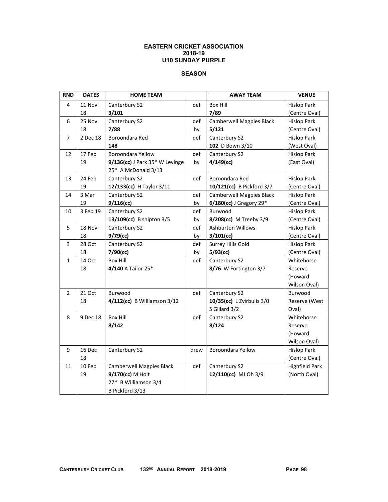### **EASTERN CRICKET ASSOCIATION 2018-19 U10 SUNDAY PURPLE**

## **SEASON**

| <b>RND</b>     | <b>DATES</b> | <b>HOME TEAM</b>                |      | <b>AWAY TEAM</b>                | <b>VENUE</b>          |
|----------------|--------------|---------------------------------|------|---------------------------------|-----------------------|
| 4              | 11 Nov       | Canterbury S2                   | def  | <b>Box Hill</b>                 | <b>Hislop Park</b>    |
|                | 18           | 3/101                           |      | 7/89                            | (Centre Oval)         |
| 6              | 25 Nov       | Canterbury S2                   | def  | <b>Camberwell Magpies Black</b> | <b>Hislop Park</b>    |
|                | 18           | 7/88                            | by   | 5/121                           | (Centre Oval)         |
| 7              | 2 Dec 18     | Boroondara Red                  | def  | Canterbury S2                   | <b>Hislop Park</b>    |
|                |              | 148                             |      | 102 D Bown 3/10                 | (West Oval)           |
| 12             | 17 Feb       | <b>Boroondara Yellow</b>        | def  | Canterbury S2                   | <b>Hislop Park</b>    |
|                | 19           | 9/136(cc) J Park 35* W Levinge  | by   | $4/149$ (cc)                    | (East Oval)           |
|                |              | 25* A McDonald 3/13             |      |                                 |                       |
| 13             | 24 Feb       | Canterbury S2                   | def  | Boroondara Red                  | <b>Hislop Park</b>    |
|                | 19           | 12/133(cc) H Taylor 3/11        |      | 10/121(cc) B Pickford 3/7       | (Centre Oval)         |
| 14             | 3 Mar        | Canterbury S2                   | def  | <b>Camberwell Magpies Black</b> | <b>Hislop Park</b>    |
|                | 19           | 9/116(cc)                       | by   | 6/180(cc) J Gregory 29*         | (Centre Oval)         |
| 10             | 3 Feb 19     | Canterbury S2                   | def  | Burwood                         | <b>Hislop Park</b>    |
|                |              | 13/109(cc) B shipton 3/5        | by   | 8/208(cc) M Treeby 3/9          | (Centre Oval)         |
| 5              | 18 Nov       | Canterbury S2                   | def  | <b>Ashburton Willows</b>        | <b>Hislop Park</b>    |
|                | 18           | $9/79$ (cc)                     | by   | $3/101$ (cc)                    | (Centre Oval)         |
| 3              | 28 Oct       | Canterbury S2                   | def  | Surrey Hills Gold               | <b>Hislop Park</b>    |
|                | 18           | 7/90(cc)                        | by   | $5/93$ (cc)                     | (Centre Oval)         |
| $\mathbf{1}$   | 14 Oct       | <b>Box Hill</b>                 | def  | Canterbury S2                   | Whitehorse            |
|                | 18           | 4/140 A Tailor 25*              |      | 8/76 W Fortington 3/7           | Reserve               |
|                |              |                                 |      |                                 | (Howard               |
|                |              |                                 |      |                                 | Wilson Oval)          |
| $\overline{2}$ | 21 Oct       | Burwood                         | def  | Canterbury S2                   | Burwood               |
|                | 18           | 4/112(cc) B Williamson 3/12     |      | 10/35(cc) L Zvirbulis 3/0       | Reserve (West         |
|                |              |                                 |      | S Gillard 3/2                   | Oval)                 |
| 8              | 9 Dec 18     | <b>Box Hill</b>                 | def  | Canterbury S2                   | Whitehorse            |
|                |              | 8/142                           |      | 8/124                           | Reserve               |
|                |              |                                 |      |                                 | (Howard               |
|                |              |                                 |      |                                 | Wilson Oval)          |
| 9              | 16 Dec       | Canterbury S2                   | drew | Boroondara Yellow               | <b>Hislop Park</b>    |
|                | 18           |                                 |      |                                 | (Centre Oval)         |
| 11             | 10 Feb       | <b>Camberwell Magpies Black</b> | def  | Canterbury S2                   | <b>Highfield Park</b> |
|                | 19           | 9/170(cc) M Holt                |      | 12/110(cc) MJ Oh 3/9            | (North Oval)          |
|                |              | 27* B Williamson 3/4            |      |                                 |                       |
|                |              | B Pickford 3/13                 |      |                                 |                       |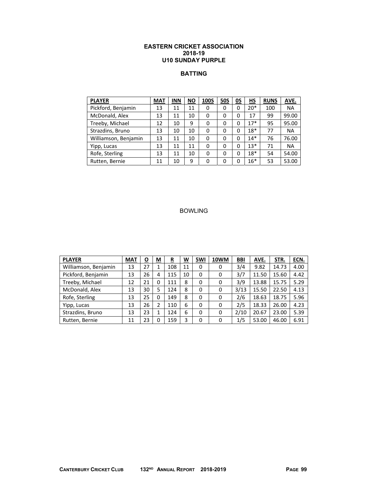### **EASTERN CRICKET ASSOCIATION 2018-19 U10 SUNDAY PURPLE**

## **BATTING**

| <b>PLAYER</b>        | <b>MAT</b> | <b>INN</b> | <b>NO</b> | <b>100S</b> | <b>50S</b> | 0S | НS    | <b>RUNS</b> | AVE.      |
|----------------------|------------|------------|-----------|-------------|------------|----|-------|-------------|-----------|
| Pickford, Benjamin   | 13         | 11         | 11        | 0           | 0          | 0  | $20*$ | 100         | <b>NA</b> |
| McDonald, Alex       | 13         | 11         | 10        | 0           | 0          | 0  | 17    | 99          | 99.00     |
| Treeby, Michael      | 12         | 10         | 9         | 0           | 0          | 0  | $17*$ | 95          | 95.00     |
| Strazdins, Bruno     | 13         | 10         | 10        | 0           | 0          | 0  | $18*$ | 77          | <b>NA</b> |
| Williamson, Benjamin | 13         | 11         | 10        | 0           | 0          | 0  | $14*$ | 76          | 76.00     |
| Yipp, Lucas          | 13         | 11         | 11        | 0           | 0          | 0  | $13*$ | 71          | <b>NA</b> |
| Rofe, Sterling       | 13         | 11         | 10        | 0           | 0          | 0  | $18*$ | 54          | 54.00     |
| Rutten, Bernie       | 11         | 10         | 9         | 0           | 0          | 0  | $16*$ | 53          | 53.00     |

| <b>PLAYER</b>        | <b>MAT</b> | O  | M | $\overline{\mathbf{R}}$ | <u>W</u> | 5WI | 10WM | <b>BBI</b> | AVE.  | STR.  | ECN. |
|----------------------|------------|----|---|-------------------------|----------|-----|------|------------|-------|-------|------|
| Williamson, Benjamin | 13         | 27 |   | 108                     | 11       | 0   | 0    | 3/4        | 9.82  | 14.73 | 4.00 |
| Pickford, Benjamin   | 13         | 26 | 4 | 115                     | 10       | 0   | 0    | 3/7        | 11.50 | 15.60 | 4.42 |
| Treeby, Michael      | 12         | 21 | 0 | 111                     | 8        | 0   | 0    | 3/9        | 13.88 | 15.75 | 5.29 |
| McDonald, Alex       | 13         | 30 | 5 | 124                     | 8        | 0   | 0    | 3/13       | 15.50 | 22.50 | 4.13 |
| Rofe, Sterling       | 13         | 25 | 0 | 149                     | 8        | 0   | 0    | 2/6        | 18.63 | 18.75 | 5.96 |
| Yipp, Lucas          | 13         | 26 | 2 | 110                     | 6        | 0   | 0    | 2/5        | 18.33 | 26.00 | 4.23 |
| Strazdins, Bruno     | 13         | 23 | 1 | 124                     | 6        | 0   | 0    | 2/10       | 20.67 | 23.00 | 5.39 |
| Rutten, Bernie       | 11         | 23 | 0 | 159                     | 3        | 0   | 0    | 1/5        | 53.00 | 46.00 | 6.91 |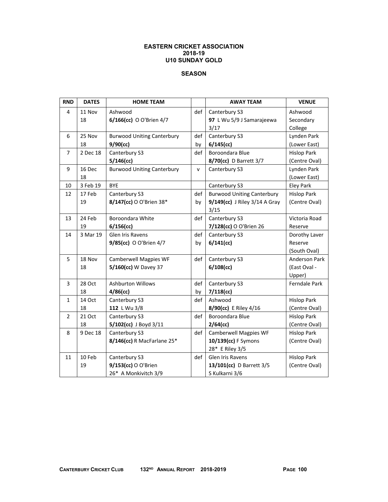### **EASTERN CRICKET ASSOCIATION 2018-19 U10 SUNDAY GOLD**

### **SEASON**

| <b>RND</b>     | <b>DATES</b> | <b>HOME TEAM</b>                  |              | <b>AWAY TEAM</b>                  | <b>VENUE</b>         |
|----------------|--------------|-----------------------------------|--------------|-----------------------------------|----------------------|
| 4              | 11 Nov       | Ashwood                           | def          | Canterbury S3                     | Ashwood              |
|                | 18           | 6/166(cc) O O'Brien 4/7           |              | 97 L Wu 5/9 J Samarajeewa         | Secondary            |
|                |              |                                   |              | 3/17                              | College              |
| 6              | 25 Nov       | <b>Burwood Uniting Canterbury</b> | def          | Canterbury S3                     | Lynden Park          |
|                | 18           | $9/90$ (cc)                       | by           | $6/145$ (cc)                      | (Lower East)         |
| $\overline{7}$ | 2 Dec 18     | Canterbury S3                     | def          | Boroondara Blue                   | <b>Hislop Park</b>   |
|                |              | $5/146$ (cc)                      |              | 8/70(cc) D Barrett 3/7            | (Centre Oval)        |
| 9              | 16 Dec       | <b>Burwood Uniting Canterbury</b> | $\mathsf{v}$ | Canterbury S3                     | Lynden Park          |
|                | 18           |                                   |              |                                   | (Lower East)         |
| 10             | 3 Feb 19     | <b>BYE</b>                        |              | Canterbury S3                     | <b>Eley Park</b>     |
| 12             | 17 Feb       | Canterbury S3                     | def          | <b>Burwood Uniting Canterbury</b> | <b>Hislop Park</b>   |
|                | 19           | 8/147(cc) O O'Brien 38*           | by           | 9/149(cc) J Riley 3/14 A Gray     | (Centre Oval)        |
|                |              |                                   |              | 3/15                              |                      |
| 13             | 24 Feb       | Boroondara White                  | def          | Canterbury S3                     | Victoria Road        |
|                | 19           | $6/156$ (cc)                      |              | 7/128(cc) O O'Brien 26            | Reserve              |
| 14             | 3 Mar 19     | Glen Iris Ravens                  | def          | Canterbury S3                     | Dorothy Laver        |
|                |              | 9/85(cc) O O'Brien 4/7            | by           | $6/141$ (cc)                      | Reserve              |
|                |              |                                   |              |                                   | (South Oval)         |
| 5              | 18 Nov       | <b>Camberwell Magpies WF</b>      | def          | Canterbury S3                     | <b>Anderson Park</b> |
|                | 18           | 5/160(cc) W Davey 37              |              | $6/108$ (cc)                      | (East Oval -         |
|                |              |                                   |              |                                   | Upper)               |
| 3              | 28 Oct       | Ashburton Willows                 | def          | Canterbury S3                     | <b>Ferndale Park</b> |
|                | 18           | $4/86$ (cc)                       | by           | $7/118$ (cc)                      |                      |
| 1              | 14 Oct       | Canterbury S3                     | def          | Ashwood                           | <b>Hislop Park</b>   |
|                | 18           | 112 L Wu 3/8                      |              | 8/90(cc) E Riley 4/16             | (Centre Oval)        |
| $\overline{2}$ | 21 Oct       | Canterbury S3                     | def          | Boroondara Blue                   | <b>Hislop Park</b>   |
|                | 18           | 5/102(cc) J Boyd 3/11             |              | $2/64$ (cc)                       | (Centre Oval)        |
| 8              | 9 Dec 18     | Canterbury S3                     | def          | <b>Camberwell Magpies WF</b>      | <b>Hislop Park</b>   |
|                |              | 8/146(cc) R MacFarlane 25*        |              | 10/139(cc) F Symons               | (Centre Oval)        |
|                |              |                                   |              | 28* E Riley 3/5                   |                      |
| 11             | 10 Feb       | Canterbury S3                     | def          | <b>Glen Iris Ravens</b>           | <b>Hislop Park</b>   |
|                | 19           | 9/153(cc) O O'Brien               |              | 13/101(cc) D Barrett 3/5          | (Centre Oval)        |
|                |              | 26* A Monkivitch 3/9              |              | S Kulkarni 3/6                    |                      |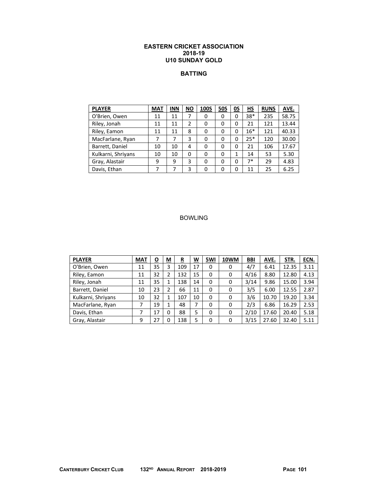### **EASTERN CRICKET ASSOCIATION 2018-19 U10 SUNDAY GOLD**

# **BATTING**

| <b>PLAYER</b>      | <b>MAT</b> | <b>INN</b> | $\underline{\mathsf{NO}}$ | <b>100S</b> | <u>50S</u> | <u>OS</u> | $H\mathbf{S}$ | <b>RUNS</b> | AVE.  |
|--------------------|------------|------------|---------------------------|-------------|------------|-----------|---------------|-------------|-------|
| O'Brien, Owen      | 11         | 11         | 7                         | 0           | 0          | 0         | 38*           | 235         | 58.75 |
| Riley, Jonah       | 11         | 11         | 2                         | 0           | 0          | 0         | 21            | 121         | 13.44 |
| Riley, Eamon       | 11         | 11         | 8                         | 0           | 0          | 0         | $16*$         | 121         | 40.33 |
| MacFarlane, Ryan   | 7          | 7          | 3                         | 0           | 0          | 0         | $25*$         | 120         | 30.00 |
| Barrett, Daniel    | 10         | 10         | 4                         | 0           | 0          | 0         | 21            | 106         | 17.67 |
| Kulkarni, Shriyans | 10         | 10         | 0                         | 0           | 0          | 1         | 14            | 53          | 5.30  |
| Gray, Alastair     | 9          | 9          | 3                         | 0           | 0          | 0         | $7*$          | 29          | 4.83  |
| Davis, Ethan       | 7          | 7          | 3                         | 0           | 0          | 0         | 11            | 25          | 6.25  |

| <b>PLAYER</b>      | <b>MAT</b> | <u>o</u> | $\underline{\mathsf{M}}$ | <u>R</u> | <u>W</u> | 5WI      | 10WM | <b>BBI</b> | AVE.  | STR.  | ECN. |
|--------------------|------------|----------|--------------------------|----------|----------|----------|------|------------|-------|-------|------|
| O'Brien, Owen      | 11         | 35       | 3                        | 109      | 17       | 0        | 0    | 4/7        | 6.41  | 12.35 | 3.11 |
| Riley, Eamon       | 11         | 32       | 2                        | 132      | 15       | $\Omega$ | 0    | 4/16       | 8.80  | 12.80 | 4.13 |
| Riley, Jonah       | 11         | 35       | 1                        | 138      | 14       | $\Omega$ | 0    | 3/14       | 9.86  | 15.00 | 3.94 |
| Barrett, Daniel    | 10         | 23       | 2                        | 66       | 11       | $\Omega$ | 0    | 3/5        | 6.00  | 12.55 | 2.87 |
| Kulkarni, Shriyans | 10         | 32       | 1                        | 107      | 10       | 0        | 0    | 3/6        | 10.70 | 19.20 | 3.34 |
| MacFarlane, Ryan   | 7          | 19       | 1                        | 48       | 7        | $\Omega$ | 0    | 2/3        | 6.86  | 16.29 | 2.53 |
| Davis, Ethan       |            | 17       | 0                        | 88       | 5        | 0        | 0    | 2/10       | 17.60 | 20.40 | 5.18 |
| Gray, Alastair     | 9          | 27       | 0                        | 138      | 5        | $\Omega$ | 0    | 3/15       | 27.60 | 32.40 | 5.11 |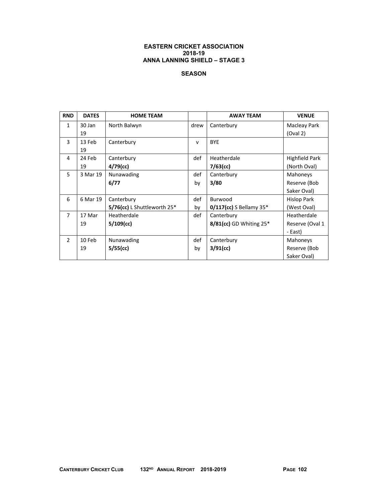## **SEASON**

| <b>RND</b>     | <b>DATES</b> | <b>HOME TEAM</b>               |              | <b>AWAY TEAM</b>           | <b>VENUE</b>          |
|----------------|--------------|--------------------------------|--------------|----------------------------|-----------------------|
| $\mathbf{1}$   | 30 Jan       | North Balwyn                   | drew         | Canterbury                 | Macleay Park          |
|                | 19           |                                |              |                            | (Oval 2)              |
| 3              | 13 Feb       | Canterbury                     | $\mathsf{v}$ | <b>BYE</b>                 |                       |
|                | 19           |                                |              |                            |                       |
| 4              | 24 Feb       | Canterbury                     | def          | Heatherdale                | <b>Highfield Park</b> |
|                | 19           | $4/79$ (cc)                    |              | $7/63$ (cc)                | (North Oval)          |
| 5              | 3 Mar 19     | Nunawading                     | def          | Canterbury                 | Mahoneys              |
|                |              | 6/77                           | by           | 3/80                       | Reserve (Bob          |
|                |              |                                |              |                            | Saker Oval)           |
| 6              | 6 Mar 19     | Canterbury                     | def          | Burwood                    | Hislop Park           |
|                |              | $5/76$ (cc) L Shuttleworth 25* | by           | $0/117$ (cc) S Bellamy 35* | (West Oval)           |
| $\overline{7}$ | 17 Mar       | Heatherdale                    | def          | Canterbury                 | Heatherdale           |
|                | 19           | $5/109$ (cc)                   |              | 8/81(cc) GD Whiting 25*    | Reserve (Oval 1       |
|                |              |                                |              |                            | - East)               |
| $\overline{2}$ | 10 Feb       | Nunawading                     | def          | Canterbury                 | Mahoneys              |
|                | 19           | 5/55(cc)                       | by           | $3/91$ (cc)                | Reserve (Bob          |
|                |              |                                |              |                            | Saker Oval)           |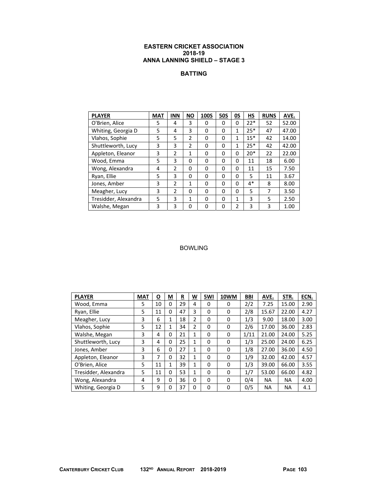# **BATTING**

| <b>PLAYER</b>        | <b>MAT</b> | <b>INN</b>     | <b>NO</b>     | <b>100S</b> | <b>50S</b> | 0S           | <b>HS</b> | <b>RUNS</b> | AVE.  |
|----------------------|------------|----------------|---------------|-------------|------------|--------------|-----------|-------------|-------|
| O'Brien, Alice       | 5          | 4              | 3             | 0           | 0          | 0            | $22*$     | 52          | 52.00 |
| Whiting, Georgia D   | 5          | 4              | 3             | 0           | $\Omega$   | $\mathbf{1}$ | $25*$     | 47          | 47.00 |
| Vlahos, Sophie       | 5          | 5              | 2             | 0           | 0          | 1            | $15*$     | 42          | 14.00 |
| Shuttleworth, Lucy   | 3          | 3              | $\mathfrak z$ | 0           | 0          | 1            | $25*$     | 42          | 42.00 |
| Appleton, Eleanor    | 3          | $\overline{2}$ | $\mathbf{1}$  | 0           | 0          | 0            | $20*$     | 22          | 22.00 |
| Wood, Emma           | 5          | 3              | $\Omega$      | 0           | 0          | 0            | 11        | 18          | 6.00  |
| Wong, Alexandra      | 4          | 2              | 0             | 0           | 0          | 0            | 11        | 15          | 7.50  |
| Ryan, Ellie          | 5          | 3              | 0             | 0           | 0          | 0            | 5         | 11          | 3.67  |
| Jones, Amber         | 3          | $\overline{2}$ | 1             | 0           | 0          | 0            | $4*$      | 8           | 8.00  |
| Meagher, Lucy        | 3          | $\overline{2}$ | 0             | 0           | $\Omega$   | 0            | 5         | 7           | 3.50  |
| Tresidder, Alexandra | 5          | 3              | 1             | 0           | 0          | 1            | 3         | 5           | 2.50  |
| Walshe, Megan        | 3          | 3              | 0             | 0           | 0          | 2            | 3         | 3           | 1.00  |

| <b>PLAYER</b>        | <b>MAT</b> | O  | M            | R  | W            | 5WI      | 10WM | <b>BBI</b> | AVE.      | STR.  | ECN. |
|----------------------|------------|----|--------------|----|--------------|----------|------|------------|-----------|-------|------|
| Wood, Emma           | 5          | 10 | 0            | 29 | 4            | 0        | 0    | 2/2        | 7.25      | 15.00 | 2.90 |
| Ryan, Ellie          | 5          | 11 | 0            | 47 | 3            | 0        | 0    | 2/8        | 15.67     | 22.00 | 4.27 |
| Meagher, Lucy        | 3          | 6  | 1            | 18 | 2            | 0        | 0    | 1/3        | 9.00      | 18.00 | 3.00 |
| Vlahos, Sophie       | 5          | 12 | 1            | 34 | 2            | $\Omega$ | 0    | 2/6        | 17.00     | 36.00 | 2.83 |
| Walshe, Megan        | 3          | 4  | 0            | 21 | $\mathbf{1}$ | 0        | 0    | 1/11       | 21.00     | 24.00 | 5.25 |
| Shuttleworth, Lucy   | 3          | 4  | 0            | 25 | $\mathbf{1}$ | 0        | 0    | 1/3        | 25.00     | 24.00 | 6.25 |
| Jones, Amber         | 3          | 6  | 0            | 27 | $\mathbf{1}$ | 0        | 0    | 1/8        | 27.00     | 36.00 | 4.50 |
| Appleton, Eleanor    | 3          | 7  | 0            | 32 | 1            | 0        | 0    | 1/9        | 32.00     | 42.00 | 4.57 |
| O'Brien, Alice       | 5          | 11 | $\mathbf{1}$ | 39 | 1            | 0        | 0    | 1/3        | 39.00     | 66.00 | 3.55 |
| Tresidder, Alexandra | 5          | 11 | 0            | 53 | $\mathbf{1}$ | 0        | 0    | 1/7        | 53.00     | 66.00 | 4.82 |
| Wong, Alexandra      | 4          | 9  | 0            | 36 | $\Omega$     | $\Omega$ | 0    | 0/4        | <b>NA</b> | NA    | 4.00 |
| Whiting, Georgia D   | 5          | 9  | 0            | 37 | 0            | 0        | 0    | 0/5        | <b>NA</b> | ΝA    | 4.1  |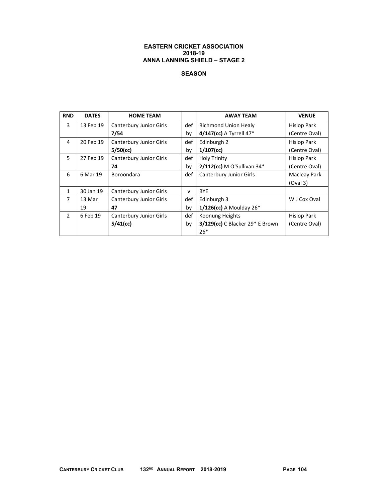## **SEASON**

| <b>RND</b>     | <b>DATES</b> | <b>HOME TEAM</b>               |              | <b>AWAY TEAM</b>                       | <b>VENUE</b>       |
|----------------|--------------|--------------------------------|--------------|----------------------------------------|--------------------|
| 3              | 13 Feb 19    | <b>Canterbury Junior Girls</b> | def          | <b>Richmond Union Healy</b>            | Hislop Park        |
|                |              | 7/54                           | by           | 4/147(cc) A Tyrrell 47*                | (Centre Oval)      |
| 4              | 20 Feb 19    | Canterbury Junior Girls        | def          | Edinburgh 2                            | <b>Hislop Park</b> |
|                |              | $5/50$ (cc)                    | by           | $1/107$ (cc)                           | (Centre Oval)      |
| 5              | 27 Feb 19    | Canterbury Junior Girls        | def          | <b>Holy Trinity</b>                    | Hislop Park        |
|                |              | 74                             | by           | $2/112$ (cc) M O'Sullivan 34*          | (Centre Oval)      |
| 6              | 6 Mar 19     | Boroondara                     | def          | Canterbury Junior Girls                | Macleay Park       |
|                |              |                                |              |                                        | (Oval 3)           |
| $\mathbf{1}$   | 30 Jan 19    | Canterbury Junior Girls        | $\mathsf{v}$ | <b>BYE</b>                             |                    |
| $\overline{7}$ | 13 Mar       | Canterbury Junior Girls        | def          | Edinburgh 3                            | W.J Cox Oval       |
|                | 19           | 47                             | by           | $1/126$ (cc) A Moulday 26 <sup>*</sup> |                    |
| $\mathfrak{D}$ | 6 Feb 19     | Canterbury Junior Girls        | def          | Koonung Heights                        | Hislop Park        |
|                |              | $5/41$ (cc)                    | by           | 3/129(cc) C Blacker 29* E Brown        | (Centre Oval)      |
|                |              |                                |              | $26*$                                  |                    |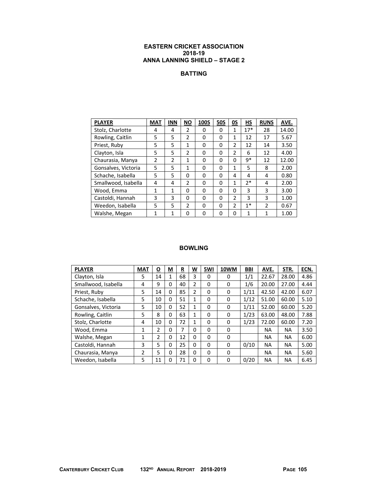# **BATTING**

| <b>PLAYER</b>       | <b>MAT</b>     | <b>INN</b>     | <b>NO</b>      | <b>100S</b> | <b>50S</b> | 0S             | HS    | <b>RUNS</b>    | AVE.  |
|---------------------|----------------|----------------|----------------|-------------|------------|----------------|-------|----------------|-------|
| Stolz, Charlotte    | 4              | 4              | $\mathfrak z$  | 0           | $\Omega$   | 1              | $17*$ | 28             | 14.00 |
| Rowling, Caitlin    | 5              | 5              | $\overline{2}$ | 0           | $\Omega$   | 1              | 12    | 17             | 5.67  |
| Priest, Ruby        | 5              | 5              | 1              | 0           | 0          | 2              | 12    | 14             | 3.50  |
| Clayton, Isla       | 5              | 5              | $\mathfrak{p}$ | 0           | 0          | $\mathfrak{p}$ | 6     | 12             | 4.00  |
| Chaurasia, Manya    | $\mathfrak{p}$ | $\mathfrak{p}$ | 1              | $\Omega$    | $\Omega$   | 0              | q*    | 12             | 12.00 |
| Gonsalves, Victoria | 5              | 5              | 1              | 0           | $\Omega$   | 1              | 5     | 8              | 2.00  |
| Schache, Isabella   | 5              | 5              | 0              | 0           | 0          | 4              | 4     | 4              | 0.80  |
| Smallwood, Isabella | 4              | 4              | $\mathfrak{p}$ | 0           | 0          | 1              | 7*    | 4              | 2.00  |
| Wood, Emma          | $\mathbf{1}$   | $\mathbf{1}$   | 0              | 0           | 0          | 0              | 3     | 3              | 3.00  |
| Castoldi, Hannah    | 3              | 3              | $\Omega$       | 0           | $\Omega$   | $\mathfrak{p}$ | 3     | 3              | 1.00  |
| Weedon, Isabella    | 5              | 5              | $\mathfrak{p}$ | $\Omega$    | 0          | 2              | $1*$  | $\mathfrak{p}$ | 0.67  |
| Walshe, Megan       | 1              | 1              | $\Omega$       | 0           | 0          | 0              | 1     | 1              | 1.00  |

| <b>PLAYER</b>       | <b>MAT</b> | $\overline{\mathbf{o}}$ | М | R  | <u>W</u>     | 5WI      | 10WM | <b>BBI</b> | AVE.      | STR.      | ECN. |
|---------------------|------------|-------------------------|---|----|--------------|----------|------|------------|-----------|-----------|------|
| Clayton, Isla       | 5          | 14                      | 1 | 68 | 3            | 0        | 0    | 1/1        | 22.67     | 28.00     | 4.86 |
| Smallwood, Isabella | 4          | 9                       | 0 | 40 | 2            | 0        | 0    | 1/6        | 20.00     | 27.00     | 4.44 |
| Priest, Ruby        | 5          | 14                      | 0 | 85 | 2            | 0        | 0    | 1/11       | 42.50     | 42.00     | 6.07 |
| Schache, Isabella   | 5          | 10                      | 0 | 51 | 1            | 0        | 0    | 1/12       | 51.00     | 60.00     | 5.10 |
| Gonsalves, Victoria | 5          | 10                      | 0 | 52 | $\mathbf{1}$ | 0        | 0    | 1/11       | 52.00     | 60.00     | 5.20 |
| Rowling, Caitlin    | 5          | 8                       | 0 | 63 | 1            | 0        | 0    | 1/23       | 63.00     | 48.00     | 7.88 |
| Stolz, Charlotte    | 4          | 10                      | 0 | 72 | 1            | 0        | 0    | 1/23       | 72.00     | 60.00     | 7.20 |
| Wood, Emma          | 1          | 2                       | 0 | 7  | 0            | 0        | 0    |            | <b>NA</b> | <b>NA</b> | 3.50 |
| Walshe, Megan       | 1          | 2                       | 0 | 12 | 0            | 0        | 0    |            | <b>NA</b> | <b>NA</b> | 6.00 |
| Castoldi, Hannah    | 3          | 5                       | 0 | 25 | 0            | 0        | 0    | 0/10       | NA.       | <b>NA</b> | 5.00 |
| Chaurasia, Manya    | 2          | 5                       | 0 | 28 | 0            | $\Omega$ | 0    |            | <b>NA</b> | <b>NA</b> | 5.60 |
| Weedon, Isabella    | 5          | 11                      | 0 | 71 | $\Omega$     | 0        | 0    | 0/20       | <b>NA</b> | <b>NA</b> | 6.45 |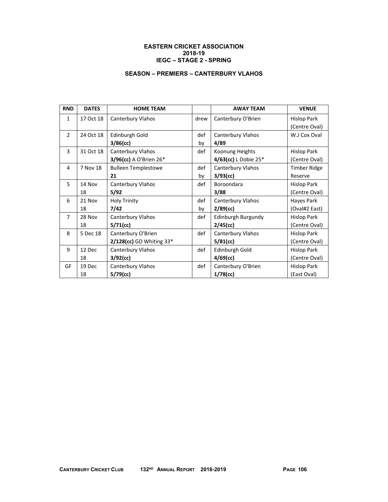### **EASTERN CRICKET ASSOCIATION 2018-19 IEGC – STAGE 2 - SPRING**

# **SEASON – PREMIERS – CANTERBURY VLAHOS**

| <b>RND</b>     | <b>DATES</b> | <b>HOME TEAM</b>            |      | <b>AWAY TEAM</b>       | <b>VENUE</b>        |
|----------------|--------------|-----------------------------|------|------------------------|---------------------|
| $\mathbf{1}$   | 17 Oct 18    | Canterbury Vlahos           | drew | Canterbury O'Brien     | <b>Hislop Park</b>  |
|                |              |                             |      |                        | (Centre Oval)       |
| $\overline{2}$ | 24 Oct 18    | Edinburgh Gold              | def  | Canterbury Vlahos      | W.J Cox Oval        |
|                |              | 3/86(cc)                    | by   | 4/89                   |                     |
| 3              | 31 Oct 18    | Canterbury Vlahos           | def  | Koonung Heights        | <b>Hislop Park</b>  |
|                |              | 3/96(cc) A O'Brien 26*      |      | 4/63(cc) L Dobie $25*$ | (Centre Oval)       |
| 4              | 7 Nov 18     | <b>Bulleen Templestowe</b>  | def  | Canterbury Vlahos      | <b>Timber Ridge</b> |
|                |              | 21                          | by   | $3/93$ (cc)            | Reserve             |
| 5              | 14 Nov       | Canterbury Vlahos           | def  | Boroondara             | Hislop Park         |
|                | 18           | 5/92                        |      | 3/88                   | (Centre Oval)       |
| 6              | 21 Nov       | <b>Holy Trinity</b>         | def  | Canterbury Vlahos      | Hayes Park          |
|                | 18           | 7/42                        | by   | $2/89$ (cc)            | (Oval#2 East)       |
| $\overline{7}$ | 28 Nov       | Canterbury Vlahos           | def  | Edinburgh Burgundy     | <b>Hislop Park</b>  |
|                | 18           | $5/71$ (cc)                 |      | $2/45$ (cc)            | (Centre Oval)       |
| 8              | 5 Dec 18     | Canterbury O'Brien          | def  | Canterbury Vlahos      | <b>Hislop Park</b>  |
|                |              | $2/128$ (cc) GD Whiting 33* |      | $5/81$ (cc)            | (Centre Oval)       |
| 9              | 12 Dec       | Canterbury Vlahos           | def  | Edinburgh Gold         | Hislop Park         |
|                | 18           | 3/92(cc)                    |      | $4/69$ (cc)            | (Centre Oval)       |
| GF             | 19 Dec       | Canterbury Vlahos           | def  | Canterbury O'Brien     | <b>Hislop Park</b>  |
|                | 18           | 5/79(cc)                    |      | $1/78$ (cc)            | (East Oval)         |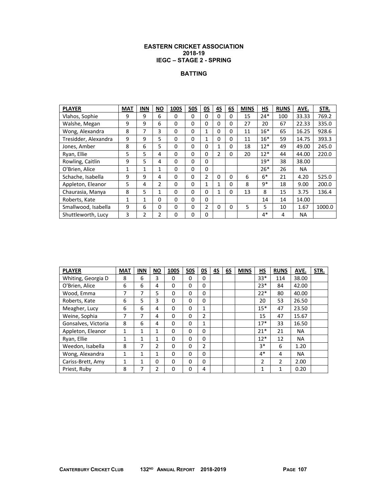### **EASTERN CRICKET ASSOCIATION 2018-19 IEGC – STAGE 2 - SPRING**

# **BATTING**

| <b>PLAYER</b>        | <b>MAT</b> | <b>INN</b>     | <b>NO</b> | <b>100S</b>  | <b>50S</b> | OS | <b>4S</b>      | 6S       | <b>MINS</b> | HS    | <b>RUNS</b> | AVE.      | STR.   |
|----------------------|------------|----------------|-----------|--------------|------------|----|----------------|----------|-------------|-------|-------------|-----------|--------|
| Vlahos, Sophie       | 9          | 9              | 6         | 0            | 0          | 0  | 0              | 0        | 15          | $24*$ | 100         | 33.33     | 769.2  |
| Walshe, Megan        | 9          | 9              | 6         | $\Omega$     | 0          | 0  | 0              | 0        | 27          | 20    | 67          | 22.33     | 335.0  |
| Wong, Alexandra      | 8          | 7              | 3         | 0            | 0          | 1  | 0              | 0        | 11          | $16*$ | 65          | 16.25     | 928.6  |
| Tresidder, Alexandra | 9          | 9              | 5         | $\Omega$     | 0          | 1  | 0              | 0        | 11          | $16*$ | 59          | 14.75     | 393.3  |
| Jones, Amber         | 8          | 6              | 5         | 0            | 0          | 0  | 1              | 0        | 18          | $12*$ | 49          | 49.00     | 245.0  |
| Ryan, Ellie          | 5          | 5.             | 4         | $\Omega$     | 0          | 0  | $\overline{2}$ | 0        | 20          | $12*$ | 44          | 44.00     | 220.0  |
| Rowling, Caitlin     | 9          | 5              | 4         | $\mathbf{0}$ | 0          | 0  |                |          |             | $19*$ | 38          | 38.00     |        |
| O'Brien, Alice       | 1          | $\mathbf{1}$   | 1         | $\Omega$     | 0          | 0  |                |          |             | $26*$ | 26          | NA.       |        |
| Schache, Isabella    | 9          | 9              | 4         | 0            | 0          | 2  | 0              | $\Omega$ | 6           | $6*$  | 21          | 4.20      | 525.0  |
| Appleton, Eleanor    | 5.         | 4              | 2         | $\Omega$     | 0          | 1  | 1              | $\Omega$ | 8           | $9*$  | 18          | 9.00      | 200.0  |
| Chaurasia, Manya     | 8          | 5              | 1         | $\Omega$     | 0          | 0  | 1              | 0        | 13          | 8     | 15          | 3.75      | 136.4  |
| Roberts, Kate        | 1          | 1              | 0         | $\Omega$     | 0          | 0  |                |          |             | 14    | 14          | 14.00     |        |
| Smallwood, Isabella  | 9          | 6              | 0         | $\mathbf{0}$ | 0          | 2  | 0              | 0        | 5           | 5     | 10          | 1.67      | 1000.0 |
| Shuttleworth, Lucy   | 3          | $\mathfrak{p}$ | 2         | $\Omega$     | 0          | 0  |                |          |             | $4*$  | 4           | <b>NA</b> |        |

| <b>PLAYER</b>       | <b>MAT</b> | <b>INN</b> | <b>NO</b>     | <b>100S</b> | <b>50S</b> | <u>05</u> | <u>4S</u> | 6S | <b>MINS</b> | НS    | <b>RUNS</b>  | AVE.      | STR. |
|---------------------|------------|------------|---------------|-------------|------------|-----------|-----------|----|-------------|-------|--------------|-----------|------|
| Whiting, Georgia D  | 8          | 6          | 3             | 0           | 0          | 0         |           |    |             | $33*$ | 114          | 38.00     |      |
| O'Brien, Alice      | 6          | 6          | 4             | 0           | 0          | 0         |           |    |             | $23*$ | 84           | 42.00     |      |
| Wood, Emma          | 7          | 7          | 5             | 0           | 0          | 0         |           |    |             | $22*$ | 80           | 40.00     |      |
| Roberts, Kate       | 6          | 5          | 3             | 0           | 0          | 0         |           |    |             | 20    | 53           | 26.50     |      |
| Meagher, Lucy       | 6          | 6          | 4             | 0           | 0          | 1         |           |    |             | $15*$ | 47           | 23.50     |      |
| Weine, Sophia       | 7          | 7          | 4             | $\Omega$    | 0          | 2         |           |    |             | 15    | 47           | 15.67     |      |
| Gonsalves, Victoria | 8          | 6          | 4             | 0           | 0          | 1         |           |    |             | $17*$ | 33           | 16.50     |      |
| Appleton, Eleanor   | 1          | 1          | 4             | 0           | 0          | 0         |           |    |             | $21*$ | 21           | <b>NA</b> |      |
| Ryan, Ellie         | 1          | 1          | 1             | 0           | 0          | 0         |           |    |             | $12*$ | 12           | <b>NA</b> |      |
| Weedon, Isabella    | 8          | 7          | $\mathcal{P}$ | 0           | 0          | 2         |           |    |             | $3*$  | 6            | 1.20      |      |
| Wong, Alexandra     | 1          | 1          | 1             | 0           | 0          | 0         |           |    |             | $4*$  | 4            | <b>NA</b> |      |
| Cariss-Brett, Amy   | 1          | 1          | 0             | 0           | 0          | 0         |           |    |             | 2     | 2            | 2.00      |      |
| Priest, Ruby        | 8          | 7          | 2             | 0           | 0          | 4         |           |    |             | 1     | $\mathbf{1}$ | 0.20      |      |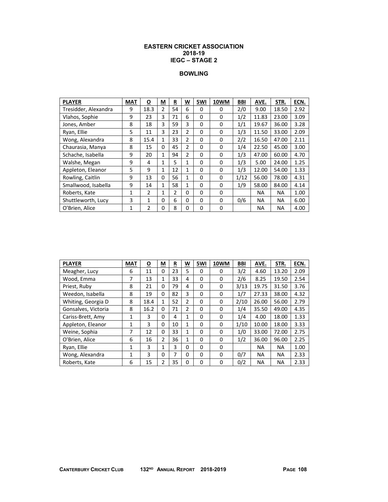#### **EASTERN CRICKET ASSOCIATION 2018-19 IEGC – STAGE 2**

#### **BOWLING**

| <b>PLAYER</b>        | <b>MAT</b>   | $\overline{\mathbf{o}}$ | М            | R  | W            | 5WI         | 10WM     | <b>BBI</b> | AVE.      | STR.      | ECN. |
|----------------------|--------------|-------------------------|--------------|----|--------------|-------------|----------|------------|-----------|-----------|------|
| Tresidder, Alexandra | 9            | 18.3                    | 2            | 54 | 6            | 0           | $\Omega$ | 2/0        | 9.00      | 18.50     | 2.92 |
| Vlahos, Sophie       | 9            | 23                      | 3            | 71 | 6            | 0           | 0        | 1/2        | 11.83     | 23.00     | 3.09 |
| Jones, Amber         | 8            | 18                      | 3            | 59 | 3            | 0           | 0        | 1/1        | 19.67     | 36.00     | 3.28 |
| Ryan, Ellie          | 5            | 11                      | 3            | 23 | 2            | 0           | 0        | 1/3        | 11.50     | 33.00     | 2.09 |
| Wong, Alexandra      | 8            | 15.4                    | 1            | 33 | 2            | 0           | 0        | 2/2        | 16.50     | 47.00     | 2.11 |
| Chaurasia, Manya     | 8            | 15                      | 0            | 45 | 2            | 0           | 0        | 1/4        | 22.50     | 45.00     | 3.00 |
| Schache, Isabella    | 9            | 20                      | 1            | 94 | 2            | 0           | 0        | 1/3        | 47.00     | 60.00     | 4.70 |
| Walshe, Megan        | 9            | 4                       | $\mathbf{1}$ | 5  | $\mathbf{1}$ | 0           | 0        | 1/3        | 5.00      | 24.00     | 1.25 |
| Appleton, Eleanor    | 5            | 9                       | $\mathbf{1}$ | 12 | $\mathbf{1}$ | 0           | 0        | 1/3        | 12.00     | 54.00     | 1.33 |
| Rowling, Caitlin     | 9            | 13                      | 0            | 56 | 1            | 0           | 0        | 1/12       | 56.00     | 78.00     | 4.31 |
| Smallwood, Isabella  | 9            | 14                      | 1            | 58 | 1            | 0           | 0        | 1/9        | 58.00     | 84.00     | 4.14 |
| Roberts, Kate        | $\mathbf{1}$ | 2                       | $\mathbf{1}$ | 2  | 0            | 0           | 0        |            | NA        | ΝA        | 1.00 |
| Shuttleworth, Lucy   | 3            | 1                       | 0            | 6  | 0            | $\mathbf 0$ | 0        | 0/6        | <b>NA</b> | <b>NA</b> | 6.00 |
| O'Brien, Alice       | $\mathbf{1}$ | $\overline{2}$          | $\Omega$     | 8  | 0            | 0           | 0        |            | <b>NA</b> | <b>NA</b> | 4.00 |

| <b>PLAYER</b>       | <b>MAT</b> | O    | M | R  | W | 5WI | 10WM     | <b>BBI</b> | AVE.      | STR.      | ECN. |
|---------------------|------------|------|---|----|---|-----|----------|------------|-----------|-----------|------|
| Meagher, Lucy       | 6          | 11   | 0 | 23 | 5 | 0   | 0        | 3/2        | 4.60      | 13.20     | 2.09 |
| Wood, Emma          | 7          | 13   | 1 | 33 | 4 | 0   | 0        | 2/6        | 8.25      | 19.50     | 2.54 |
| Priest, Ruby        | 8          | 21   | 0 | 79 | 4 | 0   | 0        | 3/13       | 19.75     | 31.50     | 3.76 |
| Weedon, Isabella    | 8          | 19   | 0 | 82 | 3 | 0   | 0        | 1/7        | 27.33     | 38.00     | 4.32 |
| Whiting, Georgia D  | 8          | 18.4 | 1 | 52 | 2 | 0   | 0        | 2/10       | 26.00     | 56.00     | 2.79 |
| Gonsalves, Victoria | 8          | 16.2 | 0 | 71 | 2 | 0   | 0        | 1/4        | 35.50     | 49.00     | 4.35 |
| Cariss-Brett, Amy   | 1          | 3    | 0 | 4  | 1 | 0   | 0        | 1/4        | 4.00      | 18.00     | 1.33 |
| Appleton, Eleanor   | 1          | 3    | 0 | 10 | 1 | 0   | 0        | 1/10       | 10.00     | 18.00     | 3.33 |
| Weine, Sophia       | 7          | 12   | 0 | 33 | 1 | 0   | 0        | 1/0        | 33.00     | 72.00     | 2.75 |
| O'Brien, Alice      | 6          | 16   | 2 | 36 | 1 | 0   | $\Omega$ | 1/2        | 36.00     | 96.00     | 2.25 |
| Ryan, Ellie         | 1          | 3    | 1 | 3  | 0 | 0   | 0        |            | ΝA        | <b>NA</b> | 1.00 |
| Wong, Alexandra     | 1          | 3    | 0 | 7  | 0 | 0   | 0        | 0/7        | <b>NA</b> | <b>NA</b> | 2.33 |
| Roberts, Kate       | 6          | 15   | 2 | 35 | 0 | 0   | $\Omega$ | 0/2        | ΝA        | NA        | 2.33 |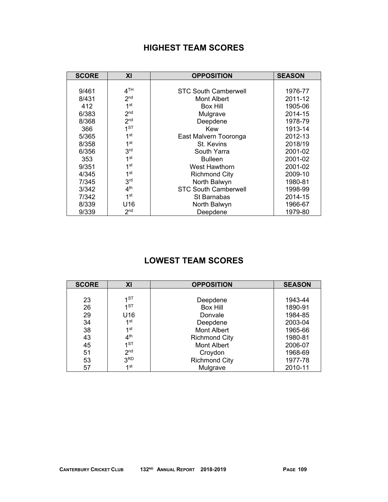## **HIGHEST TEAM SCORES**

| <b>SCORE</b> | XI              | <b>OPPOSITION</b>           | <b>SEASON</b> |
|--------------|-----------------|-----------------------------|---------------|
|              |                 |                             |               |
| 9/461        | 4 <sup>TH</sup> | <b>STC South Camberwell</b> | 1976-77       |
| 8/431        | 2 <sub>nd</sub> | Mont Albert                 | 2011-12       |
| 412          | 1 <sup>st</sup> | Box Hill                    | 1905-06       |
| 6/383        | 2 <sub>nd</sub> | Mulgrave                    | 2014-15       |
| 8/368        | 2 <sub>nd</sub> | Deepdene                    | 1978-79       |
| 366          | 1 <sub>ST</sub> | Kew                         | 1913-14       |
| 5/365        | 1 <sup>st</sup> | East Malvern Tooronga       | 2012-13       |
| 8/358        | 1 <sup>st</sup> | St. Kevins                  | 2018/19       |
| 6/356        | 3 <sup>rd</sup> | South Yarra                 | 2001-02       |
| 353          | 1 <sup>st</sup> | <b>Bulleen</b>              | 2001-02       |
| 9/351        | 1 <sup>st</sup> | West Hawthorn               | 2001-02       |
| 4/345        | 1 <sup>st</sup> | <b>Richmond City</b>        | 2009-10       |
| 7/345        | 3 <sup>rd</sup> | North Balwyn                | 1980-81       |
| 3/342        | 4 <sup>th</sup> | <b>STC South Camberwell</b> | 1998-99       |
| 7/342        | 1 <sup>st</sup> | St Barnabas                 | 2014-15       |
| 8/339        | U16             | North Balwyn<br>1966-67     |               |
| 9/339        | 2 <sub>nd</sub> | Deepdene                    | 1979-80       |

# **LOWEST TEAM SCORES**

| <b>SCORE</b> | XI              | <b>OPPOSITION</b>    | <b>SEASON</b> |
|--------------|-----------------|----------------------|---------------|
|              |                 |                      |               |
| 23           | 4ST             | Deepdene             | 1943-44       |
| 26           | 1ST             | <b>Box Hill</b>      | 1890-91       |
| 29           | U16             | Donvale              | 1984-85       |
| 34           | 1 <sup>st</sup> | Deepdene             | 2003-04       |
| 38           | 1 <sup>st</sup> | <b>Mont Albert</b>   | 1965-66       |
| 43           | 4 <sup>th</sup> | <b>Richmond City</b> | 1980-81       |
| 45           | 1 <sub>5</sub>  | <b>Mont Albert</b>   | 2006-07       |
| 51           | 2 <sub>nd</sub> | Croydon              | 1968-69       |
| 53           | 3 <sup>RD</sup> | <b>Richmond City</b> | 1977-78       |
| 57           | 1 <sup>st</sup> | Mulgrave             | 2010-11       |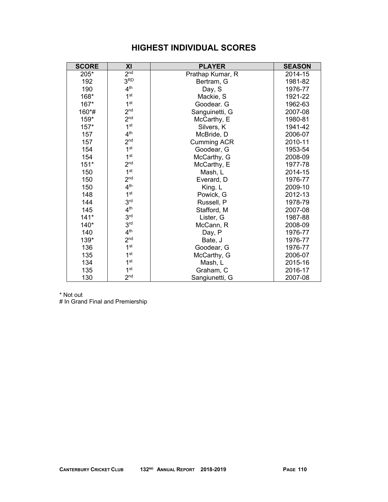# **HIGHEST INDIVIDUAL SCORES**

| <b>SCORE</b> | XI              | <b>PLAYER</b>      | <b>SEASON</b> |
|--------------|-----------------|--------------------|---------------|
| 205*         | 2 <sup>nd</sup> | Prathap Kumar, R   | 2014-15       |
| 192          | 3 <sup>RD</sup> | Bertram, G         | 1981-82       |
| 190          | 4 <sup>th</sup> | Day, S             | 1976-77       |
| 168*         | 1 <sup>st</sup> | Mackie, S          | 1921-22       |
| 167*         | 1 <sup>st</sup> | Goodear. G         | 1962-63       |
| 160*#        | 2 <sup>nd</sup> | Sanguinetti, G     | 2007-08       |
| $159*$       | 2 <sub>nd</sub> | McCarthy, E        | 1980-81       |
| $157*$       | 1 <sup>st</sup> | Silvers, K         | 1941-42       |
| 157          | 4 <sup>th</sup> | McBride, D         | 2006-07       |
| 157          | 2 <sup>nd</sup> | <b>Cumming ACR</b> | 2010-11       |
| 154          | 1 <sup>st</sup> | Goodear, G         | 1953-54       |
| 154          | 1 <sup>st</sup> | McCarthy, G        | 2008-09       |
| $151*$       | 2 <sup>nd</sup> | McCarthy, E        | 1977-78       |
| 150          | 1 <sup>st</sup> | Mash, L            | 2014-15       |
| 150          | 2 <sup>nd</sup> | Everard, D         | 1976-77       |
| 150          | 4 <sup>th</sup> | King. L            | 2009-10       |
| 148          | 1 <sup>st</sup> | Powick, G          | 2012-13       |
| 144          | 3 <sup>rd</sup> | Russell, P         | 1978-79       |
| 145          | 4 <sup>th</sup> | Stafford, M        | 2007-08       |
| $141*$       | 3 <sup>rd</sup> | Lister, G          | 1987-88       |
| $140*$       | 3 <sup>rd</sup> | McCann, R          | 2008-09       |
| 140          | 4 <sup>th</sup> | Day, P             | 1976-77       |
| 139*         | 2 <sub>nd</sub> | Bate, J            | 1976-77       |
| 136          | 1 <sup>st</sup> | Goodear, G         | 1976-77       |
| 135          | 1 <sup>st</sup> | McCarthy, G        | 2006-07       |
| 134          | 1 <sup>st</sup> | Mash, L            | 2015-16       |
| 135          | 1 <sup>st</sup> | Graham, C          | 2016-17       |
| 130          | 2 <sup>nd</sup> | Sangiunetti, G     | 2007-08       |

\* Not out

# In Grand Final and Premiership